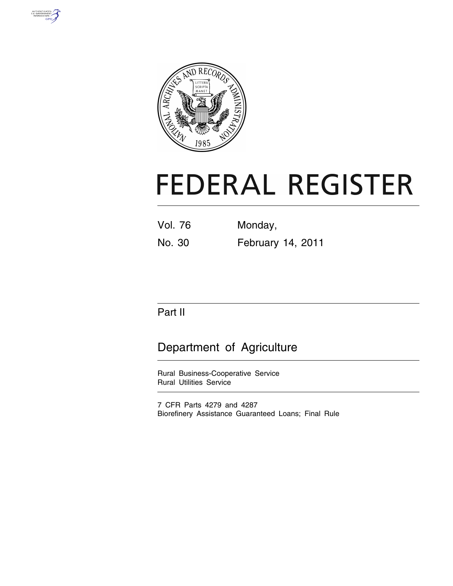



# **FEDERAL REGISTER**

Vol. 76 Monday, No. 30 February 14, 2011

# Part II

# Department of Agriculture

Rural Business-Cooperative Service Rural Utilities Service

7 CFR Parts 4279 and 4287 Biorefinery Assistance Guaranteed Loans; Final Rule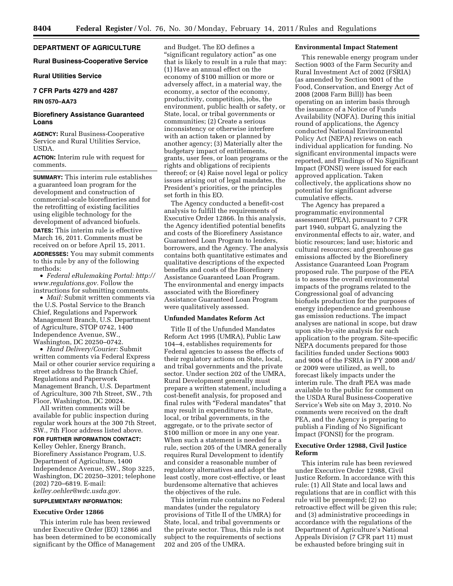# **DEPARTMENT OF AGRICULTURE**

#### **Rural Business-Cooperative Service**

# **Rural Utilities Service**

# **7 CFR Parts 4279 and 4287**

# **RIN 0570–AA73**

# **Biorefinery Assistance Guaranteed Loans**

**AGENCY:** Rural Business-Cooperative Service and Rural Utilities Service, USDA.

**ACTION:** Interim rule with request for comments.

**SUMMARY:** This interim rule establishes a guaranteed loan program for the development and construction of commercial-scale biorefineries and for the retrofitting of existing facilities using eligible technology for the development of advanced biofuels. **DATES:** This interim rule is effective March 16, 2011. Comments must be received on or before April 15, 2011. **ADDRESSES:** You may submit comments to this rule by any of the following methods:

• *Federal eRulemaking Portal: [http://](http://www.regulations.gov)  [www.regulations.gov.](http://www.regulations.gov)* Follow the instructions for submitting comments.

• *Mail:* Submit written comments via the U.S. Postal Service to the Branch Chief, Regulations and Paperwork Management Branch, U.S. Department of Agriculture, STOP 0742, 1400 Independence Avenue, SW., Washington, DC 20250–0742.

• *Hand Delivery/Courier:* Submit written comments via Federal Express Mail or other courier service requiring a street address to the Branch Chief, Regulations and Paperwork Management Branch, U.S. Department of Agriculture, 300 7th Street, SW., 7th Floor, Washington, DC 20024.

All written comments will be available for public inspection during regular work hours at the 300 7th Street, SW., 7th Floor address listed above.

# **FOR FURTHER INFORMATION CONTACT:**

Kelley Oehler, Energy Branch, Biorefinery Assistance Program, U.S. Department of Agriculture, 1400 Independence Avenue, SW., Stop 3225, Washington, DC 20250–3201; telephone (202) 720–6819. E-mail: *[kelley.oehler@wdc.usda.gov.](mailto:kelley.oehler@wdc.usda.gov)* 

#### **SUPPLEMENTARY INFORMATION:**

# **Executive Order 12866**

This interim rule has been reviewed under Executive Order (EO) 12866 and has been determined to be economically significant by the Office of Management

and Budget. The EO defines a ''significant regulatory action'' as one that is likely to result in a rule that may: (1) Have an annual effect on the economy of \$100 million or more or adversely affect, in a material way, the economy, a sector of the economy, productivity, competition, jobs, the environment, public health or safety, or State, local, or tribal governments or communities; (2) Create a serious inconsistency or otherwise interfere with an action taken or planned by another agency; (3) Materially alter the budgetary impact of entitlements, grants, user fees, or loan programs or the rights and obligations of recipients thereof; or (4) Raise novel legal or policy issues arising out of legal mandates, the President's priorities, or the principles set forth in this EO.

The Agency conducted a benefit-cost analysis to fulfill the requirements of Executive Order 12866. In this analysis, the Agency identified potential benefits and costs of the Biorefinery Assistance Guaranteed Loan Program to lenders, borrowers, and the Agency. The analysis contains both quantitative estimates and qualitative descriptions of the expected benefits and costs of the Biorefinery Assistance Guaranteed Loan Program. The environmental and energy impacts associated with the Biorefinery Assistance Guaranteed Loan Program were qualitatively assessed.

#### **Unfunded Mandates Reform Act**

Title II of the Unfunded Mandates Reform Act 1995 (UMRA), Public Law 104–4, establishes requirements for Federal agencies to assess the effects of their regulatory actions on State, local, and tribal governments and the private sector. Under section 202 of the UMRA, Rural Development generally must prepare a written statement, including a cost-benefit analysis, for proposed and final rules with ''Federal mandates'' that may result in expenditures to State, local, or tribal governments, in the aggregate, or to the private sector of \$100 million or more in any one year. When such a statement is needed for a rule, section 205 of the UMRA generally requires Rural Development to identify and consider a reasonable number of regulatory alternatives and adopt the least costly, more cost-effective, or least burdensome alternative that achieves the objectives of the rule.

This interim rule contains no Federal mandates (under the regulatory provisions of Title II of the UMRA) for State, local, and tribal governments or the private sector. Thus, this rule is not subject to the requirements of sections 202 and 205 of the UMRA.

#### **Environmental Impact Statement**

This renewable energy program under Section 9003 of the Farm Security and Rural Investment Act of 2002 (FSRIA) (as amended by Section 9001 of the Food, Conservation, and Energy Act of 2008 (2008 Farm Bill)) has been operating on an interim basis through the issuance of a Notice of Funds Availability (NOFA). During this initial round of applications, the Agency conducted National Environmental Policy Act (NEPA) reviews on each individual application for funding. No significant environmental impacts were reported, and Findings of No Significant Impact (FONSI) were issued for each approved application. Taken collectively, the applications show no potential for significant adverse cumulative effects.

The Agency has prepared a programmatic environmental assessment (PEA), pursuant to 7 CFR part 1940, subpart G, analyzing the environmental effects to air, water, and biotic resources; land use; historic and cultural resources; and greenhouse gas emissions affected by the Biorefinery Assistance Guaranteed Loan Program proposed rule. The purpose of the PEA is to assess the overall environmental impacts of the programs related to the Congressional goal of advancing biofuels production for the purposes of energy independence and greenhouse gas emission reductions. The impact analyses are national in scope, but draw upon site-by-site analysis for each application to the program. Site-specific NEPA documents prepared for those facilities funded under Sections 9003 and 9004 of the FSRIA in FY 2008 and/ or 2009 were utilized, as well, to forecast likely impacts under the interim rule. The draft PEA was made available to the public for comment on the USDA Rural Business-Cooperative Service's Web site on May 3, 2010. No comments were received on the draft PEA, and the Agency is preparing to publish a Finding of No Significant Impact (FONSI) for the program.

# **Executive Order 12988, Civil Justice Reform**

This interim rule has been reviewed under Executive Order 12988, Civil Justice Reform. In accordance with this rule: (1) All State and local laws and regulations that are in conflict with this rule will be preempted; (2) no retroactive effect will be given this rule; and (3) administrative proceedings in accordance with the regulations of the Department of Agriculture's National Appeals Division (7 CFR part 11) must be exhausted before bringing suit in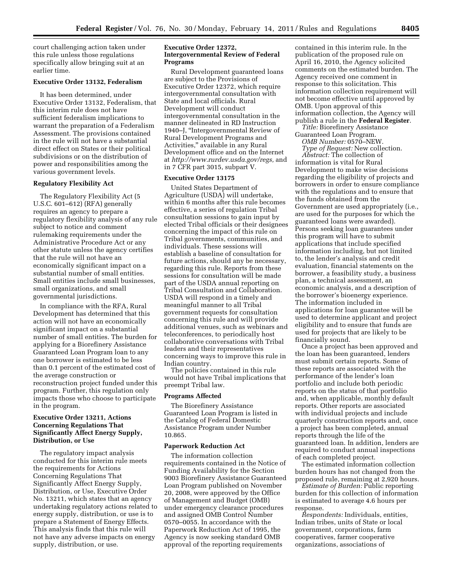court challenging action taken under this rule unless those regulations specifically allow bringing suit at an earlier time.

# **Executive Order 13132, Federalism**

It has been determined, under Executive Order 13132, Federalism, that this interim rule does not have sufficient federalism implications to warrant the preparation of a Federalism Assessment. The provisions contained in the rule will not have a substantial direct effect on States or their political subdivisions or on the distribution of power and responsibilities among the various government levels.

# **Regulatory Flexibility Act**

The Regulatory Flexibility Act (5 U.S.C. 601–612) (RFA) generally requires an agency to prepare a regulatory flexibility analysis of any rule subject to notice and comment rulemaking requirements under the Administrative Procedure Act or any other statute unless the agency certifies that the rule will not have an economically significant impact on a substantial number of small entities. Small entities include small businesses, small organizations, and small governmental jurisdictions.

In compliance with the RFA, Rural Development has determined that this action will not have an economically significant impact on a substantial number of small entities. The burden for applying for a Biorefinery Assistance Guaranteed Loan Program loan to any one borrower is estimated to be less than 0.1 percent of the estimated cost of the average construction or reconstruction project funded under this program. Further, this regulation only impacts those who choose to participate in the program.

# **Executive Order 13211, Actions Concerning Regulations That Significantly Affect Energy Supply, Distribution, or Use**

The regulatory impact analysis conducted for this interim rule meets the requirements for Actions Concerning Regulations That Significantly Affect Energy Supply, Distribution, or Use, Executive Order No. 13211, which states that an agency undertaking regulatory actions related to energy supply, distribution, or use is to prepare a Statement of Energy Effects. This analysis finds that this rule will not have any adverse impacts on energy supply, distribution, or use.

# **Executive Order 12372, Intergovernmental Review of Federal Programs**

Rural Development guaranteed loans are subject to the Provisions of Executive Order 12372, which require intergovernmental consultation with State and local officials. Rural Development will conduct intergovernmental consultation in the manner delineated in RD Instruction 1940–J, ''Intergovernmental Review of Rural Development Programs and Activities,'' available in any Rural Development office and on the Internet at *[http://www.rurdev.usda.gov/regs,](http://www.rurdev.usda.gov/regs)* and in 7 CFR part 3015, subpart V.

# **Executive Order 13175**

United States Department of Agriculture (USDA) will undertake, within 6 months after this rule becomes effective, a series of regulation Tribal consultation sessions to gain input by elected Tribal officials or their designees concerning the impact of this rule on Tribal governments, communities, and individuals. These sessions will establish a baseline of consultation for future actions, should any be necessary, regarding this rule. Reports from these sessions for consultation will be made part of the USDA annual reporting on Tribal Consultation and Collaboration. USDA will respond in a timely and meaningful manner to all Tribal government requests for consultation concerning this rule and will provide additional venues, such as webinars and teleconferences, to periodically host collaborative conversations with Tribal leaders and their representatives concerning ways to improve this rule in Indian country.

The policies contained in this rule would not have Tribal implications that preempt Tribal law.

## **Programs Affected**

The Biorefinery Assistance Guaranteed Loan Program is listed in the Catalog of Federal Domestic Assistance Program under Number 10.865.

# **Paperwork Reduction Act**

The information collection requirements contained in the Notice of Funding Availability for the Section 9003 Biorefinery Assistance Guaranteed Loan Program published on November 20, 2008, were approved by the Office of Management and Budget (OMB) under emergency clearance procedures and assigned OMB Control Number 0570–0055. In accordance with the Paperwork Reduction Act of 1995, the Agency is now seeking standard OMB approval of the reporting requirements

contained in this interim rule. In the publication of the proposed rule on April 16, 2010, the Agency solicited comments on the estimated burden. The Agency received one comment in response to this solicitation. This information collection requirement will not become effective until approved by OMB. Upon approval of this information collection, the Agency will publish a rule in the **Federal Register**.

*Title:* Biorefinery Assistance Guaranteed Loan Program.

*OMB Number:* 0570–NEW. *Type of Request:* New collection.

*Abstract:* The collection of information is vital for Rural Development to make wise decisions regarding the eligibility of projects and borrowers in order to ensure compliance with the regulations and to ensure that the funds obtained from the Government are used appropriately (i.e., are used for the purposes for which the guaranteed loans were awarded). Persons seeking loan guarantees under this program will have to submit applications that include specified information including, but not limited to, the lender's analysis and credit evaluation, financial statements on the borrower, a feasibility study, a business plan, a technical assessment, an economic analysis, and a description of the borrower's bioenergy experience. The information included in applications for loan guarantee will be used to determine applicant and project eligibility and to ensure that funds are used for projects that are likely to be financially sound.

Once a project has been approved and the loan has been guaranteed, lenders must submit certain reports. Some of these reports are associated with the performance of the lender's loan portfolio and include both periodic reports on the status of that portfolio and, when applicable, monthly default reports. Other reports are associated with individual projects and include quarterly construction reports and, once a project has been completed, annual reports through the life of the guaranteed loan. In addition, lenders are required to conduct annual inspections of each completed project.

The estimated information collection burden hours has not changed from the proposed rule, remaining at 2,920 hours.

*Estimate of Burden:* Public reporting burden for this collection of information is estimated to average 4.6 hours per response.

*Respondents:* Individuals, entities, Indian tribes, units of State or local government, corporations, farm cooperatives, farmer cooperative organizations, associations of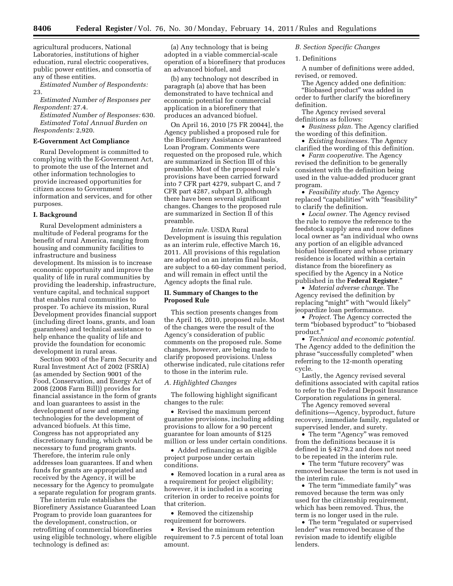agricultural producers, National Laboratories, institutions of higher education, rural electric cooperatives, public power entities, and consortia of any of these entities.

*Estimated Number of Respondents:*  23.

*Estimated Number of Responses per Respondent:* 27.4.

*Estimated Number of Responses:* 630. *Estimated Total Annual Burden on Respondents:* 2,920.

#### **E-Government Act Compliance**

Rural Development is committed to complying with the E-Government Act, to promote the use of the Internet and other information technologies to provide increased opportunities for citizen access to Government information and services, and for other purposes.

#### **I. Background**

Rural Development administers a multitude of Federal programs for the benefit of rural America, ranging from housing and community facilities to infrastructure and business development. Its mission is to increase economic opportunity and improve the quality of life in rural communities by providing the leadership, infrastructure, venture capital, and technical support that enables rural communities to prosper. To achieve its mission, Rural Development provides financial support (including direct loans, grants, and loan guarantees) and technical assistance to help enhance the quality of life and provide the foundation for economic development in rural areas.

Section 9003 of the Farm Security and Rural Investment Act of 2002 (FSRIA) (as amended by Section 9001 of the Food, Conservation, and Energy Act of 2008 (2008 Farm Bill)) provides for financial assistance in the form of grants and loan guarantees to assist in the development of new and emerging technologies for the development of advanced biofuels. At this time, Congress has not appropriated any discretionary funding, which would be necessary to fund program grants. Therefore, the interim rule only addresses loan guarantees. If and when funds for grants are appropriated and received by the Agency, it will be necessary for the Agency to promulgate a separate regulation for program grants.

The interim rule establishes the Biorefinery Assistance Guaranteed Loan Program to provide loan guarantees for the development, construction, or retrofitting of commercial biorefineries using eligible technology, where eligible technology is defined as:

(a) Any technology that is being adopted in a viable commercial-scale operation of a biorefinery that produces an advanced biofuel, and

(b) any technology not described in paragraph (a) above that has been demonstrated to have technical and economic potential for commercial application in a biorefinery that produces an advanced biofuel.

On April 16, 2010 [75 FR 20044], the Agency published a proposed rule for the Biorefinery Assistance Guaranteed Loan Program. Comments were requested on the proposed rule, which are summarized in Section III of this preamble. Most of the proposed rule's provisions have been carried forward into 7 CFR part 4279, subpart C, and 7 CFR part 4287, subpart D, although there have been several significant changes. Changes to the proposed rule are summarized in Section II of this preamble.

*Interim rule.* USDA Rural Development is issuing this regulation as an interim rule, effective March 16, 2011. All provisions of this regulation are adopted on an interim final basis, are subject to a 60-day comment period, and will remain in effect until the Agency adopts the final rule.

# **II. Summary of Changes to the Proposed Rule**

This section presents changes from the April 16, 2010, proposed rule. Most of the changes were the result of the Agency's consideration of public comments on the proposed rule. Some changes, however, are being made to clarify proposed provisions. Unless otherwise indicated, rule citations refer to those in the interim rule.

# *A. Highlighted Changes*

The following highlight significant changes to the rule:

• Revised the maximum percent guarantee provisions, including adding provisions to allow for a 90 percent guarantee for loan amounts of \$125 million or less under certain conditions.

• Added refinancing as an eligible project purpose under certain conditions.

• Removed location in a rural area as a requirement for project eligibility; however, it is included in a scoring criterion in order to receive points for that criterion.

• Removed the citizenship requirement for borrowers.

• Revised the minimum retention requirement to 7.5 percent of total loan amount.

# *B. Section Specific Changes*

#### 1. Definitions

A number of definitions were added, revised, or removed.

The Agency added one definition: "Biobased product" was added in order to further clarify the biorefinery definition.

The Agency revised several definitions as follows:

• *Business plan.* The Agency clarified the wording of this definition.

• *Existing businesses.* The Agency clarified the wording of this definition.

• *Farm cooperative.* The Agency revised the definition to be generally consistent with the definition being used in the value-added producer grant program.

• *Feasibility study.* The Agency replaced "capabilities" with "feasibility" to clarify the definition.

• *Local owner.* The Agency revised the rule to remove the reference to the feedstock supply area and now defines local owner as "an individual who owns any portion of an eligible advanced biofuel biorefinery and whose primary residence is located within a certain distance from the biorefinery as specified by the Agency in a Notice published in the **Federal Register**.''

• *Material adverse change.* The Agency revised the definition by replacing "might" with "would likely" jeopardize loan performance.

• *Project.* The Agency corrected the term "biobased byproduct" to "biobased product.''

• *Technical and economic potential.*  The Agency added to the definition the phrase "successfully completed" when referring to the 12-month operating cycle.

Lastly, the Agency revised several definitions associated with capital ratios to refer to the Federal Deposit Insurance Corporation regulations in general.

The Agency removed several definitions—Agency, byproduct, future recovery, immediate family, regulated or supervised lender, and surety.

• The term "Agency" was removed from the definitions because it is defined in § 4279.2 and does not need to be repeated in the interim rule.

• The term "future recovery" was removed because the term is not used in the interim rule.

• The term "immediate family" was removed because the term was only used for the citizenship requirement, which has been removed. Thus, the term is no longer used in the rule.

• The term "regulated or supervised" lender'' was removed because of the revision made to identify eligible lenders.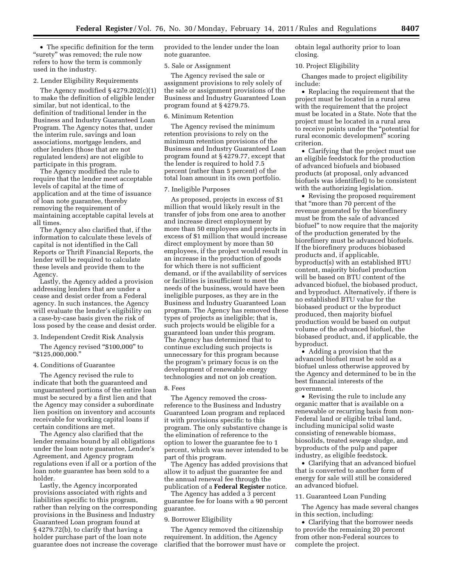• The specific definition for the term ''surety'' was removed; the rule now refers to how the term is commonly used in the industry.

# 2. Lender Eligibility Requirements

The Agency modified  $\S 4279.202(c)(1)$ to make the definition of eligible lender similar, but not identical, to the definition of traditional lender in the Business and Industry Guaranteed Loan Program. The Agency notes that, under the interim rule, savings and loan associations, mortgage lenders, and other lenders (those that are not regulated lenders) are not eligible to participate in this program.

The Agency modified the rule to require that the lender meet acceptable levels of capital at the time of application and at the time of issuance of loan note guarantee, thereby removing the requirement of maintaining acceptable capital levels at all times.

The Agency also clarified that, if the information to calculate these levels of capital is not identified in the Call Reports or Thrift Financial Reports, the lender will be required to calculate these levels and provide them to the Agency.

Lastly, the Agency added a provision addressing lenders that are under a cease and desist order from a Federal agency. In such instances, the Agency will evaluate the lender's eligibility on a case-by-case basis given the risk of loss posed by the cease and desist order.

# 3. Independent Credit Risk Analysis

The Agency revised "\$100,000" to ''\$125,000,000.''

# 4. Conditions of Guarantee

The Agency revised the rule to indicate that both the guaranteed and unguaranteed portions of the entire loan must be secured by a first lien and that the Agency may consider a subordinate lien position on inventory and accounts receivable for working capital loans if certain conditions are met.

The Agency also clarified that the lender remains bound by all obligations under the loan note guarantee, Lender's Agreement, and Agency program regulations even if all or a portion of the loan note guarantee has been sold to a holder.

Lastly, the Agency incorporated provisions associated with rights and liabilities specific to this program, rather than relying on the corresponding provisions in the Business and Industry Guaranteed Loan program found at § 4279.72(b), to clarify that having a holder purchase part of the loan note guarantee does not increase the coverage provided to the lender under the loan note guarantee.

# 5. Sale or Assignment

The Agency revised the sale or assignment provisions to rely solely of the sale or assignment provisions of the Business and Industry Guaranteed Loan program found at § 4279.75.

#### 6. Minimum Retention

The Agency revised the minimum retention provisions to rely on the minimum retention provisions of the Business and Industry Guaranteed Loan program found at § 4279.77, except that the lender is required to hold 7.5 percent (rather than 5 percent) of the total loan amount in its own portfolio.

#### 7. Ineligible Purposes

As proposed, projects in excess of \$1 million that would likely result in the transfer of jobs from one area to another and increase direct employment by more than 50 employees and projects in excess of \$1 million that would increase direct employment by more than 50 employees, if the project would result in an increase in the production of goods for which there is not sufficient demand, or if the availability of services or facilities is insufficient to meet the needs of the business, would have been ineligible purposes, as they are in the Business and Industry Guaranteed Loan program. The Agency has removed these types of projects as ineligible; that is, such projects would be eligible for a guaranteed loan under this program. The Agency has determined that to continue excluding such projects is unnecessary for this program because the program's primary focus is on the development of renewable energy technologies and not on job creation.

#### 8. Fees

The Agency removed the crossreference to the Business and Industry Guaranteed Loan program and replaced it with provisions specific to this program. The only substantive change is the elimination of reference to the option to lower the guarantee fee to 1 percent, which was never intended to be part of this program.

The Agency has added provisions that allow it to adjust the guarantee fee and the annual renewal fee through the publication of a **Federal Register** notice.

The Agency has added a 3 percent guarantee fee for loans with a 90 percent guarantee.

# 9. Borrower Eligibility

The Agency removed the citizenship requirement. In addition, the Agency clarified that the borrower must have or obtain legal authority prior to loan closing.

# 10. Project Eligibility

Changes made to project eligibility include:

• Replacing the requirement that the project must be located in a rural area with the requirement that the project must be located in a State. Note that the project must be located in a rural area to receive points under the ''potential for rural economic development'' scoring criterion.

• Clarifying that the project must use an eligible feedstock for the production of advanced biofuels and biobased products (at proposal, only advanced biofuels was identified) to be consistent with the authorizing legislation.

• Revising the proposed requirement that ''more than 70 percent of the revenue generated by the biorefinery must be from the sale of advanced biofuel'' to now require that the majority of the production generated by the biorefinery must be advanced biofuels. If the biorefinery produces biobased products and, if applicable, byproduct(s) with an established BTU content, majority biofuel production will be based on BTU content of the advanced biofuel, the biobased product, and byproduct. Alternatively, if there is no established BTU value for the biobased product or the byproduct produced, then majority biofuel production would be based on output volume of the advanced biofuel, the biobased product, and, if applicable, the byproduct.

• Adding a provision that the advanced biofuel must be sold as a biofuel unless otherwise approved by the Agency and determined to be in the best financial interests of the government.

• Revising the rule to include any organic matter that is available on a renewable or recurring basis from non-Federal land or eligible tribal land, including municipal solid waste consisting of renewable biomass, biosolids, treated sewage sludge, and byproducts of the pulp and paper industry, as eligible feedstock.

• Clarifying that an advanced biofuel that is converted to another form of energy for sale will still be considered an advanced biofuel.

# 11. Guaranteed Loan Funding

The Agency has made several changes in this section, including:

• Clarifying that the borrower needs to provide the remaining 20 percent from other non-Federal sources to complete the project.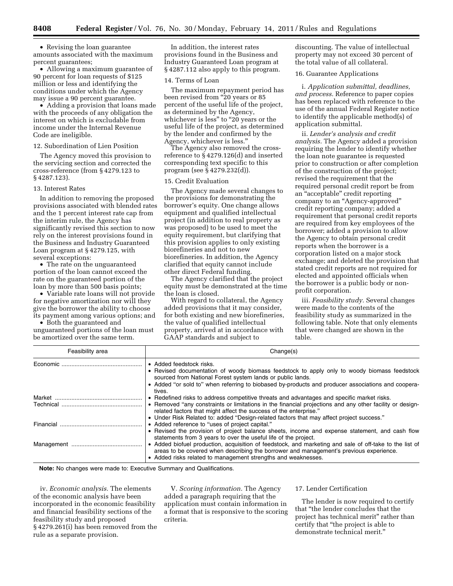• Revising the loan guarantee amounts associated with the maximum percent guarantees;

• Allowing a maximum guarantee of 90 percent for loan requests of \$125 million or less and identifying the conditions under which the Agency may issue a 90 percent guarantee.

• Adding a provision that loans made with the proceeds of any obligation the interest on which is excludable from income under the Internal Revenue Code are ineligible.

# 12. Subordination of Lien Position

The Agency moved this provision to the servicing section and corrected the cross-reference (from § 4279.123 to § 4287.123).

#### 13. Interest Rates

In addition to removing the proposed provisions associated with blended rates and the 1 percent interest rate cap from the interim rule, the Agency has significantly revised this section to now rely on the interest provisions found in the Business and Industry Guaranteed Loan program at § 4279.125, with several exceptions:

• The rate on the unguaranteed portion of the loan cannot exceed the rate on the guaranteed portion of the loan by more than 500 basis points;

• Variable rate loans will not provide for negative amortization nor will they give the borrower the ability to choose its payment among various options; and

• Both the guaranteed and unguaranteed portions of the loan must be amortized over the same term.

In addition, the interest rates provisions found in the Business and Industry Guaranteed Loan program at § 4287.112 also apply to this program.

#### 14. Terms of Loan

The maximum repayment period has been revised from "20 years or 85 percent of the useful life of the project, as determined by the Agency, whichever is less" to "20 years or the useful life of the project, as determined by the lender and confirmed by the Agency, whichever is less.''

The Agency also removed the crossreference to § 4279.126(d) and inserted corresponding text specific to this program (see § 4279.232(d)).

#### 15. Credit Evaluation

The Agency made several changes to the provisions for demonstrating the borrower's equity. One change allows equipment and qualified intellectual project (in addition to real property as was proposed) to be used to meet the equity requirement, but clarifying that this provision applies to only existing biorefineries and not to new biorefineries. In addition, the Agency clarified that equity cannot include other direct Federal funding.

The Agency clarified that the project equity must be demonstrated at the time the loan is closed.

With regard to collateral, the Agency added provisions that it may consider, for both existing and new biorefineries, the value of qualified intellectual property, arrived at in accordance with GAAP standards and subject to

discounting. The value of intellectual property may not exceed 30 percent of the total value of all collateral.

# 16. Guarantee Applications

i. *Application submittal, deadlines, and process.* Reference to paper copies has been replaced with reference to the use of the annual Federal Register notice to identify the applicable method(s) of application submittal.

ii. *Lender's analysis and credit analysis.* The Agency added a provision requiring the lender to identify whether the loan note guarantee is requested prior to construction or after completion of the construction of the project; revised the requirement that the required personal credit report be from an ''acceptable'' credit reporting company to an ''Agency-approved'' credit reporting company; added a requirement that personal credit reports are required from key employees of the borrower; added a provision to allow the Agency to obtain personal credit reports when the borrower is a corporation listed on a major stock exchange; and deleted the provision that stated credit reports are not required for elected and appointed officials when the borrower is a public body or nonprofit corporation.

iii. *Feasibility study.* Several changes were made to the contents of the feasibility study as summarized in the following table. Note that only elements that were changed are shown in the table.

| Feasibility area | Change(s)                                                                                                                                                                                                                                                                                                                             |
|------------------|---------------------------------------------------------------------------------------------------------------------------------------------------------------------------------------------------------------------------------------------------------------------------------------------------------------------------------------|
|                  | • Added feedstock risks.<br>• Revised documentation of woody biomass feedstock to apply only to woody biomass feedstock<br>sourced from National Forest system lands or public lands.<br>• Added "or sold to" when referring to biobased by-products and producer associations and coopera-<br>tives.                                 |
|                  | • Redefined risks to address competitive threats and advantages and specific market risks.<br>• Removed "any constraints or limitations in the financial projections and any other facility or design-<br>related factors that might affect the success of the enterprise."                                                           |
|                  | • Under Risk Related to: added "Design-related factors that may affect project success."<br>• Added reference to "uses of project capital."<br>• Revised the provision of project balance sheets, income and expense statement, and cash flow                                                                                         |
|                  | statements from 3 years to over the useful life of the project.<br>• Added biofuel production, acquisition of feedstock, and marketing and sale of off-take to the list of<br>areas to be covered when describing the borrower and management's previous experience.<br>• Added risks related to management strengths and weaknesses. |

**Note:** No changes were made to: Executive Summary and Qualifications.

iv. *Economic analysis.* The elements of the economic analysis have been incorporated in the economic feasibility and financial feasibility sections of the feasibility study and proposed § 4279.261(i) has been removed from the rule as a separate provision.

V. *Scoring information.* The Agency added a paragraph requiring that the application must contain information in a format that is responsive to the scoring criteria.

## 17. Lender Certification

The lender is now required to certify that ''the lender concludes that the project has technical merit'' rather than certify that ''the project is able to demonstrate technical merit.''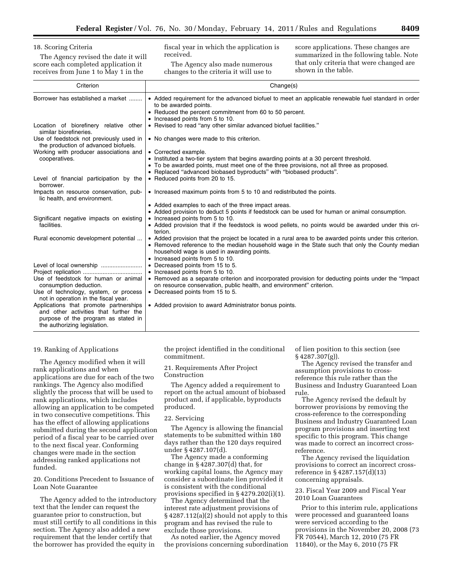18. Scoring Criteria

The Agency revised the date it will score each completed application it receives from June 1 to May 1 in the

fiscal year in which the application is received.

The Agency also made numerous changes to the criteria it will use to

score applications. These changes are summarized in the following table. Note that only criteria that were changed are shown in the table.

| Criterion                                                                                                                                              | Change(s)                                                                                                                                                                                                                                                                                    |
|--------------------------------------------------------------------------------------------------------------------------------------------------------|----------------------------------------------------------------------------------------------------------------------------------------------------------------------------------------------------------------------------------------------------------------------------------------------|
| Borrower has established a market                                                                                                                      | • Added requirement for the advanced biofuel to meet an applicable renewable fuel standard in order<br>to be awarded points.<br>• Reduced the percent commitment from 60 to 50 percent.<br>• Increased points from 5 to 10.                                                                  |
| Location of biorefinery relative other<br>similar biorefineries.                                                                                       | • Revised to read "any other similar advanced biofuel facilities."                                                                                                                                                                                                                           |
| Use of feedstock not previously used in<br>the production of advanced biofuels.                                                                        | • No changes were made to this criterion.                                                                                                                                                                                                                                                    |
| Working with producer associations and                                                                                                                 | • Corrected example.                                                                                                                                                                                                                                                                         |
| cooperatives.                                                                                                                                          | • Instituted a two-tier system that begins awarding points at a 30 percent threshold.<br>• To be awarded points, must meet one of the three provisions, not all three as proposed.<br>• Replaced "advanced biobased byproducts" with "biobased products".                                    |
| Level of financial participation by the<br>borrower.                                                                                                   | • Reduced points from 20 to 15.                                                                                                                                                                                                                                                              |
| Impacts on resource conservation, pub-<br>lic health, and environment.                                                                                 | • Increased maximum points from 5 to 10 and redistributed the points.                                                                                                                                                                                                                        |
|                                                                                                                                                        | • Added examples to each of the three impact areas.                                                                                                                                                                                                                                          |
|                                                                                                                                                        | • Added provision to deduct 5 points if feedstock can be used for human or animal consumption.                                                                                                                                                                                               |
| Significant negative impacts on existing                                                                                                               | • Increased points from 5 to 10.                                                                                                                                                                                                                                                             |
| facilities.                                                                                                                                            | • Added provision that if the feedstock is wood pellets, no points would be awarded under this cri-<br>terion.                                                                                                                                                                               |
| Rural economic development potential                                                                                                                   | • Added provision that the project be located in a rural area to be awarded points under this criterion.<br>• Removed reference to the median household wage in the State such that only the County median<br>household wage is used in awarding points.<br>• Increased points from 5 to 10. |
|                                                                                                                                                        | • Decreased points from 15 to 5.                                                                                                                                                                                                                                                             |
|                                                                                                                                                        | • Increased points from 5 to 10.                                                                                                                                                                                                                                                             |
| Use of feedstock for human or animal<br>consumption deduction.                                                                                         | • Removed as a separate criterion and incorporated provision for deducting points under the "Impact"<br>on resource conservation, public health, and environment" criterion.                                                                                                                 |
| Use of technology, system, or process<br>not in operation in the fiscal year.                                                                          | • Decreased points from 15 to 5.                                                                                                                                                                                                                                                             |
| Applications that promote partnerships<br>and other activities that further the<br>purpose of the program as stated in<br>the authorizing legislation. | • Added provision to award Administrator bonus points.                                                                                                                                                                                                                                       |

#### 19. Ranking of Applications

The Agency modified when it will rank applications and when applications are due for each of the two rankings. The Agency also modified slightly the process that will be used to rank applications, which includes allowing an application to be competed in two consecutive competitions. This has the effect of allowing applications submitted during the second application period of a fiscal year to be carried over to the next fiscal year. Conforming changes were made in the section addressing ranked applications not funded.

20. Conditions Precedent to Issuance of Loan Note Guarantee

The Agency added to the introductory text that the lender can request the guarantee prior to construction, but must still certify to all conditions in this section. The Agency also added a new requirement that the lender certify that the borrower has provided the equity in

the project identified in the conditional commitment.

21. Requirements After Project Construction

The Agency added a requirement to report on the actual amount of biobased product and, if applicable, byproducts produced.

# 22. Servicing

The Agency is allowing the financial statements to be submitted within 180 days rather than the 120 days required under § 4287.107(d).

The Agency made a conforming change in § 4287.307(d) that, for working capital loans, the Agency may consider a subordinate lien provided it is consistent with the conditional provisions specified in § 4279.202(i)(1).

The Agency determined that the interest rate adjustment provisions of § 4287.112(a)(2) should not apply to this program and has revised the rule to exclude those provisions.

As noted earlier, the Agency moved the provisions concerning subordination of lien position to this section (see § 4287.307(g)).

The Agency revised the transfer and assumption provisions to crossreference this rule rather than the Business and Industry Guaranteed Loan rule.

The Agency revised the default by borrower provisions by removing the cross-reference to the corresponding Business and Industry Guaranteed Loan program provisions and inserting text specific to this program. This change was made to correct an incorrect crossreference.

The Agency revised the liquidation provisions to correct an incorrect crossreference in § 4287.157(d)(13) concerning appraisals.

23. Fiscal Year 2009 and Fiscal Year 2010 Loan Guarantees

Prior to this interim rule, applications were processed and guaranteed loans were serviced according to the provisions in the November 20, 2008 (73 FR 70544), March 12, 2010 (75 FR 11840), or the May 6, 2010 (75 FR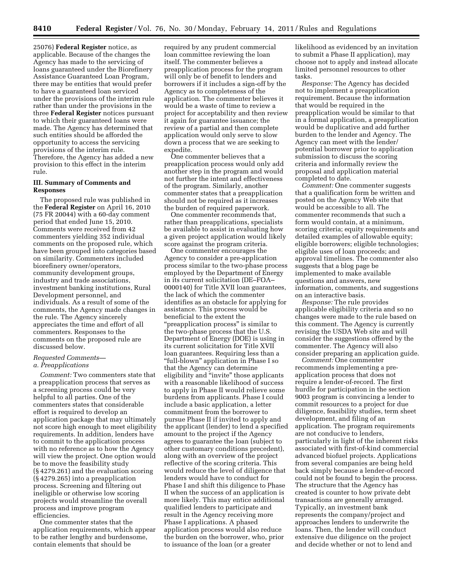25076) **Federal Register** notice, as applicable. Because of the changes the Agency has made to the servicing of loans guaranteed under the Biorefinery Assistance Guaranteed Loan Program, there may be entities that would prefer to have a guaranteed loan serviced under the provisions of the interim rule rather than under the provisions in the three **Federal Register** notices pursuant to which their guaranteed loans were made. The Agency has determined that such entities should be afforded the opportunity to access the servicing provisions of the interim rule. Therefore, the Agency has added a new provision to this effect in the interim rule.

# **III. Summary of Comments and Responses**

The proposed rule was published in the **Federal Register** on April 16, 2010 (75 FR 20044) with a 60-day comment period that ended June 15, 2010. Comments were received from 42 commenters yielding 352 individual comments on the proposed rule, which have been grouped into categories based on similarity. Commenters included biorefinery owner/operators, community development groups, industry and trade associations, investment banking institutions, Rural Development personnel, and individuals. As a result of some of the comments, the Agency made changes in the rule. The Agency sincerely appreciates the time and effort of all commenters. Responses to the comments on the proposed rule are discussed below.

# *Requested Comments a. Preapplications*

*Comment:* Two commenters state that a preapplication process that serves as a screening process could be very helpful to all parties. One of the commenters states that considerable effort is required to develop an application package that may ultimately not score high enough to meet eligibility requirements. In addition, lenders have to commit to the application process with no reference as to how the Agency will view the project. One option would be to move the feasibility study (§ 4279.261) and the evaluation scoring (§ 4279.265) into a preapplication process. Screening and filtering out ineligible or otherwise low scoring projects would streamline the overall process and improve program efficiencies.

One commenter states that the application requirements, which appear to be rather lengthy and burdensome, contain elements that should be

required by any prudent commercial loan committee reviewing the loan itself. The commenter believes a preapplication process for the program will only be of benefit to lenders and borrowers if it includes a sign-off by the Agency as to completeness of the application. The commenter believes it would be a waste of time to review a project for acceptability and then review it again for guarantee issuance; the review of a partial and then complete application would only serve to slow down a process that we are seeking to expedite.

One commenter believes that a preapplication process would only add another step in the program and would not further the intent and effectiveness of the program. Similarly, another commenter states that a preapplication should not be required as it increases the burden of required paperwork.

One commenter recommends that, rather than preapplications, specialists be available to assist in evaluating how a given project application would likely score against the program criteria.

One commenter encourages the Agency to consider a pre-application process similar to the two-phase process employed by the Department of Energy in its current solicitation (DE–FOA– 0000140) for Title XVII loan guarantees, the lack of which the commenter identifies as an obstacle for applying for assistance. This process would be beneficial to the extent the ''preapplication process'' is similar to the two-phase process that the U.S. Department of Energy (DOE) is using in its current solicitation for Title XVII loan guarantees. Requiring less than a ''full-blown'' application in Phase I so that the Agency can determine eligibility and "invite" those applicants with a reasonable likelihood of success to apply in Phase II would relieve some burdens from applicants. Phase I could include a basic application, a letter commitment from the borrower to pursue Phase II if invited to apply and the applicant (lender) to lend a specified amount to the project if the Agency agrees to guarantee the loan (subject to other customary conditions precedent), along with an overview of the project reflective of the scoring criteria. This would reduce the level of diligence that lenders would have to conduct for Phase I and shift this diligence to Phase II when the success of an application is more likely. This may entice additional qualified lenders to participate and result in the Agency receiving more Phase I applications. A phased application process would also reduce the burden on the borrower, who, prior to issuance of the loan (or a greater

likelihood as evidenced by an invitation to submit a Phase II application), may choose not to apply and instead allocate limited personnel resources to other tasks.

*Response:* The Agency has decided not to implement a preapplication requirement. Because the information that would be required in the preapplication would be similar to that in a formal application, a preapplication would be duplicative and add further burden to the lender and Agency. The Agency can meet with the lender/ potential borrower prior to application submission to discuss the scoring criteria and informally review the proposal and application material completed to date.

*Comment:* One commenter suggests that a qualification form be written and posted on the Agency Web site that would be accessible to all. The commenter recommends that such a form would contain, at a minimum, scoring criteria; equity requirements and detailed examples of allowable equity; eligible borrowers; eligible technologies; eligible uses of loan proceeds; and approval timelines. The commenter also suggests that a blog page be implemented to make available questions and answers, new information, comments, and suggestions on an interactive basis.

*Response:* The rule provides applicable eligibility criteria and so no changes were made to the rule based on this comment. The Agency is currently revising the USDA Web site and will consider the suggestions offered by the commenter. The Agency will also consider preparing an application guide.

*Comment:* One commenter recommends implementing a preapplication process that does not require a lender-of-record. The first hurdle for participation in the section 9003 program is convincing a lender to commit resources to a project for due diligence, feasibility studies, term sheet development, and filing of an application. The program requirements are not conducive to lenders, particularly in light of the inherent risks associated with first-of-kind commercial advanced biofuel projects. Applications from several companies are being held back simply because a lender-of-record could not be found to begin the process. The structure that the Agency has created is counter to how private debt transactions are generally arranged. Typically, an investment bank represents the company/project and approaches lenders to underwrite the loans. Then, the lender will conduct extensive due diligence on the project and decide whether or not to lend and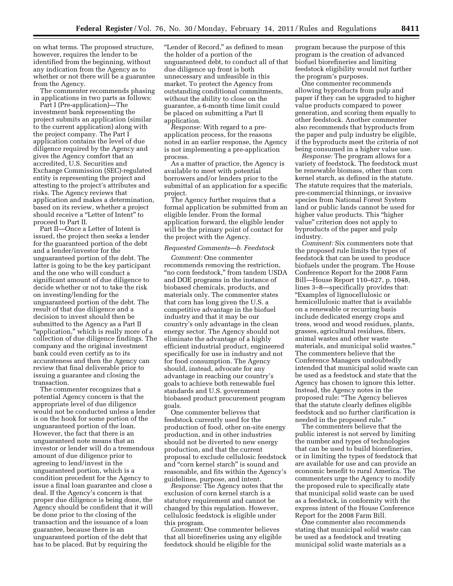on what terms. The proposed structure, however, requires the lender to be identified from the beginning, without any indication from the Agency as to whether or not there will be a guarantee from the Agency.

The commenter recommends phasing in applications in two parts as follows:

Part I (Pre-application)—The investment bank representing the project submits an application (similar to the current application) along with the project company. The Part I application contains the level of due diligence required by the Agency and gives the Agency comfort that an accredited, U.S. Securities and Exchange Commission (SEC)-regulated entity is representing the project and attesting to the project's attributes and risks. The Agency reviews that application and makes a determination, based on its review, whether a project should receive a "Letter of Intent" to proceed to Part II.

Part II—Once a Letter of Intent is issued, the project then seeks a lender for the guaranteed portion of the debt and a lender/investor for the unguaranteed portion of the debt. The latter is going to be the key participant and the one who will conduct a significant amount of due diligence to decide whether or not to take the risk on investing/lending for the unguaranteed portion of the debt. The result of that due diligence and a decision to invest should then be submitted to the Agency as a Part II "application," which is really more of a collection of due diligence findings. The company and the original investment bank could even certify as to its accurateness and then the Agency can review that final deliverable prior to issuing a guarantee and closing the transaction.

The commenter recognizes that a potential Agency concern is that the appropriate level of due diligence would not be conducted unless a lender is on the hook for some portion of the unguaranteed portion of the loan. However, the fact that there is an unguaranteed note means that an investor or lender will do a tremendous amount of due diligence prior to agreeing to lend/invest in the unguaranteed portion, which is a condition precedent for the Agency to issue a final loan guarantee and close a deal. If the Agency's concern is that proper due diligence is being done, the Agency should be confident that it will be done prior to the closing of the transaction and the issuance of a loan guarantee, because there is an unguaranteed portion of the debt that has to be placed. But by requiring the

"Lender of Record," as defined to mean the holder of a portion of the unguaranteed debt, to conduct all of that due diligence up front is both unnecessary and unfeasible in this market. To protect the Agency from outstanding conditional commitments, without the ability to close on the guarantee, a 6-month time limit could be placed on submitting a Part II application.

*Response:* With regard to a preapplication process, for the reasons noted in an earlier response, the Agency is not implementing a pre-application process.

As a matter of practice, the Agency is available to meet with potential borrowers and/or lenders prior to the submittal of an application for a specific project.

The Agency further requires that a formal application be submitted from an eligible lender. From the formal application forward, the eligible lender will be the primary point of contact for the project with the Agency.

#### *Requested Comments—b. Feedstock*

*Comment:* One commenter recommends removing the restriction, "no corn feedstock," from tandem USDA and DOE programs in the instance of biobased chemicals, products, and materials only. The commenter states that corn has long given the U.S. a competitive advantage in the biofuel industry and that it may be our country's only advantage in the clean energy sector. The Agency should not eliminate the advantage of a highly efficient industrial product, engineered specifically for use in industry and not for food consumption. The Agency should, instead, advocate for any advantage in reaching our country's goals to achieve both renewable fuel standards and U.S. government biobased product procurement program goals.

One commenter believes that feedstock currently used for the production of food, other on-site energy production, and in other industries should not be diverted to new energy production, and that the current proposal to exclude cellulosic feedstock and ''corn kernel starch'' is sound and reasonable, and fits within the Agency's guidelines, purpose, and intent.

*Response:* The Agency notes that the exclusion of corn kernel starch is a statutory requirement and cannot be changed by this regulation. However, cellulosic feedstock is eligible under this program.

*Comment:* One commenter believes that all biorefineries using any eligible feedstock should be eligible for the

program because the purpose of this program is the creation of advanced biofuel biorefineries and limiting feedstock eligibility would not further the program's purposes.

One commenter recommends allowing byproducts from pulp and paper if they can be upgraded to higher value products compared to power generation, and scoring them equally to other feedstock. Another commenter also recommends that byproducts from the paper and pulp industry be eligible, if the byproducts meet the criteria of not being consumed in a higher value use.

*Response:* The program allows for a variety of feedstock. The feedstock must be renewable biomass, other than corn kernel starch, as defined in the statute. The statute requires that the materials, pre-commercial thinnings, or invasive species from National Forest System land or public lands cannot be used for higher value products. This ''higher value'' criterion does not apply to byproducts of the paper and pulp industry.

*Comment:* Six commenters note that the proposed rule limits the types of feedstock that can be used to produce biofuels under the program. The House Conference Report for the 2008 Farm Bill—House Report 110–627, p. 1048, lines 3–8—specifically provides that: ''Examples of lignocellulosic or hemicellulosic matter that is available on a renewable or recurring basis include dedicated energy crops and trees, wood and wood residues, plants, grasses, agricultural residues, fibers, animal wastes and other waste materials, and municipal solid wastes.'' The commenters believe that the Conference Managers undoubtedly intended that municipal solid waste can be used as a feedstock and state that the Agency has chosen to ignore this letter. Instead, the Agency notes in the proposed rule: ''The Agency believes that the statute clearly defines eligible feedstock and no further clarification is needed in the proposed rule.''

The commenters believe that the public interest is not served by limiting the number and types of technologies that can be used to build biorefineries, or in limiting the types of feedstock that are available for use and can provide an economic benefit to rural America. The commenters urge the Agency to modify the proposed rule to specifically state that municipal solid waste can be used as a feedstock, in conformity with the express intent of the House Conference Report for the 2008 Farm Bill.

One commenter also recommends stating that municipal solid waste can be used as a feedstock and treating municipal solid waste materials as a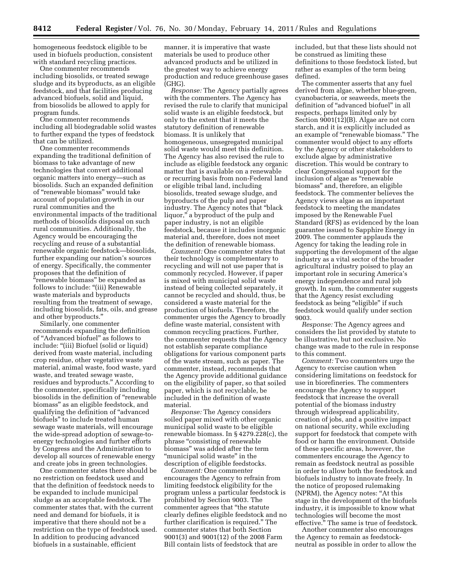homogeneous feedstock eligible to be used in biofuels production, consistent with standard recycling practices.

One commenter recommends including biosolids, or treated sewage sludge and its byproducts, as an eligible feedstock, and that facilities producing advanced biofuels, solid and liquid, from biosolids be allowed to apply for program funds.

One commenter recommends including all biodegradable solid wastes to further expand the types of feedstock that can be utilized.

One commenter recommends expanding the traditional definition of biomass to take advantage of new technologies that convert additional organic matters into energy—such as biosolids. Such an expanded definition of ''renewable biomass'' would take account of population growth in our rural communities and the environmental impacts of the traditional methods of biosolids disposal on such rural communities. Additionally, the Agency would be encouraging the recycling and reuse of a substantial renewable organic feedstock—biosolids, further expanding our nation's sources of energy. Specifically, the commenter proposes that the definition of "renewable biomass" be expanded as follows to include: "(iii) Renewable waste materials and byproducts resulting from the treatment of sewage, including biosolids, fats, oils, and grease and other byproducts.''

Similarly, one commenter recommends expanding the definition of ''Advanced biofuel'' as follows to include: ''(iii) Biofuel (solid or liquid) derived from waste material, including crop residue, other vegetative waste material, animal waste, food waste, yard waste, and treated sewage waste, residues and byproducts.'' According to the commenter, specifically including biosolids in the definition of ''renewable biomass'' as an eligible feedstock, and qualifying the definition of ''advanced biofuels'' to include treated human sewage waste materials, will encourage the wide-spread adoption of sewage-toenergy technologies and further efforts by Congress and the Administration to develop all sources of renewable energy and create jobs in green technologies.

One commenter states there should be no restriction on feedstock used and that the definition of feedstock needs to be expanded to include municipal sludge as an acceptable feedstock. The commenter states that, with the current need and demand for biofuels, it is imperative that there should not be a restriction on the type of feedstock used. In addition to producing advanced biofuels in a sustainable, efficient

manner, it is imperative that waste materials be used to produce other advanced products and be utilized in the greatest way to achieve energy production and reduce greenhouse gases (GHG).

*Response:* The Agency partially agrees with the commenters. The Agency has revised the rule to clarify that municipal solid waste is an eligible feedstock, but only to the extent that it meets the statutory definition of renewable biomass. It is unlikely that homogeneous, unsegregated municipal solid waste would meet this definition. The Agency has also revised the rule to include as eligible feedstock any organic matter that is available on a renewable or recurring basis from non-Federal land or eligible tribal land, including biosolids, treated sewage sludge, and byproducts of the pulp and paper industry. The Agency notes that ''black liquor,'' a byproduct of the pulp and paper industry, is not an eligible feedstock, because it includes inorganic material and, therefore, does not meet the definition of renewable biomass.

*Comment:* One commenter states that their technology is complementary to recycling and will not use paper that is commonly recycled. However, if paper is mixed with municipal solid waste instead of being collected separately, it cannot be recycled and should, thus, be considered a waste material for the production of biofuels. Therefore, the commenter urges the Agency to broadly define waste material, consistent with common recycling practices. Further, the commenter requests that the Agency not establish separate compliance obligations for various component parts of the waste stream, such as paper. The commenter, instead, recommends that the Agency provide additional guidance on the eligibility of paper, so that soiled paper, which is not recyclable, be included in the definition of waste material.

*Response:* The Agency considers soiled paper mixed with other organic municipal solid waste to be eligible renewable biomass. In § 4279.228(c), the phrase ''consisting of renewable biomass'' was added after the term "municipal solid waste" in the description of eligible feedstocks.

*Comment:* One commenter encourages the Agency to refrain from limiting feedstock eligibility for the program unless a particular feedstock is prohibited by Section 9003. The commenter agrees that ''the statute clearly defines eligible feedstock and no further clarification is required.'' The commenter states that both Section 9001(3) and 9001(12) of the 2008 Farm Bill contain lists of feedstock that are

included, but that these lists should not be construed as limiting these definitions to those feedstock listed, but rather as examples of the term being defined.

The commenter asserts that any fuel derived from algae, whether blue-green, cyanobacteria, or seaweeds, meets the definition of ''advanced biofuel'' in all respects, perhaps limited only by Section 9001(12)(B). Algae are not corn starch, and it is explicitly included as an example of ''renewable biomass.'' The commenter would object to any efforts by the Agency or other stakeholders to exclude algae by administrative discretion. This would be contrary to clear Congressional support for the inclusion of algae as "renewable biomass'' and, therefore, an eligible feedstock. The commenter believes the Agency views algae as an important feedstock to meeting the mandates imposed by the Renewable Fuel Standard (RFS) as evidenced by the loan guarantee issued to Sapphire Energy in 2009. The commenter applauds the Agency for taking the leading role in supporting the development of the algae industry as a vital sector of the broader agricultural industry poised to play an important role in securing America's energy independence and rural job growth. In sum, the commenter suggests that the Agency resist excluding feedstock as being "eligible" if such feedstock would qualify under section 9003.

*Response:* The Agency agrees and considers the list provided by statute to be illustrative, but not exclusive. No change was made to the rule in response to this comment.

*Comment:* Two commenters urge the Agency to exercise caution when considering limitations on feedstock for use in biorefineries. The commenters encourage the Agency to support feedstock that increase the overall potential of the biomass industry through widespread applicability, creation of jobs, and a positive impact on national security, while excluding support for feedstock that compete with food or harm the environment. Outside of these specific areas, however, the commenters encourage the Agency to remain as feedstock neutral as possible in order to allow both the feedstock and biofuels industry to innovate freely. In the notice of proposed rulemaking (NPRM), the Agency notes: ''At this stage in the development of the biofuels industry, it is impossible to know what technologies will become the most effective.'' The same is true of feedstock.

Another commenter also encourages the Agency to remain as feedstockneutral as possible in order to allow the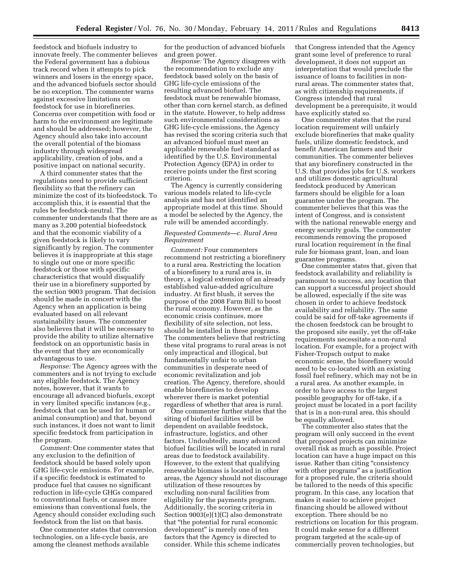feedstock and biofuels industry to innovate freely. The commenter believes the Federal government has a dubious track record when it attempts to pick winners and losers in the energy space, and the advanced biofuels sector should be no exception. The commenter warns against excessive limitations on feedstock for use in biorefineries. Concerns over competition with food or harm to the environment are legitimate and should be addressed; however, the Agency should also take into account the overall potential of the biomass industry through widespread applicability, creation of jobs, and a positive impact on national security.

A third commenter states that the regulations need to provide sufficient flexibility so that the refinery can minimize the cost of its biofeedstock. To accomplish this, it is essential that the rules be feedstock-neutral. The commenter understands that there are as many as 3,200 potential biofeedstock and that the economic viability of a given feedstock is likely to vary significantly by region. The commenter believes it is inappropriate at this stage to single out one or more specific feedstock or those with specific characteristics that would disqualify their use in a biorefinery supported by the section 9003 program. That decision should be made in concert with the Agency when an application is being evaluated based on all relevant sustainability issues. The commenter also believes that it will be necessary to provide the ability to utilize alternative feedstock on an opportunistic basis in the event that they are economically advantageous to use.

*Response:* The Agency agrees with the commenters and is not trying to exclude any eligible feedstock. The Agency notes, however, that it wants to encourage all advanced biofuels, except in very limited specific instances (e.g., feedstock that can be used for human or animal consumption) and that, beyond such instances, it does not want to limit specific feedstock from participation in the program.

*Comment:* One commenter states that any exclusion to the definition of feedstock should be based solely upon GHG life-cycle emissions. For example, if a specific feedstock is estimated to produce fuel that causes no significant reduction in life-cycle GHGs compared to conventional fuels, or causes more emissions than conventional fuels, the Agency should consider excluding such feedstock from the list on that basis.

One commenter states that conversion technologies, on a life-cycle basis, are among the cleanest methods available

for the production of advanced biofuels and green power.

*Response:* The Agency disagrees with the recommendation to exclude any feedstock based solely on the basis of GHG life-cycle emissions of the resulting advanced biofuel. The feedstock must be renewable biomass, other than corn kernel starch, as defined in the statute. However, to help address such environmental considerations as GHG life-cycle emissions, the Agency has revised the scoring criteria such that an advanced biofuel must meet an applicable renewable fuel standard as identified by the U.S. Environmental Protection Agency (EPA) in order to receive points under the first scoring criterion.

The Agency is currently considering various models related to life-cycle analysis and has not identified an appropriate model at this time. Should a model be selected by the Agency, the rule will be amended accordingly.

#### *Requested Comments—c. Rural Area Requirement*

*Comment:* Four commenters recommend not restricting a biorefinery to a rural area. Restricting the location of a biorefinery to a rural area is, in theory, a logical extension of an already established value-added agriculture industry. At first blush, it serves the purpose of the 2008 Farm Bill to boost the rural economy. However, as the economic crisis continues, more flexibility of site selection, not less, should be installed in these programs. The commenters believe that restricting these vital programs to rural areas is not only impractical and illogical, but fundamentally unfair to urban communities in desperate need of economic revitalization and job creation. The Agency, therefore, should enable biorefineries to develop wherever there is market potential regardless of whether that area is rural.

One commenter further states that the siting of biofuel facilities will be dependent on available feedstock, infrastructure, logistics, and other factors. Undoubtedly, many advanced biofuel facilities will be located in rural areas due to feedstock availability. However, to the extent that qualifying renewable biomass is located in other areas, the Agency should not discourage utilization of these resources by excluding non-rural facilities from eligibility for the payments program. Additionally, the scoring criteria in Section 9003(e)(1)(C) also demonstrate that ''the potential for rural economic development'' is merely one of ten factors that the Agency is directed to consider. While this scheme indicates

that Congress intended that the Agency grant some level of preference to rural development, it does not support an interpretation that would preclude the issuance of loans to facilities in nonrural areas. The commenter states that, as with citizenship requirements, if Congress intended that rural development be a prerequisite, it would have explicitly stated so.

One commenter states that the rural location requirement will unfairly exclude biorefineries that make quality fuels, utilize domestic feedstock, and benefit American farmers and their communities. The commenter believes that any biorefinery constructed in the U.S. that provides jobs for U.S. workers and utilizes domestic agricultural feedstock produced by American farmers should be eligible for a loan guarantee under the program. The commenter believes that this was the intent of Congress, and is consistent with the national renewable energy and energy security goals. The commenter recommends removing the proposed rural location requirement in the final rule for biomass grant, loan, and loan guarantee programs.

One commenter states that, given that feedstock availability and reliability is paramount to success, any location that can support a successful project should be allowed, especially if the site was chosen in order to achieve feedstock availability and reliability. The same could be said for off-take agreements if the chosen feedstock can be brought to the proposed site easily, yet the off-take requirements necessitate a non-rural location. For example, for a project with Fisher-Tropsch output to make economic sense, the biorefinery would need to be co-located with an existing fossil fuel refinery, which may not be in a rural area. As another example, in order to have access to the largest possible geography for off-take, if a project must be located in a port facility that is in a non-rural area, this should be equally allowed.

The commenter also states that the program will only succeed in the event that proposed projects can minimize overall risk as much as possible. Project location can have a huge impact on this issue. Rather than citing "consistency with other programs" as a justification for a proposed rule, the criteria should be tailored to the needs of this specific program. In this case, any location that makes it easier to achieve project financing should be allowed without exception. There should be no restrictions on location for this program. It could make sense for a different program targeted at the scale-up of commercially proven technologies, but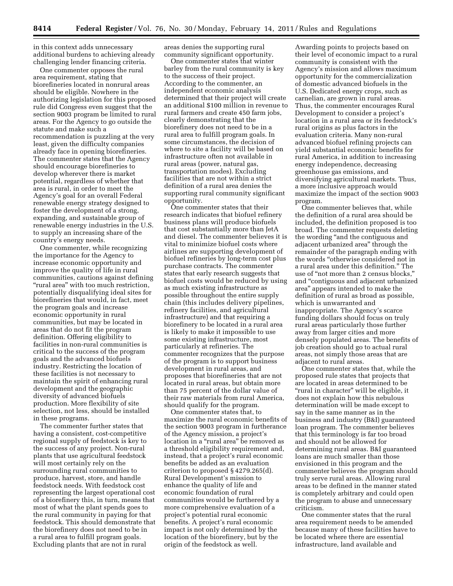in this context adds unnecessary additional burdens to achieving already challenging lender financing criteria.

One commenter opposes the rural area requirement, stating that biorefineries located in nonrural areas should be eligible. Nowhere in the authorizing legislation for this proposed rule did Congress even suggest that the section 9003 program be limited to rural areas. For the Agency to go outside the statute and make such a recommendation is puzzling at the very least, given the difficulty companies already face in opening biorefineries. The commenter states that the Agency should encourage biorefineries to develop wherever there is market potential, regardless of whether that area is rural, in order to meet the Agency's goal for an overall Federal renewable energy strategy designed to foster the development of a strong, expanding, and sustainable group of renewable energy industries in the U.S. to supply an increasing share of the country's energy needs.

One commenter, while recognizing the importance for the Agency to increase economic opportunity and improve the quality of life in rural communities, cautions against defining "rural area" with too much restriction, potentially disqualifying ideal sites for biorefineries that would, in fact, meet the program goals and increase economic opportunity in rural communities, but may be located in areas that do not fit the program definition. Offering eligibility to facilities in non-rural communities is critical to the success of the program goals and the advanced biofuels industry. Restricting the location of these facilities is not necessary to maintain the spirit of enhancing rural development and the geographic diversity of advanced biofuels production. More flexibility of site selection, not less, should be installed in these programs.

The commenter further states that having a consistent, cost-competitive regional supply of feedstock is key to the success of any project. Non-rural plants that use agricultural feedstock will most certainly rely on the surrounding rural communities to produce, harvest, store, and handle feedstock needs. With feedstock cost representing the largest operational cost of a biorefinery this, in turn, means that most of what the plant spends goes to the rural community in paying for that feedstock. This should demonstrate that the biorefinery does not need to be in a rural area to fulfill program goals. Excluding plants that are not in rural

areas denies the supporting rural community significant opportunity.

One commenter states that winter barley from the rural community is key to the success of their project. According to the commenter, an independent economic analysis determined that their project will create an additional \$100 million in revenue to rural farmers and create 450 farm jobs, clearly demonstrating that the biorefinery does not need to be in a rural area to fulfill program goals. In some circumstances, the decision of where to site a facility will be based on infrastructure often not available in rural areas (power, natural gas, transportation modes). Excluding facilities that are not within a strict definition of a rural area denies the supporting rural community significant opportunity.

One commenter states that their research indicates that biofuel refinery business plans will produce biofuels that cost substantially more than JetA and diesel. The commenter believes it is vital to minimize biofuel costs where airlines are supporting development of biofuel refineries by long-term cost plus purchase contracts. The commenter states that early research suggests that biofuel costs would be reduced by using as much existing infrastructure as possible throughout the entire supply chain (this includes delivery pipelines, refinery facilities, and agricultural infrastructure) and that requiring a biorefinery to be located in a rural area is likely to make it impossible to use some existing infrastructure, most particularly at refineries. The commenter recognizes that the purpose of the program is to support business development in rural areas, and proposes that biorefineries that are not located in rural areas, but obtain more than 75 percent of the dollar value of their raw materials from rural America, should qualify for the program.

One commenter states that, to maximize the rural economic benefits of the section 9003 program in furtherance of the Agency mission, a project's location in a "rural area" be removed as a threshold eligibility requirement and, instead, that a project's rural economic benefits be added as an evaluation criterion to proposed § 4279.265(d). Rural Development's mission to enhance the quality of life and economic foundation of rural communities would be furthered by a more comprehensive evaluation of a project's potential rural economic benefits. A project's rural economic impact is not only determined by the location of the biorefinery, but by the origin of the feedstock as well.

Awarding points to projects based on their level of economic impact to a rural community is consistent with the Agency's mission and allows maximum opportunity for the commercialization of domestic advanced biofuels in the U.S. Dedicated energy crops, such as carnelian, are grown in rural areas. Thus, the commenter encourages Rural Development to consider a project's location in a rural area or its feedstock's rural origins as plus factors in the evaluation criteria. Many non-rural advanced biofuel refining projects can yield substantial economic benefits for rural America, in addition to increasing energy independence, decreasing greenhouse gas emissions, and diversifying agricultural markets. Thus, a more inclusive approach would maximize the impact of the section 9003 program.

One commenter believes that, while the definition of a rural area should be included, the definition proposed is too broad. The commenter requests deleting the wording ''and the contiguous and adjacent urbanized area'' through the remainder of the paragraph ending with the words ''otherwise considered not in a rural area under this definition.'' The use of ''not more than 2 census blocks,'' and ''contiguous and adjacent urbanized area'' appears intended to make the definition of rural as broad as possible, which is unwarranted and inappropriate. The Agency's scarce funding dollars should focus on truly rural areas particularly those further away from larger cities and more densely populated areas. The benefits of job creation should go to actual rural areas, not simply those areas that are adjacent to rural areas.

One commenter states that, while the proposed rule states that projects that are located in areas determined to be "rural in character" will be eligible, it does not explain how this nebulous determination will be made except to say in the same manner as in the business and industry (B&I) guaranteed loan program. The commenter believes that this terminology is far too broad and should not be allowed for determining rural areas. B&I guaranteed loans are much smaller than those envisioned in this program and the commenter believes the program should truly serve rural areas. Allowing rural areas to be defined in the manner stated is completely arbitrary and could open the program to abuse and unnecessary criticism.

One commenter states that the rural area requirement needs to be amended because many of these facilities have to be located where there are essential infrastructure, land available and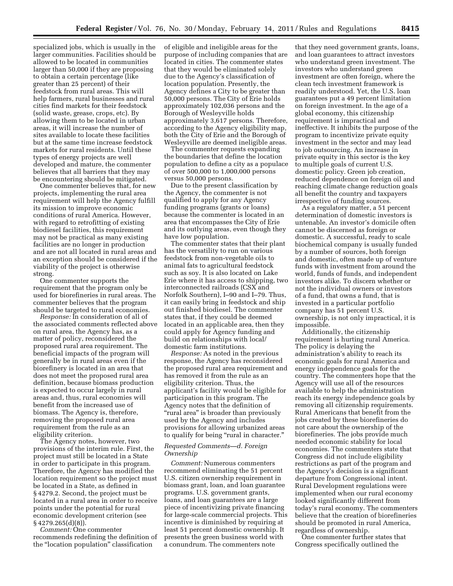specialized jobs, which is usually in the larger communities. Facilities should be allowed to be located in communities larger than 50,000 if they are proposing to obtain a certain percentage (like greater than 25 percent) of their feedstock from rural areas. This will help farmers, rural businesses and rural cities find markets for their feedstock (solid waste, grease, crops, etc). By allowing them to be located in urban areas, it will increase the number of sites available to locate these facilities but at the same time increase feedstock markets for rural residents. Until these types of energy projects are well developed and mature, the commenter believes that all barriers that they may be encountering should be mitigated.

One commenter believes that, for new projects, implementing the rural area requirement will help the Agency fulfill its mission to improve economic conditions of rural America. However, with regard to retrofitting of existing biodiesel facilities, this requirement may not be practical as many existing facilities are no longer in production and are not all located in rural areas and an exception should be considered if the viability of the project is otherwise strong.

One commenter supports the requirement that the program only be used for biorefineries in rural areas. The commenter believes that the program should be targeted to rural economies.

*Response:* In consideration of all of the associated comments reflected above on rural area, the Agency has, as a matter of policy, reconsidered the proposed rural area requirement. The beneficial impacts of the program will generally be in rural areas even if the biorefinery is located in an area that does not meet the proposed rural area definition, because biomass production is expected to occur largely in rural areas and, thus, rural economies will benefit from the increased use of biomass. The Agency is, therefore, removing the proposed rural area requirement from the rule as an eligibility criterion.

The Agency notes, however, two provisions of the interim rule. First, the project must still be located in a State in order to participate in this program. Therefore, the Agency has modified the location requirement so the project must be located in a State, as defined in § 4279.2. Second, the project must be located in a rural area in order to receive points under the potential for rural economic development criterion (see § 4279.265(d)(8)).

*Comment:* One commenter recommends redefining the definition of the ''location population'' classification

of eligible and ineligible areas for the purpose of including companies that are located in cities. The commenter states that they would be eliminated solely due to the Agency's classification of location population. Presently, the Agency defines a City to be greater than 50,000 persons. The City of Erie holds approximately 102,036 persons and the Borough of Wesleyville holds approximately 3,617 persons. Therefore, according to the Agency eligibility map, both the City of Erie and the Borough of Wesleyville are deemed ineligible areas.

The commenter requests expanding the boundaries that define the location population to define a city as a populace of over 500,000 to 1,000,000 persons versus 50,000 persons.

Due to the present classification by the Agency, the commenter is not qualified to apply for any Agency funding programs (grants or loans) because the commenter is located in an area that encompasses the City of Erie and its outlying areas, even though they have low population.

The commenter states that their plant has the versatility to run on various feedstock from non-vegetable oils to animal fats to agricultural feedstock such as soy. It is also located on Lake Erie where it has access to shipping, two interconnected railroads (CSX and Norfolk Southern), I–90 and I–79. Thus, it can easily bring in feedstock and ship out finished biodiesel. The commenter states that, if they could be deemed located in an applicable area, then they could apply for Agency funding and build on relationships with local/ domestic farm institutions.

*Response:* As noted in the previous response, the Agency has reconsidered the proposed rural area requirement and has removed it from the rule as an eligibility criterion. Thus, the applicant's facility would be eligible for participation in this program. The Agency notes that the definition of ''rural area'' is broader than previously used by the Agency and includes provisions for allowing urbanized areas to qualify for being "rural in character."

# *Requested Comments—d. Foreign Ownership*

*Comment:* Numerous commenters recommend eliminating the 51 percent U.S. citizen ownership requirement in biomass grant, loan, and loan guarantee programs. U.S. government grants, loans, and loan guarantees are a large piece of incentivizing private financing for large-scale commercial projects. This incentive is diminished by requiring at least 51 percent domestic ownership. It presents the green business world with a conundrum. The commenters note

that they need government grants, loans, and loan guarantees to attract investors who understand green investment. The investors who understand green investment are often foreign, where the clean tech investment framework is readily understood. Yet, the U.S. loan guarantees put a 49 percent limitation on foreign investment. In the age of a global economy, this citizenship requirement is impractical and ineffective. It inhibits the purpose of the program to incentivize private equity investment in the sector and may lead to job outsourcing. An increase in private equity in this sector is the key to multiple goals of current U.S. domestic policy. Green job creation, reduced dependence on foreign oil and reaching climate change reduction goals all benefit the country and taxpayers irrespective of funding sources.

As a regulatory matter, a 51 percent determination of domestic investors is untenable. An investor's domicile often cannot be discerned as foreign or domestic. A successful, ready to scale biochemical company is usually funded by a number of sources, both foreign and domestic, often made up of venture funds with investment from around the world, funds of funds, and independent investors alike. To discern whether or not the individual owners or investors of a fund, that owns a fund, that is invested in a particular portfolio company has 51 percent U.S. ownership, is not only impractical, it is impossible.

Additionally, the citizenship requirement is hurting rural America. The policy is delaying the administration's ability to reach its economic goals for rural America and energy independence goals for the country. The commenters hope that the Agency will use all of the resources available to help the administration reach its energy independence goals by removing all citizenship requirements. Rural Americans that benefit from the jobs created by these biorefineries do not care about the ownership of the biorefineries. The jobs provide much needed economic stability for local economies. The commenters state that Congress did not include eligibility restrictions as part of the program and the Agency's decision is a significant departure from Congressional intent. Rural Development regulations were implemented when our rural economy looked significantly different from today's rural economy. The commenters believe that the creation of biorefineries should be promoted in rural America, regardless of ownership.

One commenter further states that Congress specifically outlined the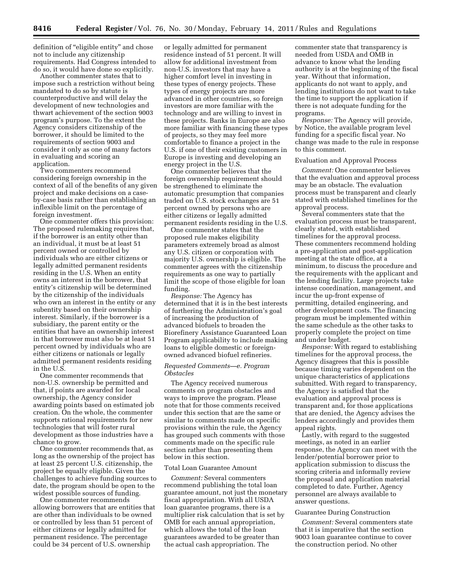definition of "eligible entity" and chose not to include any citizenship requirements. Had Congress intended to do so, it would have done so explicitly.

Another commenter states that to impose such a restriction without being mandated to do so by statute is counterproductive and will delay the development of new technologies and thwart achievement of the section 9003 program's purpose. To the extent the Agency considers citizenship of the borrower, it should be limited to the requirements of section 9003 and consider it only as one of many factors in evaluating and scoring an application.

Two commenters recommend considering foreign ownership in the context of all of the benefits of any given project and make decisions on a caseby-case basis rather than establishing an inflexible limit on the percentage of foreign investment.

One commenter offers this provision: The proposed rulemaking requires that, if the borrower is an entity other than an individual, it must be at least 51 percent owned or controlled by individuals who are either citizens or legally admitted permanent residents residing in the U.S. When an entity owns an interest in the borrower, that entity's citizenship will be determined by the citizenship of the individuals who own an interest in the entity or any subentity based on their ownership interest. Similarly, if the borrower is a subsidiary, the parent entity or the entities that have an ownership interest in that borrower must also be at least 51 percent owned by individuals who are either citizens or nationals or legally admitted permanent residents residing in the U.S.

One commenter recommends that non-U.S. ownership be permitted and that, if points are awarded for local ownership, the Agency consider awarding points based on estimated job creation. On the whole, the commenter supports rational requirements for new technologies that will foster rural development as those industries have a chance to grow.

One commenter recommends that, as long as the ownership of the project has at least 25 percent U.S. citizenship, the project be equally eligible. Given the challenges to achieve funding sources to date, the program should be open to the widest possible sources of funding.

One commenter recommends allowing borrowers that are entities that are other than individuals to be owned or controlled by less than 51 percent of either citizens or legally admitted for permanent residence. The percentage could be 34 percent of U.S. ownership

or legally admitted for permanent residence instead of 51 percent. It will allow for additional investment from non-U.S. investors that may have a higher comfort level in investing in these types of energy projects. These types of energy projects are more advanced in other countries, so foreign investors are more familiar with the technology and are willing to invest in these projects. Banks in Europe are also more familiar with financing these types of projects, so they may feel more comfortable to finance a project in the U.S. if one of their existing customers in Europe is investing and developing an energy project in the U.S.

One commenter believes that the foreign ownership requirement should be strengthened to eliminate the automatic presumption that companies traded on U.S. stock exchanges are 51 percent owned by persons who are either citizens or legally admitted permanent residents residing in the U.S.

One commenter states that the proposed rule makes eligibility parameters extremely broad as almost any U.S. citizen or corporation with majority U.S. ownership is eligible. The commenter agrees with the citizenship requirements as one way to partially limit the scope of those eligible for loan funding.

*Response:* The Agency has determined that it is in the best interests of furthering the Administration's goal of increasing the production of advanced biofuels to broaden the Biorefinery Assistance Guaranteed Loan Program applicability to include making loans to eligible domestic or foreignowned advanced biofuel refineries.

#### *Requested Comments—e. Program Obstacles*

The Agency received numerous comments on program obstacles and ways to improve the program. Please note that for those comments received under this section that are the same or similar to comments made on specific provisions within the rule, the Agency has grouped such comments with those comments made on the specific rule section rather than presenting them below in this section.

#### Total Loan Guarantee Amount

*Comment:* Several commenters recommend publishing the total loan guarantee amount, not just the monetary fiscal appropriation. With all USDA loan guarantee programs, there is a multiplier risk calculation that is set by OMB for each annual appropriation, which allows the total of the loan guarantees awarded to be greater than the actual cash appropriation. The

commenter state that transparency is needed from USDA and OMB in advance to know what the lending authority is at the beginning of the fiscal year. Without that information, applicants do not want to apply, and lending institutions do not want to take the time to support the application if there is not adequate funding for the programs.

*Response:* The Agency will provide, by Notice, the available program level funding for a specific fiscal year. No change was made to the rule in response to this comment.

#### Evaluation and Approval Process

*Comment:* One commenter believes that the evaluation and approval process may be an obstacle. The evaluation process must be transparent and clearly stated with established timelines for the approval process.

Several commenters state that the evaluation process must be transparent, clearly stated, with established timelines for the approval process. These commenters recommend holding a pre-application and post-application meeting at the state office, at a minimum, to discuss the procedure and the requirements with the applicant and the lending facility. Large projects take intense coordination, management, and incur the up-front expense of permitting, detailed engineering, and other development costs. The financing program must be implemented within the same schedule as the other tasks to properly complete the project on time and under budget.

*Response:* With regard to establishing timelines for the approval process, the Agency disagrees that this is possible because timing varies dependent on the unique characteristics of applications submitted. With regard to transparency, the Agency is satisfied that the evaluation and approval process is transparent and, for those applications that are denied, the Agency advises the lenders accordingly and provides them appeal rights.

Lastly, with regard to the suggested meetings, as noted in an earlier response, the Agency can meet with the lender/potential borrower prior to application submission to discuss the scoring criteria and informally review the proposal and application material completed to date. Further, Agency personnel are always available to answer questions.

#### Guarantee During Construction

*Comment:* Several commenters state that it is imperative that the section 9003 loan guarantee continue to cover the construction period. No other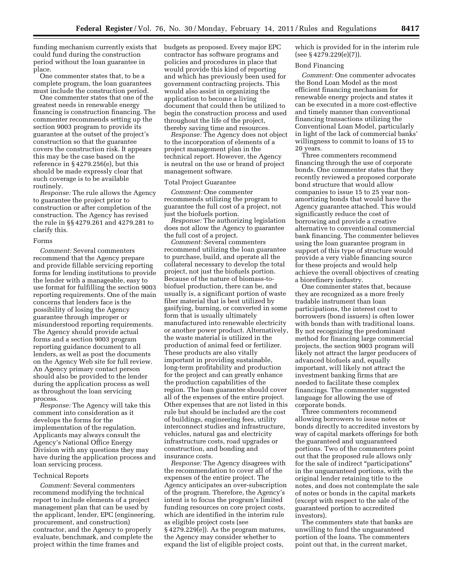funding mechanism currently exists that could fund during the construction period without the loan guarantee in place.

One commenter states that, to be a complete program, the loan guarantees must include the construction period.

One commenter states that one of the greatest needs in renewable energy financing is construction financing. The commenter recommends setting up the section 9003 program to provide its guarantee at the outset of the project's construction so that the guarantee covers the construction risk. It appears this may be the case based on the reference in § 4279.256(e), but this should be made expressly clear that such coverage is to be available routinely.

*Response:* The rule allows the Agency to guarantee the project prior to construction or after completion of the construction. The Agency has revised the rule in §§ 4279.261 and 4279.281 to clarify this.

# Forms

*Comment:* Several commenters recommend that the Agency prepare and provide fillable servicing reporting forms for lending institutions to provide the lender with a manageable, easy to use format for fulfilling the section 9003 reporting requirements. One of the main concerns that lenders face is the possibility of losing the Agency guarantee through improper or misunderstood reporting requirements. The Agency should provide actual forms and a section 9003 program reporting guidance document to all lenders, as well as post the documents on the Agency Web site for full review. An Agency primary contact person should also be provided to the lender during the application process as well as throughout the loan servicing process.

*Response:* The Agency will take this comment into consideration as it develops the forms for the implementation of the regulation. Applicants may always consult the Agency's National Office Energy Division with any questions they may have during the application process and loan servicing process.

# Technical Reports

*Comment:* Several commenters recommend modifying the technical report to include elements of a project management plan that can be used by the applicant, lender, EPC (engineering, procurement, and construction) contractor, and the Agency to properly evaluate, benchmark, and complete the project within the time frames and

budgets as proposed. Every major EPC contractor has software programs and policies and procedures in place that would provide this kind of reporting and which has previously been used for government contracting projects. This would also assist in organizing the application to become a living document that could then be utilized to begin the construction process and used throughout the life of the project, thereby saving time and resources.

*Response:* The Agency does not object to the incorporation of elements of a project management plan in the technical report. However, the Agency is neutral on the use or brand of project management software.

# Total Project Guarantee

*Comment:* One commenter recommends utilizing the program to guarantee the full cost of a project, not just the biofuels portion.

*Response:* The authorizing legislation does not allow the Agency to guarantee the full cost of a project.

*Comment:* Several commenters recommend utilizing the loan guarantee to purchase, build, and operate all the collateral necessary to develop the total project, not just the biofuels portion. Because of the nature of biomass-tobiofuel production, there can be, and usually is, a significant portion of waste fiber material that is best utilized by gasifying, burning, or converted in some form that is usually ultimately manufactured into renewable electricity or another power product. Alternatively, the waste material is utilized in the production of animal feed or fertilizer. These products are also vitally important in providing sustainable, long-term profitability and production for the project and can greatly enhance the production capabilities of the region. The loan guarantee should cover all of the expenses of the entire project. Other expenses that are not listed in this rule but should be included are the cost of buildings, engineering fees, utility interconnect studies and infrastructure, vehicles, natural gas and electricity infrastructure costs, road upgrades or construction, and bonding and insurance costs.

*Response:* The Agency disagrees with the recommendation to cover all of the expenses of the entire project. The Agency anticipates an over-subscription of the program. Therefore, the Agency's intent is to focus the program's limited funding resources on core project costs, which are identified in the interim rule as eligible project costs (see § 4279.229(e)). As the program matures, the Agency may consider whether to expand the list of eligible project costs,

which is provided for in the interim rule (see § 4279.229(e)(7)).

#### Bond Financing

*Comment:* One commenter advocates the Bond Loan Model as the most efficient financing mechanism for renewable energy projects and states it can be executed in a more cost-effective and timely manner than conventional financing transactions utilizing the Conventional Loan Model, particularly in light of the lack of commercial banks' willingness to commit to loans of 15 to 20 years.

Three commenters recommend financing through the use of corporate bonds. One commenter states that they recently reviewed a proposed corporate bond structure that would allow companies to issue 15 to 25 year nonamortizing bonds that would have the Agency guarantee attached. This would significantly reduce the cost of borrowing and provide a creative alternative to conventional commercial bank financing. The commenter believes using the loan guarantee program in support of this type of structure would provide a very viable financing source for these projects and would help achieve the overall objectives of creating a biorefinery industry.

One commenter states that, because they are recognized as a more freely tradable instrument than loan participations, the interest cost to borrowers (bond issuers) is often lower with bonds than with traditional loans. By not recognizing the predominant method for financing large commercial projects, the section 9003 program will likely not attract the larger producers of advanced biofuels and, equally important, will likely not attract the investment banking firms that are needed to facilitate these complex financings. The commenter suggested language for allowing the use of corporate bonds.

Three commenters recommend allowing borrowers to issue notes or bonds directly to accredited investors by way of capital markets offerings for both the guaranteed and unguaranteed portions. Two of the commenters point out that the proposed rule allows only for the sale of indirect "participations" in the unguaranteed portions, with the original lender retaining title to the notes, and does not contemplate the sale of notes or bonds in the capital markets (except with respect to the sale of the guaranteed portion to accredited investors).

The commenters state that banks are unwilling to fund the unguaranteed portion of the loans. The commenters point out that, in the current market,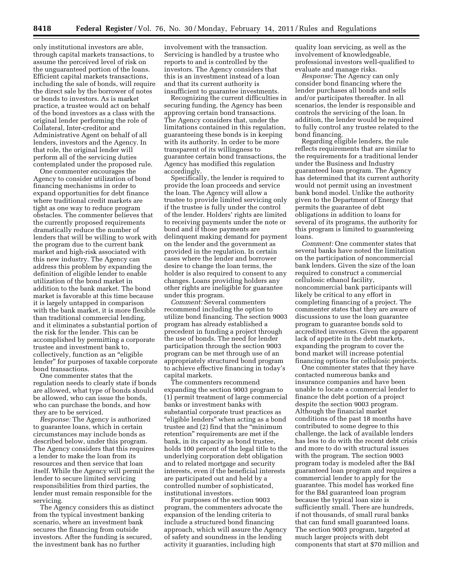only institutional investors are able, through capital markets transactions, to assume the perceived level of risk on the unguaranteed portion of the loans. Efficient capital markets transactions, including the sale of bonds, will require the direct sale by the borrower of notes or bonds to investors. As is market practice, a trustee would act on behalf of the bond investors as a class with the original lender performing the role of Collateral, Inter-creditor and Administrative Agent on behalf of all lenders, investors and the Agency. In that role, the original lender will perform all of the servicing duties contemplated under the proposed rule.

One commenter encourages the Agency to consider utilization of bond financing mechanisms in order to expand opportunities for debt finance where traditional credit markets are tight as one way to reduce program obstacles. The commenter believes that the currently proposed requirements dramatically reduce the number of lenders that will be willing to work with the program due to the current bank market and high-risk associated with this new industry. The Agency can address this problem by expanding the definition of eligible lender to enable utilization of the bond market in addition to the bank market. The bond market is favorable at this time because it is largely untapped in comparison with the bank market, it is more flexible than traditional commercial lending, and it eliminates a substantial portion of the risk for the lender. This can be accomplished by permitting a corporate trustee and investment bank to, collectively, function as an ''eligible lender'' for purposes of taxable corporate bond transactions.

One commenter states that the regulation needs to clearly state if bonds are allowed, what type of bonds should be allowed, who can issue the bonds, who can purchase the bonds, and how they are to be serviced.

*Response:* The Agency is authorized to guarantee loans, which in certain circumstances may include bonds as described below, under this program. The Agency considers that this requires a lender to make the loan from its resources and then service that loan itself. While the Agency will permit the lender to secure limited servicing responsibilities from third parties, the lender must remain responsible for the servicing.

The Agency considers this as distinct from the typical investment banking scenario, where an investment bank secures the financing from outside investors. After the funding is secured, the investment bank has no further

involvement with the transaction. Servicing is handled by a trustee who reports to and is controlled by the investors. The Agency considers that this is an investment instead of a loan and that its current authority is insufficient to guarantee investments.

Recognizing the current difficulties in securing funding, the Agency has been approving certain bond transactions. The Agency considers that, under the limitations contained in this regulation, guaranteeing these bonds is in keeping with its authority. In order to be more transparent of its willingness to guarantee certain bond transactions, the Agency has modified this regulation accordingly.

Specifically, the lender is required to provide the loan proceeds and service the loan. The Agency will allow a trustee to provide limited servicing only if the trustee is fully under the control of the lender. Holders' rights are limited to receiving payments under the note or bond and if those payments are delinquent making demand for payment on the lender and the government as provided in the regulation. In certain cases where the lender and borrower desire to change the loan terms, the holder is also required to consent to any changes. Loans providing holders any other rights are ineligible for guarantee under this program.

*Comment:* Several commenters recommend including the option to utilize bond financing. The section 9003 program has already established a precedent in funding a project through the use of bonds. The need for lender participation through the section 9003 program can be met through use of an appropriately structured bond program to achieve effective financing in today's capital markets.

The commenters recommend expanding the section 9003 program to (1) permit treatment of large commercial banks or investment banks with substantial corporate trust practices as ''eligible lenders'' when acting as a bond trustee and (2) find that the ''minimum retention'' requirements are met if the bank, in its capacity as bond trustee, holds 100 percent of the legal title to the underlying corporation debt obligation and to related mortgage and security interests, even if the beneficial interests are participated out and held by a controlled number of sophisticated, institutional investors.

For purposes of the section 9003 program, the commenters advocate the expansion of the lending criteria to include a structured bond financing approach, which will assure the Agency of safety and soundness in the lending activity it guaranties, including high

quality loan servicing, as well as the involvement of knowledgeable, professional investors well-qualified to evaluate and manage risks.

*Response:* The Agency can only consider bond financing where the lender purchases all bonds and sells and/or participates thereafter. In all scenarios, the lender is responsible and controls the servicing of the loan. In addition, the lender would be required to fully control any trustee related to the bond financing.

Regarding eligible lenders, the rule reflects requirements that are similar to the requirements for a traditional lender under the Business and Industry guaranteed loan program. The Agency has determined that its current authority would not permit using an investment bank bond model. Unlike the authority given to the Department of Energy that permits the guarantee of debt obligations in addition to loans for several of its programs, the authority for this program is limited to guaranteeing loans.

*Comment:* One commenter states that several banks have noted the limitation on the participation of noncommercial bank lenders. Given the size of the loan required to construct a commercial cellulosic ethanol facility, noncommercial bank participants will likely be critical to any effort in completing financing of a project. The commenter states that they are aware of discussions to use the loan guarantee program to guarantee bonds sold to accredited investors. Given the apparent lack of appetite in the debt markets, expanding the program to cover the bond market will increase potential financing options for cellulosic projects.

One commenter states that they have contacted numerous banks and insurance companies and have been unable to locate a commercial lender to finance the debt portion of a project despite the section 9003 program. Although the financial market conditions of the past 18 months have contributed to some degree to this challenge, the lack of available lenders has less to do with the recent debt crisis and more to do with structural issues with the program. The section 9003 program today is modeled after the B&I guaranteed loan program and requires a commercial lender to apply for the guarantee. This model has worked fine for the B&I guaranteed loan program because the typical loan size is sufficiently small. There are hundreds, if not thousands, of small rural banks that can fund small guaranteed loans. The section 9003 program, targeted at much larger projects with debt components that start at \$70 million and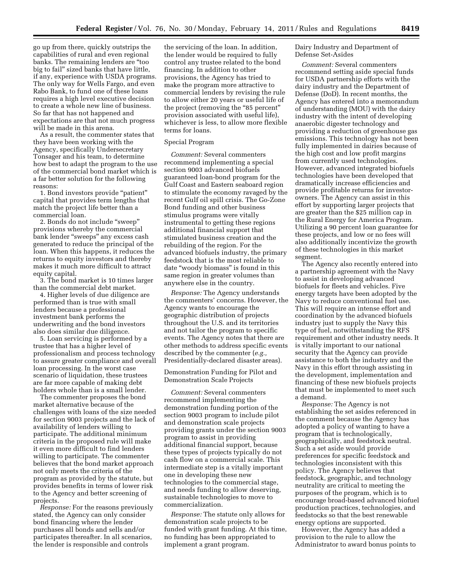go up from there, quickly outstrips the capabilities of rural and even regional banks. The remaining lenders are ''too big to fail'' sized banks that have little, if any, experience with USDA programs. The only way for Wells Fargo, and even Rabo Bank, to fund one of these loans requires a high level executive decision to create a whole new line of business. So far that has not happened and expectations are that not much progress will be made in this arena.

As a result, the commenter states that they have been working with the Agency, specifically Undersecretary Tonsager and his team, to determine how best to adapt the program to the use of the commercial bond market which is a far better solution for the following reasons:

1. Bond investors provide ''patient'' capital that provides term lengths that match the project life better than a commercial loan.

2. Bonds do not include ''sweep'' provisions whereby the commercial bank lender ''sweeps'' any excess cash generated to reduce the principal of the loan. When this happens, it reduces the returns to equity investors and thereby makes it much more difficult to attract equity capital.

3. The bond market is 10 times larger than the commercial debt market.

4. Higher levels of due diligence are performed than is true with small lenders because a professional investment bank performs the underwriting and the bond investors also does similar due diligence.

5. Loan servicing is performed by a trustee that has a higher level of professionalism and process technology to assure greater compliance and overall loan processing. In the worst case scenario of liquidation, these trustees are far more capable of making debt holders whole than is a small lender.

The commenter proposes the bond market alternative because of the challenges with loans of the size needed for section 9003 projects and the lack of availability of lenders willing to participate. The additional minimum criteria in the proposed rule will make it even more difficult to find lenders willing to participate. The commenter believes that the bond market approach not only meets the criteria of the program as provided by the statute, but provides benefits in terms of lower risk to the Agency and better screening of projects.

*Response:* For the reasons previously stated, the Agency can only consider bond financing where the lender purchases all bonds and sells and/or participates thereafter. In all scenarios, the lender is responsible and controls

the servicing of the loan. In addition, the lender would be required to fully control any trustee related to the bond financing. In addition to other provisions, the Agency has tried to make the program more attractive to commercial lenders by revising the rule to allow either 20 years or useful life of the project (removing the "85 percent" provision associated with useful life), whichever is less, to allow more flexible terms for loans.

#### Special Program

*Comment:* Several commenters recommend implementing a special section 9003 advanced biofuels guaranteed loan-bond program for the Gulf Coast and Eastern seaboard region to stimulate the economy ravaged by the recent Gulf oil spill crisis. The Go-Zone Bond funding and other business stimulus programs were vitally instrumental to getting these regions additional financial support that stimulated business creation and the rebuilding of the region. For the advanced biofuels industry, the primary feedstock that is the most reliable to date ''woody biomass'' is found in this same region in greater volumes than anywhere else in the country.

*Response:* The Agency understands the commenters' concerns. However, the Agency wants to encourage the geographic distribution of projects throughout the U.S. and its territories and not tailor the program to specific events. The Agency notes that there are other methods to address specific events described by the commenter (*e.g.,*  Presidentially-declared disaster areas).

Demonstration Funding for Pilot and Demonstration Scale Projects

*Comment:* Several commenters recommend implementing the demonstration funding portion of the section 9003 program to include pilot and demonstration scale projects providing grants under the section 9003 program to assist in providing additional financial support, because these types of projects typically do not cash flow on a commercial scale. This intermediate step is a vitally important one in developing these new technologies to the commercial stage, and needs funding to allow deserving, sustainable technologies to move to commercialization.

*Response:* The statute only allows for demonstration scale projects to be funded with grant funding. At this time, no funding has been appropriated to implement a grant program.

Dairy Industry and Department of Defense Set-Asides

*Comment:* Several commenters recommend setting aside special funds for USDA partnership efforts with the dairy industry and the Department of Defense (DoD). In recent months, the Agency has entered into a memorandum of understanding (MOU) with the dairy industry with the intent of developing anaerobic digester technology and providing a reduction of greenhouse gas emissions. This technology has not been fully implemented in dairies because of the high cost and low profit margins from currently used technologies. However, advanced integrated biofuels technologies have been developed that dramatically increase efficiencies and provide profitable returns for investorowners. The Agency can assist in this effort by supporting larger projects that are greater than the \$25 million cap in the Rural Energy for America Program. Utilizing a 90 percent loan guarantee for these projects, and low or no fees will also additionally incentivize the growth of these technologies in this market segment.

The Agency also recently entered into a partnership agreement with the Navy to assist in developing advanced biofuels for fleets and vehicles. Five energy targets have been adopted by the Navy to reduce conventional fuel use. This will require an intense effort and coordination by the advanced biofuels industry just to supply the Navy this type of fuel, notwithstanding the RFS requirement and other industry needs. It is vitally important to our national security that the Agency can provide assistance to both the industry and the Navy in this effort through assisting in the development, implementation and financing of these new biofuels projects that must be implemented to meet such a demand.

*Response:* The Agency is not establishing the set asides referenced in the comment because the Agency has adopted a policy of wanting to have a program that is technologically, geographically, and feedstock neutral. Such a set aside would provide preferences for specific feedstock and technologies inconsistent with this policy. The Agency believes that feedstock, geographic, and technology neutrality are critical to meeting the purposes of the program, which is to encourage broad-based advanced biofuel production practices, technologies, and feedstocks so that the best renewable energy options are supported.

However, the Agency has added a provision to the rule to allow the Administrator to award bonus points to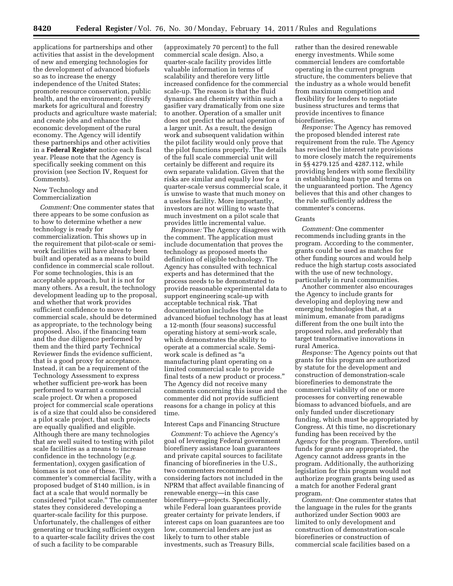applications for partnerships and other activities that assist in the development of new and emerging technologies for the development of advanced biofuels so as to increase the energy independence of the United States; promote resource conservation, public health, and the environment; diversify markets for agricultural and forestry products and agriculture waste material; and create jobs and enhance the economic development of the rural economy. The Agency will identify these partnerships and other activities in a **Federal Register** notice each fiscal year. Please note that the Agency is specifically seeking comment on this provision (see Section IV, Request for Comments).

# New Technology and Commercialization

*Comment:* One commenter states that there appears to be some confusion as to how to determine whether a new technology is ready for commercialization. This shows up in the requirement that pilot-scale or semiwork facilities will have already been built and operated as a means to build confidence in commercial scale rollout. For some technologies, this is an acceptable approach, but it is not for many others. As a result, the technology development leading up to the proposal, and whether that work provides sufficient confidence to move to commercial scale, should be determined as appropriate, to the technology being proposed. Also, if the financing team and the due diligence performed by them and the third party Technical Reviewer finds the evidence sufficient, that is a good proxy for acceptance. Instead, it can be a requirement of the Technology Assessment to express whether sufficient pre-work has been performed to warrant a commercial scale project. Or when a proposed project for commercial scale operations is of a size that could also be considered a pilot scale project, that such projects are equally qualified and eligible. Although there are many technologies that are well suited to testing with pilot scale facilities as a means to increase confidence in the technology (*e.g.*  fermentation), oxygen gasification of biomass is not one of these. The commenter's commercial facility, with a proposed budget of \$140 million, is in fact at a scale that would normally be considered "pilot scale." The commenter states they considered developing a quarter-scale facility for this purpose. Unfortunately, the challenges of either generating or trucking sufficient oxygen to a quarter-scale facility drives the cost of such a facility to be comparable

(approximately 70 percent) to the full commercial scale design. Also, a quarter-scale facility provides little valuable information in terms of scalability and therefore very little increased confidence for the commercial scale-up. The reason is that the fluid dynamics and chemistry within such a gasifier vary dramatically from one size to another. Operation of a smaller unit does not predict the actual operation of a larger unit. As a result, the design work and subsequent validation within the pilot facility would only prove that the pilot functions properly. The details of the full scale commercial unit will certainly be different and require its own separate validation. Given that the risks are similar and equally low for a quarter-scale versus commercial scale, it is unwise to waste that much money on a useless facility. More importantly, investors are not willing to waste that much investment on a pilot scale that provides little incremental value.

*Response:* The Agency disagrees with the comment. The application must include documentation that proves the technology as proposed meets the definition of eligible technology. The Agency has consulted with technical experts and has determined that the process needs to be demonstrated to provide reasonable experimental data to support engineering scale-up with acceptable technical risk. That documentation includes that the advanced biofuel technology has at least a 12-month (four seasons) successful operating history at semi-work scale, which demonstrates the ability to operate at a commercial scale. Semiwork scale is defined as ''a manufacturing plant operating on a limited commercial scale to provide final tests of a new product or process.'' The Agency did not receive many comments concerning this issue and the commenter did not provide sufficient reasons for a change in policy at this time.

## Interest Caps and Financing Structure

*Comment:* To achieve the Agency's goal of leveraging Federal government biorefinery assistance loan guarantees and private capital sources to facilitate financing of biorefineries in the U.S., two commenters recommend considering factors not included in the NPRM that affect available financing of renewable energy—in this case biorefinery—projects. Specifically, while Federal loan guarantees provide greater certainty for private lenders, if interest caps on loan guarantees are too low, commercial lenders are just as likely to turn to other stable investments, such as Treasury Bills,

rather than the desired renewable energy investments. While some commercial lenders are comfortable operating in the current program structure, the commenters believe that the industry as a whole would benefit from maximum competition and flexibility for lenders to negotiate business structures and terms that provide incentives to finance biorefineries.

*Response:* The Agency has removed the proposed blended interest rate requirement from the rule. The Agency has revised the interest rate provisions to more closely match the requirements in §§ 4279.125 and 4287.112, while providing lenders with some flexibility in establishing loan type and terms on the unguaranteed portion. The Agency believes that this and other changes to the rule sufficiently address the commenter's concerns.

# Grants

*Comment:* One commenter recommends including grants in the program. According to the commenter, grants could be used as matches for other funding sources and would help reduce the high startup costs associated with the use of new technology, particularly in rural communities.

Another commenter also encourages the Agency to include grants for developing and deploying new and emerging technologies that, at a minimum, emanate from paradigms different from the one built into the proposed rules, and preferably that target transformative innovations in rural America.

*Response:* The Agency points out that grants for this program are authorized by statute for the development and construction of demonstration-scale biorefineries to demonstrate the commercial viability of one or more processes for converting renewable biomass to advanced biofuels, and are only funded under discretionary funding, which must be appropriated by Congress. At this time, no discretionary funding has been received by the Agency for the program. Therefore, until funds for grants are appropriated, the Agency cannot address grants in the program. Additionally, the authorizing legislation for this program would not authorize program grants being used as a match for another Federal grant program.

*Comment:* One commenter states that the language in the rules for the grants authorized under Section 9003 are limited to only development and construction of demonstration-scale biorefineries or construction of commercial scale facilities based on a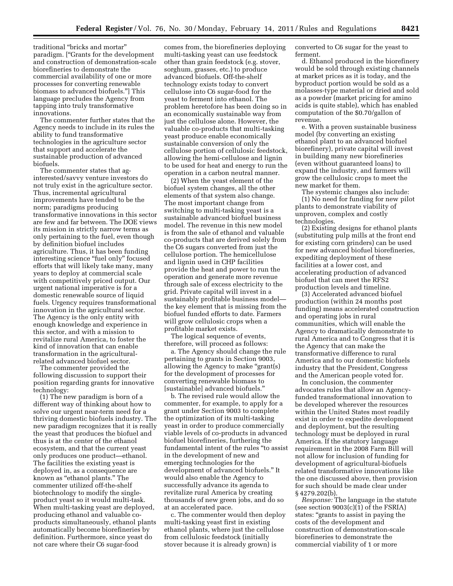traditional ''bricks and mortar'' paradigm. [''Grants for the development and construction of demonstration-scale biorefineries to demonstrate the commercial availability of one or more processes for converting renewable biomass to advanced biofuels.''] This language precludes the Agency from tapping into truly transformative innovations.

The commenter further states that the Agency needs to include in its rules the ability to fund transformative technologies in the agriculture sector that support and accelerate the sustainable production of advanced biofuels.

The commenter states that aginterested/savvy venture investors do not truly exist in the agriculture sector. Thus, incremental agricultural improvements have tended to be the norm; paradigms producing transformative innovations in this sector are few and far between. The DOE views its mission in strictly narrow terms as only pertaining to the fuel, even though by definition biofuel includes agriculture. Thus, it has been funding interesting science "fuel only" focused efforts that will likely take many, many years to deploy at commercial scale with competitively priced output. Our urgent national imperative is for a domestic renewable source of liquid fuels. Urgency requires transformational innovation in the agricultural sector. The Agency is the only entity with enough knowledge and experience in this sector, and with a mission to revitalize rural America, to foster the kind of innovation that can enable transformation in the agriculturalrelated advanced biofuel sector.

The commenter provided the following discussion to support their position regarding grants for innovative technology:

(1) The new paradigm is born of a different way of thinking about how to solve our urgent near-term need for a thriving domestic biofuels industry. The new paradigm recognizes that it is really the yeast that produces the biofuel and thus is at the center of the ethanol ecosystem, and that the current yeast only produces one product—ethanol. The facilities the existing yeast is deployed in, as a consequence are known as ''ethanol plants.'' The commenter utilized off-the-shelf biotechnology to modify the singleproduct yeast so it would multi-task. When multi-tasking yeast are deployed, producing ethanol and valuable coproducts simultaneously, ethanol plants automatically become biorefineries by definition. Furthermore, since yeast do not care where their C6 sugar-food

comes from, the biorefineries deploying multi-tasking yeast can use feedstock other than grain feedstock (e.g. stover, sorghum, grasses, etc.) to produce advanced biofuels. Off-the-shelf technology exists today to convert cellulose into C6 sugar-food for the yeast to ferment into ethanol. The problem heretofore has been doing so in an economically sustainable way from just the cellulose alone. However, the valuable co-products that multi-tasking yeast produce enable economically sustainable conversion of only the cellulose portion of cellulosic feedstock, allowing the hemi-cellulose and lignin to be used for heat and energy to run the operation in a carbon neutral manner.

(2) When the yeast element of the biofuel system changes, all the other elements of that system also change. The most important change from switching to multi-tasking yeast is a sustainable advanced biofuel business model. The revenue in this new model is from the sale of ethanol and valuable co-products that are derived solely from the C6 sugars converted from just the cellulose portion. The hemicellulose and lignin used in CHP facilities provide the heat and power to run the operation and generate more revenue through sale of excess electricity to the grid. Private capital will invest in a sustainably profitable business model the key element that is missing from the biofuel funded efforts to date. Farmers will grow cellulosic crops when a profitable market exists.

The logical sequence of events, therefore, will proceed as follows:

a. The Agency should change the rule pertaining to grants in Section 9003, allowing the Agency to make ''grant(s) for the development of processes for converting renewable biomass to [sustainable] advanced biofuels.''

b. The revised rule would allow the commenter, for example, to apply for a grant under Section 9003 to complete the optimization of its multi-tasking yeast in order to produce commercially viable levels of co-products in advanced biofuel biorefineries, furthering the fundamental intent of the rules ''to assist in the development of new and emerging technologies for the development of advanced biofuels.'' It would also enable the Agency to successfully advance its agenda to revitalize rural America by creating thousands of new green jobs, and do so at an accelerated pace.

c. The commenter would then deploy multi-tasking yeast first in existing ethanol plants, where just the cellulose from cellulosic feedstock (initially stover because it is already grown) is

converted to C6 sugar for the yeast to ferment.

d. Ethanol produced in the biorefinery would be sold through existing channels at market prices as it is today, and the byproduct portion would be sold as a molasses-type material or dried and sold as a powder (market pricing for amino acids is quite stable), which has enabled computation of the \$0.70/gallon of revenue.

e. With a proven sustainable business model (by converting an existing ethanol plant to an advanced biofuel biorefinery), private capital will invest in building many new biorefineries (even without guaranteed loans) to expand the industry, and farmers will grow the cellulosic crops to meet the new market for them.

The systemic changes also include: (1) No need for funding for new pilot plants to demonstrate viability of unproven, complex and costly technologies.

(2) Existing designs for ethanol plants (substituting pulp mills at the front end for existing corn grinders) can be used for new advanced biofuel biorefineries, expediting deployment of these facilities at a lower cost, and accelerating production of advanced biofuel that can meet the RFS2 production levels and timeline.

(3) Accelerated advanced biofuel production (within 24 months post funding) means accelerated construction and operating jobs in rural communities, which will enable the Agency to dramatically demonstrate to rural America and to Congress that it is the Agency that can make the transformative difference to rural America and to our domestic biofuels industry that the President, Congress and the American people voted for.

In conclusion, the commenter advocates rules that allow an Agencyfunded transformational innovation to be developed wherever the resources within the United States most readily exist in order to expedite development and deployment, but the resulting technology must be deployed in rural America. If the statutory language requirement in the 2008 Farm Bill will not allow for inclusion of funding for development of agricultural-biofuels related transformative innovations like the one discussed above, then provision for such should be made clear under § 4279.202(b).

*Response:* The language in the statute (see section  $9003(c)(1)$  of the FSRIA) states: ''grants to assist in paying the costs of the development and construction of demonstration-scale biorefineries to demonstrate the commercial viability of 1 or more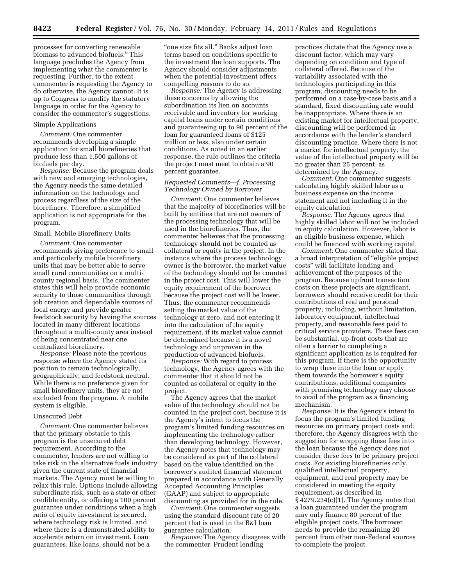processes for converting renewable biomass to advanced biofuels.'' This language precludes the Agency from implementing what the commenter is requesting. Further, to the extent commenter is requesting the Agency to do otherwise, the Agency cannot. It is up to Congress to modify the statutory language in order for the Agency to consider the commenter's suggestions.

# Simple Applications

*Comment:* One commenter recommends developing a simple application for small biorefineries that produce less than 1,500 gallons of biofuels per day.

*Response:* Because the program deals with new and emerging technologies, the Agency needs the same detailed information on the technology and process regardless of the size of the biorefinery. Therefore, a simplified application is not appropriate for the program.

#### Small, Mobile Biorefinery Units

*Comment:* One commenter recommends giving preference to small and particularly mobile biorefinery units that may be better able to serve small rural communities on a multicounty regional basis. The commenter states this will help provide economic security to those communities through job creation and dependable sources of local energy and provide greater feedstock security by having the sources located in many different locations throughout a multi-county area instead of being concentrated near one centralized biorefinery.

*Response:* Please note the previous response where the Agency stated its position to remain technologically, geographically, and feedstock neutral. While there is no preference given for small biorefinery units, they are not excluded from the program. A mobile system is eligible.

# Unsecured Debt

*Comment:* One commenter believes that the primary obstacle to this program is the unsecured debt requirement. According to the commenter, lenders are not willing to take risk in the alternative fuels industry given the current state of financial markets. The Agency must be willing to relax this rule. Options include allowing subordinate risk, such as a state or other credible entity, or offering a 100 percent guarantee under conditions when a high ratio of equity investment is secured, where technology risk is limited, and where there is a demonstrated ability to accelerate return on investment. Loan guarantees, like loans, should not be a

''one size fits all.'' Banks adjust loan terms based on conditions specific to the investment the loan supports. The Agency should consider adjustments when the potential investment offers compelling reasons to do so.

*Response:* The Agency is addressing these concerns by allowing the subordination its lien on accounts receivable and inventory for working capital loans under certain conditions and guaranteeing up to 90 percent of the loan for guaranteed loans of \$125 million or less, also under certain conditions. As noted in an earlier response, the rule outlines the criteria the project must meet to obtain a 90 percent guarantee.

# *Requested Comments—f. Processing Technology Owned by Borrower*

*Comment:* One commenter believes that the majority of biorefineries will be built by entities that are not owners of the processing technology that will be used in the biorefineries. Thus, the commenter believes that the processing technology should not be counted as collateral or equity in the project. In the instance where the process technology owner is the borrower, the market value of the technology should not be counted in the project cost. This will lower the equity requirement of the borrower because the project cost will be lower. Thus, the commenter recommends setting the market value of the technology at zero, and not entering it into the calculation of the equity requirement, if its market value cannot be determined because it is a novel technology and unproven in the production of advanced biofuels.

*Response:* With regard to process technology, the Agency agrees with the commenter that it should not be counted as collateral or equity in the project.

The Agency agrees that the market value of the technology should not be counted in the project cost, because it is the Agency's intent to focus the program's limited funding resources on implementing the technology rather than developing technology. However, the Agency notes that technology may be considered as part of the collateral based on the value identified on the borrower's audited financial statement prepared in accordance with Generally Accepted Accounting Principles (GAAP) and subject to appropriate discounting as provided for in the rule.

*Comment:* One commenter suggests using the standard discount rate of 20 percent that is used in the B&I loan guarantee calculation.

*Response:* The Agency disagrees with the commenter. Prudent lending

practices dictate that the Agency use a discount factor, which may vary depending on condition and type of collateral offered. Because of the variability associated with the technologies participating in this program, discounting needs to be performed on a case-by-case basis and a standard, fixed discounting rate would be inappropriate. Where there is an existing market for intellectual property, discounting will be performed in accordance with the lender's standard discounting practice. Where there is not a market for intellectual property, the value of the intellectual property will be no greater than 25 percent, as determined by the Agency.

*Comment:* One commenter suggests calculating highly skilled labor as a business expense on the income statement and not including it in the equity calculation.

*Response:* The Agency agrees that highly skilled labor will not be included in equity calculation. However, labor is an eligible business expense, which could be financed with working capital.

*Comment:* One commenter stated that a broad interpretation of ''eligible project costs'' will facilitate lending and achievement of the purposes of the program. Because upfront transaction costs on these projects are significant, borrowers should receive credit for their contributions of real and personal property, including, without limitation, laboratory equipment, intellectual property, and reasonable fees paid to critical service providers. These fees can be substantial, up-front costs that are often a barrier to completing a significant application as is required for this program. If there is the opportunity to wrap these into the loan or apply them towards the borrower's equity contributions, additional companies with promising technology may choose to avail of the program as a financing mechanism.

*Response:* It is the Agency's intent to focus the program's limited funding resources on primary project costs and, therefore, the Agency disagrees with the suggestion for wrapping these fees into the loan because the Agency does not consider these fees to be primary project costs. For existing biorefineries only, qualified intellectual property, equipment, and real property may be considered in meeting the equity requirement, as described in § 4279.234(c)(1). The Agency notes that a loan guaranteed under the program may only finance 80 percent of the eligible project costs. The borrower needs to provide the remaining 20 percent from other non-Federal sources to complete the project.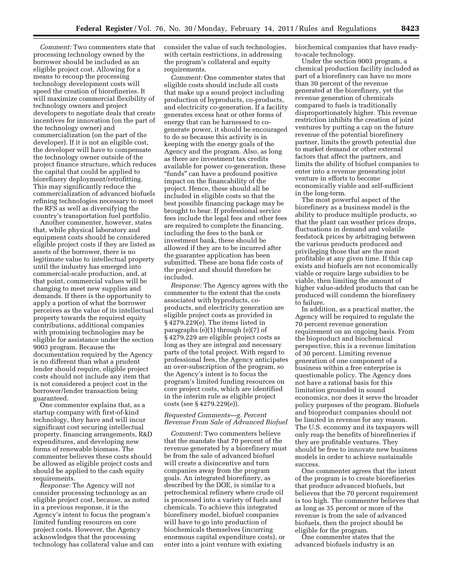*Comment:* Two commenters state that processing technology owned by the borrower should be included as an eligible project cost. Allowing for a means to recoup the processing technology development costs will speed the creation of biorefineries. It will maximize commercial flexibility of technology owners and project developers to negotiate deals that create incentives for innovation (on the part of the technology owner) and commercialization (on the part of the developer). If it is not an eligible cost, the developer will have to compensate the technology owner outside of the project finance structure, which reduces the capital that could be applied to biorefinery deployment/retrofitting. This may significantly reduce the commercialization of advanced biofuels refining technologies necessary to meet the RFS as well as diversifying the country's transportation fuel portfolio.

Another commenter, however, states that, while physical laboratory and equipment costs should be considered eligible project costs if they are listed as assets of the borrower, there is no legitimate value to intellectual property until the industry has emerged into commercial-scale production, and, at that point, commercial values will be changing to meet new supplies and demands. If there is the opportunity to apply a portion of what the borrower perceives as the value of its intellectual property towards the required equity contributions, additional companies with promising technologies may be eligible for assistance under the section 9003 program. Because the documentation required by the Agency is no different than what a prudent lender should require, eligible project costs should not include any item that is not considered a project cost in the borrower/lender transaction being guaranteed.

One commenter explains that, as a startup company with first-of-kind technology, they have and will incur significant cost securing intellectual property, financing arrangements, R&D expenditures, and developing new forms of renewable biomass. The commenter believes these costs should be allowed as eligible project costs and should be applied to the cash equity requirements.

*Response:* The Agency will not consider processing technology as an eligible project cost, because, as noted in a previous response, it is the Agency's intent to focus the program's limited funding resources on core project costs. However, the Agency acknowledges that the processing technology has collateral value and can consider the value of such technologies, with certain restrictions, in addressing the program's collateral and equity requirements.

*Comment:* One commenter states that eligible costs should include all costs that make up a sound project including production of byproducts, co-products, and electricity co-generation. If a facility generates excess heat or other forms of energy that can be harnessed to cogenerate power, it should be encouraged to do so because this activity is in keeping with the energy goals of the Agency and the program. Also, as long as there are investment tax credits available for power co-generation, these "funds" can have a profound positive impact on the financability of the project. Hence, these should all be included in eligible costs so that the best possible financing package may be brought to bear. If professional service fees include the legal fees and other fees are required to complete the financing, including the fees to the bank or investment bank, these should be allowed if they are to be incurred after the guarantee application has been submitted. These are bona fide costs of the project and should therefore be included.

*Response:* The Agency agrees with the commenter to the extent that the costs associated with byproducts, coproducts, and electricity generation are eligible project costs as provided in § 4279.229(e). The items listed in paragraphs (e)(1) through (e)(7) of § 4279.229 are eligible project costs as long as they are integral and necessary parts of the total project. With regard to professional fees, the Agency anticipates an over-subscription of the program, so the Agency's intent is to focus the program's limited funding resources on core project costs, which are identified in the interim rule as eligible project costs (see § 4279.229(e)).

#### *Requested Comments—g. Percent Revenue From Sale of Advanced Biofuel*

*Comment:* Two commenters believe that the mandate that 70 percent of the revenue generated by a biorefinery must be from the sale of advanced biofuel will create a disincentive and turn companies away from the program goals. An integrated biorefinery, as described by the DOE, is similar to a petrochemical refinery where crude oil is processed into a variety of fuels and chemicals. To achieve this integrated biorefinery model, biofuel companies will have to go into production of biochemicals themselves (incurring enormous capital expenditure costs), or enter into a joint venture with existing

biochemical companies that have readyto-scale technology.

Under the section 9003 program, a chemical production facility included as part of a biorefinery can have no more than 30 percent of the revenue generated at the biorefinery, yet the revenue generation of chemicals compared to fuels is traditionally disproportionately higher. This revenue restriction inhibits the creation of joint ventures by putting a cap on the future revenue of the potential biorefinery partner, limits the growth potential due to market demand or other external factors that affect the partners, and limits the ability of biofuel companies to enter into a revenue generating joint venture in efforts to become economically viable and self-sufficient in the long-term.

The most powerful aspect of the biorefinery as a business model is the ability to produce multiple products, so that the plant can weather prices drops, fluctuations in demand and volatile feedstock prices by arbitraging between the various products produced and privileging those that are the most profitable at any given time. If this cap exists and biofuels are not economically viable or require large subsidies to be viable, then limiting the amount of higher value-added products that can be produced will condemn the biorefinery to failure.

In addition, as a practical matter, the Agency will be required to regulate the 70 percent revenue generation requirement on an ongoing basis. From the bioproduct and biochemical perspective, this is a revenue limitation of 30 percent. Limiting revenue generation of one component of a business within a free enterprise is questionable policy. The Agency does not have a rational basis for this limitation grounded in sound economics, nor does it serve the broader policy purposes of the program. Biofuels and bioproduct companies should not be limited in revenue for any reason. The U.S. economy and its taxpayers will only reap the benefits of biorefineries if they are profitable ventures. They should be free to innovate new business models in order to achieve sustainable success.

One commenter agrees that the intent of the program is to create biorefineries that produce advanced biofuels, but believes that the 70 percent requirement is too high. The commenter believes that as long as 35 percent or more of the revenue is from the sale of advanced biofuels, then the project should be eligible for the program.

One commenter states that the advanced biofuels industry is an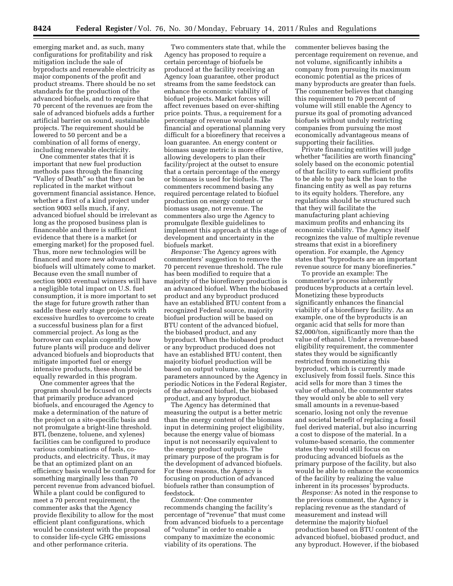emerging market and, as such, many configurations for profitability and risk mitigation include the sale of byproducts and renewable electricity as major components of the profit and product streams. There should be no set standards for the production of the advanced biofuels, and to require that 70 percent of the revenues are from the sale of advanced biofuels adds a further artificial barrier on sound, sustainable projects. The requirement should be lowered to 50 percent and be a combination of all forms of energy, including renewable electricity.

One commenter states that it is important that new fuel production methods pass through the financing ''Valley of Death'' so that they can be replicated in the market without government financial assistance. Hence, whether a first of a kind project under section 9003 sells much, if any, advanced biofuel should be irrelevant as long as the proposed business plan is financeable and there is sufficient evidence that there is a market (or emerging market) for the proposed fuel. Thus, more new technologies will be financed and more new advanced biofuels will ultimately come to market. Because even the small number of section 9003 eventual winners will have a negligible total impact on U.S. fuel consumption, it is more important to set the stage for future growth rather than saddle these early stage projects with excessive hurdles to overcome to create a successful business plan for a first commercial project. As long as the borrower can explain cogently how future plants will produce and deliver advanced biofuels and bioproducts that mitigate imported fuel or energy intensive products, these should be equally rewarded in this program.

One commenter agrees that the program should be focused on projects that primarily produce advanced biofuels, and encouraged the Agency to make a determination of the nature of the project on a site-specific basis and not promulgate a bright-line threshold. BTL (benzene, toluene, and xylenes) facilities can be configured to produce various combinations of fuels, coproducts, and electricity. Thus, it may be that an optimized plant on an efficiency basis would be configured for something marginally less than 70 percent revenue from advanced biofuel. While a plant could be configured to meet a 70 percent requirement, the commenter asks that the Agency provide flexibility to allow for the most efficient plant configurations, which would be consistent with the proposal to consider life-cycle GHG emissions and other performance criteria.

Two commenters state that, while the Agency has proposed to require a certain percentage of biofuels be produced at the facility receiving an Agency loan guarantee, other product streams from the same feedstock can enhance the economic viability of biofuel projects. Market forces will affect revenues based on ever-shifting price points. Thus, a requirement for a percentage of revenue would make financial and operational planning very difficult for a biorefinery that receives a loan guarantee. An energy content or biomass usage metric is more effective, allowing developers to plan their facility/project at the outset to ensure that a certain percentage of the energy or biomass is used for biofuels. The commenters recommend basing any required percentage related to biofuel production on energy content or biomass usage, not revenue. The commenters also urge the Agency to promulgate flexible guidelines to implement this approach at this stage of development and uncertainty in the biofuels market.

*Response:* The Agency agrees with commenters' suggestion to remove the 70 percent revenue threshold. The rule has been modified to require that a majority of the biorefinery production is an advanced biofuel. When the biobased product and any byproduct produced have an established BTU content from a recognized Federal source, majority biofuel production will be based on BTU content of the advanced biofuel, the biobased product, and any byproduct. When the biobased product or any byproduct produced does not have an established BTU content, then majority biofuel production will be based on output volume, using parameters announced by the Agency in periodic Notices in the Federal Register, of the advanced biofuel, the biobased product, and any byproduct.

The Agency has determined that measuring the output is a better metric than the energy content of the biomass input in determining project eligibility, because the energy value of biomass input is not necessarily equivalent to the energy product outputs. The primary purpose of the program is for the development of advanced biofuels. For these reasons, the Agency is focusing on production of advanced biofuels rather than consumption of feedstock.

*Comment:* One commenter recommends changing the facility's percentage of ''revenue'' that must come from advanced biofuels to a percentage of ''volume'' in order to enable a company to maximize the economic viability of its operations. The

commenter believes basing the percentage requirement on revenue, and not volume, significantly inhibits a company from pursuing its maximum economic potential as the prices of many byproducts are greater than fuels. The commenter believes that changing this requirement to 70 percent of volume will still enable the Agency to pursue its goal of promoting advanced biofuels without unduly restricting companies from pursuing the most economically advantageous means of supporting their facilities.

Private financing entities will judge whether "facilities are worth financing" solely based on the economic potential of that facility to earn sufficient profits to be able to pay back the loan to the financing entity as well as pay returns to its equity holders. Therefore, any regulations should be structured such that they will facilitate the manufacturing plant achieving maximum profits and enhancing its economic viability. The Agency itself recognizes the value of multiple revenue streams that exist in a biorefinery operation. For example, the Agency states that ''byproducts are an important revenue source for many biorefineries.''

To provide an example: The commenter's process inherently produces byproducts at a certain level. Monetizing these byproducts significantly enhances the financial viability of a biorefinery facility. As an example, one of the byproducts is an organic acid that sells for more than \$2,000/ton, significantly more than the value of ethanol. Under a revenue-based eligibility requirement, the commenter states they would be significantly restricted from monetizing this byproduct, which is currently made exclusively from fossil fuels. Since this acid sells for more than 3 times the value of ethanol, the commenter states they would only be able to sell very small amounts in a revenue-based scenario, losing not only the revenue and societal benefit of replacing a fossil fuel derived material, but also incurring a cost to dispose of the material. In a volume-based scenario, the commenter states they would still focus on producing advanced biofuels as the primary purpose of the facility, but also would be able to enhance the economics of the facility by realizing the value inherent in its processes' byproducts.

*Response:* As noted in the response to the previous comment, the Agency is replacing revenue as the standard of measurement and instead will determine the majority biofuel production based on BTU content of the advanced biofuel, biobased product, and any byproduct. However, if the biobased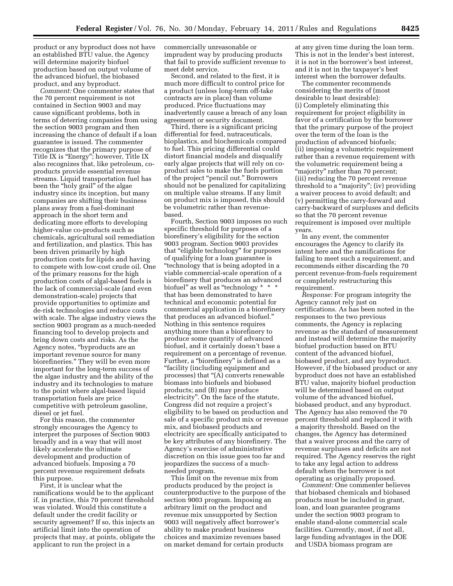product or any byproduct does not have an established BTU value, the Agency will determine majority biofuel production based on output volume of the advanced biofuel, the biobased product, and any byproduct.

*Comment:* One commenter states that the 70 percent requirement is not contained in Section 9003 and may cause significant problems, both in terms of deterring companies from using the section 9003 program and then increasing the chance of default if a loan guarantee is issued. The commenter recognizes that the primary purpose of Title IX is "Energy"; however, Title IX also recognizes that, like petroleum, coproducts provide essential revenue streams. Liquid transportation fuel has been the "holy grail" of the algae industry since its inception, but many companies are shifting their business plans away from a fuel-dominant approach in the short term and dedicating more efforts to developing higher-value co-products such as chemicals, agricultural soil remediation and fertilization, and plastics. This has been driven primarily by high production costs for lipids and having to compete with low-cost crude oil. One of the primary reasons for the high production costs of algal-based fuels is the lack of commercial-scale (and even demonstration-scale) projects that provide opportunities to optimize and de-risk technologies and reduce costs with scale. The algae industry views the section 9003 program as a much-needed financing tool to develop projects and bring down costs and risks. As the Agency notes, ''byproducts are an important revenue source for many biorefineries.'' They will be even more important for the long-term success of the algae industry and the ability of the industry and its technologies to mature to the point where algal-based liquid transportation fuels are price competitive with petroleum gasoline, diesel or jet fuel.

For this reason, the commenter strongly encourages the Agency to interpret the purposes of Section 9003 broadly and in a way that will most likely accelerate the ultimate development and production of advanced biofuels. Imposing a 70 percent revenue requirement defeats this purpose.

First, it is unclear what the ramifications would be to the applicant if, in practice, this 70 percent threshold was violated. Would this constitute a default under the credit facility or security agreement? If so, this injects an artificial limit into the operation of projects that may, at points, obligate the applicant to run the project in a

commercially unreasonable or imprudent way by producing products that fail to provide sufficient revenue to meet debt service.

Second, and related to the first, it is much more difficult to control price for a product (unless long-term off-take contracts are in place) than volume produced. Price fluctuations may inadvertently cause a breach of any loan agreement or security document.

Third, there is a significant pricing differential for feed, nutraceuticals, bioplastics, and biochemicals compared to fuel. This pricing differential could distort financial models and disqualify early algae projects that will rely on coproduct sales to make the fuels portion of the project "pencil out." Borrowers should not be penalized for capitalizing on multiple value streams. If any limit on product mix is imposed, this should be volumetric rather than revenuebased.

Fourth, Section 9003 imposes no such specific threshold for purposes of a biorefinery's eligibility for the section 9003 program. Section 9003 provides that ''eligible technology'' for purposes of qualifying for a loan guarantee is ''technology that is being adopted in a viable commercial-scale operation of a biorefinery that produces an advanced biofuel" as well as "technology \* \* \* that has been demonstrated to have technical and economic potential for commercial application in a biorefinery that produces an advanced biofuel.'' Nothing in this sentence requires anything more than a biorefinery to produce some quantity of advanced biofuel, and it certainly doesn't base a requirement on a percentage of revenue. Further, a "biorefinery" is defined as a ''facility (including equipment and processes) that ''(A) converts renewable biomass into biofuels and biobased products; and (B) may produce electricity''. On the face of the statute, Congress did not require a project's eligibility to be based on production and sale of a specific product mix or revenue mix, and biobased products and electricity are specifically anticipated to be key attributes of any biorefinery. The Agency's exercise of administrative discretion on this issue goes too far and jeopardizes the success of a muchneeded program.

This limit on the revenue mix from products produced by the project is counterproductive to the purpose of the section 9003 program. Imposing an arbitrary limit on the product and revenue mix unsupported by Section 9003 will negatively affect borrower's ability to make prudent business choices and maximize revenues based on market demand for certain products

at any given time during the loan term. This is not in the lender's best interest, it is not in the borrower's best interest, and it is not in the taxpayer's best interest when the borrower defaults.

The commenter recommends considering the merits of (most desirable to least desirable): (i) Completely eliminating this requirement for project eligibility in favor of a certification by the borrower that the primary purpose of the project over the term of the loan is the production of advanced biofuels; (ii) imposing a volumetric requirement rather than a revenue requirement with the volumetric requirement being a "majority" rather than 70 percent; (iii) reducing the 70 percent revenue threshold to a "majority"; (iv) providing a waiver process to avoid default; and (v) permitting the carry-forward and carry-backward of surpluses and deficits so that the 70 percent revenue requirement is imposed over multiple years.

In any event, the commenter encourages the Agency to clarify its intent here and the ramifications for failing to meet such a requirement, and recommends either discarding the 70 percent revenue-from-fuels requirement or completely restructuring this requirement.

*Response:* For program integrity the Agency cannot rely just on certifications. As has been noted in the responses to the two previous comments, the Agency is replacing revenue as the standard of measurement and instead will determine the majority biofuel production based on BTU content of the advanced biofuel, biobased product, and any byproduct. However, if the biobased product or any byproduct does not have an established BTU value, majority biofuel production will be determined based on output volume of the advanced biofuel, biobased product, and any byproduct. The Agency has also removed the 70 percent threshold and replaced it with a majority threshold. Based on the changes, the Agency has determined that a waiver process and the carry of revenue surpluses and deficits are not required. The Agency reserves the right to take any legal action to address default when the borrower is not operating as originally proposed.

*Comment:* One commenter believes that biobased chemicals and biobased products must be included in grant, loan, and loan guarantee programs under the section 9003 program to enable stand-alone commercial scale facilities. Currently, most, if not all, large funding advantages in the DOE and USDA biomass program are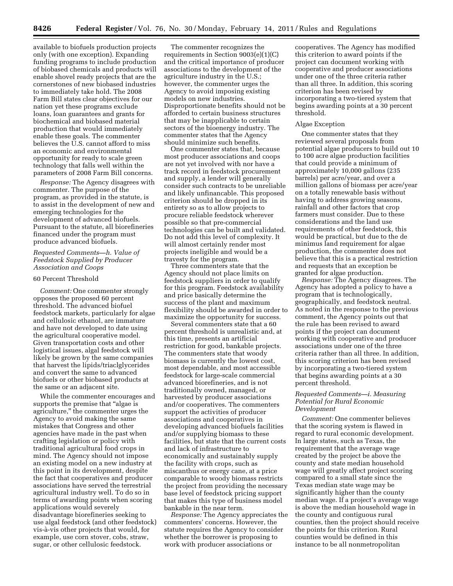available to biofuels production projects only (with one exception). Expanding funding programs to include production of biobased chemicals and products will enable shovel ready projects that are the cornerstones of new biobased industries to immediately take hold. The 2008 Farm Bill states clear objectives for our nation yet these programs exclude loans, loan guarantees and grants for biochemical and biobased material production that would immediately enable these goals. The commenter believes the U.S. cannot afford to miss an economic and environmental opportunity for ready to scale green technology that falls well within the parameters of 2008 Farm Bill concerns.

*Response:* The Agency disagrees with commenter. The purpose of the program, as provided in the statute, is to assist in the development of new and emerging technologies for the development of advanced biofuels. Pursuant to the statute, all biorefineries financed under the program must produce advanced biofuels.

# *Requested Comments—h. Value of Feedstock Supplied by Producer Association and Coops*

#### 60 Percent Threshold

*Comment:* One commenter strongly opposes the proposed 60 percent threshold. The advanced biofuel feedstock markets, particularly for algae and cellulosic ethanol, are immature and have not developed to date using the agricultural cooperative model. Given transportation costs and other logistical issues, algal feedstock will likely be grown by the same companies that harvest the lipids/triaclglycerides and convert the same to advanced biofuels or other biobased products at the same or an adjacent site.

While the commenter encourages and supports the premise that ''algae is agriculture,'' the commenter urges the Agency to avoid making the same mistakes that Congress and other agencies have made in the past when crafting legislation or policy with traditional agricultural food crops in mind. The Agency should not impose an existing model on a new industry at this point in its development, despite the fact that cooperatives and producer associations have served the terrestrial agricultural industry well. To do so in terms of awarding points when scoring applications would severely disadvantage biorefineries seeking to use algal feedstock (and other feedstock) vis-a`-vis other projects that would, for example, use corn stover, cobs, straw, sugar, or other cellulosic feedstock.

The commenter recognizes the requirements in Section 9003(e)(1)(C) and the critical importance of producer associations to the development of the agriculture industry in the U.S.; however, the commenter urges the Agency to avoid imposing existing models on new industries. Disproportionate benefits should not be afforded to certain business structures that may be inapplicable to certain sectors of the bioenergy industry. The commenter states that the Agency should minimize such benefits.

One commenter states that, because most producer associations and coops are not yet involved with nor have a track record in feedstock procurement and supply, a lender will generally consider such contracts to be unreliable and likely unfinancable. This proposed criterion should be dropped in its entirety so as to allow projects to procure reliable feedstock wherever possible so that pre-commercial technologies can be built and validated. Do not add this level of complexity. It will almost certainly render most projects ineligible and would be a travesty for the program.

Three commenters state that the Agency should not place limits on feedstock suppliers in order to qualify for this program. Feedstock availability and price basically determine the success of the plant and maximum flexibility should be awarded in order to maximize the opportunity for success.

Several commenters state that a 60 percent threshold is unrealistic and, at this time, presents an artificial restriction for good, bankable projects. The commenters state that woody biomass is currently the lowest cost, most dependable, and most accessible feedstock for large-scale commercial advanced biorefineries, and is not traditionally owned, managed, or harvested by producer associations and/or cooperatives. The commenters support the activities of producer associations and cooperatives in developing advanced biofuels facilities and/or supplying biomass to these facilities, but state that the current costs and lack of infrastructure to economically and sustainably supply the facility with crops, such as miscanthus or energy cane, at a price comparable to woody biomass restricts the project from providing the necessary base level of feedstock pricing support that makes this type of business model bankable in the near term.

*Response:* The Agency appreciates the commenters' concerns. However, the statute requires the Agency to consider whether the borrower is proposing to work with producer associations or

cooperatives. The Agency has modified this criterion to award points if the project can document working with cooperative and producer associations under one of the three criteria rather than all three. In addition, this scoring criterion has been revised by incorporating a two-tiered system that begins awarding points at a 30 percent threshold.

#### Algae Exception

One commenter states that they reviewed several proposals from potential algae producers to build out 10 to 100 acre algae production facilities that could provide a minimum of approximately 10,000 gallons (235 barrels) per acre/year, and over a million gallons of biomass per acre/year on a totally renewable basis without having to address growing seasons, rainfall and other factors that crop farmers must consider. Due to these considerations and the land use requirements of other feedstock, this would be practical, but due to the de minimus land requirement for algae production, the commenter does not believe that this is a practical restriction and requests that an exception be granted for algae production.

*Response:* The Agency disagrees. The Agency has adopted a policy to have a program that is technologically, geographically, and feedstock neutral. As noted in the response to the previous comment, the Agency points out that the rule has been revised to award points if the project can document working with cooperative and producer associations under one of the three criteria rather than all three. In addition, this scoring criterion has been revised by incorporating a two-tiered system that begins awarding points at a 30 percent threshold.

# *Requested Comments—i. Measuring Potential for Rural Economic Development*

*Comment:* One commenter believes that the scoring system is flawed in regard to rural economic development. In large states, such as Texas, the requirement that the average wage created by the project be above the county and state median household wage will greatly affect project scoring compared to a small state since the Texas median state wage may be significantly higher than the county median wage. If a project's average wage is above the median household wage in the county and contiguous rural counties, then the project should receive the points for this criterion. Rural counties would be defined in this instance to be all nonmetropolitan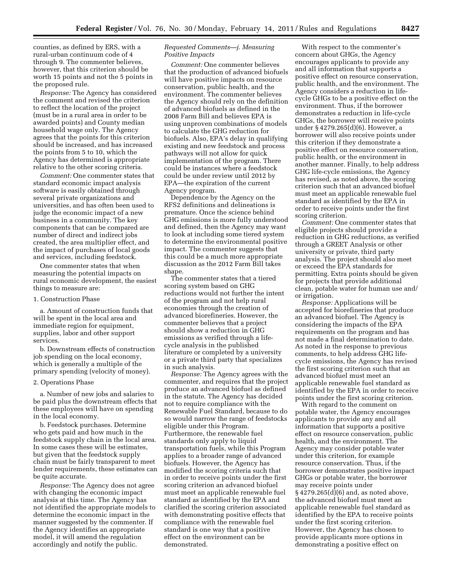counties, as defined by ERS, with a rural-urban continuum code of 4 through 9. The commenter believes, however, that this criterion should be worth 15 points and not the 5 points in the proposed rule.

*Response:* The Agency has considered the comment and revised the criterion to reflect the location of the project (must be in a rural area in order to be awarded points) and County median household wage only. The Agency agrees that the points for this criterion should be increased, and has increased the points from 5 to 10, which the Agency has determined is appropriate relative to the other scoring criteria.

*Comment:* One commenter states that standard economic impact analysis software is easily obtained through several private organizations and universities, and has often been used to judge the economic impact of a new business in a community. The key components that can be compared are number of direct and indirect jobs created, the area multiplier effect, and the impact of purchases of local goods and services, including feedstock.

One commenter states that when measuring the potential impacts on rural economic development, the easiest things to measure are:

#### 1. Construction Phase

a. Amount of construction funds that will be spent in the local area and immediate region for equipment, supplies, labor and other support services.

b. Downstream effects of construction job spending on the local economy, which is generally a multiple of the primary spending (velocity of money).

# 2. Operations Phase

a. Number of new jobs and salaries to be paid plus the downstream effects that these employees will have on spending in the local economy.

b. Feedstock purchases. Determine who gets paid and how much in the feedstock supply chain in the local area. In some cases these will be estimates, but given that the feedstock supply chain must be fairly transparent to meet lender requirements, these estimates can be quite accurate.

*Response:* The Agency does not agree with changing the economic impact analysis at this time. The Agency has not identified the appropriate models to determine the economic impact in the manner suggested by the commenter. If the Agency identifies an appropriate model, it will amend the regulation accordingly and notify the public.

# *Requested Comments—j. Measuring Positive Impacts*

*Comment:* One commenter believes that the production of advanced biofuels will have positive impacts on resource conservation, public health, and the environment. The commenter believes the Agency should rely on the definition of advanced biofuels as defined in the 2008 Farm Bill and believes EPA is using unproven combinations of models to calculate the GHG reduction for biofuels. Also, EPA's delay in qualifying existing and new feedstock and process pathways will not allow for quick implementation of the program. There could be instances where a feedstock could be under review until 2012 by EPA—the expiration of the current Agency program.

Dependence by the Agency on the RFS2 definitions and delineations is premature. Once the science behind GHG emissions is more fully understood and defined, then the Agency may want to look at including some tiered system to determine the environmental positive impact. The commenter suggests that this could be a much more appropriate discussion as the 2012 Farm Bill takes shape.

The commenter states that a tiered scoring system based on GHG reductions would not further the intent of the program and not help rural economies through the creation of advanced biorefineries. However, the commenter believes that a project should show a reduction in GHG emissions as verified through a lifecycle analysis in the published literature or completed by a university or a private third party that specializes in such analysis.

*Response:* The Agency agrees with the commenter, and requires that the project produce an advanced biofuel as defined in the statute. The Agency has decided not to require compliance with the Renewable Fuel Standard, because to do so would narrow the range of feedstocks eligible under this Program. Furthermore, the renewable fuel standards only apply to liquid transportation fuels, while this Program applies to a broader range of advanced biofuels. However, the Agency has modified the scoring criteria such that in order to receive points under the first scoring criterion an advanced biofuel must meet an applicable renewable fuel standard as identified by the EPA and clarified the scoring criterion associated with demonstrating positive effects that compliance with the renewable fuel standard is one way that a positive effect on the environment can be demonstrated.

With respect to the commenter's concern about GHGs, the Agency encourages applicants to provide any and all information that supports a positive effect on resource conservation, public health, and the environment. The Agency considers a reduction in lifecycle GHGs to be a positive effect on the environment. Thus, if the borrower demonstrates a reduction in life-cycle GHGs, the borrower will receive points under § 4279.265(d)(6). However, a borrower will also receive points under this criterion if they demonstrate a positive effect on resource conservation, public health, or the environment in another manner. Finally, to help address GHG life-cycle emissions, the Agency has revised, as noted above, the scoring criterion such that an advanced biofuel must meet an applicable renewable fuel standard as identified by the EPA in order to receive points under the first scoring criterion.

*Comment:* One commenter states that eligible projects should provide a reduction in GHG reductions, as verified through a GREET Analysis or other university or private, third party analysis. The project should also meet or exceed the EPA standards for permitting. Extra points should be given for projects that provide additional clean, potable water for human use and/ or irrigation.

*Response:* Applications will be accepted for biorefineries that produce an advanced biofuel. The Agency is considering the impacts of the EPA requirements on the program and has not made a final determination to date. As noted in the response to previous comments, to help address GHG lifecycle emissions, the Agency has revised the first scoring criterion such that an advanced biofuel must meet an applicable renewable fuel standard as identified by the EPA in order to receive points under the first scoring criterion.

With regard to the comment on potable water, the Agency encourages applicants to provide any and all information that supports a positive effect on resource conservation, public health, and the environment. The Agency may consider potable water under this criterion, for example resource conservation. Thus, if the borrower demonstrates positive impact GHGs or potable water, the borrower may receive points under  $§$  4279.265(d)(6) and, as noted above, the advanced biofuel must meet an applicable renewable fuel standard as identified by the EPA to receive points under the first scoring criterion. However, the Agency has chosen to provide applicants more options in demonstrating a positive effect on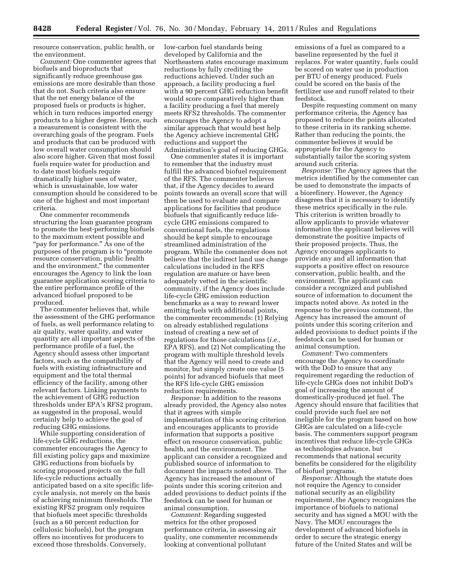resource conservation, public health, or the environment.

*Comment:* One commenter agrees that biofuels and bioproducts that significantly reduce greenhouse gas emissions are more desirable than those that do not. Such criteria also ensure that the net energy balance of the proposed fuels or products is higher, which in turn reduces imported energy products to a higher degree. Hence, such a measurement is consistent with the overarching goals of the program. Fuels and products that can be produced with low overall water consumption should also score higher. Given that most fossil fuels require water for production and to date most biofuels require dramatically higher uses of water, which is unsustainable, low water consumption should be considered to be one of the highest and most important criteria.

One commenter recommends structuring the loan guarantee program to promote the best-performing biofuels to the maximum extent possible and "pay for performance." As one of the purposes of the program is to ''promote resource conservation, public health and the environment,'' the commenter encourages the Agency to link the loan guarantee application scoring criteria to the entire performance profile of the advanced biofuel proposed to be produced.

The commenter believes that, while the assessment of the GHG performance of fuels, as well performance relating to air quality, water quality, and water quantity are all important aspects of the performance profile of a fuel, the Agency should assess other important factors, such as the compatibility of fuels with existing infrastructure and equipment and the total thermal efficiency of the facility, among other relevant factors. Linking payments to the achievement of GHG reduction thresholds under EPA's RFS2 program, as suggested in the proposal, would certainly help to achieve the goal of reducing GHG emissions.

While supporting consideration of life-cycle GHG reductions, the commenter encourages the Agency to fill existing policy gaps and maximize GHG reductions from biofuels by scoring proposed projects on the full life-cycle reductions actually anticipated based on a site specific lifecycle analysis, not merely on the basis of achieving minimum thresholds. The existing RFS2 program only requires that biofuels meet specific thresholds (such as a 60 percent reduction for cellulosic biofuels), but the program offers no incentives for producers to exceed those thresholds. Conversely,

low-carbon fuel standards being developed by California and the Northeastern states encourage maximum reductions by fully crediting the reductions achieved. Under such an approach, a facility producing a fuel with a 90 percent GHG reduction benefit would score comparatively higher than a facility producing a fuel that merely meets RFS2 thresholds. The commenter encourages the Agency to adopt a similar approach that would best help the Agency achieve incremental GHG reductions and support the Administration's goal of reducing GHGs.

One commenter states it is important to remember that the industry must fulfill the advanced biofuel requirement of the RFS. The commenter believes that, if the Agency decides to award points towards an overall score that will then be used to evaluate and compare applications for facilities that produce biofuels that significantly reduce lifecycle GHG emissions compared to conventional fuels, the regulations should be kept simple to encourage streamlined administration of the program. While the commenter does not believe that the indirect land use change calculations included in the RFS regulation are mature or have been adequately vetted in the scientific community, if the Agency does include life-cycle GHG emission reduction benchmarks as a way to reward lower emitting fuels with additional points, the commenter recommends: (1) Relying on already established regulations instead of creating a new set of regulations for those calculations (*i.e.,*  EPA RFS), and (2) Not complicating the program with multiple threshold levels that the Agency will need to create and monitor, but simply create one value (5 points) for advanced biofuels that meet the RFS life-cycle GHG emission reduction requirements.

*Response:* In addition to the reasons already provided, the Agency also notes that it agrees with simple implementation of this scoring criterion and encourages applicants to provide information that supports a positive effect on resource conservation, public health, and the environment. The applicant can consider a recognized and published source of information to document the impacts noted above. The Agency has increased the amount of points under this scoring criterion and added provisions to deduct points if the feedstock can be used for human or animal consumption.

*Comment:* Regarding suggested metrics for the other proposed performance criteria, in assessing air quality, one commenter recommends looking at conventional pollutant

emissions of a fuel as compared to a baseline represented by the fuel it replaces. For water quantity, fuels could be scored on water use in production per BTU of energy produced. Fuels could be scored on the basis of the fertilizer use and runoff related to their feedstock.

Despite requesting comment on many performance criteria, the Agency has proposed to reduce the points allocated to these criteria in its ranking scheme. Rather than reducing the points, the commenter believes it would be appropriate for the Agency to substantially tailor the scoring system around such criteria.

*Response:* The Agency agrees that the metrics identified by the commenter can be used to demonstrate the impacts of a biorefinery. However, the Agency disagrees that it is necessary to identify these metrics specifically in the rule. This criterion is written broadly to allow applicants to provide whatever information the applicant believes will demonstrate the positive impacts of their proposed projects. Thus, the Agency encourages applicants to provide any and all information that supports a positive effect on resource conservation, public health, and the environment. The applicant can consider a recognized and published source of information to document the impacts noted above. As noted in the response to the previous comment, the Agency has increased the amount of points under this scoring criterion and added provisions to deduct points if the feedstock can be used for human or animal consumption.

*Comment:* Two commenters encourage the Agency to coordinate with the DoD to ensure that any requirement regarding the reduction of life-cycle GHGs does not inhibit DoD's goal of increasing the amount of domestically-produced jet fuel. The Agency should ensure that facilities that could provide such fuel are not ineligible for the program based on how GHGs are calculated on a life-cycle basis. The commenters support program incentives that reduce life-cycle GHGs as technologies advance, but recommends that national security benefits be considered for the eligibility of biofuel programs.

*Response:* Although the statute does not require the Agency to consider national security as an eligibility requirement, the Agency recognizes the importance of biofuels to national security and has signed a MOU with the Navy. The MOU encourages the development of advanced biofuels in order to secure the strategic energy future of the United States and will be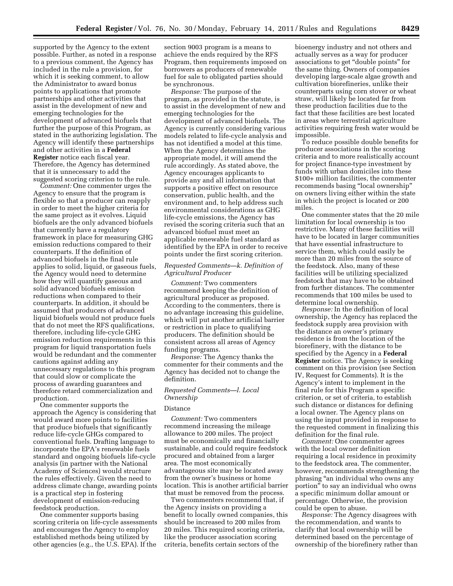supported by the Agency to the extent possible. Further, as noted in a response to a previous comment, the Agency has included in the rule a provision, for which it is seeking comment, to allow the Administrator to award bonus points to applications that promote partnerships and other activities that assist in the development of new and emerging technologies for the development of advanced biofuels that further the purpose of this Program, as stated in the authorizing legislation. The Agency will identify these partnerships and other activities in a **Federal Register** notice each fiscal year. Therefore, the Agency has determined that it is unnecessary to add the suggested scoring criterion to the rule.

*Comment:* One commenter urges the Agency to ensure that the program is flexible so that a producer can reapply in order to meet the higher criteria for the same project as it evolves. Liquid biofuels are the only advanced biofuels that currently have a regulatory framework in place for measuring GHG emission reductions compared to their counterparts. If the definition of advanced biofuels in the final rule applies to solid, liquid, or gaseous fuels, the Agency would need to determine how they will quantify gaseous and solid advanced biofuels emission reductions when compared to their counterparts. In addition, it should be assumed that producers of advanced liquid biofuels would not produce fuels that do not meet the RFS qualifications, therefore, including life-cycle GHG emission reduction requirements in this program for liquid transportation fuels would be redundant and the commenter cautions against adding any unnecessary regulations to this program that could slow or complicate the process of awarding guarantees and therefore retard commercialization and production.

One commenter supports the approach the Agency is considering that would award more points to facilities that produce biofuels that significantly reduce life-cycle GHGs compared to conventional fuels. Drafting language to incorporate the EPA's renewable fuels standard and ongoing biofuels life-cycle analysis (in partner with the National Academy of Sciences) would structure the rules effectively. Given the need to address climate change, awarding points is a practical step in fostering development of emission-reducing feedstock production.

One commenter supports basing scoring criteria on life-cycle assessments and encourages the Agency to employ established methods being utilized by other agencies (e.g., the U.S. EPA). If the

section 9003 program is a means to achieve the ends required by the RFS Program, then requirements imposed on borrowers as producers of renewable fuel for sale to obligated parties should be synchronous.

*Response:* The purpose of the program, as provided in the statute, is to assist in the development of new and emerging technologies for the development of advanced biofuels. The Agency is currently considering various models related to life-cycle analysis and has not identified a model at this time. When the Agency determines the appropriate model, it will amend the rule accordingly. As stated above, the Agency encourages applicants to provide any and all information that supports a positive effect on resource conservation, public health, and the environment and, to help address such environmental considerations as GHG life-cycle emissions, the Agency has revised the scoring criteria such that an advanced biofuel must meet an applicable renewable fuel standard as identified by the EPA in order to receive points under the first scoring criterion.

# *Requested Comments—k. Definition of Agricultural Producer*

*Comment:* Two commenters recommend keeping the definition of agricultural producer as proposed. According to the commenters, there is no advantage increasing this guideline, which will put another artificial barrier or restriction in place to qualifying producers. The definition should be consistent across all areas of Agency funding programs.

*Response:* The Agency thanks the commenter for their comments and the Agency has decided not to change the definition.

# *Requested Comments—l. Local Ownership*

# Distance

*Comment:* Two commenters recommend increasing the mileage allowance to 200 miles. The project must be economically and financially sustainable, and could require feedstock procured and obtained from a larger area. The most economically advantageous site may be located away from the owner's business or home location. This is another artificial barrier that must be removed from the process.

Two commenters recommend that, if the Agency insists on providing a benefit to locally owned companies, this should be increased to 200 miles from 20 miles. This required scoring criteria, like the producer association scoring criteria, benefits certain sectors of the

bioenergy industry and not others and actually serves as a way for producer associations to get ''double points'' for the same thing. Owners of companies developing large-scale algae growth and cultivation biorefineries, unlike their counterparts using corn stover or wheat straw, will likely be located far from these production facilities due to the fact that these facilities are best located in areas where terrestrial agriculture activities requiring fresh water would be impossible.

To reduce possible double benefits for producer associations in the scoring criteria and to more realistically account for project finance-type investment by funds with urban domiciles into these \$100+ million facilities, the commenter recommends basing ''local ownership'' on owners living either within the state in which the project is located or 200 miles.

One commenter states that the 20 mile limitation for local ownership is too restrictive. Many of these facilities will have to be located in larger communities that have essential infrastructure to service them, which could easily be more than 20 miles from the source of the feedstock. Also, many of these facilities will be utilizing specialized feedstock that may have to be obtained from further distances. The commenter recommends that 100 miles be used to determine local ownership.

*Response:* In the definition of local ownership, the Agency has replaced the feedstock supply area provision with the distance an owner's primary residence is from the location of the biorefinery, with the distance to be specified by the Agency in a **Federal Register** notice. The Agency is seeking comment on this provision (see Section IV, Request for Comments). It is the Agency's intent to implement in the final rule for this Program a specific criterion, or set of criteria, to establish such distance or distances for defining a local owner. The Agency plans on using the input provided in response to the requested comment in finalizing this definition for the final rule.

*Comment:* One commenter agrees with the local owner definition requiring a local residence in proximity to the feedstock area. The commenter, however, recommends strengthening the phrasing ''an individual who owns any portion'' to say an individual who owns a specific minimum dollar amount or percentage. Otherwise, the provision could be open to abuse.

*Response:* The Agency disagrees with the recommendation, and wants to clarify that local ownership will be determined based on the percentage of ownership of the biorefinery rather than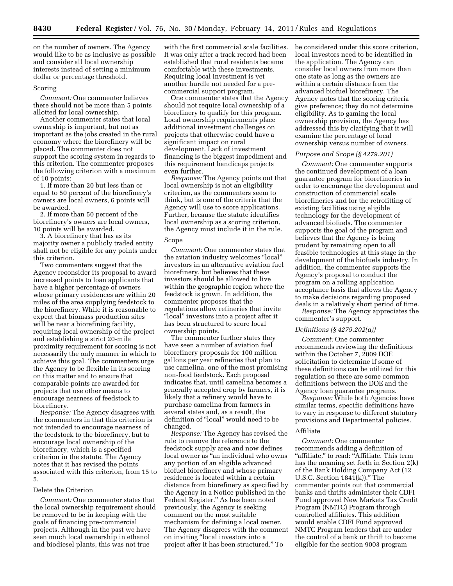on the number of owners. The Agency would like to be as inclusive as possible and consider all local ownership interests instead of setting a minimum dollar or percentage threshold.

#### Scoring

*Comment:* One commenter believes there should not be more than 5 points allotted for local ownership.

Another commenter states that local ownership is important, but not as important as the jobs created in the rural economy where the biorefinery will be placed. The commenter does not support the scoring system in regards to this criterion. The commenter proposes the following criterion with a maximum of 10 points:

1. If more than 20 but less than or equal to 50 percent of the biorefinery's owners are local owners, 6 points will be awarded.

2. If more than 50 percent of the biorefinery's owners are local owners, 10 points will be awarded.

3. A biorefinery that has as its majority owner a publicly traded entity shall not be eligible for any points under this criterion.

Two commenters suggest that the Agency reconsider its proposal to award increased points to loan applicants that have a higher percentage of owners whose primary residences are within 20 miles of the area supplying feedstock to the biorefinery. While it is reasonable to expect that biomass production sites will be near a biorefining facility, requiring local ownership of the project and establishing a strict 20-mile proximity requirement for scoring is not necessarily the only manner in which to achieve this goal. The commenters urge the Agency to be flexible in its scoring on this matter and to ensure that comparable points are awarded for projects that use other means to encourage nearness of feedstock to biorefinery.

*Response:* The Agency disagrees with the commenters in that this criterion is not intended to encourage nearness of the feedstock to the biorefinery, but to encourage local ownership of the biorefinery, which is a specified criterion in the statute. The Agency notes that it has revised the points associated with this criterion, from 15 to 5.

# Delete the Criterion

*Comment:* One commenter states that the local ownership requirement should be removed to be in keeping with the goals of financing pre-commercial projects. Although in the past we have seen much local ownership in ethanol and biodiesel plants, this was not true

with the first commercial scale facilities. It was only after a track record had been established that rural residents became comfortable with these investments. Requiring local investment is yet another hurdle not needed for a precommercial support program.

One commenter states that the Agency should not require local ownership of a biorefinery to qualify for this program. Local ownership requirements place additional investment challenges on projects that otherwise could have a significant impact on rural development. Lack of investment financing is the biggest impediment and this requirement handicaps projects even further.

*Response:* The Agency points out that local ownership is not an eligibility criterion, as the commenters seem to think, but is one of the criteria that the Agency will use to score applications. Further, because the statute identifies local ownership as a scoring criterion, the Agency must include it in the rule.

## Scope

*Comment:* One commenter states that the aviation industry welcomes ''local'' investors in an alternative aviation fuel biorefinery, but believes that these investors should be allowed to live within the geographic region where the feedstock is grown. In addition, the commenter proposes that the regulations allow refineries that invite ''local'' investors into a project after it has been structured to score local ownership points.

The commenter further states they have seen a number of aviation fuel biorefinery proposals for 100 million gallons per year refineries that plan to use camelina, one of the most promising non-food feedstock. Each proposal indicates that, until camelina becomes a generally accepted crop by farmers, it is likely that a refinery would have to purchase camelina from farmers in several states and, as a result, the definition of ''local'' would need to be changed.

*Response:* The Agency has revised the rule to remove the reference to the feedstock supply area and now defines local owner as ''an individual who owns any portion of an eligible advanced biofuel biorefinery and whose primary residence is located within a certain distance from biorefinery as specified by the Agency in a Notice published in the Federal Register.'' As has been noted previously, the Agency is seeking comment on the most suitable mechanism for defining a local owner. The Agency disagrees with the comment on inviting "local investors into a project after it has been structured.'' To

be considered under this score criterion, local investors need to be identified in the application. The Agency can consider local owners from more than one state as long as the owners are within a certain distance from the advanced biofuel biorefinery. The Agency notes that the scoring criteria give preference; they do not determine eligibility. As to gaming the local ownership provision, the Agency has addressed this by clarifying that it will examine the percentage of local ownership versus number of owners.

#### *Purpose and Scope (§ 4279.201)*

*Comment:* One commenter supports the continued development of a loan guarantee program for biorefineries in order to encourage the development and construction of commercial scale biorefineries and for the retrofitting of existing facilities using eligible technology for the development of advanced biofuels. The commenter supports the goal of the program and believes that the Agency is being prudent by remaining open to all feasible technologies at this stage in the development of the biofuels industry. In addition, the commenter supports the Agency's proposal to conduct the program on a rolling application acceptance basis that allows the Agency to make decisions regarding proposed deals in a relatively short period of time.

*Response:* The Agency appreciates the commenter's support.

#### *Definitions (§ 4279.202(a))*

*Comment:* One commenter recommends reviewing the definitions within the October 7, 2009 DOE solicitation to determine if some of these definitions can be utilized for this regulation so there are some common definitions between the DOE and the Agency loan guarantee programs.

*Response:* While both Agencies have similar terms, specific definitions have to vary in response to different statutory provisions and Departmental policies.

# Affiliate

*Comment:* One commenter recommends adding a definition of "affiliate," to read: "Affiliate. This term has the meaning set forth in Section 2(k) of the Bank Holding Company Act (12 U.S.C. Section  $1841(k)$ ." The commenter points out that commercial banks and thrifts administer their CDFI Fund approved New Markets Tax Credit Program (NMTC) Program through controlled affiliates. This addition would enable CDFI Fund approved NMTC Program lenders that are under the control of a bank or thrift to become eligible for the section 9003 program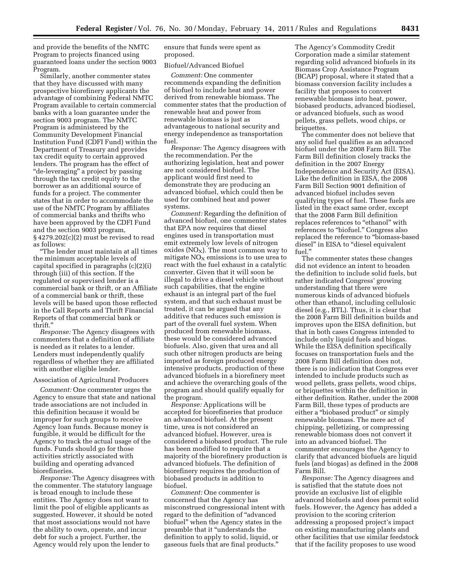and provide the benefits of the NMTC Program to projects financed using guaranteed loans under the section 9003 Program.

Similarly, another commenter states that they have discussed with many prospective biorefinery applicants the advantage of combining Federal NMTC Program available to certain commercial banks with a loan guarantee under the section 9003 program. The NMTC Program is administered by the Community Development Financial Institution Fund (CDFI Fund) within the Department of Treasury and provides tax credit equity to certain approved lenders. The program has the effect of "de-leveraging" a project by passing through the tax credit equity to the borrower as an additional source of funds for a project. The commenter states that in order to accommodate the use of the NMTC Program by affiliates of commercial banks and thrifts who have been approved by the CDFI Fund and the section 9003 program, § 4279.202(c)(2) must be revised to read as follows:

''The lender must maintain at all times the minimum acceptable levels of capital specified in paragraphs (c)(2)(i) through (iii) of this section. If the regulated or supervised lender is a commercial bank or thrift, or an Affiliate of a commercial bank or thrift, these levels will be based upon those reflected in the Call Reports and Thrift Financial Reports of that commercial bank or thrift.''

*Response:* The Agency disagrees with commenters that a definition of affiliate is needed as it relates to a lender. Lenders must independently qualify regardless of whether they are affiliated with another eligible lender.

#### Association of Agricultural Producers

*Comment:* One commenter urges the Agency to ensure that state and national trade associations are not included in this definition because it would be improper for such groups to receive Agency loan funds. Because money is fungible, it would be difficult for the Agency to track the actual usage of the funds. Funds should go for those activities strictly associated with building and operating advanced biorefineries.

*Response:* The Agency disagrees with the commenter. The statutory language is broad enough to include these entities. The Agency does not want to limit the pool of eligible applicants as suggested. However, it should be noted that most associations would not have the ability to own, operate, and incur debt for such a project. Further, the Agency would rely upon the lender to

ensure that funds were spent as proposed.

#### Biofuel/Advanced Biofuel

*Comment:* One commenter recommends expanding the definition of biofuel to include heat and power derived from renewable biomass. The commenter states that the production of renewable heat and power from renewable biomass is just as advantageous to national security and energy independence as transportation fuel.

*Response:* The Agency disagrees with the recommendation. Per the authorizing legislation, heat and power are not considered biofuel. The applicant would first need to demonstrate they are producing an advanced biofuel, which could then be used for combined heat and power systems.

*Comment:* Regarding the definition of advanced biofuel, one commenter states that EPA now requires that diesel engines used in transportation must emit extremely low levels of nitrogen oxides  $(NO<sub>X</sub>)$ . The most common way to mitigate  $NO<sub>x</sub>$  emissions is to use urea to react with the fuel exhaust in a catalytic converter. Given that it will soon be illegal to drive a diesel vehicle without such capabilities, that the engine exhaust is an integral part of the fuel system, and that such exhaust must be treated, it can be argued that any additive that reduces such emission is part of the overall fuel system. When produced from renewable biomass, these would be considered advanced biofuels. Also, given that urea and all such other nitrogen products are being imported as foreign produced energy intensive products, production of these advanced biofuels in a biorefinery meet and achieve the overarching goals of the program and should qualify equally for the program.

*Response:* Applications will be accepted for biorefineries that produce an advanced biofuel. At the present time, urea is not considered an advanced biofuel. However, urea is considered a biobased product. The rule has been modified to require that a majority of the biorefinery production is advanced biofuels. The definition of biorefinery requires the production of biobased products in addition to biofuel.

*Comment:* One commenter is concerned that the Agency has misconstrued congressional intent with regard to the definition of ''advanced biofuel'' when the Agency states in the preamble that it ''understands the definition to apply to solid, liquid, or gaseous fuels that are final products.''

The Agency's Commodity Credit Corporation made a similar statement regarding solid advanced biofuels in its Biomass Crop Assistance Program (BCAP) proposal, where it stated that a biomass conversion facility includes a facility that proposes to convert renewable biomass into heat, power, biobased products, advanced biodiesel, or advanced biofuels, such as wood pellets, grass pellets, wood chips, or briquettes.

The commenter does not believe that any solid fuel qualifies as an advanced biofuel under the 2008 Farm Bill. The Farm Bill definition closely tracks the definition in the 2007 Energy Independence and Security Act (EISA). Like the definition in EISA, the 2008 Farm Bill Section 9001 definition of advanced biofuel includes seven qualifying types of fuel. These fuels are listed in the exact same order, except that the 2008 Farm Bill definition replaces references to "ethanol" with references to "biofuel." Congress also replaced the reference to ''biomass-based diesel" in EISA to "diesel equivalent fuel.''

The commenter states these changes did not evidence an intent to broaden the definition to include solid fuels, but rather indicated Congress' growing understanding that there were numerous kinds of advanced biofuels other than ethanol, including cellulosic diesel (e.g., BTL). Thus, it is clear that the 2008 Farm Bill definition builds and improves upon the EISA definition, but that in both cases Congress intended to include only liquid fuels and biogas. While the EISA definition specifically focuses on transportation fuels and the 2008 Farm Bill definition does not, there is no indication that Congress ever intended to include products such as wood pellets, grass pellets, wood chips, or briquettes within the definition in either definition. Rather, under the 2008 Farm Bill, these types of products are either a "biobased product" or simply renewable biomass. The mere act of chipping, pelletizing, or compressing renewable biomass does not convert it into an advanced biofuel. The commenter encourages the Agency to clarify that advanced biofuels are liquid fuels (and biogas) as defined in the 2008 Farm Bill.

*Response:* The Agency disagrees and is satisfied that the statute does not provide an exclusive list of eligible advanced biofuels and does permit solid fuels. However, the Agency has added a provision to the scoring criterion addressing a proposed project's impact on existing manufacturing plants and other facilities that use similar feedstock that if the facility proposes to use wood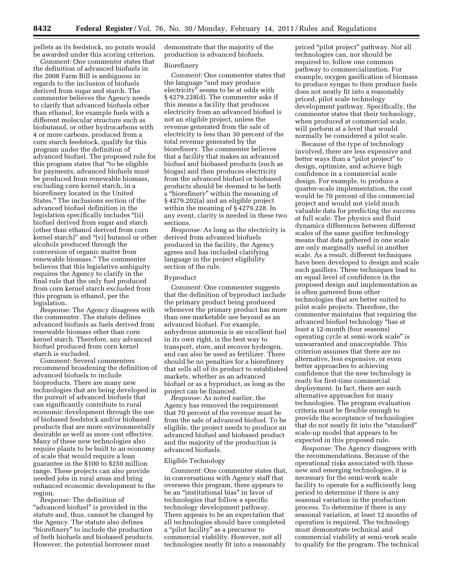pellets as its feedstock, no points would be awarded under this scoring criterion.

*Comment:* One commenter states that the definition of advanced biofuels in the 2008 Farm Bill is ambiguous in regards to the inclusion of biofuels derived from sugar and starch. The commenter believes the Agency needs to clarify that advanced biofuels other than ethanol, for example fuels with a different molecular structure such as biobutanol, or other hydrocarbons with 4 or more carbons, produced from a corn starch feedstock, qualify for this program under the definition of advanced biofuel. The proposed rule for this program states that ''to be eligible for payments, advanced biofuels must be produced from renewable biomass, excluding corn kernel starch, in a biorefinery located in the United States.'' The inclusions section of the advanced biofuel definition in the legislation specifically includes ''(ii) biofuel derived from sugar and starch (other than ethanol derived from corn kernel starch)'' and ''(vi) butanol or other alcohols produced through the conversion of organic matter from renewable biomass.'' The commenter believes that this legislative ambiguity requires the Agency to clarify in the final rule that the only fuel produced from corn kernel starch excluded from this program is ethanol, per the legislation.

*Response:* The Agency disagrees with the commenter. The statute defines advanced biofuels as fuels derived from renewable biomass other than corn kernel starch. Therefore, any advanced biofuel produced from corn kernel starch is excluded.

*Comment:* Several commenters recommend broadening the definition of advanced biofuels to include bioproducts. There are many new technologies that are being developed in the pursuit of advanced biofuels that can significantly contribute to rural economic development through the use of biobased feedstock and/or biobased products that are more environmentally desirable as well as more cost effective. Many of these new technologies also require plants to be built to an economy of scale that would require a loan guarantee in the \$100 to \$250 million range. These projects can also provide needed jobs in rural areas and bring enhanced economic development to the region.

*Response:* The definition of "advanced biofuel" is provided in the statute and, thus, cannot be changed by the Agency. The statute also defines ''biorefinery'' to include the production of both biofuels and biobased products. However, the potential borrower must

demonstrate that the majority of the production is advanced biofuels.

#### Biorefinery

*Comment:* One commenter states that the language ''and may produce electricity'' seems to be at odds with § 4279.228(d). The commenter asks if this means a facility that produces electricity from an advanced biofuel is not an eligible project, unless the revenue generated from the sale of electricity is less than 30 percent of the total revenue generated by the biorefinery. The commenter believes that a facility that makes an advanced biofuel and biobased products (such as biogas) and then produces electricity from the advanced biofuel or biobased products should be deemed to be both a ''biorefinery'' within the meaning of § 4279.202(a) and an eligible project within the meaning of § 4279.228. In any event, clarity is needed in these two sections.

*Response:* As long as the electricity is derived from advanced biofuels produced in the facility, the Agency agrees and has included clarifying language in the project eligibility section of the rule.

#### Byproduct

*Comment:* One commenter suggests that the definition of byproduct include the primary product being produced whenever the primary product has more than one marketable use beyond as an advanced biofuel. For example, anhydrous ammonia is an excellent fuel in its own right, is the best way to transport, store, and recover hydrogen, and can also be used as fertilizer. There should be no penalties for a biorefinery that sells all of its product to established markets, whether as an advanced biofuel or as a byproduct, as long as the project can be financed.

*Response:* As noted earlier, the Agency has removed the requirement that 70 percent of the revenue must be from the sale of advanced biofuel. To be eligible, the project needs to produce an advanced biofuel and biobased product and the majority of the production is advanced biofuels.

#### Eligible Technology

*Comment:* One commenter states that, in conversations with Agency staff that oversees this program, there appears to be an ''institutional bias'' in favor of technologies that follow a specific technology development pathway. There appears to be an expectation that all technologies should have completed a ''pilot facility'' as a precursor to commercial viability. However, not all technologies neatly fit into a reasonably

priced ''pilot project'' pathway. Not all technologies can, nor should be required to, follow one common pathway to commercialization. For example, oxygen gasification of biomass to produce syngas to then produce fuels does not neatly fit into a reasonably priced, pilot scale technology development pathway. Specifically, the commenter states that their technology, when produced at commercial scale, will perform at a level that would normally be considered a pilot scale.

Because of the type of technology involved, there are less expensive and better ways than a ''pilot project'' to design, optimize, and achieve high confidence in a commercial scale design. For example, to produce a quarter-scale implementation, the cost would be 70 percent of the commercial project and would not yield much valuable data for predicting the success at full scale. The physics and fluid dynamics differences between different scales of the same gasifier technology means that data gathered in one scale are only marginally useful in another scale. As a result, different techniques have been developed to design and scale such gasifiers. These techniques lead to an equal level of confidence in the proposed design and implementation as is often garnered from other technologies that are better suited to pilot scale projects. Therefore, the commenter maintains that requiring the advanced biofuel technology ''has at least a 12-month (four seasons) operating cycle at semi-work scale'' is unwarranted and unacceptable. This criterion assumes that there are no alternative, less expensive, or even better approaches to achieving confidence that the new technology is ready for first-time commercial deployment. In fact, there are such alternative approaches for many technologies. The program evaluation criteria must be flexible enough to provide the acceptance of technologies that do not neatly fit into the ''standard'' scale-up model that appears to be expected in this proposed rule.

*Response:* The Agency disagrees with the recommendations. Because of the operational risks associated with these new and emerging technologies, it is necessary for the semi-work scale facility to operate for a sufficiently long period to determine if there is any seasonal variation in the production process. To determine if there is any seasonal variation, at least 12 months of operation is required. The technology must demonstrate technical and commercial viability at semi-work scale to qualify for the program. The technical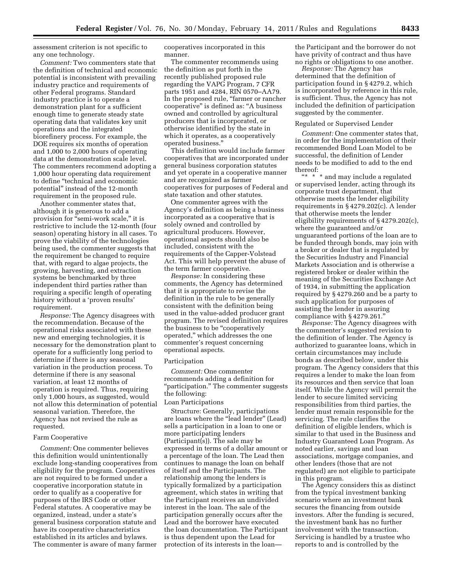assessment criterion is not specific to any one technology.

*Comment:* Two commenters state that the definition of technical and economic potential is inconsistent with prevailing industry practice and requirements of other Federal programs. Standard industry practice is to operate a demonstration plant for a sufficient enough time to generate steady state operating data that validates key unit operations and the integrated biorefinery process. For example, the DOE requires six months of operation and 1,000 to 2,000 hours of operating data at the demonstration scale level. The commenters recommend adopting a 1,000 hour operating data requirement to define ''technical and economic potential'' instead of the 12-month requirement in the proposed rule.

Another commenter states that, although it is generous to add a provision for "semi-work scale," it is restrictive to include the 12-month (four season) operating history in all cases. To prove the viability of the technologies being used, the commenter suggests that the requirement be changed to require that, with regard to algae projects, the growing, harvesting, and extraction systems be benchmarked by three independent third parties rather than requiring a specific length of operating history without a 'proven results' requirement.

*Response:* The Agency disagrees with the recommendation. Because of the operational risks associated with these new and emerging technologies, it is necessary for the demonstration plant to operate for a sufficiently long period to determine if there is any seasonal variation in the production process. To determine if there is any seasonal variation, at least 12 months of operation is required. Thus, requiring only 1,000 hours, as suggested, would not allow this determination of potential seasonal variation. Therefore, the Agency has not revised the rule as requested.

#### Farm Cooperative

*Comment:* One commenter believes this definition would unintentionally exclude long-standing cooperatives from eligibility for the program. Cooperatives are not required to be formed under a cooperative incorporation statute in order to qualify as a cooperative for purposes of the IRS Code or other Federal statutes. A cooperative may be organized, instead, under a state's general business corporation statute and have its cooperative characteristics established in its articles and bylaws. The commenter is aware of many farmer

cooperatives incorporated in this manner.

The commenter recommends using the definition as put forth in the recently published proposed rule regarding the VAPG Program, 7 CFR parts 1951 and 4284, RIN 0570–AA79. In the proposed rule, "farmer or rancher cooperative'' is defined as: ''A business owned and controlled by agricultural producers that is incorporated, or otherwise identified by the state in which it operates, as a cooperatively operated business.''

This definition would include farmer cooperatives that are incorporated under general business corporation statutes and yet operate in a cooperative manner and are recognized as farmer cooperatives for purposes of Federal and state taxation and other statutes.

One commenter agrees with the Agency's definition as being a business incorporated as a cooperative that is solely owned and controlled by agricultural producers. However, operational aspects should also be included, consistent with the requirements of the Capper-Volstead Act. This will help prevent the abuse of the term farmer cooperative.

*Response:* In considering these comments, the Agency has determined that it is appropriate to revise the definition in the rule to be generally consistent with the definition being used in the value-added producer grant program. The revised definition requires the business to be "cooperatively operated,'' which addresses the one commenter's request concerning operational aspects.

#### Participation

*Comment:* One commenter recommends adding a definition for "participation." The commenter suggests the following:

# Loan Participations

Structure: Generally, participations are loans where the ''lead lender'' (Lead) sells a participation in a loan to one or more participating lenders (Participant(s)). The sale may be expressed in terms of a dollar amount or a percentage of the loan. The Lead then continues to manage the loan on behalf of itself and the Participants. The relationship among the lenders is typically formalized by a participation agreement, which states in writing that the Participant receives an undivided interest in the loan. The sale of the participation generally occurs after the Lead and the borrower have executed the loan documentation. The Participant is thus dependent upon the Lead for protection of its interests in the loan—

the Participant and the borrower do not have privity of contract and thus have no rights or obligations to one another.

*Response:* The Agency has determined that the definition of participation found in § 4279.2, which is incorporated by reference in this rule, is sufficient. Thus, the Agency has not included the definition of participation suggested by the commenter.

#### Regulated or Supervised Lender

*Comment:* One commenter states that, in order for the implementation of their recommended Bond Loan Model to be successful, the definition of Lender needs to be modified to add to the end thereof:

''\* \* \* and may include a regulated or supervised lender, acting through its corporate trust department, that otherwise meets the lender eligibility requirements in § 4279.202(c). A lender that otherwise meets the lender eligibility requirements of § 4279.202(c), where the guaranteed and/or unguaranteed portions of the loan are to be funded through bonds, may join with a broker or dealer that is regulated by the Securities Industry and Financial Markets Association and is otherwise a registered broker or dealer within the meaning of the Securities Exchange Act of 1934, in submitting the application required by § 4279.260 and be a party to such application for purposes of assisting the lender in assuring compliance with § 4279.261.''

*Response:* The Agency disagrees with the commenter's suggested revision to the definition of lender. The Agency is authorized to guarantee loans, which in certain circumstances may include bonds as described below, under this program. The Agency considers that this requires a lender to make the loan from its resources and then service that loan itself. While the Agency will permit the lender to secure limited servicing responsibilities from third parties, the lender must remain responsible for the servicing. The rule clarifies the definition of eligible lenders, which is similar to that used in the Business and Industry Guaranteed Loan Program. As noted earlier, savings and loan associations, mortgage companies, and other lenders (those that are not regulated) are not eligible to participate in this program.

The Agency considers this as distinct from the typical investment banking scenario where an investment bank secures the financing from outside investors. After the funding is secured, the investment bank has no further involvement with the transaction. Servicing is handled by a trustee who reports to and is controlled by the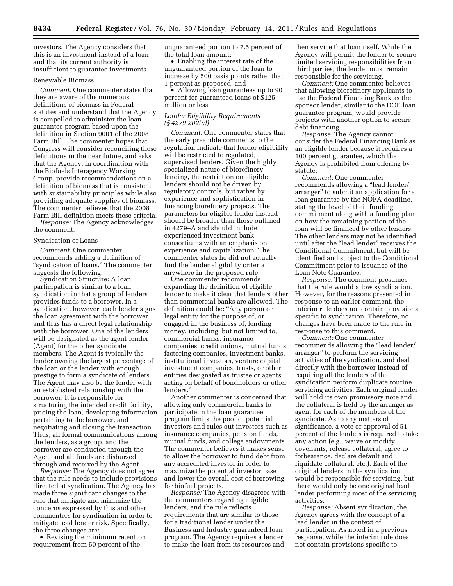investors. The Agency considers that this is an investment instead of a loan and that its current authority is insufficient to guarantee investments.

#### Renewable Biomass

*Comment:* One commenter states that they are aware of the numerous definitions of biomass in Federal statutes and understand that the Agency is compelled to administer the loan guarantee program based upon the definition in Section 9001 of the 2008 Farm Bill. The commenter hopes that Congress will consider reconciling these definitions in the near future, and asks that the Agency, in coordination with the Biofuels Interagency Working Group, provide recommendations on a definition of biomass that is consistent with sustainability principles while also providing adequate supplies of biomass. The commenter believes that the 2008 Farm Bill definition meets these criteria.

*Response:* The Agency acknowledges the comment.

#### Syndication of Loans

*Comment:* One commenter recommends adding a definition of "syndication of loans." The commenter suggests the following:

Syndication Structure: A loan participation is similar to a loan syndication in that a group of lenders provides funds to a borrower. In a syndication, however, each lender signs the loan agreement with the borrower and thus has a direct legal relationship with the borrower. One of the lenders will be designated as the agent-lender (Agent) for the other syndicate members. The Agent is typically the lender owning the largest percentage of the loan or the lender with enough prestige to form a syndicate of lenders. The Agent may also be the lender with an established relationship with the borrower. It is responsible for structuring the intended credit facility, pricing the loan, developing information pertaining to the borrower, and negotiating and closing the transaction. Thus, all formal communications among the lenders, as a group, and the borrower are conducted through the Agent and all funds are disbursed through and received by the Agent.

*Response:* The Agency does not agree that the rule needs to include provisions directed at syndication. The Agency has made three significant changes to the rule that mitigate and minimize the concerns expressed by this and other commenters for syndication in order to mitigate lead lender risk. Specifically, the three changes are:

• Revising the minimum retention requirement from 50 percent of the

unguaranteed portion to 7.5 percent of the total loan amount;

• Enabling the interest rate of the unguaranteed portion of the loan to increase by 500 basis points rather than 1 percent as proposed; and

• Allowing loan guarantees up to 90 percent for guaranteed loans of \$125 million or less.

## *Lender Eligibility Requirements (§ 4279.202(c))*

*Comment:* One commenter states that the early preamble comments to the regulation indicate that lender eligibility will be restricted to regulated, supervised lenders. Given the highly specialized nature of biorefinery lending, the restriction on eligible lenders should not be driven by regulatory controls, but rather by experience and sophistication in financing biorefinery projects. The parameters for eligible lender instead should be broader than those outlined in 4279–A and should include experienced investment bank consortiums with an emphasis on experience and capitalization. The commenter states he did not actually find the lender eligibility criteria anywhere in the proposed rule.

One commenter recommends expanding the definition of eligible lender to make it clear that lenders other than commercial banks are allowed. The definition could be: "Any person or legal entity for the purpose of, or engaged in the business of, lending money, including, but not limited to, commercial banks, insurance companies, credit unions, mutual funds, factoring companies, investment banks, institutional investors, venture capital investment companies, trusts, or other entities designated as trustee or agents acting on behalf of bondholders or other lenders.''

Another commenter is concerned that allowing only commercial banks to participate in the loan guarantee program limits the pool of potential investors and rules out investors such as insurance companies, pension funds, mutual funds, and college endowments. The commenter believes it makes sense to allow the borrower to fund debt from any accredited investor in order to maximize the potential investor base and lower the overall cost of borrowing for biofuel projects.

*Response:* The Agency disagrees with the commenters regarding eligible lenders, and the rule reflects requirements that are similar to those for a traditional lender under the Business and Industry guaranteed loan program. The Agency requires a lender to make the loan from its resources and

then service that loan itself. While the Agency will permit the lender to secure limited servicing responsibilities from third parties, the lender must remain responsible for the servicing.

*Comment:* One commenter believes that allowing biorefinery applicants to use the Federal Financing Bank as the sponsor lender, similar to the DOE loan guarantee program, would provide projects with another option to secure debt financing.

*Response:* The Agency cannot consider the Federal Financing Bank as an eligible lender because it requires a 100 percent guarantee, which the Agency is prohibited from offering by statute.

*Comment:* One commenter recommends allowing a ''lead lender/ arranger'' to submit an application for a loan guarantee by the NOFA deadline, stating the level of their funding commitment along with a funding plan on how the remaining portion of the loan will be financed by other lenders. The other lenders may not be identified until after the "lead lender" receives the Conditional Commitment, but will be identified and subject to the Conditional Commitment prior to issuance of the Loan Note Guarantee.

*Response:* The comment presumes that the rule would allow syndication. However, for the reasons presented in response to an earlier comment, the interim rule does not contain provisions specific to syndication. Therefore, no changes have been made to the rule in response to this comment.

*Comment:* One commenter recommends allowing the "lead lender/ arranger'' to perform the servicing activities of the syndication, and deal directly with the borrower instead of requiring all the lenders of the syndication perform duplicate routine servicing activities. Each original lender will hold its own promissory note and the collateral is held by the arranger as agent for each of the members of the syndicate. As to any matters of significance, a vote or approval of 51 percent of the lenders is required to take any action (e.g., waive or modify covenants, release collateral, agree to forbearance, declare default and liquidate collateral, etc.). Each of the original lenders in the syndication would be responsible for servicing, but there would only be one original lead lender performing most of the servicing activities.

*Response:* Absent syndication, the Agency agrees with the concept of a lead lender in the context of participation. As noted in a previous response, while the interim rule does not contain provisions specific to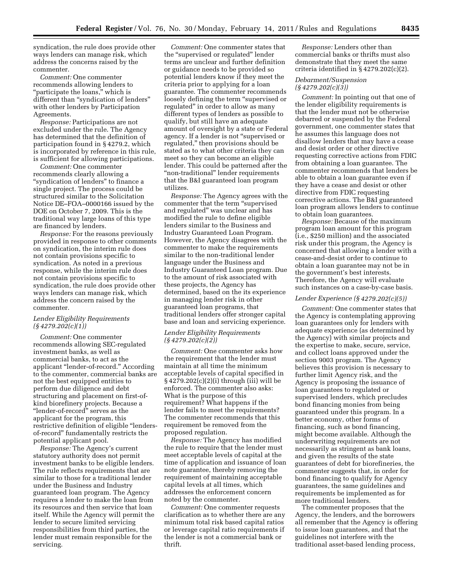syndication, the rule does provide other ways lenders can manage risk, which address the concerns raised by the commenter.

*Comment:* One commenter recommends allowing lenders to "participate the loans," which is different than ''syndication of lenders'' with other lenders by Participation Agreements.

*Response:* Participations are not excluded under the rule. The Agency has determined that the definition of participation found in § 4279.2, which is incorporated by reference in this rule, is sufficient for allowing participations.

*Comment:* One commenter recommends clearly allowing a "syndication of lenders" to finance a single project. The process could be structured similar to the Solicitation Notice DE–FOA–0000166 issued by the DOE on October 7, 2009. This is the traditional way large loans of this type are financed by lenders.

*Response:* For the reasons previously provided in response to other comments on syndication, the interim rule does not contain provisions specific to syndication. As noted in a previous response, while the interim rule does not contain provisions specific to syndication, the rule does provide other ways lenders can manage risk, which address the concern raised by the commenter.

# *Lender Eligibility Requirements (§ 4279.202(c)(1))*

*Comment:* One commenter recommends allowing SEC-regulated investment banks, as well as commercial banks, to act as the applicant ''lender-of-record.'' According to the commenter, commercial banks are not the best equipped entities to perform due diligence and debt structuring and placement on first-ofkind biorefinery projects. Because a ''lender-of-record'' serves as the applicant for the program, this restrictive definition of eligible ''lendersof-record'' fundamentally restricts the potential applicant pool.

*Response:* The Agency's current statutory authority does not permit investment banks to be eligible lenders. The rule reflects requirements that are similar to those for a traditional lender under the Business and Industry guaranteed loan program. The Agency requires a lender to make the loan from its resources and then service that loan itself. While the Agency will permit the lender to secure limited servicing responsibilities from third parties, the lender must remain responsible for the servicing.

*Comment:* One commenter states that the ''supervised or regulated'' lender terms are unclear and further definition or guidance needs to be provided so potential lenders know if they meet the criteria prior to applying for a loan guarantee. The commenter recommends loosely defining the term ''supervised or regulated'' in order to allow as many different types of lenders as possible to qualify, but still have an adequate amount of oversight by a state or Federal agency. If a lender is not ''supervised or regulated,'' then provisions should be stated as to what other criteria they can meet so they can become an eligible lender. This could be patterned after the ''non-traditional'' lender requirements that the B&I guaranteed loan program utilizes.

*Response:* The Agency agrees with the commenter that the term ''supervised and regulated'' was unclear and has modified the rule to define eligible lenders similar to the Business and Industry Guaranteed Loan Program. However, the Agency disagrees with the commenter to make the requirements similar to the non-traditional lender language under the Business and Industry Guaranteed Loan program. Due to the amount of risk associated with these projects, the Agency has determined, based on the its experience in managing lender risk in other guaranteed loan programs, that traditional lenders offer stronger capital base and loan and servicing experience.

#### *Lender Eligibility Requirements (§ 4279.202(c)(2))*

*Comment:* One commenter asks how the requirement that the lender must maintain at all time the minimum acceptable levels of capital specified in § 4279.202(c)(2)(i) through (iii) will be enforced. The commenter also asks: What is the purpose of this requirement? What happens if the lender fails to meet the requirements? The commenter recommends that this requirement be removed from the proposed regulation.

*Response:* The Agency has modified the rule to require that the lender must meet acceptable levels of capital at the time of application and issuance of loan note guarantee, thereby removing the requirement of maintaining acceptable capital levels at all times, which addresses the enforcement concern noted by the commenter.

*Comment:* One commenter requests clarification as to whether there are any minimum total risk based capital ratios or leverage capital ratio requirements if the lender is not a commercial bank or thrift.

*Response:* Lenders other than commercial banks or thrifts must also demonstrate that they meet the same criteria identified in § 4279.202(c)(2).

# *Debarment/Suspension (§ 4279.202(c)(3))*

*Comment:* In pointing out that one of the lender eligibility requirements is that the lender must not be otherwise debarred or suspended by the Federal government, one commenter states that he assumes this language does not disallow lenders that may have a cease and desist order or other directive requesting corrective actions from FDIC from obtaining a loan guarantee. The commenter recommends that lenders be able to obtain a loan guarantee even if they have a cease and desist or other directive from FDIC requesting corrective actions. The B&I guaranteed loan program allows lenders to continue to obtain loan guarantees.

*Response:* Because of the maximum program loan amount for this program (i.e., \$250 million) and the associated risk under this program, the Agency is concerned that allowing a lender with a cease-and-desist order to continue to obtain a loan guarantee may not be in the government's best interests. Therefore, the Agency will evaluate such instances on a case-by-case basis.

# *Lender Experience (§ 4279.202(c)(5))*

*Comment:* One commenter states that the Agency is contemplating approving loan guarantees only for lenders with adequate experience (as determined by the Agency) with similar projects and the expertise to make, secure, service, and collect loans approved under the section 9003 program. The Agency believes this provision is necessary to further limit Agency risk, and the Agency is proposing the issuance of loan guarantees to regulated or supervised lenders, which precludes bond financing monies from being guaranteed under this program. In a better economy, other forms of financing, such as bond financing, might become available. Although the underwriting requirements are not necessarily as stringent as bank loans, and given the results of the state guarantees of debt for biorefineries, the commenter suggests that, in order for bond financing to qualify for Agency guarantees, the same guidelines and requirements be implemented as for more traditional lenders.

The commenter proposes that the Agency, the lenders, and the borrowers all remember that the Agency is offering to issue loan guarantees, and that the guidelines not interfere with the traditional asset-based lending process,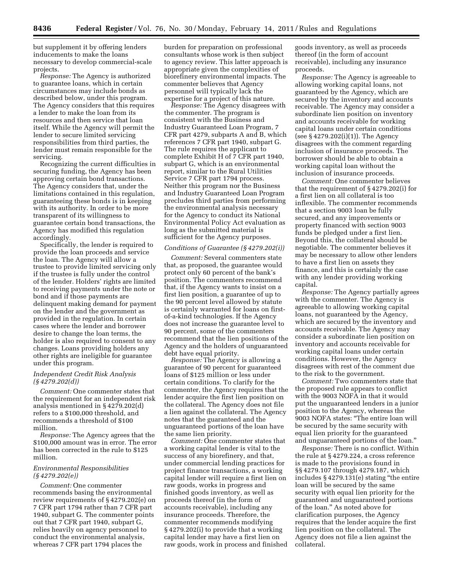but supplement it by offering lenders inducements to make the loans necessary to develop commercial-scale projects.

*Response:* The Agency is authorized to guarantee loans, which in certain circumstances may include bonds as described below, under this program. The Agency considers that this requires a lender to make the loan from its resources and then service that loan itself. While the Agency will permit the lender to secure limited servicing responsibilities from third parties, the lender must remain responsible for the servicing.

Recognizing the current difficulties in securing funding, the Agency has been approving certain bond transactions. The Agency considers that, under the limitations contained in this regulation, guaranteeing these bonds is in keeping with its authority. In order to be more transparent of its willingness to guarantee certain bond transactions, the Agency has modified this regulation accordingly.

Specifically, the lender is required to provide the loan proceeds and service the loan. The Agency will allow a trustee to provide limited servicing only if the trustee is fully under the control of the lender. Holders' rights are limited to receiving payments under the note or bond and if those payments are delinquent making demand for payment on the lender and the government as provided in the regulation. In certain cases where the lender and borrower desire to change the loan terms, the holder is also required to consent to any changes. Loans providing holders any other rights are ineligible for guarantee under this program.

# *Independent Credit Risk Analysis (§ 4279.202(d))*

*Comment:* One commenter states that the requirement for an independent risk analysis mentioned in § 4279.202(d) refers to a \$100,000 threshold, and recommends a threshold of \$100 million.

*Response:* The Agency agrees that the \$100,000 amount was in error. The error has been corrected in the rule to \$125 million.

# *Environmental Responsibilities (§ 4279.202(e))*

*Comment:* One commenter recommends basing the environmental review requirements of § 4279.202(e) on 7 CFR part 1794 rather than 7 CFR part 1940, subpart G. The commenter points out that 7 CFR part 1940, subpart G, relies heavily on agency personnel to conduct the environmental analysis, whereas 7 CFR part 1794 places the

burden for preparation on professional consultants whose work is then subject to agency review. This latter approach is appropriate given the complexities of biorefinery environmental impacts. The commenter believes that Agency personnel will typically lack the expertise for a project of this nature.

*Response:* The Agency disagrees with the commenter. The program is consistent with the Business and Industry Guaranteed Loan Program, 7 CFR part 4279, subparts A and B, which references 7 CFR part 1940, subpart G. The rule requires the applicant to complete Exhibit H of 7 CFR part 1940, subpart G, which is an environmental report, similar to the Rural Utilities Service 7 CFR part 1794 process. Neither this program nor the Business and Industry Guaranteed Loan Program precludes third parties from performing the environmental analysis necessary for the Agency to conduct its National Environmental Policy Act evaluation as long as the submitted material is sufficient for the Agency purposes.

# *Conditions of Guarantee (§ 4279.202(i))*

*Comment:* Several commenters state that, as proposed, the guarantee would protect only 60 percent of the bank's position. The commenters recommend that, if the Agency wants to insist on a first lien position, a guarantee of up to the 90 percent level allowed by statute is certainly warranted for loans on firstof-a-kind technologies. If the Agency does not increase the guarantee level to 90 percent, some of the commenters recommend that the lien positions of the Agency and the holders of unguaranteed debt have equal priority.

*Response:* The Agency is allowing a guarantee of 90 percent for guaranteed loans of \$125 million or less under certain conditions. To clarify for the commenter, the Agency requires that the lender acquire the first lien position on the collateral. The Agency does not file a lien against the collateral. The Agency notes that the guaranteed and the unguaranteed portions of the loan have the same lien priority.

*Comment:* One commenter states that a working capital lender is vital to the success of any biorefinery, and that, under commercial lending practices for project finance transactions, a working capital lender will require a first lien on raw goods, works in progress and finished goods inventory, as well as proceeds thereof (in the form of accounts receivable), including any insurance proceeds. Therefore, the commenter recommends modifying § 4279.202(i) to provide that a working capital lender may have a first lien on raw goods, work in process and finished

goods inventory, as well as proceeds thereof (in the form of account receivable), including any insurance proceeds.

*Response:* The Agency is agreeable to allowing working capital loans, not guaranteed by the Agency, which are secured by the inventory and accounts receivable. The Agency may consider a subordinate lien position on inventory and accounts receivable for working capital loans under certain conditions (see § 4279.202(i)(1)). The Agency disagrees with the comment regarding inclusion of insurance proceeds. The borrower should be able to obtain a working capital loan without the inclusion of insurance proceeds.

*Comment:* One commenter believes that the requirement of § 4279.202(i) for a first lien on all collateral is too inflexible. The commenter recommends that a section 9003 loan be fully secured, and any improvements or property financed with section 9003 funds be pledged under a first lien. Beyond this, the collateral should be negotiable. The commenter believes it may be necessary to allow other lenders to have a first lien on assets they finance, and this is certainly the case with any lender providing working capital.

*Response:* The Agency partially agrees with the commenter. The Agency is agreeable to allowing working capital loans, not guaranteed by the Agency, which are secured by the inventory and accounts receivable. The Agency may consider a subordinate lien position on inventory and accounts receivable for working capital loans under certain conditions. However, the Agency disagrees with rest of the comment due to the risk to the government.

*Comment:* Two commenters state that the proposed rule appears to conflict with the 9003 NOFA in that it would put the unguaranteed lenders in a junior position to the Agency, whereas the 9003 NOFA states: ''The entire loan will be secured by the same security with equal lien priority for the guaranteed and unguaranteed portions of the loan.''

*Response:* There is no conflict. Within the rule at § 4279.224, a cross reference is made to the provisions found in §§ 4279.107 through 4279.187, which includes § 4279.131(e) stating ''the entire loan will be secured by the same security with equal lien priority for the guaranteed and unguaranteed portions of the loan.'' As noted above for clarification purposes, the Agency requires that the lender acquire the first lien position on the collateral. The Agency does not file a lien against the collateral.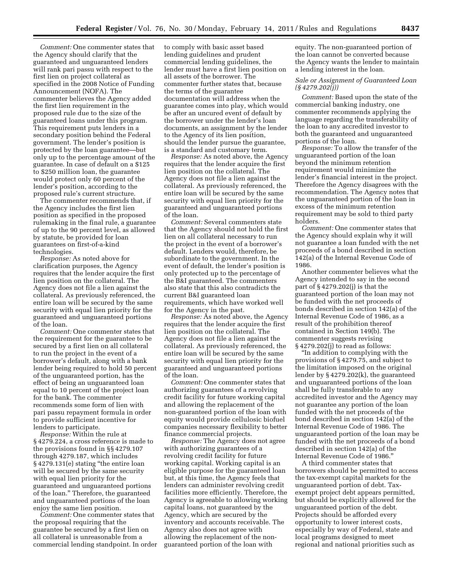*Comment:* One commenter states that the Agency should clarify that the guaranteed and unguaranteed lenders will rank pari passu with respect to the first lien on project collateral as specified in the 2008 Notice of Funding Announcement (NOFA). The commenter believes the Agency added the first lien requirement in the proposed rule due to the size of the guaranteed loans under this program. This requirement puts lenders in a secondary position behind the Federal government. The lender's position is protected by the loan guarantee—but only up to the percentage amount of the guarantee. In case of default on a \$125 to \$250 million loan, the guarantee would protect only 60 percent of the lender's position, according to the proposed rule's current structure.

The commenter recommends that, if the Agency includes the first lien position as specified in the proposed rulemaking in the final rule, a guarantee of up to the 90 percent level, as allowed by statute, be provided for loan guarantees on first-of-a-kind technologies.

*Response:* As noted above for clarification purposes, the Agency requires that the lender acquire the first lien position on the collateral. The Agency does not file a lien against the collateral. As previously referenced, the entire loan will be secured by the same security with equal lien priority for the guaranteed and unguaranteed portions of the loan.

*Comment:* One commenter states that the requirement for the guarantee to be secured by a first lien on all collateral to run the project in the event of a borrower's default, along with a bank lender being required to hold 50 percent of the unguaranteed portion, has the effect of being an unguaranteed loan equal to 10 percent of the project loan for the bank. The commenter recommends some form of lien with pari passu repayment formula in order to provide sufficient incentive for lenders to participate.

*Response:* Within the rule at § 4279.224, a cross reference is made to the provisions found in §§ 4279.107 through 4279.187, which includes § 4279.131(e) stating ''the entire loan will be secured by the same security with equal lien priority for the guaranteed and unguaranteed portions of the loan.'' Therefore, the guaranteed and unguaranteed portions of the loan enjoy the same lien position.

*Comment:* One commenter states that the proposal requiring that the guarantee be secured by a first lien on all collateral is unreasonable from a commercial lending standpoint. In order to comply with basic asset based lending guidelines and prudent commercial lending guidelines, the lender must have a first lien position on all assets of the borrower. The commenter further states that, because the terms of the guarantee documentation will address when the guarantee comes into play, which would be after an uncured event of default by the borrower under the lender's loan documents, an assignment by the lender to the Agency of its lien position, should the lender pursue the guarantee, is a standard and customary term.

*Response:* As noted above, the Agency requires that the lender acquire the first lien position on the collateral. The Agency does not file a lien against the collateral. As previously referenced, the entire loan will be secured by the same security with equal lien priority for the guaranteed and unguaranteed portions of the loan.

*Comment:* Several commenters state that the Agency should not hold the first lien on all collateral necessary to run the project in the event of a borrower's default. Lenders would, therefore, be subordinate to the government. In the event of default, the lender's position is only protected up to the percentage of the B&I guaranteed. The commenters also state that this also contradicts the current B&I guaranteed loan requirements, which have worked well for the Agency in the past.

*Response:* As noted above, the Agency requires that the lender acquire the first lien position on the collateral. The Agency does not file a lien against the collateral. As previously referenced, the entire loan will be secured by the same security with equal lien priority for the guaranteed and unguaranteed portions of the loan.

*Comment:* One commenter states that authorizing guarantees of a revolving credit facility for future working capital and allowing the replacement of the non-guaranteed portion of the loan with equity would provide cellulosic biofuel companies necessary flexibility to better finance commercial projects.

*Response:* The Agency does not agree with authorizing guarantees of a revolving credit facility for future working capital. Working capital is an eligible purpose for the guaranteed loan but, at this time, the Agency feels that lenders can administer revolving credit facilities more efficiently. Therefore, the Agency is agreeable to allowing working capital loans, not guaranteed by the Agency, which are secured by the inventory and accounts receivable. The Agency also does not agree with allowing the replacement of the nonguaranteed portion of the loan with

equity. The non-guaranteed portion of the loan cannot be converted because the Agency wants the lender to maintain a lending interest in the loan.

# *Sale or Assignment of Guaranteed Loan (§ 4279.202(j))*

*Comment:* Based upon the state of the commercial banking industry, one commenter recommends applying the language regarding the transferability of the loan to any accredited investor to both the guaranteed and unguaranteed portions of the loan.

*Response:* To allow the transfer of the unguaranteed portion of the loan beyond the minimum retention requirement would minimize the lender's financial interest in the project. Therefore the Agency disagrees with the recommendation. The Agency notes that the unguaranteed portion of the loan in excess of the minimum retention requirement may be sold to third party holders.

*Comment:* One commenter states that the Agency should explain why it will not guarantee a loan funded with the net proceeds of a bond described in section 142(a) of the Internal Revenue Code of 1986.

Another commenter believes what the Agency intended to say in the second part of § 4279.202(j) is that the guaranteed portion of the loan may not be funded with the net proceeds of bonds described in section 142(a) of the Internal Revenue Code of 1986, as a result of the prohibition thereof contained in Section 149(b). The commenter suggests revising § 4279.202(j) to read as follows:

''In addition to complying with the provisions of § 4279.75, and subject to the limitation imposed on the original lender by § 4279.202(k), the guaranteed and unguaranteed portions of the loan shall be fully transferable to any accredited investor and the Agency may not guarantee any portion of the loan funded with the net proceeds of the bond described in section 142(a) of the Internal Revenue Code of 1986. The unguaranteed portion of the loan may be funded with the net proceeds of a bond described in section 142(a) of the Internal Revenue Code of 1986.''

A third commenter states that borrowers should be permitted to access the tax-exempt capital markets for the unguaranteed portion of debt. Taxexempt project debt appears permitted, but should be explicitly allowed for the unguaranteed portion of the debt. Projects should be afforded every opportunity to lower interest costs, especially by way of Federal, state and local programs designed to meet regional and national priorities such as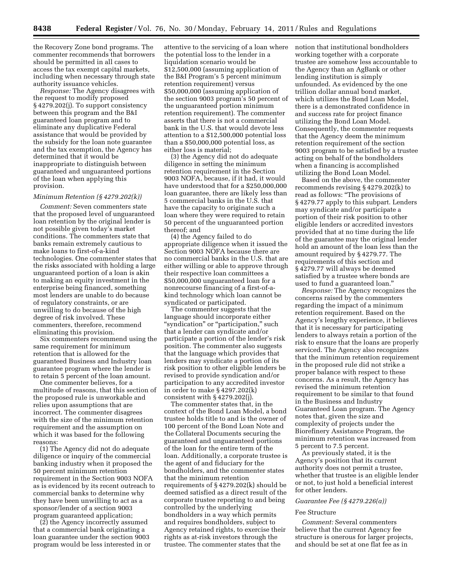the Recovery Zone bond programs. The commenter recommends that borrowers should be permitted in all cases to access the tax exempt capital markets, including when necessary through state authority issuance vehicles.

*Response:* The Agency disagrees with the request to modify proposed § 4279.202(j). To support consistency between this program and the B&I guaranteed loan program and to eliminate any duplicative Federal assistance that would be provided by the subsidy for the loan note guarantee and the tax exemption, the Agency has determined that it would be inappropriate to distinguish between guaranteed and unguaranteed portions of the loan when applying this provision.

#### *Minimum Retention (§ 4279.202(k))*

*Comment:* Seven commenters state that the proposed level of unguaranteed loan retention by the original lender is not possible given today's market conditions. The commenters state that banks remain extremely cautious to make loans to first-of-a-kind technologies. One commenter states that the risks associated with holding a large unguaranteed portion of a loan is akin to making an equity investment in the enterprise being financed, something most lenders are unable to do because of regulatory constraints, or are unwilling to do because of the high degree of risk involved. These commenters, therefore, recommend eliminating this provision.

Six commenters recommend using the same requirement for minimum retention that is allowed for the guaranteed Business and Industry loan guarantee program where the lender is to retain 5 percent of the loan amount.

One commenter believes, for a multitude of reasons, that this section of the proposed rule is unworkable and relies upon assumptions that are incorrect. The commenter disagrees with the size of the minimum retention requirement and the assumption on which it was based for the following reasons:

(1) The Agency did not do adequate diligence or inquiry of the commercial banking industry when it proposed the 50 percent minimum retention requirement in the Section 9003 NOFA as is evidenced by its recent outreach to commercial banks to determine why they have been unwilling to act as a sponsor/lender of a section 9003 program guaranteed application;

(2) the Agency incorrectly assumed that a commercial bank originating a loan guarantee under the section 9003 program would be less interested in or

attentive to the servicing of a loan where the potential loss to the lender in a liquidation scenario would be \$12,500,000 (assuming application of the B&I Program's 5 percent minimum retention requirement) versus \$50,000,000 (assuming application of the section 9003 program's 50 percent of the unguaranteed portion minimum retention requirement). The commenter asserts that there is not a commercial bank in the U.S. that would devote less attention to a \$12,500,000 potential loss than a \$50,000,000 potential loss, as either loss is material;

(3) the Agency did not do adequate diligence in setting the minimum retention requirement in the Section 9003 NOFA, because, if it had, it would have understood that for a \$250,000,000 loan guarantee, there are likely less than 5 commercial banks in the U.S. that have the capacity to originate such a loan where they were required to retain 50 percent of the unguaranteed portion thereof; and

(4) the Agency failed to do appropriate diligence when it issued the Section 9003 NOFA because there are no commercial banks in the U.S. that are either willing or able to approve through their respective loan committees a \$50,000,000 unguaranteed loan for a nonrecourse financing of a first-of-akind technology which loan cannot be syndicated or participated.

The commenter suggests that the language should incorporate either ''syndication'' or ''participation,'' such that a lender can syndicate and/or participate a portion of the lender's risk position. The commenter also suggests that the language which provides that lenders may syndicate a portion of its risk position to other eligible lenders be revised to provide syndication and/or participation to any accredited investor in order to make § 4297.202(k) consistent with § 4279.202(j).

The commenter states that, in the context of the Bond Loan Model, a bond trustee holds title to and is the owner of 100 percent of the Bond Loan Note and the Collateral Documents securing the guaranteed and unguaranteed portions of the loan for the entire term of the loan. Additionally, a corporate trustee is the agent of and fiduciary for the bondholders, and the commenter states that the minimum retention requirements of § 4279.202(k) should be deemed satisfied as a direct result of the corporate trustee reporting to and being controlled by the underlying bondholders in a way which permits and requires bondholders, subject to Agency retained rights, to exercise their rights as at-risk investors through the trustee. The commenter states that the

notion that institutional bondholders working together with a corporate trustee are somehow less accountable to the Agency than an AgBank or other lending institution is simply unfounded. As evidenced by the one trillion dollar annual bond market, which utilizes the Bond Loan Model, there is a demonstrated confidence in and success rate for project finance utilizing the Bond Loan Model. Consequently, the commenter requests that the Agency deem the minimum retention requirement of the section 9003 program to be satisfied by a trustee acting on behalf of the bondholders when a financing is accomplished utilizing the Bond Loan Model.

Based on the above, the commenter recommends revising § 4279.202(k) to read as follows: ''The provisions of § 4279.77 apply to this subpart. Lenders may syndicate and/or participate a portion of their risk position to other eligible lenders or accredited investors provided that at no time during the life of the guarantee may the original lender hold an amount of the loan less than the amount required by § 4279.77. The requirements of this section and § 4279.77 will always be deemed satisfied by a trustee where bonds are used to fund a guaranteed loan.''

*Response:* The Agency recognizes the concerns raised by the commenters regarding the impact of a minimum retention requirement. Based on the Agency's lengthy experience, it believes that it is necessary for participating lenders to always retain a portion of the risk to ensure that the loans are properly serviced. The Agency also recognizes that the minimum retention requirement in the proposed rule did not strike a proper balance with respect to these concerns. As a result, the Agency has revised the minimum retention requirement to be similar to that found in the Business and Industry Guaranteed Loan program. The Agency notes that, given the size and complexity of projects under the Biorefinery Assistance Program, the minimum retention was increased from 5 percent to 7.5 percent.

As previously stated, it is the Agency's position that its current authority does not permit a trustee, whether that trustee is an eligible lender or not, to just hold a beneficial interest for other lenders.

#### *Guarantee Fee (§ 4279.226(a))*

#### Fee Structure

*Comment:* Several commenters believe that the current Agency fee structure is onerous for larger projects, and should be set at one flat fee as in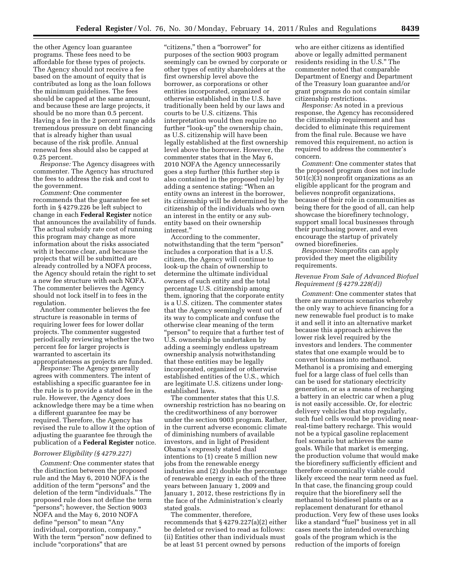the other Agency loan guarantee programs. These fees need to be affordable for these types of projects. The Agency should not receive a fee based on the amount of equity that is contributed as long as the loan follows the minimum guidelines. The fees should be capped at the same amount, and because these are large projects, it should be no more than 0.5 percent. Having a fee in the 2 percent range adds tremendous pressure on debt financing that is already higher than usual because of the risk profile. Annual renewal fees should also be capped at 0.25 percent.

*Response:* The Agency disagrees with commenter. The Agency has structured the fees to address the risk and cost to the government.

*Comment:* One commenter recommends that the guarantee fee set forth in § 4279.226 be left subject to change in each **Federal Register** notice that announces the availability of funds. The actual subsidy rate cost of running this program may change as more information about the risks associated with it become clear, and because the projects that will be submitted are already controlled by a NOFA process, the Agency should retain the right to set a new fee structure with each NOFA. The commenter believes the Agency should not lock itself in to fees in the regulation.

Another commenter believes the fee structure is reasonable in terms of requiring lower fees for lower dollar projects. The commenter suggested periodically reviewing whether the two percent fee for larger projects is warranted to ascertain its appropriateness as projects are funded.

*Response:* The Agency generally agrees with commenters. The intent of establishing a specific guarantee fee in the rule is to provide a stated fee in the rule. However, the Agency does acknowledge there may be a time when a different guarantee fee may be required. Therefore, the Agency has revised the rule to allow it the option of adjusting the guarantee fee through the publication of a **Federal Register** notice.

#### *Borrower Eligibility (§ 4279.227)*

*Comment:* One commenter states that the distinction between the proposed rule and the May 6, 2010 NOFA is the addition of the term ''persons'' and the deletion of the term ''individuals.'' The proposed rule does not define the term ''persons''; however, the Section 9003 NOFA and the May 6, 2010 NOFA define "person" to mean "Any individual, corporation, company.'' With the term "person" now defined to include "corporations" that are

"citizens," then a "borrower" for purposes of the section 9003 program seemingly can be owned by corporate or other types of entity shareholders at the first ownership level above the borrower, as corporations or other entities incorporated, organized or otherwise established in the U.S. have traditionally been held by our laws and courts to be U.S. citizens. This interpretation would then require no further "look-up" the ownership chain, as U.S. citizenship will have been legally established at the first ownership level above the borrower. However, the commenter states that in the May 6, 2010 NOFA the Agency unnecessarily goes a step further (this further step is also contained in the proposed rule) by adding a sentence stating: ''When an entity owns an interest in the borrower, its citizenship will be determined by the citizenship of the individuals who own an interest in the entity or any subentity based on their ownership interest.''

According to the commenter, notwithstanding that the term "person" includes a corporation that is a U.S. citizen, the Agency will continue to look-up the chain of ownership to determine the ultimate individual owners of such entity and the total percentage U.S. citizenship among them, ignoring that the corporate entity is a U.S. citizen. The commenter states that the Agency seemingly went out of its way to complicate and confuse the otherwise clear meaning of the term "person" to require that a further test of U.S. ownership be undertaken by adding a seemingly endless upstream ownership analysis notwithstanding that these entities may be legally incorporated, organized or otherwise established entities of the U.S., which are legitimate U.S. citizens under longestablished laws.

The commenter states that this U.S. ownership restriction has no bearing on the creditworthiness of any borrower under the section 9003 program. Rather, in the current adverse economic climate of diminishing numbers of available investors, and in light of President Obama's expressly stated dual intentions to (1) create 5 million new jobs from the renewable energy industries and (2) double the percentage of renewable energy in each of the three years between January 1, 2009 and January 1, 2012, these restrictions fly in the face of the Administration's clearly stated goals.

The commenter, therefore, recommends that § 4279.227(a)(2) either be deleted or revised to read as follows: (ii) Entities other than individuals must be at least 51 percent owned by persons

who are either citizens as identified above or legally admitted permanent residents residing in the U.S.'' The commenter noted that comparable Department of Energy and Department of the Treasury loan guarantee and/or grant programs do not contain similar citizenship restrictions.

*Response:* As noted in a previous response, the Agency has reconsidered the citizenship requirement and has decided to eliminate this requirement from the final rule. Because we have removed this requirement, no action is required to address the commenter's concern.

*Comment:* One commenter states that the proposed program does not include  $501(c)(3)$  nonprofit organizations as an eligible applicant for the program and believes nonprofit organizations, because of their role in communities as being there for the good of all, can help showcase the biorefinery technology, support small local businesses through their purchasing power, and even encourage the startup of privately owned biorefineries.

*Response:* Nonprofits can apply provided they meet the eligibility requirements.

# *Revenue From Sale of Advanced Biofuel Requirement (§ 4279.228(d))*

*Comment:* One commenter states that there are numerous scenarios whereby the only way to achieve financing for a new renewable fuel product is to make it and sell it into an alternative market because this approach achieves the lower risk level required by the investors and lenders. The commenter states that one example would be to convert biomass into methanol. Methanol is a promising and emerging fuel for a large class of fuel cells than can be used for stationary electricity generation, or as a means of recharging a battery in an electric car when a plug is not easily accessible. Or, for electric delivery vehicles that stop regularly, such fuel cells would be providing nearreal-time battery recharge. This would not be a typical gasoline replacement fuel scenario but achieves the same goals. While that market is emerging, the production volume that would make the biorefinery sufficiently efficient and therefore economically viable could likely exceed the near term need as fuel. In that case, the financing group could require that the biorefinery sell the methanol to biodiesel plants or as a replacement denaturant for ethanol production. Very few of these uses looks like a standard "fuel" business yet in all cases meets the intended overarching goals of the program which is the reduction of the imports of foreign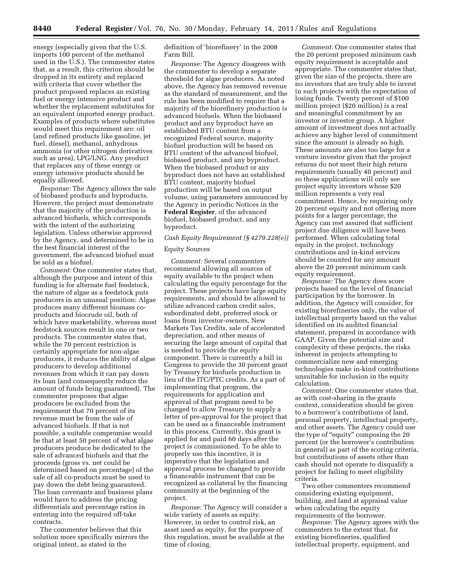energy (especially given that the U.S. imports 100 percent of the methanol used in the U.S.). The commenter states that, as a result, this criterion should be dropped in its entirety and replaced with criteria that cover whether the product proposed replaces an existing fuel or energy intensive product and whether the replacement substitutes for an equivalent imported energy product. Examples of products where substitutes would meet this requirement are: oil (and refined products like gasoline, jet fuel, diesel), methanol, anhydrous ammonia (or other nitrogen derivatives such as urea), LPG/LNG. Any product that replaces any of these energy or energy intensive products should be equally allowed.

*Response:* The Agency allows the sale of biobased products and byproducts. However, the project must demonstrate that the majority of the production is advanced biofuels, which corresponds with the intent of the authorizing legislation. Unless otherwise approved by the Agency, and determined to be in the best financial interest of the government, the advanced biofuel must be sold as a biofuel.

*Comment:* One commenter states that, although the purpose and intent of this funding is for alternate fuel feedstock, the nature of algae as a feedstock puts producers in an unusual position: Algae produces many different biomass coproducts and biocrude oil, both of which have marketability, whereas most feedstock sources result in one or two products. The commenter states that, while the 70 percent restriction is certainly appropriate for non-algae producers, it reduces the ability of algae producers to develop additional revenues from which it can pay down its loan (and consequently reduce the amount of funds being guaranteed). The commenter proposes that algae producers be excluded from the requirement that 70 percent of its revenue must be from the sale of advanced biofuels. If that is not possible, a suitable compromise would be that at least 50 percent of what algae producers produce be dedicated to the sale of advanced biofuels and that the proceeds (gross vs. net could be determined based on percentage) of the sale of all co-products must be used to pay down the debt being guaranteed. The loan covenants and business plans would have to address the pricing differentials and percentage ratios in entering into the required off-take contracts.

The commenter believes that this solution more specifically mirrors the original intent, as stated in the

definition of 'biorefinery' in the 2008 Farm Bill.

*Response:* The Agency disagrees with the commenter to develop a separate threshold for algae producers. As noted above, the Agency has removed revenue as the standard of measurement, and the rule has been modified to require that a majority of the biorefinery production is advanced biofuels. When the biobased product and any byproduct have an established BTU content from a recognized Federal source, majority biofuel production will be based on BTU content of the advanced biofuel, biobased product, and any byproduct. When the biobased product or any byproduct does not have an established BTU content, majority biofuel production will be based on output volume, using parameters announced by the Agency in periodic Notices in the **Federal Register**, of the advanced biofuel, biobased product, and any byproduct.

#### *Cash Equity Requirement (§ 4279.228(e))*

#### Equity Sources

*Comment:* Several commenters recommend allowing all sources of equity available to the project when calculating the equity percentage for the project. These projects have large equity requirements, and should be allowed to utilize advanced carbon credit sales, subordinated debt, preferred stock or loans from investor-owners, New Markets Tax Credits, sale of accelerated depreciation, and other means of securing the large amount of capital that is needed to provide the equity component. There is currently a bill in Congress to provide the 30 percent grant by Treasury for biofuels production in lieu of the ITC/PTC credits. As a part of implementing that program, the requirements for application and approval of that program need to be changed to allow Treasury to supply a letter of pre-approval for the project that can be used as a financeable instrument in this process. Currently, this grant is applied for and paid 60 days after the project is commissioned. To be able to properly use this incentive, it is imperative that the legislation and approval process be changed to provide a financeable instrument that can be recognized as collateral by the financing community at the beginning of the project.

*Response:* The Agency will consider a wide variety of assets as equity. However, in order to control risk, an asset used as equity, for the purpose of this regulation, must be available at the time of closing.

*Comment:* One commenter states that the 20 percent proposed minimum cash equity requirement is acceptable and appropriate. The commenter states that, given the size of the projects, there are no investors that are truly able to invest in such projects with the expectation of losing funds. Twenty percent of \$100 million project (\$20 million) is a real and meaningful commitment by an investor or investor group. A higher amount of investment does not actually achieve any higher level of commitment since the amount is already so high. These amounts are also too large for a venture investor given that the project returns do not meet their high return requirements (usually 40 percent) and so these applications will only see project equity investors whose \$20 million represents a very real commitment. Hence, by requiring only 20 percent equity and not offering more points for a larger percentage, the Agency can rest assured that sufficient project due diligence will have been performed. When calculating total equity in the project, technology contributions and in-kind services should be counted for any amount above the 20 percent minimum cash equity requirement.

*Response:* The Agency does score projects based on the level of financial participation by the borrower. In addition, the Agency will consider, for existing biorefineries only, the value of intellectual property based on the value identified on its audited financial statement, prepared in accordance with GAAP. Given the potential size and complexity of these projects, the risks inherent in projects attempting to commercialize new and emerging technologies make in-kind contributions unsuitable for inclusion in the equity calculation.

*Comment:* One commenter states that, as with cost-sharing in the grants context, consideration should be given to a borrower's contributions of land, personal property, intellectual property, and other assets. The Agency could use the type of "equity" composing the 20 percent (or the borrower's contribution in general) as part of the scoring criteria, but contributions of assets other than cash should not operate to disqualify a project for failing to meet eligibility criteria.

Two other commenters recommend considering existing equipment, building, and land at appraisal value when calculating the equity requirements of the borrower.

*Response:* The Agency agrees with the commenters to the extent that, for existing biorefineries, qualified intellectual property, equipment, and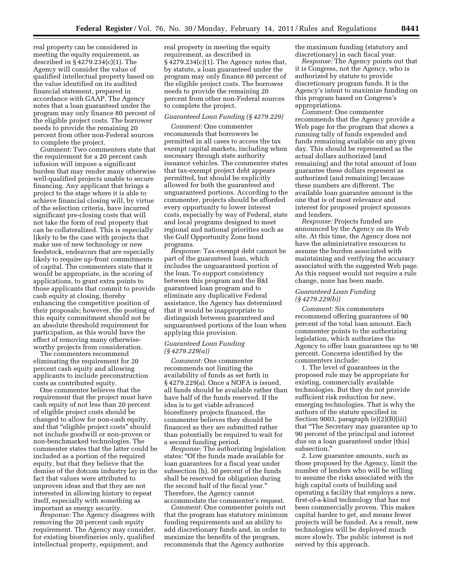real property can be considered in meeting the equity requirement, as described in § 4279.234(c)(1). The Agency will consider the value of qualified intellectual property based on the value identified on its audited financial statement, prepared in accordance with GAAP. The Agency notes that a loan guaranteed under the program may only finance 80 percent of the eligible project costs. The borrower needs to provide the remaining 20 percent from other non-Federal sources to complete the project.

*Comment:* Two commenters state that the requirement for a 20 percent cash infusion will impose a significant burden that may render many otherwise well-qualified projects unable to secure financing. Any applicant that brings a project to the stage where it is able to achieve financial closing will, by virtue of the selection criteria, have incurred significant pre-closing costs that will not take the form of real property that can be collateralized. This is especially likely to be the case with projects that make use of new technology or new feedstock, endeavors that are especially likely to require up-front commitments of capital. The commenters state that it would be appropriate, in the scoring of applications, to grant extra points to those applicants that commit to provide cash equity at closing, thereby enhancing the competitive position of their proposals; however, the posting of this equity commitment should not be an absolute threshold requirement for participation, as this would have the effect of removing many otherwiseworthy projects from consideration.

The commenters recommend eliminating the requirement for 20 percent cash equity and allowing applicants to include preconstruction costs as contributed equity.

One commenter believes that the requirement that the project must have cash equity of not less than 20 percent of eligible project costs should be changed to allow for non-cash equity, and that ''eligible project costs'' should not include goodwill or non-proven or non-benchmarked technologies. The commenter states that the latter could be included as a portion of the required equity, but that they believe that the demise of the dotcom industry lay in the fact that values were attributed to unproven ideas and that they are not interested in allowing history to repeat itself, especially with something as important as energy security.

*Response:* The Agency disagrees with removing the 20 percent cash equity requirement. The Agency may consider, for existing biorefineries only, qualified intellectual property, equipment, and

real property in meeting the equity requirement, as described in § 4279.234(c)(1). The Agency notes that, by statute, a loan guaranteed under the program may only finance 80 percent of the eligible project costs. The borrower needs to provide the remaining 20 percent from other non-Federal sources to complete the project.

#### *Guaranteed Loan Funding (§ 4279.229)*

*Comment:* One commenter recommends that borrowers be permitted in all cases to access the tax exempt capital markets, including when necessary through state authority issuance vehicles. The commenter states that tax-exempt project debt appears permitted, but should be explicitly allowed for both the guaranteed and unguaranteed portions. According to the commenter, projects should be afforded every opportunity to lower interest costs, especially by way of Federal, state and local programs designed to meet regional and national priorities such as the Gulf Opportunity Zone bond programs.

*Response:* Tax-exempt debt cannot be part of the guaranteed loan, which includes the unguaranteed portion of the loan. To support consistency between this program and the B&I guaranteed loan program and to eliminate any duplicative Federal assistance, the Agency has determined that it would be inappropriate to distinguish between guaranteed and unguaranteed portions of the loan when applying this provision.

#### *Guaranteed Loan Funding (§ 4279.229(a))*

*Comment:* One commenter recommends not limiting the availability of funds as set forth in § 4279.229(a). Once a NOFA is issued, all funds should be available rather than have half of the funds reserved. If the idea is to get viable advanced biorefinery projects financed, the commenter believes they should be financed as they are submitted rather than potentially be required to wait for a second funding period.

*Response:* The authorizing legislation states: ''Of the funds made available for loan guarantees for a fiscal year under subsection (h), 50 percent of the funds shall be reserved for obligation during the second half of the fiscal year.'' Therefore, the Agency cannot accommodate the commenter's request.

*Comment:* One commenter points out that the program has statutory minimum funding requirements and an ability to add discretionary funds and, in order to maximize the benefits of the program, recommends that the Agency authorize

the maximum funding (statutory and discretionary) in each fiscal year.

*Response:* The Agency points out that it is Congress, not the Agency, who is authorized by statute to provide discretionary program funds. It is the Agency's intent to maximize funding on this program based on Congress's appropriations.

*Comment:* One commenter recommends that the Agency provide a Web page for the program that shows a running tally of funds expended and funds remaining available on any given day. This should be represented as the actual dollars authorized (and remaining) and the total amount of loan guarantee these dollars represent as authorized (and remaining) because these numbers are different. The available loan guarantee amount is the one that is of most relevance and interest for proposed project sponsors and lenders.

*Response:* Projects funded are announced by the Agency on its Web site. At this time, the Agency does not have the administrative resources to assume the burden associated with maintaining and verifying the accuracy associated with the suggested Web page. As this request would not require a rule change, none has been made.

#### *Guaranteed Loan Funding (§ 4279.229(b))*

*Comment:* Six commenters recommend offering guarantees of 90 percent of the total loan amount. Each commenter points to the authorizing legislation, which authorizes the Agency to offer loan guarantees up to 90 percent. Concerns identified by the commenters include:

1. The level of guarantees in the proposed rule may be appropriate for existing, commercially available technologies. But they do not provide sufficient risk reduction for new, emerging technologies. That is why the authors of the statute specified in Section 9003, paragraph (e)(2)(B)(iii) that ''The Secretary may guarantee up to 90 percent of the principal and interest due on a loan guaranteed under [this] subsection.''

2. Low guarantee amounts, such as those proposed by the Agency, limit the number of lenders who will be willing to assume the risks associated with the high capital costs of building and operating a facility that employs a new, first-of-a-kind technology that has not been commercially proven. This makes capital harder to get, and means fewer projects will be funded. As a result, new technologies will be deployed much more slowly. The public interest is not served by this approach.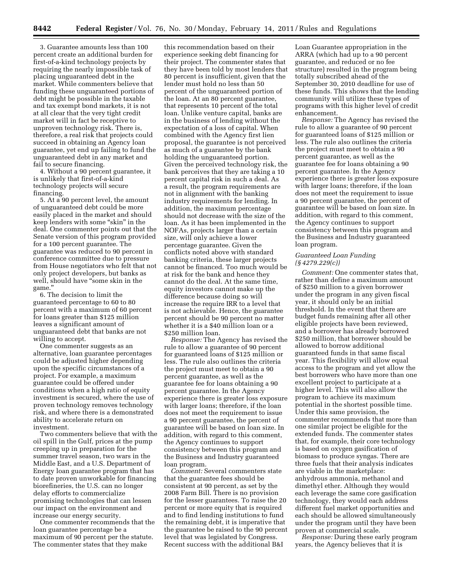3. Guarantee amounts less than 100 percent create an additional burden for first-of-a-kind technology projects by requiring the nearly impossible task of placing unguaranteed debt in the market. While commenters believe that funding these unguaranteed portions of debt might be possible in the taxable and tax exempt bond markets, it is not at all clear that the very tight credit market will in fact be receptive to unproven technology risk. There is, therefore, a real risk that projects could succeed in obtaining an Agency loan guarantee, yet end up failing to fund the unguaranteed debt in any market and fail to secure financing.

4. Without a 90 percent guarantee, it is unlikely that first-of-a-kind technology projects will secure financing.

5. At a 90 percent level, the amount of unguaranteed debt could be more easily placed in the market and should keep lenders with some ''skin'' in the deal. One commenter points out that the Senate version of this program provided for a 100 percent guarantee. The guarantee was reduced to 90 percent in conference committee due to pressure from House negotiators who felt that not only project developers, but banks as well, should have ''some skin in the game.''

6. The decision to limit the guaranteed percentage to 60 to 80 percent with a maximum of 60 percent for loans greater than \$125 million leaves a significant amount of unguaranteed debt that banks are not willing to accept.

One commenter suggests as an alternative, loan guarantee percentages could be adjusted higher depending upon the specific circumstances of a project. For example, a maximum guarantee could be offered under conditions when a high ratio of equity investment is secured, where the use of proven technology removes technology risk, and where there is a demonstrated ability to accelerate return on investment.

Two commenters believe that with the oil spill in the Gulf, prices at the pump creeping up in preparation for the summer travel season, two wars in the Middle East, and a U.S. Department of Energy loan guarantee program that has to date proven unworkable for financing biorefineries, the U.S. can no longer delay efforts to commercialize promising technologies that can lessen our impact on the environment and increase our energy security.

One commenter recommends that the loan guarantee percentage be a maximum of 90 percent per the statute. The commenter states that they make

this recommendation based on their experience seeking debt financing for their project. The commenter states that they have been told by most lenders that 80 percent is insufficient, given that the lender must hold no less than 50 percent of the unguaranteed portion of the loan. At an 80 percent guarantee, that represents 10 percent of the total loan. Unlike venture capital, banks are in the business of lending without the expectation of a loss of capital. When combined with the Agency first lien proposal, the guarantee is not perceived as much of a guarantee by the bank holding the unguaranteed portion. Given the perceived technology risk, the bank perceives that they are taking a 10 percent capital risk in such a deal. As a result, the program requirements are not in alignment with the banking industry requirements for lending. In addition, the maximum percentage should not decrease with the size of the loan. As it has been implemented in the NOFAs, projects larger than a certain size, will only achieve a lower percentage guarantee. Given the conflicts noted above with standard banking criteria, these larger projects cannot be financed. Too much would be at risk for the bank and hence they cannot do the deal. At the same time, equity investors cannot make up the difference because doing so will increase the require IRR to a level that is not achievable. Hence, the guarantee percent should be 90 percent no matter whether it is a \$40 million loan or a \$250 million loan.

*Response:* The Agency has revised the rule to allow a guarantee of 90 percent for guaranteed loans of \$125 million or less. The rule also outlines the criteria the project must meet to obtain a 90 percent guarantee, as well as the guarantee fee for loans obtaining a 90 percent guarantee. In the Agency experience there is greater loss exposure with larger loans; therefore, if the loan does not meet the requirement to issue a 90 percent guarantee, the percent of guarantee will be based on loan size. In addition, with regard to this comment, the Agency continues to support consistency between this program and the Business and Industry guaranteed loan program.

*Comment:* Several commenters state that the guarantee fees should be consistent at 90 percent, as set by the 2008 Farm Bill. There is no provision for the lesser guarantees. To raise the 20 percent or more equity that is required and to find lending institutions to fund the remaining debt, it is imperative that the guarantee be raised to the 90 percent level that was legislated by Congress. Recent success with the additional B&I

Loan Guarantee appropriation in the ARRA (which had up to a 90 percent guarantee, and reduced or no fee structure) resulted in the program being totally subscribed ahead of the September 30, 2010 deadline for use of these funds. This shows that the lending community will utilize these types of programs with this higher level of credit enhancement.

*Response:* The Agency has revised the rule to allow a guarantee of 90 percent for guaranteed loans of \$125 million or less. The rule also outlines the criteria the project must meet to obtain a 90 percent guarantee, as well as the guarantee fee for loans obtaining a 90 percent guarantee. In the Agency experience there is greater loss exposure with larger loans; therefore, if the loan does not meet the requirement to issue a 90 percent guarantee, the percent of guarantee will be based on loan size. In addition, with regard to this comment, the Agency continues to support consistency between this program and the Business and Industry guaranteed loan program.

# *Guaranteed Loan Funding (§ 4279.229(c))*

*Comment:* One commenter states that, rather than define a maximum amount of \$250 million to a given borrower under the program in any given fiscal year, it should only be an initial threshold. In the event that there are budget funds remaining after all other eligible projects have been reviewed, and a borrower has already borrowed \$250 million, that borrower should be allowed to borrow additional guaranteed funds in that same fiscal year. This flexibility will allow equal access to the program and yet allow the best borrowers who have more than one excellent project to participate at a higher level. This will also allow the program to achieve its maximum potential in the shortest possible time. Under this same provision, the commenter recommends that more than one similar project be eligible for the extended funds. The commenter states that, for example, their core technology is based on oxygen gasification of biomass to produce syngas. There are three fuels that their analysis indicates are viable in the marketplace: anhydrous ammonia, methanol and dimethyl ether. Although they would each leverage the same core gasification technology, they would each address different fuel market opportunities and each should be allowed simultaneously under the program until they have been proven at commercial scale.

*Response:* During these early program years, the Agency believes that it is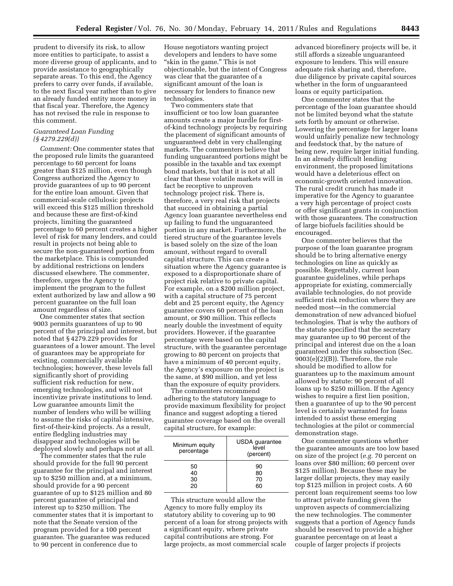prudent to diversify its risk, to allow more entities to participate, to assist a more diverse group of applicants, and to provide assistance to geographically separate areas. To this end, the Agency prefers to carry over funds, if available, to the next fiscal year rather than to give an already funded entity more money in that fiscal year. Therefore, the Agency has not revised the rule in response to this comment.

# *Guaranteed Loan Funding (§ 4279.229(d))*

*Comment:* One commenter states that the proposed rule limits the guaranteed percentage to 60 percent for loans greater than \$125 million, even though Congress authorized the Agency to provide guarantees of up to 90 percent for the entire loan amount. Given that commercial-scale cellulosic projects will exceed this \$125 million threshold and because these are first-of-kind projects, limiting the guaranteed percentage to 60 percent creates a higher level of risk for many lenders, and could result in projects not being able to secure the non-guaranteed portion from the marketplace. This is compounded by additional restrictions on lenders discussed elsewhere. The commenter, therefore, urges the Agency to implement the program to the fullest extent authorized by law and allow a 90 percent guarantee on the full loan amount regardless of size.

One commenter states that section 9003 permits guarantees of up to 90 percent of the principal and interest, but noted that § 4279.229 provides for guarantees of a lower amount. The level of guarantees may be appropriate for existing, commercially available technologies; however, these levels fall significantly short of providing sufficient risk reduction for new, emerging technologies, and will not incentivize private institutions to lend. Low guarantee amounts limit the number of lenders who will be willing to assume the risks of capital-intensive, first-of-their-kind projects. As a result, entire fledgling industries may disappear and technologies will be deployed slowly and perhaps not at all.

The commenter states that the rule should provide for the full 90 percent guarantee for the principal and interest up to \$250 million and, at a minimum, should provide for a 90 percent guarantee of up to \$125 million and 80 percent guarantee of principal and interest up to \$250 million. The commenter states that it is important to note that the Senate version of the program provided for a 100 percent guarantee. The guarantee was reduced to 90 percent in conference due to

House negotiators wanting project developers and lenders to have some "skin in the game." This is not objectionable, but the intent of Congress was clear that the guarantee of a significant amount of the loan is necessary for lenders to finance new technologies.

Two commenters state that insufficient or too low loan guarantee amounts create a major hurdle for firstof-kind technology projects by requiring the placement of significant amounts of unguaranteed debt in very challenging markets. The commenters believe that funding unguaranteed portions might be possible in the taxable and tax exempt bond markets, but that it is not at all clear that these volatile markets will in fact be receptive to unproven technology project risk. There is, therefore, a very real risk that projects that succeed in obtaining a partial Agency loan guarantee nevertheless end up failing to fund the unguaranteed portion in any market. Furthermore, the tiered structure of the guarantee levels is based solely on the size of the loan amount, without regard to overall capital structure. This can create a situation where the Agency guarantee is exposed to a disproportionate share of project risk relative to private capital. For example, on a \$200 million project, with a capital structure of 75 percent debt and 25 percent equity, the Agency guarantee covers 60 percent of the loan amount, or \$90 million. This reflects nearly double the investment of equity providers. However, if the guarantee percentage were based on the capital structure, with the guarantee percentage growing to 80 percent on projects that have a minimum of 40 percent equity, the Agency's exposure on the project is the same, at \$90 million, and yet less than the exposure of equity providers.

The commenters recommend adhering to the statutory language to provide maximum flexibility for project finance and suggest adopting a tiered guarantee coverage based on the overall capital structure, for example:

| Minimum equity<br>percentage | USDA guarantee<br>level<br>(percent) |
|------------------------------|--------------------------------------|
| 50                           | 90                                   |
| 40                           | 80                                   |
| 30                           | 70                                   |
| 20                           | 60                                   |

This structure would allow the Agency to more fully employ its statutory ability to covering up to 90 percent of a loan for strong projects with a significant equity, where private capital contributions are strong. For large projects, as most commercial scale

advanced biorefinery projects will be, it still affords a sizeable unguaranteed exposure to lenders. This will ensure adequate risk sharing and, therefore, due diligence by private capital sources whether in the form of unguaranteed loans or equity participation.

One commenter states that the percentage of the loan guarantee should not be limited beyond what the statute sets forth by amount or otherwise. Lowering the percentage for larger loans would unfairly penalize new technology and feedstock that, by the nature of being new, require larger initial funding. In an already difficult lending environment, the proposed limitations would have a deleterious effect on economic-growth oriented innovation. The rural credit crunch has made it imperative for the Agency to guarantee a very high percentage of project costs or offer significant grants in conjunction with those guarantees. The construction of large biofuels facilities should be encouraged.

One commenter believes that the purpose of the loan guarantee program should be to bring alternative energy technologies on line as quickly as possible. Regrettably, current loan guarantee guidelines, while perhaps appropriate for existing, commercially available technologies, do not provide sufficient risk reduction where they are needed most—in the commercial demonstration of new advanced biofuel technologies. That is why the authors of the statute specified that the secretary may guarantee up to 90 percent of the principal and interest due on the a loan guaranteed under this subsection (Sec. 9003(e)(2)(B)). Therefore, the rule should be modified to allow for guarantees up to the maximum amount allowed by statute: 90 percent of all loans up to \$250 million. If the Agency wishes to require a first lien position, then a guarantee of up to the 90 percent level is certainly warranted for loans intended to assist these emerging technologies at the pilot or commercial demonstration stage.

One commenter questions whether the guarantee amounts are too low based on size of the project (*e.g.* 70 percent on loans over \$80 million; 60 percent over \$125 million). Because these may be larger dollar projects, they may easily top \$125 million in project costs. A 60 percent loan requirement seems too low to attract private funding given the unproven aspects of commercializing the new technologies. The commenter suggests that a portion of Agency funds should be reserved to provide a higher guarantee percentage on at least a couple of larger projects if projects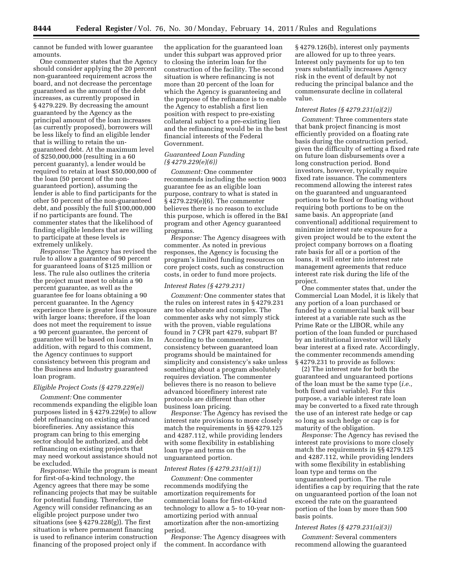cannot be funded with lower guarantee amounts.

One commenter states that the Agency should consider applying the 20 percent non-guaranteed requirement across the board, and not decrease the percentage guaranteed as the amount of the debt increases, as currently proposed in § 4279.229. By decreasing the amount guaranteed by the Agency as the principal amount of the loan increases (as currently proposed), borrowers will be less likely to find an eligible lender that is willing to retain the unguaranteed debt. At the maximum level of \$250,000,000 (resulting in a 60 percent guaranty), a lender would be required to retain at least \$50,000,000 of the loan (50 percent of the nonguaranteed portion), assuming the lender is able to find participants for the other 50 percent of the non-guaranteed debt, and possibly the full \$100,000,000 if no participants are found. The commenter states that the likelihood of finding eligible lenders that are willing to participate at these levels is extremely unlikely.

*Response:* The Agency has revised the rule to allow a guarantee of 90 percent for guaranteed loans of \$125 million or less. The rule also outlines the criteria the project must meet to obtain a 90 percent guarantee, as well as the guarantee fee for loans obtaining a 90 percent guarantee. In the Agency experience there is greater loss exposure with larger loans; therefore, if the loan does not meet the requirement to issue a 90 percent guarantee, the percent of guarantee will be based on loan size. In addition, with regard to this comment, the Agency continues to support consistency between this program and the Business and Industry guaranteed loan program.

#### *Eligible Project Costs (§ 4279.229(e))*

*Comment:* One commenter recommends expanding the eligible loan purposes listed in § 4279.229(e) to allow debt refinancing on existing advanced biorefineries. Any assistance this program can bring to this emerging sector should be authorized, and debt refinancing on existing projects that may need workout assistance should not be excluded.

*Response:* While the program is meant for first-of-a-kind technology, the Agency agrees that there may be some refinancing projects that may be suitable for potential funding. Therefore, the Agency will consider refinancing as an eligible project purpose under two situations (see  $\S 4279.228(g)$ ). The first situation is where permanent financing is used to refinance interim construction financing of the proposed project only if

the application for the guaranteed loan under this subpart was approved prior to closing the interim loan for the construction of the facility. The second situation is where refinancing is not more than 20 percent of the loan for which the Agency is guaranteeing and the purpose of the refinance is to enable the Agency to establish a first lien position with respect to pre-existing collateral subject to a pre-existing lien and the refinancing would be in the best financial interests of the Federal Government.

# *Guaranteed Loan Funding (§ 4279.229(e)(6))*

*Comment:* One commenter recommends including the section 9003 guarantee fee as an eligible loan purpose, contrary to what is stated in § 4279.229(e)(6). The commenter believes there is no reason to exclude this purpose, which is offered in the B&I program and other Agency guaranteed programs.

*Response:* The Agency disagrees with commenter. As noted in previous responses, the Agency is focusing the program's limited funding resources on core project costs, such as construction costs, in order to fund more projects.

#### *Interest Rates (§ 4279.231)*

*Comment:* One commenter states that the rules on interest rates in § 4279.231 are too elaborate and complex. The commenter asks why not simply stick with the proven, viable regulations found in 7 CFR part 4279, subpart B? According to the commenter, consistency between guaranteed loan programs should be maintained for simplicity and consistency's sake unless something about a program absolutely requires deviation. The commenter believes there is no reason to believe advanced biorefinery interest rate protocols are different than other business loan pricing.

*Response:* The Agency has revised the interest rate provisions to more closely match the requirements in §§ 4279.125 and 4287.112, while providing lenders with some flexibility in establishing loan type and terms on the unguaranteed portion.

#### *Interest Rates (§ 4279.231(a)(1))*

*Comment:* One commenter recommends modifying the amortization requirements for commercial loans for first-of-kind technology to allow a 5- to 10-year nonamortizing period with annual amortization after the non-amortizing period.

*Response:* The Agency disagrees with the comment. In accordance with

§ 4279.126(b), interest only payments are allowed for up to three years. Interest only payments for up to ten years substantially increases Agency risk in the event of default by not reducing the principal balance and the commensurate decline in collateral value.

# *Interest Rates (§ 4279.231(a)(2))*

*Comment:* Three commenters state that bank project financing is most efficiently provided on a floating rate basis during the construction period, given the difficulty of setting a fixed rate on future loan disbursements over a long construction period. Bond investors, however, typically require fixed rate issuance. The commenters recommend allowing the interest rates on the guaranteed and unguaranteed portions to be fixed or floating without requiring both portions to be on the same basis. An appropriate (and conventional) additional requirement to minimize interest rate exposure for a given project would be to the extent the project company borrows on a floating rate basis for all or a portion of the loans, it will enter into interest rate management agreements that reduce interest rate risk during the life of the project.

One commenter states that, under the Commercial Loan Model, it is likely that any portion of a loan purchased or funded by a commercial bank will bear interest at a variable rate such as the Prime Rate or the LIBOR, while any portion of the loan funded or purchased by an institutional investor will likely bear interest at a fixed rate. Accordingly, the commenter recommends amending § 4279.231 to provide as follows:

(2) The interest rate for both the guaranteed and unguaranteed portions of the loan must be the same type (*i.e.,*  both fixed and variable). For this purpose, a variable interest rate loan may be converted to a fixed rate through the use of an interest rate hedge or cap so long as such hedge or cap is for maturity of the obligation.

*Response:* The Agency has revised the interest rate provisions to more closely match the requirements in §§ 4279.125 and 4287.112, while providing lenders with some flexibility in establishing loan type and terms on the unguaranteed portion. The rule identifies a cap by requiring that the rate on unguaranteed portion of the loan not exceed the rate on the guaranteed portion of the loan by more than 500 basis points.

#### *Interest Rates (§ 4279.231(a)(3))*

*Comment:* Several commenters recommend allowing the guaranteed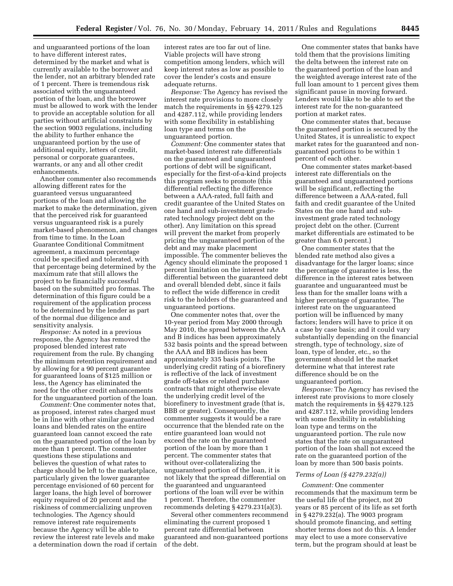and unguaranteed portions of the loan to have different interest rates, determined by the market and what is currently available to the borrower and the lender, not an arbitrary blended rate of 1 percent. There is tremendous risk associated with the unguaranteed portion of the loan, and the borrower must be allowed to work with the lender to provide an acceptable solution for all parties without artificial constraints by the section 9003 regulations, including the ability to further enhance the unguaranteed portion by the use of additional equity, letters of credit, personal or corporate guarantees, warrants, or any and all other credit enhancements.

Another commenter also recommends allowing different rates for the guaranteed versus unguaranteed portions of the loan and allowing the market to make the determination, given that the perceived risk for guaranteed versus unguaranteed risk is a purely market-based phenomenon, and changes from time to time. In the Loan Guarantee Conditional Commitment agreement, a maximum percentage could be specified and tolerated, with that percentage being determined by the maximum rate that still allows the project to be financially successful based on the submitted pro formas. The determination of this figure could be a requirement of the application process to be determined by the lender as part of the normal due diligence and sensitivity analysis.

*Response:* As noted in a previous response, the Agency has removed the proposed blended interest rate requirement from the rule. By changing the minimum retention requirement and by allowing for a 90 percent guarantee for guaranteed loans of \$125 million or less, the Agency has eliminated the need for the other credit enhancements for the unguaranteed portion of the loan.

*Comment:* One commenter notes that, as proposed, interest rates charged must be in line with other similar guaranteed loans and blended rates on the entire guaranteed loan cannot exceed the rate on the guaranteed portion of the loan by more than 1 percent. The commenter questions these stipulations and believes the question of what rates to charge should be left to the marketplace, particularly given the lower guarantee percentage envisioned of 60 percent for larger loans, the high level of borrower equity required of 20 percent and the riskiness of commercializing unproven technologies. The Agency should remove interest rate requirements because the Agency will be able to review the interest rate levels and make a determination down the road if certain

interest rates are too far out of line. Viable projects will have strong competition among lenders, which will keep interest rates as low as possible to cover the lender's costs and ensure adequate returns.

*Response:* The Agency has revised the interest rate provisions to more closely match the requirements in §§ 4279.125 and 4287.112, while providing lenders with some flexibility in establishing loan type and terms on the unguaranteed portion.

*Comment:* One commenter states that market-based interest rate differentials on the guaranteed and unguaranteed portions of debt will be significant, especially for the first-of-a-kind projects this program seeks to promote (this differential reflecting the difference between a AAA-rated, full faith and credit guarantee of the United States on one hand and sub-investment graderated technology project debt on the other). Any limitation on this spread will prevent the market from properly pricing the unguaranteed portion of the debt and may make placement impossible. The commenter believes the Agency should eliminate the proposed 1 percent limitation on the interest rate differential between the guaranteed debt and overall blended debt, since it fails to reflect the wide difference in credit risk to the holders of the guaranteed and unguaranteed portions.

One commenter notes that, over the 10-year period from May 2000 through May 2010, the spread between the AAA and B indices has been approximately 532 basis points and the spread between the AAA and BB indices has been approximately 335 basis points. The underlying credit rating of a biorefinery is reflective of the lack of investment grade off-takes or related purchase contracts that might otherwise elevate the underlying credit level of the biorefinery to investment grade (that is, BBB or greater). Consequently, the commenter suggests it would be a rare occurrence that the blended rate on the entire guaranteed loan would not exceed the rate on the guaranteed portion of the loan by more than 1 percent. The commenter states that without over-collateralizing the unguaranteed portion of the loan, it is not likely that the spread differential on the guaranteed and unguaranteed portions of the loan will ever be within 1 percent. Therefore, the commenter recommends deleting § 4279.231(a)(3).

Several other commenters recommend eliminating the current proposed 1 percent rate differential between guaranteed and non-guaranteed portions of the debt.

One commenter states that banks have told them that the provisions limiting the delta between the interest rate on the guaranteed portion of the loan and the weighted average interest rate of the full loan amount to 1 percent gives them significant pause in moving forward. Lenders would like to be able to set the interest rate for the non-guaranteed portion at market rates.

One commenter states that, because the guaranteed portion is secured by the United States, it is unrealistic to expect market rates for the guaranteed and nonguaranteed portions to be within 1 percent of each other.

One commenter states market-based interest rate differentials on the guaranteed and unguaranteed portions will be significant, reflecting the difference between a AAA-rated, full faith and credit guarantee of the United States on the one hand and subinvestment grade rated technology project debt on the other. (Current market differentials are estimated to be greater than 6.0 percent.)

One commenter states that the blended rate method also gives a disadvantage for the larger loans; since the percentage of guarantee is less, the difference in the interest rates between guarantee and unguaranteed must be less than for the smaller loans with a higher percentage of guarantee. The interest rate on the unguaranteed portion will be influenced by many factors; lenders will have to price it on a case by case basis; and it could vary substantially depending on the financial strength, type of technology, size of loan, type of lender, etc., so the government should let the market determine what that interest rate difference should be on the unguaranteed portion.

*Response:* The Agency has revised the interest rate provisions to more closely match the requirements in §§ 4279.125 and 4287.112, while providing lenders with some flexibility in establishing loan type and terms on the unguaranteed portion. The rule now states that the rate on unguaranteed portion of the loan shall not exceed the rate on the guaranteed portion of the loan by more than 500 basis points.

# *Terms of Loan (§ 4279.232(a))*

*Comment:* One commenter recommends that the maximum term be the useful life of the project, not 20 years or 85 percent of its life as set forth in § 4279.232(a). The 9003 program should promote financing, and setting shorter terms does not do this. A lender may elect to use a more conservative term, but the program should at least be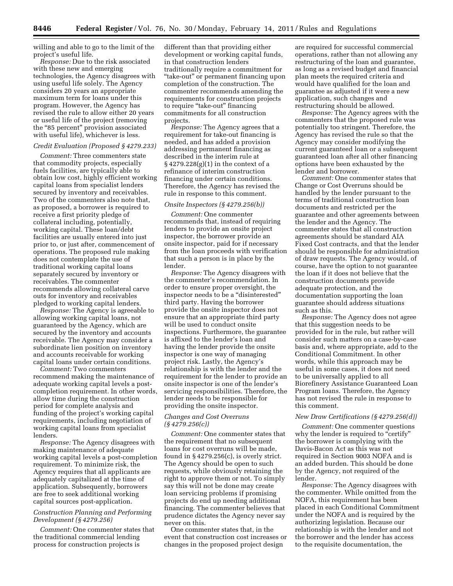willing and able to go to the limit of the project's useful life.

*Response:* Due to the risk associated with these new and emerging technologies, the Agency disagrees with using useful life solely. The Agency considers 20 years an appropriate maximum term for loans under this program. However, the Agency has revised the rule to allow either 20 years or useful life of the project (removing the "85 percent" provision associated with useful life), whichever is less.

# *Credit Evaluation (Proposed § 4279.233)*

*Comment:* Three commenters state that commodity projects, especially fuels facilities, are typically able to obtain low cost, highly efficient working capital loans from specialist lenders secured by inventory and receivables. Two of the commenters also note that, as proposed, a borrower is required to receive a first priority pledge of collateral including, potentially, working capital. These loan/debt facilities are usually entered into just prior to, or just after, commencement of operations. The proposed rule making does not contemplate the use of traditional working capital loans separately secured by inventory or receivables. The commenter recommends allowing collateral carve outs for inventory and receivables pledged to working capital lenders.

*Response:* The Agency is agreeable to allowing working capital loans, not guaranteed by the Agency, which are secured by the inventory and accounts receivable. The Agency may consider a subordinate lien position on inventory and accounts receivable for working capital loans under certain conditions.

*Comment:* Two commenters recommend making the maintenance of adequate working capital levels a postcompletion requirement. In other words, allow time during the construction period for complete analysis and funding of the project's working capital requirements, including negotiation of working capital loans from specialist lenders.

*Response:* The Agency disagrees with making maintenance of adequate working capital levels a post-completion requirement. To minimize risk, the Agency requires that all applicants are adequately capitalized at the time of application. Subsequently, borrowers are free to seek additional working capital sources post-application.

# *Construction Planning and Performing Development (§ 4279.256)*

*Comment:* One commenter states that the traditional commercial lending process for construction projects is

different than that providing either development or working capital funds, in that construction lenders traditionally require a commitment for "take-out" or permanent financing upon completion of the construction. The commenter recommends amending the requirements for construction projects to require "take-out" financing commitments for all construction projects.

*Response:* The Agency agrees that a requirement for take-out financing is needed, and has added a provision addressing permanent financing as described in the interim rule at § 4279.228(g)(1) in the context of a refinance of interim construction financing under certain conditions. Therefore, the Agency has revised the rule in response to this comment.

#### *Onsite Inspectors (§ 4279.256(b))*

*Comment:* One commenter recommends that, instead of requiring lenders to provide an onsite project inspector, the borrower provide an onsite inspector, paid for if necessary from the loan proceeds with verification that such a person is in place by the lender.

*Response:* The Agency disagrees with the commenter's recommendation. In order to ensure proper oversight, the inspector needs to be a ''disinterested'' third party. Having the borrower provide the onsite inspector does not ensure that an appropriate third party will be used to conduct onsite inspections. Furthermore, the guarantee is affixed to the lender's loan and having the lender provide the onsite inspector is one way of managing project risk. Lastly, the Agency's relationship is with the lender and the requirement for the lender to provide an onsite inspector is one of the lender's servicing responsibilities. Therefore, the lender needs to be responsible for providing the onsite inspector.

# *Changes and Cost Overruns (§ 4279.256(c))*

*Comment:* One commenter states that the requirement that no subsequent loans for cost overruns will be made, found in  $\S 4279.256(c)$ , is overly strict. The Agency should be open to such requests, while obviously retaining the right to approve them or not. To simply say this will not be done may create loan servicing problems if promising projects do end up needing additional financing. The commenter believes that prudence dictates the Agency never say never on this.

One commenter states that, in the event that construction cost increases or changes in the proposed project design

are required for successful commercial operations, rather than not allowing any restructuring of the loan and guarantee, as long as a revised budget and financial plan meets the required criteria and would have qualified for the loan and guarantee as adjusted if it were a new application, such changes and restructuring should be allowed.

*Response:* The Agency agrees with the commenters that the proposed rule was potentially too stringent. Therefore, the Agency has revised the rule so that the Agency may consider modifying the current guaranteed loan or a subsequent guaranteed loan after all other financing options have been exhausted by the lender and borrower.

*Comment:* One commenter states that Change or Cost Overruns should be handled by the lender pursuant to the terms of traditional construction loan documents and restricted per the guarantee and other agreements between the lender and the Agency. The commenter states that all construction agreements should be standard AIA Fixed Cost contracts, and that the lender should be responsible for administration of draw requests. The Agency would, of course, have the option to not guarantee the loan if it does not believe that the construction documents provide adequate protection, and the documentation supporting the loan guarantee should address situations such as this.

*Response:* The Agency does not agree that this suggestion needs to be provided for in the rule, but rather will consider such matters on a case-by-case basis and, where appropriate, add to the Conditional Commitment. In other words, while this approach may be useful in some cases, it does not need to be universally applied to all Biorefinery Assistance Guaranteed Loan Program loans. Therefore, the Agency has not revised the rule in response to this comment.

#### *New Draw Certifications (§ 4279.256(d))*

*Comment:* One commenter questions why the lender is required to "certify" the borrower is complying with the Davis-Bacon Act as this was not required in Section 9003 NOFA and is an added burden. This should be done by the Agency, not required of the lender.

*Response:* The Agency disagrees with the commenter. While omitted from the NOFA, this requirement has been placed in each Conditional Commitment under the NOFA and is required by the authorizing legislation. Because our relationship is with the lender and not the borrower and the lender has access to the requisite documentation, the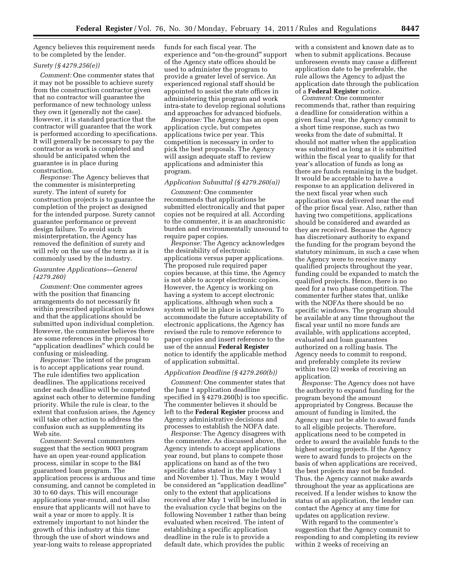Agency believes this requirement needs to be completed by the lender.

#### *Surety (§ 4279.256(e))*

*Comment:* One commenter states that it may not be possible to achieve surety from the construction contractor given that no contractor will guarantee the performance of new technology unless they own it (generally not the case). However, it is standard practice that the contractor will guarantee that the work is performed according to specifications. It will generally be necessary to pay the contractor as work is completed and should be anticipated when the guarantee is in place during construction.

*Response:* The Agency believes that the commenter is misinterpreting surety. The intent of surety for construction projects is to guarantee the completion of the project as designed for the intended purpose. Surety cannot guarantee performance or prevent design failure. To avoid such misinterpretation, the Agency has removed the definition of surety and will rely on the use of the term as it is commonly used by the industry.

#### *Guarantee Applications—General (4279.260)*

*Comment:* One commenter agrees with the position that financing arrangements do not necessarily fit within prescribed application windows and that the applications should be submitted upon individual completion. However, the commenter believes there are some references in the proposal to "application deadlines" which could be confusing or misleading.

*Response:* The intent of the program is to accept applications year round. The rule identifies two application deadlines. The applications received under each deadline will be competed against each other to determine funding priority. While the rule is clear, to the extent that confusion arises, the Agency will take other action to address the confusion such as supplementing its Web site.

*Comment:* Several commenters suggest that the section 9003 program have an open year-round application process, similar in scope to the B&I guaranteed loan program. The application process is arduous and time consuming, and cannot be completed in 30 to 60 days. This will encourage applications year-round, and will also ensure that applicants will not have to wait a year or more to apply. It is extremely important to not hinder the growth of this industry at this time through the use of short windows and year-long waits to release appropriated

funds for each fiscal year. The experience and ''on-the-ground'' support of the Agency state offices should be used to administer the program to provide a greater level of service. An experienced regional staff should be appointed to assist the state offices in administering this program and work intra-state to develop regional solutions and approaches for advanced biofuels.

*Response:* The Agency has an open application cycle, but competes applications twice per year. This competition is necessary in order to pick the best proposals. The Agency will assign adequate staff to review applications and administer this program.

#### *Application Submittal (§ 4279.260(a))*

*Comment:* One commenter recommends that applications be submitted electronically and that paper copies not be required at all. According to the commenter, it is an anachronistic burden and environmentally unsound to require paper copies.

*Response:* The Agency acknowledges the desirability of electronic applications versus paper applications. The proposed rule required paper copies because, at this time, the Agency is not able to accept electronic copies. However, the Agency is working on having a system to accept electronic applications, although when such a system will be in place is unknown. To accommodate the future acceptability of electronic applications, the Agency has revised the rule to remove reference to paper copies and insert reference to the use of the annual **Federal Register**  notice to identify the applicable method of application submittal.

#### *Application Deadline (§ 4279.260(b))*

*Comment:* One commenter states that the June 1 application deadline specified in § 4279.260(b) is too specific. The commenter believes it should be left to the **Federal Register** process and Agency administrative decisions and processes to establish the NOFA date.

*Response:* The Agency disagrees with the commenter. As discussed above, the Agency intends to accept applications year round, but plans to compete those applications on hand as of the two specific dates stated in the rule (May 1 and November 1). Thus, May 1 would be considered an ''application deadline'' only to the extent that applications received after May 1 will be included in the evaluation cycle that begins on the following November 1 rather than being evaluated when received. The intent of establishing a specific application deadline in the rule is to provide a default date, which provides the public

with a consistent and known date as to when to submit applications. Because unforeseen events may cause a different application date to be preferable, the rule allows the Agency to adjust the application date through the publication of a **Federal Register** notice.

*Comment:* One commenter recommends that, rather than requiring a deadline for consideration within a given fiscal year, the Agency commit to a short time response, such as two weeks from the date of submittal. It should not matter when the application was submitted as long as it is submitted within the fiscal year to qualify for that year's allocation of funds as long as there are funds remaining in the budget. It would be acceptable to have a response to an application delivered in the next fiscal year when such application was delivered near the end of the prior fiscal year. Also, rather than having two competitions, applications should be considered and awarded as they are received. Because the Agency has discretionary authority to expand the funding for the program beyond the statutory minimum, in such a case when the Agency were to receive many qualified projects throughout the year, funding could be expanded to match the qualified projects. Hence, there is no need for a two phase competition. The commenter further states that, unlike with the NOFAs there should be no specific windows. The program should be available at any time throughout the fiscal year until no more funds are available, with applications accepted, evaluated and loan guarantees authorized on a rolling basis. The Agency needs to commit to respond, and preferably complete its review within two (2) weeks of receiving an application.

*Response:* The Agency does not have the authority to expand funding for the program beyond the amount appropriated by Congress. Because the amount of funding is limited, the Agency may not be able to award funds to all eligible projects. Therefore, applications need to be competed in order to award the available funds to the highest scoring projects. If the Agency were to award funds to projects on the basis of when applications are received, the best projects may not be funded. Thus, the Agency cannot make awards throughout the year as applications are received. If a lender wishes to know the status of an application, the lender can contact the Agency at any time for updates on application review.

With regard to the commenter's suggestion that the Agency commit to responding to and completing its review within 2 weeks of receiving an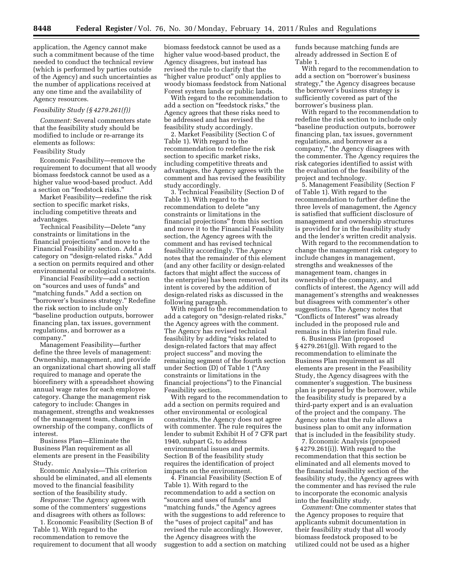application, the Agency cannot make such a commitment because of the time needed to conduct the technical review (which is performed by parties outside of the Agency) and such uncertainties as the number of applications received at any one time and the availability of Agency resources.

#### *Feasibility Study (§ 4279.261(f))*

*Comment:* Several commenters state that the feasibility study should be modified to include or re-arrange its elements as follows:

#### Feasibility Study

Economic Feasibility—remove the requirement to document that all woody biomass feedstock cannot be used as a higher value wood-based product. Add a section on ''feedstock risks.''

Market Feasibility—redefine the risk section to specific market risks, including competitive threats and advantages.

Technical Feasibility-Delete "any constraints or limitations in the financial projections'' and move to the Financial Feasibility section. Add a category on ''design-related risks.'' Add a section on permits required and other environmental or ecological constraints.

Financial Feasibility—add a section on ''sources and uses of funds'' and "matching funds." Add a section on ''borrower's business strategy.'' Redefine the risk section to include only ''baseline production outputs, borrower financing plan, tax issues, government regulations, and borrower as a company.''

Management Feasibility—further define the three levels of management: Ownership, management, and provide an organizational chart showing all staff required to manage and operate the biorefinery with a spreadsheet showing annual wage rates for each employee category. Change the management risk category to include: Changes in management, strengths and weaknesses of the management team, changes in ownership of the company, conflicts of interest.

Business Plan—Eliminate the Business Plan requirement as all elements are present in the Feasibility Study.

Economic Analysis—This criterion should be eliminated, and all elements moved to the financial feasibility section of the feasibility study.

*Response:* The Agency agrees with some of the commenters' suggestions and disagrees with others as follows:

1. Economic Feasibility (Section B of Table 1). With regard to the recommendation to remove the requirement to document that all woody biomass feedstock cannot be used as a higher value wood-based product, the Agency disagrees, but instead has revised the rule to clarify that the "higher value product" only applies to woody biomass feedstock from National Forest system lands or public lands.

With regard to the recommendation to add a section on ''feedstock risks,'' the Agency agrees that these risks need to be addressed and has revised the feasibility study accordingly.

2. Market Feasibility (Section C of Table 1). With regard to the recommendation to redefine the risk section to specific market risks, including competitive threats and advantages, the Agency agrees with the comment and has revised the feasibility study accordingly.

3. Technical Feasibility (Section D of Table 1). With regard to the recommendation to delete ''any constraints or limitations in the financial projections'' from this section and move it to the Financial Feasibility section, the Agency agrees with the comment and has revised technical feasibility accordingly. The Agency notes that the remainder of this element (and any other facility or design-related factors that might affect the success of the enterprise) has been removed, but its intent is covered by the addition of design-related risks as discussed in the following paragraph.

With regard to the recommendation to add a category on ''design-related risks,'' the Agency agrees with the comment. The Agency has revised technical feasibility by adding "risks related to design-related factors that may affect project success'' and moving the remaining segment of the fourth section under Section (D) of Table 1 (''Any constraints or limitations in the financial projections'') to the Financial Feasibility section.

With regard to the recommendation to add a section on permits required and other environmental or ecological constraints, the Agency does not agree with commenter. The rule requires the lender to submit Exhibit H of 7 CFR part 1940, subpart G, to address environmental issues and permits. Section B of the feasibility study requires the identification of project impacts on the environment.

4. Financial Feasibility (Section E of Table 1). With regard to the recommendation to add a section on ''sources and uses of funds'' and "matching funds," the Agency agrees with the suggestions to add reference to the "uses of project capital" and has revised the rule accordingly. However, the Agency disagrees with the suggestion to add a section on matching funds because matching funds are already addressed in Section E of Table 1.

With regard to the recommendation to add a section on ''borrower's business strategy,'' the Agency disagrees because the borrower's business strategy is sufficiently covered as part of the borrower's business plan.

With regard to the recommendation to redefine the risk section to include only ''baseline production outputs, borrower financing plan, tax issues, government regulations, and borrower as a company,'' the Agency disagrees with the commenter. The Agency requires the risk categories identified to assist with the evaluation of the feasibility of the project and technology.

5. Management Feasibility (Section F of Table 1). With regard to the recommendation to further define the three levels of management, the Agency is satisfied that sufficient disclosure of management and ownership structures is provided for in the feasibility study and the lender's written credit analysis.

With regard to the recommendation to change the management risk category to include changes in management, strengths and weaknesses of the management team, changes in ownership of the company, and conflicts of interest, the Agency will add management's strengths and weaknesses but disagrees with commenter's other suggestions. The Agency notes that ''Conflicts of Interest'' was already included in the proposed rule and remains in this interim final rule.

6. Business Plan (proposed § 4279.261(g)). With regard to the recommendation to eliminate the Business Plan requirement as all elements are present in the Feasibility Study, the Agency disagrees with the commenter's suggestion. The business plan is prepared by the borrower, while the feasibility study is prepared by a third-party expert and is an evaluation of the project and the company. The Agency notes that the rule allows a business plan to omit any information that is included in the feasibility study.

7. Economic Analysis (proposed § 4279.261(i)). With regard to the recommendation that this section be eliminated and all elements moved to the financial feasibility section of the feasibility study, the Agency agrees with the commenter and has revised the rule to incorporate the economic analysis into the feasibility study.

*Comment:* One commenter states that the Agency proposes to require that applicants submit documentation in their feasibility study that all woody biomass feedstock proposed to be utilized could not be used as a higher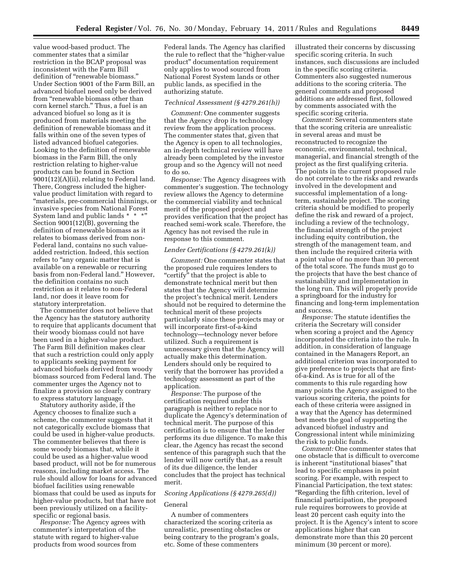value wood-based product. The commenter states that a similar restriction in the BCAP proposal was inconsistent with the Farm Bill definition of "renewable biomass." Under Section 9001 of the Farm Bill, an advanced biofuel need only be derived from ''renewable biomass other than corn kernel starch.'' Thus, a fuel is an advanced biofuel so long as it is produced from materials meeting the definition of renewable biomass and it falls within one of the seven types of listed advanced biofuel categories. Looking to the definition of renewable biomass in the Farm Bill, the only restriction relating to higher-value products can be found in Section 9001(12)(A)(ii), relating to Federal land. There, Congress included the highervalue product limitation with regard to ''materials, pre-commercial thinnings, or invasive species from National Forest System land and public lands \* \* \* Section 9001(12)(B), governing the definition of renewable biomass as it relates to biomass derived from non-Federal land, contains no such valueadded restriction. Indeed, this section refers to "any organic matter that is available on a renewable or recurring basis from non-Federal land.'' However, the definition contains no such restriction as it relates to non-Federal land, nor does it leave room for statutory interpretation.

The commenter does not believe that the Agency has the statutory authority to require that applicants document that their woody biomass could not have been used in a higher-value product. The Farm Bill definition makes clear that such a restriction could only apply to applicants seeking payment for advanced biofuels derived from woody biomass sourced from Federal land. The commenter urges the Agency not to finalize a provision so clearly contrary to express statutory language.

Statutory authority aside, if the Agency chooses to finalize such a scheme, the commenter suggests that it not categorically exclude biomass that could be used in higher-value products. The commenter believes that there is some woody biomass that, while it could be used as a higher-value wood based product, will not be for numerous reasons, including market access. The rule should allow for loans for advanced biofuel facilities using renewable biomass that could be used as inputs for higher-value products, but that have not been previously utilized on a facilityspecific or regional basis.

*Response:* The Agency agrees with commenter's interpretation of the statute with regard to higher-value products from wood sources from

Federal lands. The Agency has clarified the rule to reflect that the ''higher-value product'' documentation requirement only applies to wood sourced from National Forest System lands or other public lands, as specified in the authorizing statute.

#### *Technical Assessment (§ 4279.261(h))*

*Comment:* One commenter suggests that the Agency drop its technology review from the application process. The commenter states that, given that the Agency is open to all technologies, an in-depth technical review will have already been completed by the investor group and so the Agency will not need to do so.

*Response:* The Agency disagrees with commenter's suggestion. The technology review allows the Agency to determine the commercial viability and technical merit of the proposed project and provides verification that the project has reached semi-work scale. Therefore, the Agency has not revised the rule in response to this comment.

#### *Lender Certifications (§ 4279.261(k))*

*Comment:* One commenter states that the proposed rule requires lenders to "certify" that the project is able to demonstrate technical merit but then states that the Agency will determine the project's technical merit. Lenders should not be required to determine the technical merit of these projects particularly since these projects may or will incorporate first-of-a-kind technology—technology never before utilized. Such a requirement is unnecessary given that the Agency will actually make this determination. Lenders should only be required to verify that the borrower has provided a technology assessment as part of the application.

*Response:* The purpose of the certification required under this paragraph is neither to replace nor to duplicate the Agency's determination of technical merit. The purpose of this certification is to ensure that the lender performs its due diligence. To make this clear, the Agency has recast the second sentence of this paragraph such that the lender will now certify that, as a result of its due diligence, the lender concludes that the project has technical merit.

# *Scoring Applications (§ 4279.265(d))*

# General

A number of commenters characterized the scoring criteria as unrealistic, presenting obstacles or being contrary to the program's goals, etc. Some of these commenters

illustrated their concerns by discussing specific scoring criteria. In such instances, such discussions are included in the specific scoring criteria. Commenters also suggested numerous additions to the scoring criteria. The general comments and proposed additions are addressed first, followed by comments associated with the specific scoring criteria.

*Comment:* Several commenters state that the scoring criteria are unrealistic in several areas and must be reconstructed to recognize the economic, environmental, technical, managerial, and financial strength of the project as the first qualifying criteria. The points in the current proposed rule do not correlate to the risks and rewards involved in the development and successful implementation of a longterm, sustainable project. The scoring criteria should be modified to properly define the risk and reward of a project, including a review of the technology, the financial strength of the project including equity contribution, the strength of the management team, and then include the required criteria with a point value of no more than 30 percent of the total score. The funds must go to the projects that have the best chance of sustainability and implementation in the long run. This will properly provide a springboard for the industry for financing and long-term implementation and success.

*Response:* The statute identifies the criteria the Secretary will consider when scoring a project and the Agency incorporated the criteria into the rule. In addition, in consideration of language contained in the Managers Report, an additional criterion was incorporated to give preference to projects that are firstof-a-kind. As is true for all of the comments to this rule regarding how many points the Agency assigned to the various scoring criteria, the points for each of these criteria were assigned in a way that the Agency has determined best meets the goal of supporting the advanced biofuel industry and Congressional intent while minimizing the risk to public funds.

*Comment:* One commenter states that one obstacle that is difficult to overcome is inherent ''institutional biases'' that lead to specific emphases in point scoring. For example, with respect to Financial Participation, the text states: ''Regarding the fifth criterion, level of financial participation, the proposed rule requires borrowers to provide at least 20 percent cash equity into the project. It is the Agency's intent to score applications higher that can demonstrate more than this 20 percent minimum (30 percent or more).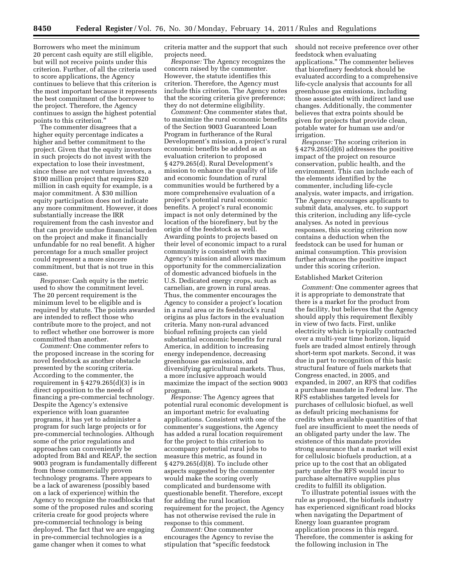Borrowers who meet the minimum 20 percent cash equity are still eligible, but will not receive points under this criterion. Further, of all the criteria used to score applications, the Agency continues to believe that this criterion is the most important because it represents the best commitment of the borrower to the project. Therefore, the Agency continues to assign the highest potential points to this criterion.''

The commenter disagrees that a higher equity percentage indicates a higher and better commitment to the project. Given that the equity investors in such projects do not invest with the expectation to lose their investment, since these are not venture investors, a \$100 million project that requires \$20 million in cash equity for example, is a major commitment. A \$30 million equity participation does not indicate any more commitment. However, it does substantially increase the IRR requirement from the cash investor and that can provide undue financial burden on the project and make it financially unfundable for no real benefit. A higher percentage for a much smaller project could represent a more sincere commitment, but that is not true in this case.

*Response:* Cash equity is the metric used to show the commitment level. The 20 percent requirement is the minimum level to be eligible and is required by statute. The points awarded are intended to reflect those who contribute more to the project, and not to reflect whether one borrower is more committed than another.

*Comment:* One commenter refers to the proposed increase in the scoring for novel feedstock as another obstacle presented by the scoring criteria. According to the commenter, the requirement in  $\S 4279.265(d)(3)$  is in direct opposition to the needs of financing a pre-commercial technology. Despite the Agency's extensive experience with loan guarantee programs, it has yet to administer a program for such large projects or for pre-commercial technologies. Although some of the prior regulations and approaches can conveniently be adopted from B&I and REAP, the section 9003 program is fundamentally different from these commercially proven technology programs. There appears to be a lack of awareness (possibly based on a lack of experience) within the Agency to recognize the roadblocks that some of the proposed rules and scoring criteria create for good projects where pre-commercial technology is being deployed. The fact that we are engaging in pre-commercial technologies is a game changer when it comes to what

criteria matter and the support that such projects need.

*Response:* The Agency recognizes the concern raised by the commenter. However, the statute identifies this criterion. Therefore, the Agency must include this criterion. The Agency notes that the scoring criteria give preference; they do not determine eligibility.

*Comment:* One commenter states that, to maximize the rural economic benefits of the Section 9003 Guaranteed Loan Program in furtherance of the Rural Development's mission, a project's rural economic benefits be added as an evaluation criterion to proposed § 4279.265(d). Rural Development's mission to enhance the quality of life and economic foundation of rural communities would be furthered by a more comprehensive evaluation of a project's potential rural economic benefits. A project's rural economic impact is not only determined by the location of the biorefinery, but by the origin of the feedstock as well. Awarding points to projects based on their level of economic impact to a rural community is consistent with the Agency's mission and allows maximum opportunity for the commercialization of domestic advanced biofuels in the U.S. Dedicated energy crops, such as carnelian, are grown in rural areas. Thus, the commenter encourages the Agency to consider a project's location in a rural area or its feedstock's rural origins as plus factors in the evaluation criteria. Many non-rural advanced biofuel refining projects can yield substantial economic benefits for rural America, in addition to increasing energy independence, decreasing greenhouse gas emissions, and diversifying agricultural markets. Thus, a more inclusive approach would maximize the impact of the section 9003 program.

*Response:* The Agency agrees that potential rural economic development is an important metric for evaluating applications. Consistent with one of the commenter's suggestions, the Agency has added a rural location requirement for the project to this criterion to accompany potential rural jobs to measure this metric, as found in § 4279.265(d)(8). To include other aspects suggested by the commenter would make the scoring overly complicated and burdensome with questionable benefit. Therefore, except for adding the rural location requirement for the project, the Agency has not otherwise revised the rule in response to this comment.

*Comment:* One commenter encourages the Agency to revise the stipulation that ''specific feedstock

should not receive preference over other feedstock when evaluating applications.'' The commenter believes that biorefinery feedstock should be evaluated according to a comprehensive life-cycle analysis that accounts for all greenhouse gas emissions, including those associated with indirect land use changes. Additionally, the commenter believes that extra points should be given for projects that provide clean, potable water for human use and/or irrigation.

*Response:* The scoring criterion in § 4279.265(d)(6) addresses the positive impact of the project on resource conservation, public health, and the environment. This can include each of the elements identified by the commenter, including life-cycle analysis, water impacts, and irrigation. The Agency encourages applicants to submit data, analyses, etc. to support this criterion, including any life-cycle analyses. As noted in previous responses, this scoring criterion now contains a deduction when the feedstock can be used for human or animal consumption. This provision further advances the positive impact under this scoring criterion.

#### Established Market Criterion

*Comment:* One commenter agrees that it is appropriate to demonstrate that there is a market for the product from the facility, but believes that the Agency should apply this requirement flexibly in view of two facts. First, unlike electricity which is typically contracted over a multi-year time horizon, liquid fuels are traded almost entirely through short-term spot markets. Second, it was due in part to recognition of this basic structural feature of fuels markets that Congress enacted, in 2005, and expanded, in 2007, an RFS that codifies a purchase mandate in Federal law. The RFS establishes targeted levels for purchases of cellulosic biofuel, as well as default pricing mechanisms for credits when available quantities of that fuel are insufficient to meet the needs of an obligated party under the law. The existence of this mandate provides strong assurance that a market will exist for cellulosic biofuels production, at a price up to the cost that an obligated party under the RFS would incur to purchase alternative supplies plus credits to fulfill its obligation.

To illustrate potential issues with the rule as proposed, the biofuels industry has experienced significant road blocks when navigating the Department of Energy loan guarantee program application process in this regard. Therefore, the commenter is asking for the following inclusion in The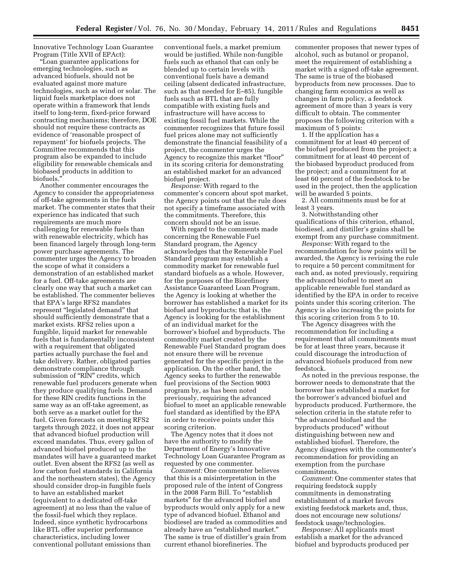Innovative Technology Loan Guarantee Program (Title XVII of EPAct):

''Loan guarantee applications for emerging technologies, such as advanced biofuels, should not be evaluated against more mature technologies, such as wind or solar. The liquid fuels marketplace does not operate within a framework that lends itself to long-term, fixed-price forward contracting mechanisms; therefore, DOE should not require these contracts as evidence of 'reasonable prospect of repayment' for biofuels projects. The Committee recommends that this program also be expanded to include eligibility for renewable chemicals and biobased products in addition to biofuels.''

Another commenter encourages the Agency to consider the appropriateness of off-take agreements in the fuels market. The commenter states that their experience has indicated that such requirements are much more challenging for renewable fuels than with renewable electricity, which has been financed largely through long-term power purchase agreements. The commenter urges the Agency to broaden the scope of what it considers a demonstration of an established market for a fuel. Off-take agreements are clearly one way that such a market can be established. The commenter believes that EPA's large RFS2 mandates represent ''legislated demand'' that should sufficiently demonstrate that a market exists. RFS2 relies upon a fungible, liquid market for renewable fuels that is fundamentally inconsistent with a requirement that obligated parties actually purchase the fuel and take delivery. Rather, obligated parties demonstrate compliance through submission of "RIN" credits, which renewable fuel producers generate when they produce qualifying fuels. Demand for these RIN credits functions in the same way as an off-take agreement, as both serve as a market outlet for the fuel. Given forecasts on meeting RFS2 targets through 2022, it does not appear that advanced biofuel production will exceed mandates. Thus, every gallon of advanced biofuel produced up to the mandates will have a guaranteed market outlet. Even absent the RFS2 (as well as low carbon fuel standards in California and the northeastern states), the Agency should consider drop-in fungible fuels to have an established market (equivalent to a dedicated off-take agreement) at no less than the value of the fossil-fuel which they replace. Indeed, since synthetic hydrocarbons like BTL offer superior performance characteristics, including lower conventional pollutant emissions than

conventional fuels, a market premium would be justified. While non-fungible fuels such as ethanol that can only be blended up to certain levels with conventional fuels have a demand ceiling (absent dedicated infrastructure, such as that needed for E–85), fungible fuels such as BTL that are fully compatible with existing fuels and infrastructure will have access to existing fossil fuel markets. While the commenter recognizes that future fossil fuel prices alone may not sufficiently demonstrate the financial feasibility of a project, the commenter urges the Agency to recognize this market ''floor'' in its scoring criteria for demonstrating an established market for an advanced biofuel project.

*Response:* With regard to the commenter's concern about spot market, the Agency points out that the rule does not specify a timeframe associated with the commitments. Therefore, this concern should not be an issue.

With regard to the comments made concerning the Renewable Fuel Standard program, the Agency acknowledges that the Renewable Fuel Standard program may establish a commodity market for renewable fuel standard biofuels as a whole. However, for the purposes of the Biorefinery Assistance Guaranteed Loan Program, the Agency is looking at whether the borrower has established a market for its biofuel and byproducts; that is, the Agency is looking for the establishment of an individual market for the borrower's biofuel and byproducts. The commodity market created by the Renewable Fuel Standard program does not ensure there will be revenue generated for the specific project in the application. On the other hand, the Agency seeks to further the renewable fuel provisions of the Section 9003 program by, as has been noted previously, requiring the advanced biofuel to meet an applicable renewable fuel standard as identified by the EPA in order to receive points under this scoring criterion.

The Agency notes that it does not have the authority to modify the Department of Energy's Innovative Technology Loan Guarantee Program as requested by one commenter.

*Comment:* One commenter believes that this is a misinterpretation in the proposed rule of the intent of Congress in the 2008 Farm Bill. To "establish markets'' for the advanced biofuel and byproducts would only apply for a new type of advanced biofuel. Ethanol and biodiesel are traded as commodities and already have an ''established market.'' The same is true of distiller's grain from current ethanol biorefineries. The

commenter proposes that newer types of alcohol, such as butanol or propanol, meet the requirement of establishing a market with a signed off-take agreement. The same is true of the biobased byproducts from new processes. Due to changing farm economics as well as changes in farm policy, a feedstock agreement of more than 3 years is very difficult to obtain. The commenter proposes the following criterion with a maximum of 5 points:

1. If the application has a commitment for at least 40 percent of the biofuel produced from the project; a commitment for at least 40 percent of the biobased byproduct produced from the project; and a commitment for at least 60 percent of the feedstock to be used in the project, then the application will be awarded 5 points.

2. All commitments must be for at least 3 years.

3. Notwithstanding other qualifications of this criterion, ethanol, biodiesel, and distiller's grains shall be exempt from any purchase commitment.

*Response:* With regard to the recommendation for how points will be awarded, the Agency is revising the rule to require a 50 percent commitment for each and, as noted previously, requiring the advanced biofuel to meet an applicable renewable fuel standard as identified by the EPA in order to receive points under this scoring criterion. The Agency is also increasing the points for this scoring criterion from 5 to 10.

The Agency disagrees with the recommendation for including a requirement that all commitments must be for at least three years, because it could discourage the introduction of advanced biofuels produced from new feedstock.

As noted in the previous response, the borrower needs to demonstrate that the borrower has established a market for the borrower's advanced biofuel and byproducts produced. Furthermore, the selection criteria in the statute refer to ''the advanced biofuel and the byproducts produced'' without distinguishing between new and established biofuel. Therefore, the Agency disagrees with the commenter's recommendation for providing an exemption from the purchase commitments.

*Comment:* One commenter states that requiring feedstock supply commitments in demonstrating establishment of a market favors existing feedstock markets and, thus, does not encourage new solutions/ feedstock usage/technologies.

*Response:* All applicants must establish a market for the advanced biofuel and byproducts produced per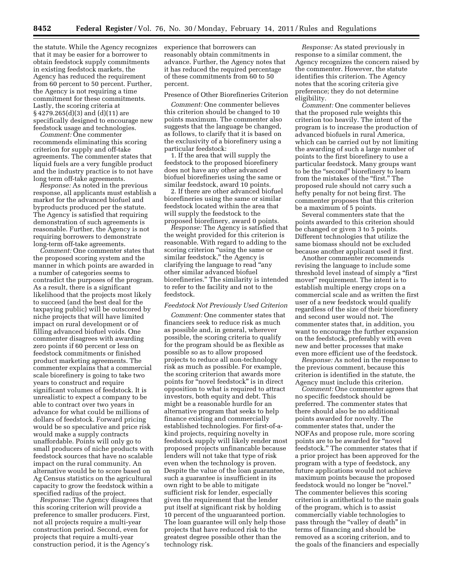the statute. While the Agency recognizes that it may be easier for a borrower to obtain feedstock supply commitments in existing feedstock markets, the Agency has reduced the requirement from 60 percent to 50 percent. Further, the Agency is not requiring a time commitment for these commitments. Lastly, the scoring criteria at § 4279.265(d)(3) and (d)(11) are specifically designed to encourage new feedstock usage and technologies.

*Comment:* One commenter recommends eliminating this scoring criterion for supply and off-take agreements. The commenter states that liquid fuels are a very fungible product and the industry practice is to not have long term off-take agreements.

*Response:* As noted in the previous response, all applicants must establish a market for the advanced biofuel and byproducts produced per the statute. The Agency is satisfied that requiring demonstration of such agreements is reasonable. Further, the Agency is not requiring borrowers to demonstrate long-term off-take agreements.

*Comment:* One commenter states that the proposed scoring system and the manner in which points are awarded in a number of categories seems to contradict the purposes of the program. As a result, there is a significant likelihood that the projects most likely to succeed (and the best deal for the taxpaying public) will be outscored by niche projects that will have limited impact on rural development or of filling advanced biofuel voids. One commenter disagrees with awarding zero points if 60 percent or less on feedstock commitments or finished product marketing agreements. The commenter explains that a commercial scale biorefinery is going to take two years to construct and require significant volumes of feedstock. It is unrealistic to expect a company to be able to contract over two years in advance for what could be millions of dollars of feedstock. Forward pricing would be so speculative and price risk would make a supply contracts unaffordable. Points will only go to small producers of niche products with feedstock sources that have no scalable impact on the rural community. An alternative would be to score based on Ag Census statistics on the agricultural capacity to grow the feedstock within a specified radius of the project.

*Response:* The Agency disagrees that this scoring criterion will provide a preference to smaller producers. First, not all projects require a multi-year construction period. Second, even for projects that require a multi-year construction period, it is the Agency's

experience that borrowers can reasonably obtain commitments in advance. Further, the Agency notes that it has reduced the required percentage of these commitments from 60 to 50 percent.

#### Presence of Other Biorefineries Criterion

*Comment:* One commenter believes this criterion should be changed to 10 points maximum. The commenter also suggests that the language be changed, as follows, to clarify that it is based on the exclusivity of a biorefinery using a particular feedstock:

1. If the area that will supply the feedstock to the proposed biorefinery does not have any other advanced biofuel biorefineries using the same or similar feedstock, award 10 points.

2. If there are other advanced biofuel biorefineries using the same or similar feedstock located within the area that will supply the feedstock to the proposed biorefinery, award 0 points.

*Response:* The Agency is satisfied that the weight provided for this criterion is reasonable. With regard to adding to the scoring criterion "using the same or similar feedstock," the Agency is clarifying the language to read ''any other similar advanced biofuel biorefineries.'' The similarity is intended to refer to the facility and not to the feedstock.

#### *Feedstock Not Previously Used Criterion*

*Comment:* One commenter states that financiers seek to reduce risk as much as possible and, in general, wherever possible, the scoring criteria to qualify for the program should be as flexible as possible so as to allow proposed projects to reduce all non-technology risk as much as possible. For example, the scoring criterion that awards more points for ''novel feedstock'' is in direct opposition to what is required to attract investors, both equity and debt. This might be a reasonable hurdle for an alternative program that seeks to help finance existing and commercially established technologies. For first-of-akind projects, requiring novelty in feedstock supply will likely render most proposed projects unfinancable because lenders will not take that type of risk even when the technology is proven. Despite the value of the loan guarantee, such a guarantee is insufficient in its own right to be able to mitigate sufficient risk for lender, especially given the requirement that the lender put itself at significant risk by holding 10 percent of the unguaranteed portion. The loan guarantee will only help those projects that have reduced risk to the greatest degree possible other than the technology risk.

*Response:* As stated previously in response to a similar comment, the Agency recognizes the concern raised by the commenter. However, the statute identifies this criterion. The Agency notes that the scoring criteria give preference; they do not determine eligibility.

*Comment:* One commenter believes that the proposed rule weights this criterion too heavily. The intent of the program is to increase the production of advanced biofuels in rural America, which can be carried out by not limiting the awarding of such a large number of points to the first biorefinery to use a particular feedstock. Many groups want to be the ''second'' biorefinery to learn from the mistakes of the "first." The proposed rule should not carry such a hefty penalty for not being first. The commenter proposes that this criterion be a maximum of 5 points.

Several commenters state that the points awarded to this criterion should be changed or given 3 to 5 points. Different technologies that utilize the same biomass should not be excluded because another applicant used it first.

Another commenter recommends revising the language to include some threshold level instead of simply a ''first mover'' requirement. The intent is to establish multiple energy crops on a commercial scale and as written the first user of a new feedstock would qualify regardless of the size of their biorefinery and second user would not. The commenter states that, in addition, you want to encourage the further expansion on the feedstock, preferably with even new and better processes that make even more efficient use of the feedstock.

*Response:* As noted in the response to the previous comment, because this criterion is identified in the statute, the Agency must include this criterion.

*Comment:* One commenter agrees that no specific feedstock should be preferred. The commenter states that there should also be no additional points awarded for novelty. The commenter states that, under the NOFAs and propose rule, more scoring points are to be awarded for ''novel feedstock.'' The commenter states that if a prior project has been approved for the program with a type of feedstock, any future applications would not achieve maximum points because the proposed feedstock would no longer be ''novel.'' The commenter believes this scoring criterion is antithetical to the main goals of the program, which is to assist commercially viable technologies to pass through the "valley of death" in terms of financing and should be removed as a scoring criterion, and to the goals of the financiers and especially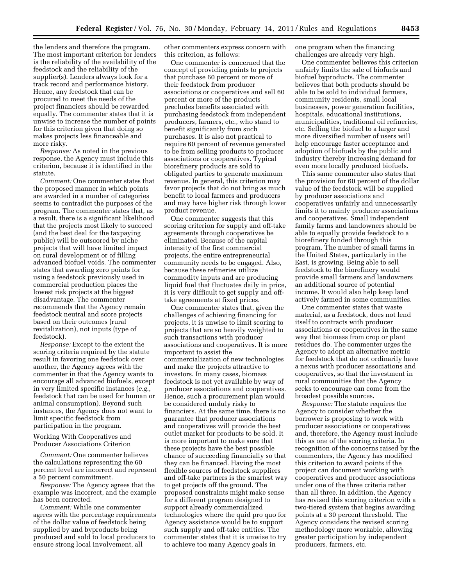the lenders and therefore the program. The most important criterion for lenders is the reliability of the availability of the feedstock and the reliability of the supplier(s). Lenders always look for a track record and performance history. Hence, any feedstock that can be procured to meet the needs of the project financiers should be rewarded equally. The commenter states that it is unwise to increase the number of points for this criterion given that doing so makes projects less financeable and more risky.

*Response:* As noted in the previous response, the Agency must include this criterion, because it is identified in the statute.

*Comment:* One commenter states that the proposed manner in which points are awarded in a number of categories seems to contradict the purposes of the program. The commenter states that, as a result, there is a significant likelihood that the projects most likely to succeed (and the best deal for the taxpaying public) will be outscored by niche projects that will have limited impact on rural development or of filling advanced biofuel voids. The commenter states that awarding zero points for using a feedstock previously used in commercial production places the lowest risk projects at the biggest disadvantage. The commenter recommends that the Agency remain feedstock neutral and score projects based on their outcomes (rural revitalization), not inputs (type of feedstock).

*Response:* Except to the extent the scoring criteria required by the statute result in favoring one feedstock over another, the Agency agrees with the commenter in that the Agency wants to encourage all advanced biofuels, except in very limited specific instances (*e.g.,*  feedstock that can be used for human or animal consumption). Beyond such instances, the Agency does not want to limit specific feedstock from participation in the program.

Working With Cooperatives and Producer Associations Criterion

*Comment:* One commenter believes the calculations representing the 60 percent level are incorrect and represent a 50 percent commitment.

*Response:* The Agency agrees that the example was incorrect, and the example has been corrected.

*Comment:* While one commenter agrees with the percentage requirements of the dollar value of feedstock being supplied by and byproducts being produced and sold to local producers to ensure strong local involvement, all

other commenters express concern with this criterion, as follows:

One commenter is concerned that the concept of providing points to projects that purchase 60 percent or more of their feedstock from producer associations or cooperatives and sell 60 percent or more of the products precludes benefits associated with purchasing feedstock from independent producers, farmers, etc., who stand to benefit significantly from such purchases. It is also not practical to require 60 percent of revenue generated to be from selling products to producer associations or cooperatives. Typical biorefinery products are sold to obligated parties to generate maximum revenue. In general, this criterion may favor projects that do not bring as much benefit to local farmers and producers and may have higher risk through lower product revenue.

One commenter suggests that this scoring criterion for supply and off-take agreements through cooperatives be eliminated. Because of the capital intensity of the first commercial projects, the entire entrepreneurial community needs to be engaged. Also, because these refineries utilize commodity inputs and are producing liquid fuel that fluctuates daily in price, it is very difficult to get supply and offtake agreements at fixed prices.

One commenter states that, given the challenges of achieving financing for projects, it is unwise to limit scoring to projects that are so heavily weighted to such transactions with producer associations and cooperatives. It is more important to assist the commercialization of new technologies and make the projects attractive to investors. In many cases, biomass feedstock is not yet available by way of producer associations and cooperatives. Hence, such a procurement plan would be considered unduly risky to financiers. At the same time, there is no guarantee that producer associations and cooperatives will provide the best outlet market for products to be sold. It is more important to make sure that these projects have the best possible chance of succeeding financially so that they can be financed. Having the most flexible sources of feedstock suppliers and off-take partners is the smartest way to get projects off the ground. The proposed constraints might make sense for a different program designed to support already commercialized technologies where the quid pro quo for Agency assistance would be to support such supply and off-take entities. The commenter states that it is unwise to try to achieve too many Agency goals in

one program when the financing challenges are already very high.

One commenter believes this criterion unfairly limits the sale of biofuels and biofuel byproducts. The commenter believes that both products should be able to be sold to individual farmers, community residents, small local businesses, power generation facilities, hospitals, educational institutions, municipalities, traditional oil refineries, etc. Selling the biofuel to a larger and more diversified number of users will help encourage faster acceptance and adoption of biofuels by the public and industry thereby increasing demand for even more locally produced biofuels.

This same commenter also states that the provision for 60 percent of the dollar value of the feedstock will be supplied by producer associations and cooperatives unfairly and unnecessarily limits it to mainly producer associations and cooperatives. Small independent family farms and landowners should be able to equally provide feedstock to a biorefinery funded through this program. The number of small farms in the United States, particularly in the East, is growing. Being able to sell feedstock to the biorefinery would provide small farmers and landowners an additional source of potential income. It would also help keep land actively farmed in some communities.

One commenter states that waste material, as a feedstock, does not lend itself to contracts with producer associations or cooperatives in the same way that biomass from crop or plant residues do. The commenter urges the Agency to adopt an alternative metric for feedstock that do not ordinarily have a nexus with producer associations and cooperatives, so that the investment in rural communities that the Agency seeks to encourage can come from the broadest possible sources.

*Response:* The statute requires the Agency to consider whether the borrower is proposing to work with producer associations or cooperatives and, therefore, the Agency must include this as one of the scoring criteria. In recognition of the concerns raised by the commenters, the Agency has modified this criterion to award points if the project can document working with cooperatives and producer associations under one of the three criteria rather than all three. In addition, the Agency has revised this scoring criterion with a two-tiered system that begins awarding points at a 30 percent threshold. The Agency considers the revised scoring methodology more workable, allowing greater participation by independent producers, farmers, etc.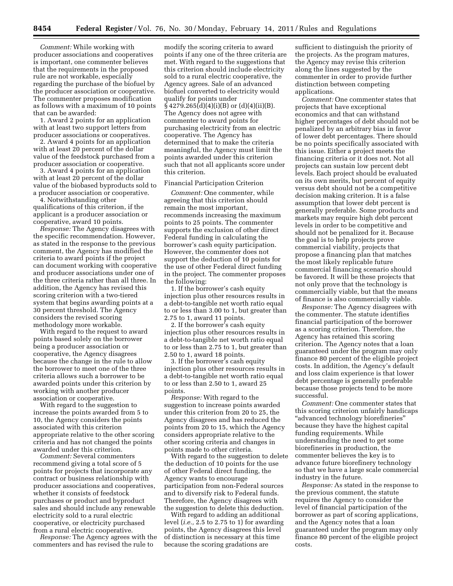*Comment:* While working with producer associations and cooperatives is important, one commenter believes that the requirements in the proposed rule are not workable, especially regarding the purchase of the biofuel by the producer association or cooperative. The commenter proposes modification as follows with a maximum of 10 points that can be awarded:

1. Award 2 points for an application with at least two support letters from producer associations or cooperatives.

2. Award 4 points for an application with at least 20 percent of the dollar value of the feedstock purchased from a producer association or cooperative.

3. Award 4 points for an application with at least 20 percent of the dollar value of the biobased byproducts sold to a producer association or cooperative.

4. Notwithstanding other qualifications of this criterion, if the applicant is a producer association or cooperative, award 10 points.

*Response:* The Agency disagrees with the specific recommendation. However, as stated in the response to the previous comment, the Agency has modified the criteria to award points if the project can document working with cooperative and producer associations under one of the three criteria rather than all three. In addition, the Agency has revised this scoring criterion with a two-tiered system that begins awarding points at a 30 percent threshold. The Agency considers the revised scoring methodology more workable.

With regard to the request to award points based solely on the borrower being a producer association or cooperative, the Agency disagrees because the change in the rule to allow the borrower to meet one of the three criteria allows such a borrower to be awarded points under this criterion by working with another producer association or cooperative.

With regard to the suggestion to increase the points awarded from 5 to 10, the Agency considers the points associated with this criterion appropriate relative to the other scoring criteria and has not changed the points awarded under this criterion.

*Comment:* Several commenters recommend giving a total score of 5 points for projects that incorporate any contract or business relationship with producer associations and cooperatives, whether it consists of feedstock purchases or product and byproduct sales and should include any renewable electricity sold to a rural electric cooperative, or electricity purchased from a rural electric cooperative.

*Response:* The Agency agrees with the commenters and has revised the rule to

modify the scoring criteria to award points if any one of the three criteria are met. With regard to the suggestions that this criterion should include electricity sold to a rural electric cooperative, the Agency agrees. Sale of an advanced biofuel converted to electricity would qualify for points under  $§ 4279.265(d)(4)(i)(B)$  or  $(d)(4)(ii)(B)$ . The Agency does not agree with commenter to award points for purchasing electricity from an electric cooperative. The Agency has determined that to make the criteria meaningful, the Agency must limit the points awarded under this criterion such that not all applicants score under this criterion.

#### Financial Participation Criterion

*Comment:* One commenter, while agreeing that this criterion should remain the most important, recommends increasing the maximum points to 25 points. The commenter supports the exclusion of other direct Federal funding in calculating the borrower's cash equity participation. However, the commenter does not support the deduction of 10 points for the use of other Federal direct funding in the project. The commenter proposes the following:

1. If the borrower's cash equity injection plus other resources results in a debt-to-tangible net worth ratio equal to or less than 3.00 to 1, but greater than 2.75 to 1, award 11 points.

2. If the borrower's cash equity injection plus other resources results in a debt-to-tangible net worth ratio equal to or less than 2.75 to 1, but greater than 2.50 to 1, award 18 points.

3. If the borrower's cash equity injection plus other resources results in a debt-to-tangible net worth ratio equal to or less than 2.50 to 1, award 25 points.

*Response:* With regard to the suggestion to increase points awarded under this criterion from 20 to 25, the Agency disagrees and has reduced the points from 20 to 15, which the Agency considers appropriate relative to the other scoring criteria and changes in points made to other criteria.

With regard to the suggestion to delete the deduction of 10 points for the use of other Federal direct funding, the Agency wants to encourage participation from non-Federal sources and to diversify risk to Federal funds. Therefore, the Agency disagrees with the suggestion to delete this deduction.

With regard to adding an additional level (*i.e.,* 2.5 to 2.75 to 1) for awarding points, the Agency disagrees this level of distinction is necessary at this time because the scoring gradations are

sufficient to distinguish the priority of the projects. As the program matures, the Agency may revise this criterion along the lines suggested by the commenter in order to provide further distinction between competing applications.

*Comment:* One commenter states that projects that have exceptional economics and that can withstand higher percentages of debt should not be penalized by an arbitrary bias in favor of lower debt percentages. There should be no points specifically associated with this issue. Either a project meets the financing criteria or it does not. Not all projects can sustain low percent debt levels. Each project should be evaluated on its own merits, but percent of equity versus debt should not be a competitive decision making criterion. It is a false assumption that lower debt percent is generally preferable. Some products and markets may require high debt percent levels in order to be competitive and should not be penalized for it. Because the goal is to help projects prove commercial viability, projects that propose a financing plan that matches the most likely replicable future commercial financing scenario should be favored. It will be these projects that not only prove that the technology is commercially viable, but that the means of finance is also commercially viable.

*Response:* The Agency disagrees with the commenter. The statute identifies financial participation of the borrower as a scoring criterion. Therefore, the Agency has retained this scoring criterion. The Agency notes that a loan guaranteed under the program may only finance 80 percent of the eligible project costs. In addition, the Agency's default and loss claim experience is that lower debt percentage is generally preferable because those projects tend to be more successful.

*Comment:* One commenter states that this scoring criterion unfairly handicaps ''advanced technology biorefineries'' because they have the highest capital funding requirements. While understanding the need to get some biorefineries in production, the commenter believes the key is to advance future biorefinery technology so that we have a large scale commercial industry in the future.

*Response:* As stated in the response to the previous comment, the statute requires the Agency to consider the level of financial participation of the borrower as part of scoring applications, and the Agency notes that a loan guaranteed under the program may only finance 80 percent of the eligible project costs.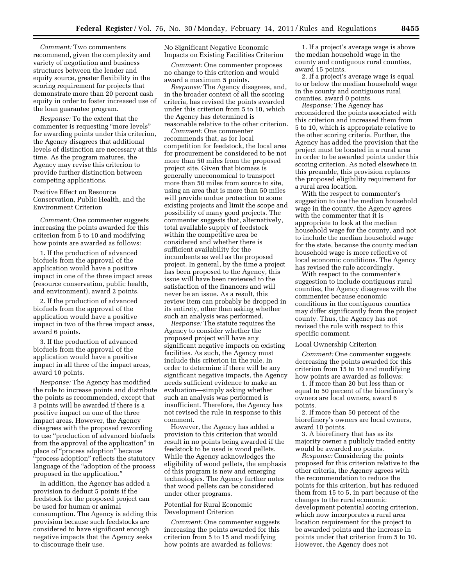*Comment:* Two commenters recommend, given the complexity and variety of negotiation and business structures between the lender and equity source, greater flexibility in the scoring requirement for projects that demonstrate more than 20 percent cash equity in order to foster increased use of the loan guarantee program.

*Response:* To the extent that the commenter is requesting ''more levels'' for awarding points under this criterion, the Agency disagrees that additional levels of distinction are necessary at this time. As the program matures, the Agency may revise this criterion to provide further distinction between competing applications.

Positive Effect on Resource Conservation, Public Health, and the Environment Criterion

*Comment:* One commenter suggests increasing the points awarded for this criterion from 5 to 10 and modifying how points are awarded as follows:

1. If the production of advanced biofuels from the approval of the application would have a positive impact in one of the three impact areas (resource conservation, public health, and environment), award 2 points.

2. If the production of advanced biofuels from the approval of the application would have a positive impact in two of the three impact areas, award 6 points.

3. If the production of advanced biofuels from the approval of the application would have a positive impact in all three of the impact areas, award 10 points.

*Response:* The Agency has modified the rule to increase points and distribute the points as recommended, except that 3 points will be awarded if there is a positive impact on one of the three impact areas. However, the Agency disagrees with the proposed rewording to use ''production of advanced biofuels from the approval of the application'' in place of ''process adoption'' because "process adoption" reflects the statutory language of the "adoption of the process" proposed in the application.''

In addition, the Agency has added a provision to deduct 5 points if the feedstock for the proposed project can be used for human or animal consumption. The Agency is adding this provision because such feedstocks are considered to have significant enough negative impacts that the Agency seeks to discourage their use.

No Significant Negative Economic Impacts on Existing Facilities Criterion

*Comment:* One commenter proposes no change to this criterion and would award a maximum 5 points.

*Response:* The Agency disagrees, and, in the broader context of all the scoring criteria, has revised the points awarded under this criterion from 5 to 10, which the Agency has determined is reasonable relative to the other criterion.

*Comment:* One commenter recommends that, as for local competition for feedstock, the local area for procurement be considered to be not more than 50 miles from the proposed project site. Given that biomass is generally uneconomical to transport more than 50 miles from source to site, using an area that is more than 50 miles will provide undue protection to some existing projects and limit the scope and possibility of many good projects. The commenter suggests that, alternatively, total available supply of feedstock within the competitive area be considered and whether there is sufficient availability for the incumbents as well as the proposed project. In general, by the time a project has been proposed to the Agency, this issue will have been reviewed to the satisfaction of the financers and will never be an issue. As a result, this review item can probably be dropped in its entirety, other than asking whether such an analysis was performed.

*Response:* The statute requires the Agency to consider whether the proposed project will have any significant negative impacts on existing facilities. As such, the Agency must include this criterion in the rule. In order to determine if there will be any significant negative impacts, the Agency needs sufficient evidence to make an evaluation—simply asking whether such an analysis was performed is insufficient. Therefore, the Agency has not revised the rule in response to this comment.

However, the Agency has added a provision to this criterion that would result in no points being awarded if the feedstock to be used is wood pellets. While the Agency acknowledges the eligibility of wood pellets, the emphasis of this program is new and emerging technologies. The Agency further notes that wood pellets can be considered under other programs.

# Potential for Rural Economic Development Criterion

*Comment:* One commenter suggests increasing the points awarded for this criterion from 5 to 15 and modifying how points are awarded as follows:

1. If a project's average wage is above the median household wage in the county and contiguous rural counties, award 15 points.

2. If a project's average wage is equal to or below the median household wage in the county and contiguous rural counties, award 0 points.

*Response:* The Agency has reconsidered the points associated with this criterion and increased them from 5 to 10, which is appropriate relative to the other scoring criteria. Further, the Agency has added the provision that the project must be located in a rural area in order to be awarded points under this scoring criterion. As noted elsewhere in this preamble, this provision replaces the proposed eligibility requirement for a rural area location.

With the respect to commenter's suggestion to use the median household wage in the county, the Agency agrees with the commenter that it is appropriate to look at the median household wage for the county, and not to include the median household wage for the state, because the county median household wage is more reflective of local economic conditions. The Agency has revised the rule accordingly.

With respect to the commenter's suggestion to include contiguous rural counties, the Agency disagrees with the commenter because economic conditions in the contiguous counties may differ significantly from the project county. Thus, the Agency has not revised the rule with respect to this specific comment.

#### Local Ownership Criterion

*Comment:* One commenter suggests decreasing the points awarded for this criterion from 15 to 10 and modifying how points are awarded as follows:

1. If more than 20 but less than or equal to 50 percent of the biorefinery's owners are local owners, award 6 points.

2. If more than 50 percent of the biorefinery's owners are local owners, award 10 points.

3. A biorefinery that has as its majority owner a publicly traded entity would be awarded no points.

*Response:* Considering the points proposed for this criterion relative to the other criteria, the Agency agrees with the recommendation to reduce the points for this criterion, but has reduced them from 15 to 5, in part because of the changes to the rural economic development potential scoring criterion, which now incorporates a rural area location requirement for the project to be awarded points and the increase in points under that criterion from 5 to 10. However, the Agency does not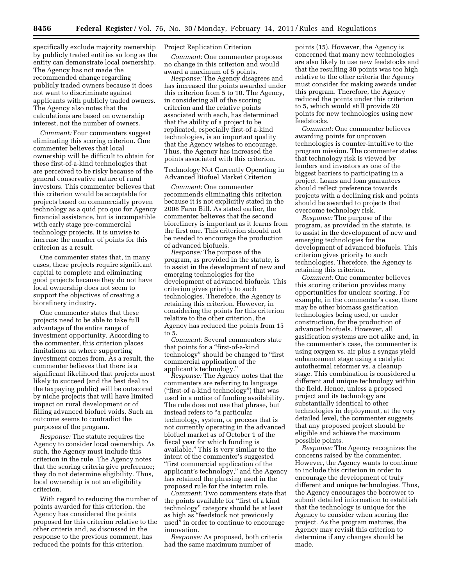specifically exclude majority ownership by publicly traded entities so long as the entity can demonstrate local ownership. The Agency has not made the recommended change regarding publicly traded owners because it does not want to discriminate against applicants with publicly traded owners. The Agency also notes that the calculations are based on ownership interest, not the number of owners.

*Comment:* Four commenters suggest eliminating this scoring criterion. One commenter believes that local ownership will be difficult to obtain for these first-of-a-kind technologies that are perceived to be risky because of the general conservative nature of rural investors. This commenter believes that this criterion would be acceptable for projects based on commercially proven technology as a quid pro quo for Agency financial assistance, but is incompatible with early stage pre-commercial technology projects. It is unwise to increase the number of points for this criterion as a result.

One commenter states that, in many cases, these projects require significant capital to complete and eliminating good projects because they do not have local ownership does not seem to support the objectives of creating a biorefinery industry.

One commenter states that these projects need to be able to take full advantage of the entire range of investment opportunity. According to the commenter, this criterion places limitations on where supporting investment comes from. As a result, the commenter believes that there is a significant likelihood that projects most likely to succeed (and the best deal to the taxpaying public) will be outscored by niche projects that will have limited impact on rural development or of filling advanced biofuel voids. Such an outcome seems to contradict the purposes of the program.

*Response:* The statute requires the Agency to consider local ownership. As such, the Agency must include this criterion in the rule. The Agency notes that the scoring criteria give preference; they do not determine eligibility. Thus, local ownership is not an eligibility criterion.

With regard to reducing the number of points awarded for this criterion, the Agency has considered the points proposed for this criterion relative to the other criteria and, as discussed in the response to the previous comment, has reduced the points for this criterion.

#### Project Replication Criterion

*Comment:* One commenter proposes no change in this criterion and would award a maximum of 5 points.

*Response:* The Agency disagrees and has increased the points awarded under this criterion from 5 to 10. The Agency, in considering all of the scoring criterion and the relative points associated with each, has determined that the ability of a project to be replicated, especially first-of-a-kind technologies, is an important quality that the Agency wishes to encourage. Thus, the Agency has increased the points associated with this criterion.

Technology Not Currently Operating in Advanced Biofuel Market Criterion

*Comment:* One commenter recommends eliminating this criterion because it is not explicitly stated in the 2008 Farm Bill. As stated earlier, the commenter believes that the second biorefinery is important as it learns from the first one. This criterion should not be needed to encourage the production of advanced biofuels.

*Response:* The purpose of the program, as provided in the statute, is to assist in the development of new and emerging technologies for the development of advanced biofuels. This criterion gives priority to such technologies. Therefore, the Agency is retaining this criterion. However, in considering the points for this criterion relative to the other criterion, the Agency has reduced the points from 15 to 5.

*Comment:* Several commenters state that points for a ''first-of-a-kind technology'' should be changed to ''first commercial application of the applicant's technology.''

*Response:* The Agency notes that the commenters are referring to language (''first-of-a-kind technology'') that was used in a notice of funding availability. The rule does not use that phrase, but instead refers to "a particular technology, system, or process that is not currently operating in the advanced biofuel market as of October 1 of the fiscal year for which funding is available.'' This is very similar to the intent of the commenter's suggested ''first commercial application of the applicant's technology,'' and the Agency has retained the phrasing used in the proposed rule for the interim rule.

*Comment:* Two commenters state that the points available for "first of a kind technology'' category should be at least as high as ''feedstock not previously used'' in order to continue to encourage innovation.

*Response:* As proposed, both criteria had the same maximum number of

points (15). However, the Agency is concerned that many new technologies are also likely to use new feedstocks and that the resulting 30 points was too high relative to the other criteria the Agency must consider for making awards under this program. Therefore, the Agency reduced the points under this criterion to 5, which would still provide 20 points for new technologies using new feedstocks.

*Comment:* One commenter believes awarding points for unproven technologies is counter-intuitive to the program mission. The commenter states that technology risk is viewed by lenders and investors as one of the biggest barriers to participating in a project. Loans and loan guarantees should reflect preference towards projects with a declining risk and points should be awarded to projects that overcome technology risk.

*Response:* The purpose of the program, as provided in the statute, is to assist in the development of new and emerging technologies for the development of advanced biofuels. This criterion gives priority to such technologies. Therefore, the Agency is retaining this criterion.

*Comment:* One commenter believes this scoring criterion provides many opportunities for unclear scoring. For example, in the commenter's case, there may be other biomass gasification technologies being used, or under construction, for the production of advanced biofuels. However, all gasification systems are not alike and, in the commenter's case, the commenter is using oxygen vs. air plus a syngas yield enhancement stage using a catalytic autothermal reformer vs. a cleanup stage. This combination is considered a different and unique technology within the field. Hence, unless a proposed project and its technology are substantially identical to other technologies in deployment, at the very detailed level, the commenter suggests that any proposed project should be eligible and achieve the maximum possible points.

*Response:* The Agency recognizes the concerns raised by the commenter. However, the Agency wants to continue to include this criterion in order to encourage the development of truly different and unique technologies. Thus, the Agency encourages the borrower to submit detailed information to establish that the technology is unique for the Agency to consider when scoring the project. As the program matures, the Agency may revisit this criterion to determine if any changes should be made.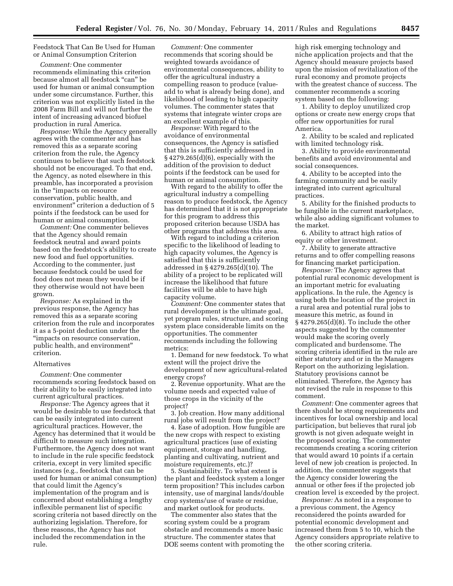Feedstock That Can Be Used for Human or Animal Consumption Criterion

*Comment:* One commenter recommends eliminating this criterion because almost all feedstock ''can'' be used for human or animal consumption under some circumstance. Further, this criterion was not explicitly listed in the 2008 Farm Bill and will not further the intent of increasing advanced biofuel production in rural America.

*Response:* While the Agency generally agrees with the commenter and has removed this as a separate scoring criterion from the rule, the Agency continues to believe that such feedstock should not be encouraged. To that end, the Agency, as noted elsewhere in this preamble, has incorporated a provision in the ''impacts on resource conservation, public health, and environment'' criterion a deduction of 5 points if the feedstock can be used for human or animal consumption.

*Comment:* One commenter believes that the Agency should remain feedstock neutral and award points based on the feedstock's ability to create new food and fuel opportunities. According to the commenter, just because feedstock could be used for food does not mean they would be if they otherwise would not have been grown.

*Response:* As explained in the previous response, the Agency has removed this as a separate scoring criterion from the rule and incorporates it as a 5-point deduction under the ''impacts on resource conservation, public health, and environment'' criterion.

#### Alternatives

*Comment:* One commenter recommends scoring feedstock based on their ability to be easily integrated into current agricultural practices.

*Response:* The Agency agrees that it would be desirable to use feedstock that can be easily integrated into current agricultural practices. However, the Agency has determined that it would be difficult to measure such integration. Furthermore, the Agency does not want to include in the rule specific feedstock criteria, except in very limited specific instances (e.g., feedstock that can be used for human or animal consumption) that could limit the Agency's implementation of the program and is concerned about establishing a lengthy inflexible permanent list of specific scoring criteria not based directly on the authorizing legislation. Therefore, for these reasons, the Agency has not included the recommendation in the rule.

*Comment:* One commenter recommends that scoring should be weighted towards avoidance of environmental consequences, ability to offer the agricultural industry a compelling reason to produce (valueadd to what is already being done), and likelihood of leading to high capacity volumes. The commenter states that systems that integrate winter crops are an excellent example of this.

*Response:* With regard to the avoidance of environmental consequences, the Agency is satisfied that this is sufficiently addressed in § 4279.265(d)(6), especially with the addition of the provision to deduct points if the feedstock can be used for human or animal consumption.

With regard to the ability to offer the agricultural industry a compelling reason to produce feedstock, the Agency has determined that it is not appropriate for this program to address this proposed criterion because USDA has other programs that address this area.

With regard to including a criterion specific to the likelihood of leading to high capacity volumes, the Agency is satisfied that this is sufficiently addressed in § 4279.265(d)(10). The ability of a project to be replicated will increase the likelihood that future facilities will be able to have high capacity volume.

*Comment:* One commenter states that rural development is the ultimate goal, yet program rules, structure, and scoring system place considerable limits on the opportunities. The commenter recommends including the following metrics:

1. Demand for new feedstock. To what extent will the project drive the development of new agricultural-related energy crops?

2. Revenue opportunity. What are the volume needs and expected value of those crops in the vicinity of the project?

3. Job creation. How many additional rural jobs will result from the project?

4. Ease of adoption. How fungible are the new crops with respect to existing agricultural practices (use of existing equipment, storage and handling, planting and cultivating, nutrient and moisture requirements, etc.)?

5. Sustainability. To what extent is the plant and feedstock system a longer term proposition? This includes carbon intensity, use of marginal lands/double crop systems/use of waste or residue, and market outlook for products.

The commenter also states that the scoring system could be a program obstacle and recommends a more basic structure. The commenter states that DOE seems content with promoting the high risk emerging technology and niche application projects and that the Agency should measure projects based upon the mission of revitalization of the rural economy and promote projects with the greatest chance of success. The commenter recommends a scoring system based on the following:

1. Ability to deploy unutilized crop options or create new energy crops that offer new opportunities for rural America.

2. Ability to be scaled and replicated with limited technology risk.

3. Ability to provide environmental benefits and avoid environmental and social consequences.

4. Ability to be accepted into the farming community and be easily integrated into current agricultural practices.

5. Ability for the finished products to be fungible in the current marketplace, while also adding significant volumes to the market.

6. Ability to attract high ratios of equity or other investment.

7. Ability to generate attractive returns and to offer compelling reasons for financing market participation.

*Response:* The Agency agrees that potential rural economic development is an important metric for evaluating applications. In the rule, the Agency is using both the location of the project in a rural area and potential rural jobs to measure this metric, as found in § 4279.265(d)(8). To include the other aspects suggested by the commenter would make the scoring overly complicated and burdensome. The scoring criteria identified in the rule are either statutory and or in the Managers Report on the authorizing legislation. Statutory provisions cannot be eliminated. Therefore, the Agency has not revised the rule in response to this comment.

*Comment:* One commenter agrees that there should be strong requirements and incentives for local ownership and local participation, but believes that rural job growth is not given adequate weight in the proposed scoring. The commenter recommends creating a scoring criterion that would award 10 points if a certain level of new job creation is projected. In addition, the commenter suggests that the Agency consider lowering the annual or other fees if the projected job creation level is exceeded by the project.

*Response:* As noted in a response to a previous comment, the Agency reconsidered the points awarded for potential economic development and increased them from 5 to 10, which the Agency considers appropriate relative to the other scoring criteria.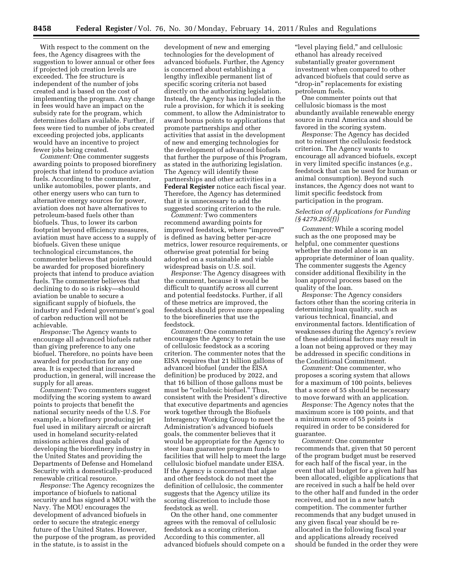With respect to the comment on the fees, the Agency disagrees with the suggestion to lower annual or other fees if projected job creation levels are exceeded. The fee structure is independent of the number of jobs created and is based on the cost of implementing the program. Any change in fees would have an impact on the subsidy rate for the program, which determines dollars available. Further, if fees were tied to number of jobs created exceeding projected jobs, applicants would have an incentive to project fewer jobs being created.

*Comment:* One commenter suggests awarding points to proposed biorefinery projects that intend to produce aviation fuels. According to the commenter, unlike automobiles, power plants, and other energy users who can turn to alternative energy sources for power, aviation does not have alternatives to petroleum-based fuels other than biofuels. Thus, to lower its carbon footprint beyond efficiency measures, aviation must have access to a supply of biofuels. Given these unique technological circumstances, the commenter believes that points should be awarded for proposed biorefinery projects that intend to produce aviation fuels. The commenter believes that declining to do so is risky—should aviation be unable to secure a significant supply of biofuels, the industry and Federal government's goal of carbon reduction will not be achievable.

*Response:* The Agency wants to encourage all advanced biofuels rather than giving preference to any one biofuel. Therefore, no points have been awarded for production for any one area. It is expected that increased production, in general, will increase the supply for all areas.

*Comment:* Two commenters suggest modifying the scoring system to award points to projects that benefit the national security needs of the U.S. For example, a biorefinery producing jet fuel used in military aircraft or aircraft used in homeland security-related missions achieves dual goals of developing the biorefinery industry in the United States and providing the Departments of Defense and Homeland Security with a domestically-produced renewable critical resource.

*Response:* The Agency recognizes the importance of biofuels to national security and has signed a MOU with the Navy. The MOU encourages the development of advanced biofuels in order to secure the strategic energy future of the United States. However, the purpose of the program, as provided in the statute, is to assist in the

development of new and emerging technologies for the development of advanced biofuels. Further, the Agency is concerned about establishing a lengthy inflexible permanent list of specific scoring criteria not based directly on the authorizing legislation. Instead, the Agency has included in the rule a provision, for which it is seeking comment, to allow the Administrator to award bonus points to applications that promote partnerships and other activities that assist in the development of new and emerging technologies for the development of advanced biofuels that further the purpose of this Program, as stated in the authorizing legislation. The Agency will identify these partnerships and other activities in a **Federal Register** notice each fiscal year. Therefore, the Agency has determined that it is unnecessary to add the suggested scoring criterion to the rule.

*Comment:* Two commenters recommend awarding points for improved feedstock, where ''improved'' is defined as having better per-acre metrics, lower resource requirements, or otherwise great potential for being adopted on a sustainable and viable widespread basis on U.S. soil.

*Response:* The Agency disagrees with the comment, because it would be difficult to quantify across all current and potential feedstocks. Further, if all of these metrics are improved, the feedstock should prove more appealing to the biorefineries that use the feedstock.

*Comment:* One commenter encourages the Agency to retain the use of cellulosic feedstock as a scoring criterion. The commenter notes that the EISA requires that 21 billion gallons of advanced biofuel (under the EISA definition) be produced by 2022, and that 16 billion of those gallons must be must be "cellulosic biofuel." Thus, consistent with the President's directive that executive departments and agencies work together through the Biofuels Interagency Working Group to meet the Administration's advanced biofuels goals, the commenter believes that it would be appropriate for the Agency to steer loan guarantee program funds to facilities that will help to meet the large cellulosic biofuel mandate under EISA. If the Agency is concerned that algae and other feedstock do not meet the definition of cellulosic, the commenter suggests that the Agency utilize its scoring discretion to include those feedstock as well.

On the other hand, one commenter agrees with the removal of cellulosic feedstock as a scoring criterion. According to this commenter, all advanced biofuels should compete on a

"level playing field," and cellulosic ethanol has already received substantially greater government investment when compared to other advanced biofuels that could serve as "drop-in" replacements for existing petroleum fuels.

One commenter points out that cellulosic biomass is the most abundantly available renewable energy source in rural America and should be favored in the scoring system.

*Response:* The Agency has decided not to reinsert the cellulosic feedstock criterion. The Agency wants to encourage all advanced biofuels, except in very limited specific instances (*e.g.,*  feedstock that can be used for human or animal consumption). Beyond such instances, the Agency does not want to limit specific feedstock from participation in the program.

# *Selection of Applications for Funding (§ 4279.265(f))*

*Comment:* While a scoring model such as the one proposed may be helpful, one commenter questions whether the model alone is an appropriate determiner of loan quality. The commenter suggests the Agency consider additional flexibility in the loan approval process based on the quality of the loan.

*Response:* The Agency considers factors other than the scoring criteria in determining loan quality, such as various technical, financial, and environmental factors. Identification of weaknesses during the Agency's review of these additional factors may result in a loan not being approved or they may be addressed in specific conditions in the Conditional Commitment.

*Comment:* One commenter, who proposes a scoring system that allows for a maximum of 100 points, believes that a score of 55 should be necessary to move forward with an application.

*Response:* The Agency notes that the maximum score is 100 points, and that a minimum score of 55 points is required in order to be considered for guarantee.

*Comment:* One commenter recommends that, given that 50 percent of the program budget must be reserved for each half of the fiscal year, in the event that all budget for a given half has been allocated, eligible applications that are received in such a half be held over to the other half and funded in the order received, and not in a new batch competition. The commenter further recommends that any budget unused in any given fiscal year should be reallocated in the following fiscal year and applications already received should be funded in the order they were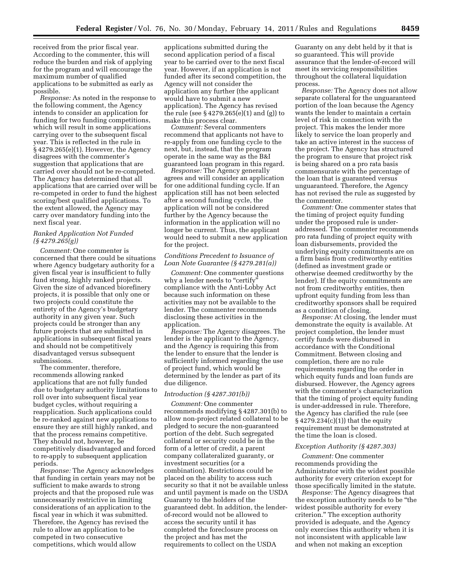received from the prior fiscal year. According to the commenter, this will reduce the burden and risk of applying for the program and will encourage the maximum number of qualified applications to be submitted as early as possible.

*Response:* As noted in the response to the following comment, the Agency intends to consider an application for funding for two funding competitions, which will result in some applications carrying over to the subsequent fiscal year. This is reflected in the rule in § 4279.265(e)(1). However, the Agency disagrees with the commenter's suggestion that applications that are carried over should not be re-competed. The Agency has determined that all applications that are carried over will be re-competed in order to fund the highest scoring/best qualified applications. To the extent allowed, the Agency may carry over mandatory funding into the next fiscal year.

#### *Ranked Application Not Funded (§ 4279.265(g))*

*Comment:* One commenter is concerned that there could be situations where Agency budgetary authority for a given fiscal year is insufficient to fully fund strong, highly ranked projects. Given the size of advanced biorefinery projects, it is possible that only one or two projects could constitute the entirety of the Agency's budgetary authority in any given year. Such projects could be stronger than any future projects that are submitted in applications in subsequent fiscal years and should not be competitively disadvantaged versus subsequent submissions.

The commenter, therefore, recommends allowing ranked applications that are not fully funded due to budgetary authority limitations to roll over into subsequent fiscal year budget cycles, without requiring a reapplication. Such applications could be re-ranked against new applications to ensure they are still highly ranked, and that the process remains competitive. They should not, however, be competitively disadvantaged and forced to re-apply to subsequent application periods.

*Response:* The Agency acknowledges that funding in certain years may not be sufficient to make awards to strong projects and that the proposed rule was unnecessarily restrictive in limiting considerations of an application to the fiscal year in which it was submitted. Therefore, the Agency has revised the rule to allow an application to be competed in two consecutive competitions, which would allow

applications submitted during the second application period of a fiscal year to be carried over to the next fiscal year. However, if an application is not funded after its second competition, the Agency will not consider the application any further (the applicant would have to submit a new application). The Agency has revised the rule (see § 4279.265(e)(1) and (g)) to make this process clear.

*Comment:* Several commenters recommend that applicants not have to re-apply from one funding cycle to the next, but, instead, that the program operate in the same way as the B&I guaranteed loan program in this regard.

*Response:* The Agency generally agrees and will consider an application for one additional funding cycle. If an application still has not been selected after a second funding cycle, the application will not be considered further by the Agency because the information in the application will no longer be current. Thus, the applicant would need to submit a new application for the project.

# *Conditions Precedent to Issuance of Loan Note Guarantee (§ 4279.281(a))*

*Comment:* One commenter questions why a lender needs to "certify" compliance with the Anti-Lobby Act because such information on these activities may not be available to the lender. The commenter recommends disclosing these activities in the application.

*Response:* The Agency disagrees. The lender is the applicant to the Agency, and the Agency is requiring this from the lender to ensure that the lender is sufficiently informed regarding the use of project fund, which would be determined by the lender as part of its due diligence.

#### *Introduction (§ 4287.301(b))*

*Comment:* One commenter recommends modifying § 4287.301(b) to allow non-project related collateral to be pledged to secure the non-guaranteed portion of the debt. Such segregated collateral or security could be in the form of a letter of credit, a parent company collateralized guaranty, or investment securities (or a combination). Restrictions could be placed on the ability to access such security so that it not be available unless and until payment is made on the USDA Guaranty to the holders of the guaranteed debt. In addition, the lenderof-record would not be allowed to access the security until it has completed the foreclosure process on the project and has met the requirements to collect on the USDA

Guaranty on any debt held by it that is so guaranteed. This will provide assurance that the lender-of-record will meet its servicing responsibilities throughout the collateral liquidation process.

*Response:* The Agency does not allow separate collateral for the unguaranteed portion of the loan because the Agency wants the lender to maintain a certain level of risk in connection with the project. This makes the lender more likely to service the loan properly and take an active interest in the success of the project. The Agency has structured the program to ensure that project risk is being shared on a pro rata basis commensurate with the percentage of the loan that is guaranteed versus unguaranteed. Therefore, the Agency has not revised the rule as suggested by the commenter.

*Comment:* One commenter states that the timing of project equity funding under the proposed rule is underaddressed. The commenter recommends pro rata funding of project equity with loan disbursements, provided the underlying equity commitments are on a firm basis from creditworthy entities (defined as investment grade or otherwise deemed creditworthy by the lender). If the equity commitments are not from creditworthy entities, then upfront equity funding from less than creditworthy sponsors shall be required as a condition of closing.

*Response:* At closing, the lender must demonstrate the equity is available. At project completion, the lender must certify funds were disbursed in accordance with the Conditional Commitment. Between closing and completion, there are no rule requirements regarding the order in which equity funds and loan funds are disbursed. However, the Agency agrees with the commenter's characterization that the timing of project equity funding is under-addressed in rule. Therefore, the Agency has clarified the rule (see § 4279.234(c)(1)) that the equity requirement must be demonstrated at the time the loan is closed.

# *Exception Authority (§ 4287.303)*

*Comment:* One commenter recommends providing the Administrator with the widest possible authority for every criterion except for those specifically limited in the statute.

*Response:* The Agency disagrees that the exception authority needs to be ''the widest possible authority for every criterion.'' The exception authority provided is adequate, and the Agency only exercises this authority when it is not inconsistent with applicable law and when not making an exception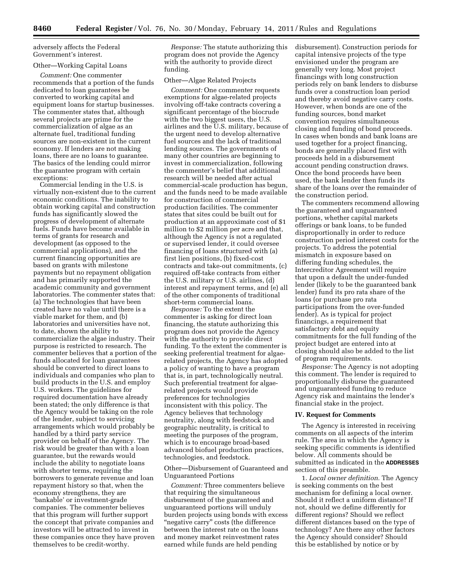adversely affects the Federal Government's interest.

# Other—Working Capital Loans

*Comment:* One commenter recommends that a portion of the funds dedicated to loan guarantees be converted to working capital and equipment loans for startup businesses. The commenter states that, although several projects are prime for the commercialization of algae as an alternate fuel, traditional funding sources are non-existent in the current economy. If lenders are not making loans, there are no loans to guarantee. The basics of the lending could mirror the guarantee program with certain exceptions:

Commercial lending in the U.S. is virtually non-existent due to the current economic conditions. The inability to obtain working capital and construction funds has significantly slowed the progress of development of alternate fuels. Funds have become available in terms of grants for research and development (as opposed to the commercial applications), and the current financing opportunities are based on grants with milestone payments but no repayment obligation and has primarily supported the academic community and government laboratories. The commenter states that: (a) The technologies that have been created have no value until there is a viable market for them, and (b) laboratories and universities have not, to date, shown the ability to commercialize the algae industry. Their purpose is restricted to research. The commenter believes that a portion of the funds allocated for loan guarantees should be converted to direct loans to individuals and companies who plan to build products in the U.S. and employ U.S. workers. The guidelines for required documentation have already been stated; the only difference is that the Agency would be taking on the role of the lender, subject to servicing arrangements which would probably be handled by a third party service provider on behalf of the Agency. The risk would be greater than with a loan guarantee, but the rewards would include the ability to negotiate loans with shorter terms, requiring the borrowers to generate revenue and loan repayment history so that, when the economy strengthens, they are 'bankable' or investment-grade companies. The commenter believes that this program will further support the concept that private companies and investors will be attracted to invest in these companies once they have proven themselves to be credit-worthy.

*Response:* The statute authorizing this program does not provide the Agency with the authority to provide direct funding.

#### Other—Algae Related Projects

*Comment:* One commenter requests exemptions for algae-related projects involving off-take contracts covering a significant percentage of the biocrude with the two biggest users, the U.S. airlines and the U.S. military, because of the urgent need to develop alternative fuel sources and the lack of traditional lending sources. The governments of many other countries are beginning to invest in commercialization, following the commenter's belief that additional research will be needed after actual commercial-scale production has begun, and the funds need to be made available for construction of commercial production facilities. The commenter states that sites could be built out for production at an approximate cost of \$1 million to \$2 million per acre and that, although the Agency is not a regulated or supervised lender, it could oversee financing of loans structured with (a) first lien positions, (b) fixed-cost contracts and take-out commitments, (c) required off-take contracts from either the U.S. military or U.S. airlines, (d) interest and repayment terms, and (e) all of the other components of traditional short-term commercial loans.

*Response:* To the extent the commenter is asking for direct loan financing, the statute authorizing this program does not provide the Agency with the authority to provide direct funding. To the extent the commenter is seeking preferential treatment for algaerelated projects, the Agency has adopted a policy of wanting to have a program that is, in part, technologically neutral. Such preferential treatment for algaerelated projects would provide preferences for technologies inconsistent with this policy. The Agency believes that technology neutrality, along with feedstock and geographic neutrality, is critical to meeting the purposes of the program, which is to encourage broad-based advanced biofuel production practices, technologies, and feedstock.

# Other—Disbursement of Guaranteed and Unguaranteed Portions

*Comment:* Three commenters believe that requiring the simultaneous disbursement of the guaranteed and unguaranteed portions will unduly burden projects using bonds with excess "negative carry" costs (the difference between the interest rate on the loans and money market reinvestment rates earned while funds are held pending

disbursement). Construction periods for capital intensive projects of the type envisioned under the program are generally very long. Most project financings with long construction periods rely on bank lenders to disburse funds over a construction loan period and thereby avoid negative carry costs. However, when bonds are one of the funding sources, bond market convention requires simultaneous closing and funding of bond proceeds. In cases when bonds and bank loans are used together for a project financing, bonds are generally placed first with proceeds held in a disbursement account pending construction draws. Once the bond proceeds have been used, the bank lender then funds its share of the loans over the remainder of the construction period.

The commenters recommend allowing the guaranteed and unguaranteed portions, whether capital markets offerings or bank loans, to be funded disproportionally in order to reduce construction period interest costs for the projects. To address the potential mismatch in exposure based on differing funding schedules, the Intercreditor Agreement will require that upon a default the under-funded lender (likely to be the guaranteed bank lender) fund its pro rata share of the loans (or purchase pro rata participations from the over-funded lender). As is typical for project financings, a requirement that satisfactory debt and equity commitments for the full funding of the project budget are entered into at closing should also be added to the list of program requirements.

*Response:* The Agency is not adopting this comment. The lender is required to proportionally disburse the guaranteed and unguaranteed funding to reduce Agency risk and maintains the lender's financial stake in the project.

#### **IV. Request for Comments**

The Agency is interested in receiving comments on all aspects of the interim rule. The area in which the Agency is seeking specific comments is identified below. All comments should be submitted as indicated in the **ADDRESSES** section of this preamble.

1. *Local owner definition.* The Agency is seeking comments on the best mechanism for defining a local owner. Should it reflect a uniform distance? If not, should we define differently for different regions? Should we reflect different distances based on the type of technology? Are there any other factors the Agency should consider? Should this be established by notice or by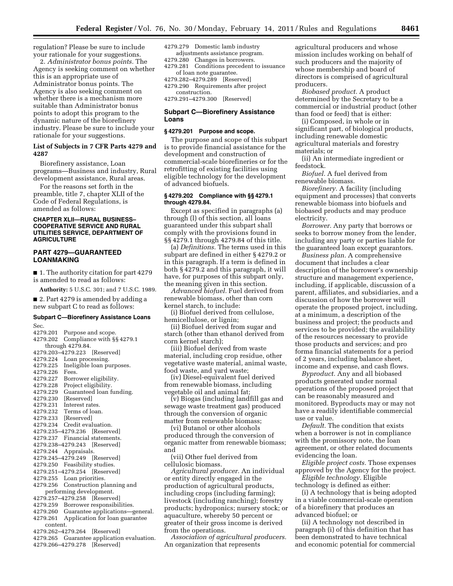regulation? Please be sure to include your rationale for your suggestions.

2. *Administrator bonus points.* The Agency is seeking comment on whether this is an appropriate use of Administrator bonus points. The Agency is also seeking comment on whether there is a mechanism more suitable than Administrator bonus points to adopt this program to the dynamic nature of the biorefinery industry. Please be sure to include your rationale for your suggestions.

# **List of Subjects in 7 CFR Parts 4279 and 4287**

Biorefinery assistance, Loan programs—Business and industry, Rural development assistance, Rural areas.

For the reasons set forth in the preamble, title 7, chapter XLII of the Code of Federal Regulations, is amended as follows:

# **CHAPTER XLII—RURAL BUSINESS– COOPERATIVE SERVICE AND RURAL UTILITIES SERVICE, DEPARTMENT OF AGRICULTURE**

# **PART 4279—GUARANTEED LOANMAKING**

■ 1. The authority citation for part 4279 is amended to read as follows:

**Authority:** 5 U.S.C. 301; and 7 U.S.C. 1989.

■ 2. Part 4279 is amended by adding a new subpart C to read as follows:

# **Subpart C—Biorefinery Assistance Loans**  Sec.

4279.201 Purpose and scope. 4279.202 Compliance with §§ 4279.1 through 4279.84. 4279.203–4279.223 [Reserved] 4279.224 Loan processing. Ineligible loan purposes. 4279.226 Fees. 4279.227 Borrower eligibility.<br>4279.228 Project eligibility. Project eligibility. 4279.229 Guaranteed loan funding. [Reserved] 4279.231 Interest rates. 4279.232 Terms of loan.<br>4279.233 [Reserved] [Reserved] 4279.234 Credit evaluation. 4279.235–4279.236 [Reserved] 4279.237 Financial statements. 4279.238–4279.243 [Reserved] 4279.244 Appraisals. 4279.245–4279.249 [Reserved] 4279.250 Feasibility studies. 4279.251–4279.254 [Reserved] 4279.255 Loan priorities. 4279.256 Construction planning and performing development. 4279.257–4279.258 [Reserved] 4279.259 Borrower responsibilities. 4279.260 Guarantee applications—general. 4279.261 Application for loan guarantee content. 4279.262–4279.264 [Reserved] 4279.265 Guarantee application evaluation.

4279.266–4279.278 [Reserved]

| 4279.279 Domestic lamb industry |
|---------------------------------|
| adjustments assistance program. |
| 4279.280 Changes in borrowers.  |

4279.281 Conditions precedent to issuance of loan note guarantee.

4279.282–4279.289 [Reserved] 4279.290 Requirements after project construction.

4279.291–4279.300 [Reserved]

# **Subpart C—Biorefinery Assistance Loans**

#### **§ 4279.201 Purpose and scope.**

The purpose and scope of this subpart is to provide financial assistance for the development and construction of commercial-scale biorefineries or for the retrofitting of existing facilities using eligible technology for the development of advanced biofuels.

#### **§ 4279.202 Compliance with §§ 4279.1 through 4279.84.**

Except as specified in paragraphs (a) through (l) of this section, all loans guaranteed under this subpart shall comply with the provisions found in §§ 4279.1 through 4279.84 of this title.

(a) *Definitions.* The terms used in this subpart are defined in either § 4279.2 or in this paragraph. If a term is defined in both § 4279.2 and this paragraph, it will have, for purposes of this subpart only, the meaning given in this section.

*Advanced biofuel.* Fuel derived from renewable biomass, other than corn kernel starch, to include:

(i) Biofuel derived from cellulose, hemicellulose, or lignin;

(ii) Biofuel derived from sugar and starch (other than ethanol derived from corn kernel starch);

(iii) Biofuel derived from waste material, including crop residue, other vegetative waste material, animal waste, food waste, and yard waste;

(iv) Diesel-equivalent fuel derived from renewable biomass, including vegetable oil and animal fat;

(v) Biogas (including landfill gas and sewage waste treatment gas) produced through the conversion of organic matter from renewable biomass;

(vi) Butanol or other alcohols produced through the conversion of organic matter from renewable biomass; and

(vii) Other fuel derived from cellulosic biomass.

*Agricultural producer.* An individual or entity directly engaged in the production of agricultural products, including crops (including farming); livestock (including ranching); forestry products; hydroponics; nursery stock; or aquaculture, whereby 50 percent or greater of their gross income is derived from the operations.

*Association of agricultural producers.*  An organization that represents

agricultural producers and whose mission includes working on behalf of such producers and the majority of whose membership and board of directors is comprised of agricultural producers.

*Biobased product.* A product determined by the Secretary to be a commercial or industrial product (other than food or feed) that is either:

(i) Composed, in whole or in significant part, of biological products, including renewable domestic agricultural materials and forestry materials; or

(ii) An intermediate ingredient or feedstock.

*Biofuel.* A fuel derived from renewable biomass.

*Biorefinery.* A facility (including equipment and processes) that converts renewable biomass into biofuels and biobased products and may produce electricity.

*Borrower.* Any party that borrows or seeks to borrow money from the lender, including any party or parties liable for the guaranteed loan except guarantors.

*Business plan.* A comprehensive document that includes a clear description of the borrower's ownership structure and management experience, including, if applicable, discussion of a parent, affiliates, and subsidiaries, and a discussion of how the borrower will operate the proposed project, including, at a minimum, a description of the business and project; the products and services to be provided; the availability of the resources necessary to provide those products and services; and pro forma financial statements for a period of 2 years, including balance sheet, income and expense, and cash flows.

*Byproduct.* Any and all biobased products generated under normal operations of the proposed project that can be reasonably measured and monitored. Byproducts may or may not have a readily identifiable commercial use or value.

*Default.* The condition that exists when a borrower is not in compliance with the promissory note, the loan agreement, or other related documents evidencing the loan.

*Eligible project costs.* Those expenses approved by the Agency for the project.

*Eligible technology.* Eligible technology is defined as either:

(i) A technology that is being adopted in a viable commercial-scale operation of a biorefinery that produces an advanced biofuel; or

(ii) A technology not described in paragraph (i) of this definition that has been demonstrated to have technical and economic potential for commercial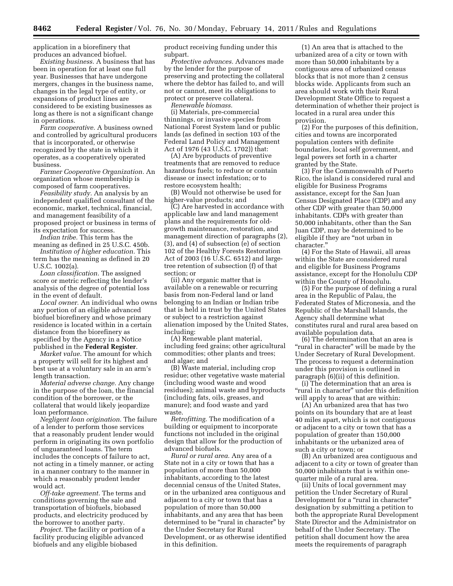application in a biorefinery that produces an advanced biofuel.

*Existing business.* A business that has been in operation for at least one full year. Businesses that have undergone mergers, changes in the business name, changes in the legal type of entity, or expansions of product lines are considered to be existing businesses as long as there is not a significant change in operations.

*Farm cooperative.* A business owned and controlled by agricultural producers that is incorporated, or otherwise recognized by the state in which it operates, as a cooperatively operated business.

*Farmer Cooperative Organization.* An organization whose membership is composed of farm cooperatives.

*Feasibility study.* An analysis by an independent qualified consultant of the economic, market, technical, financial, and management feasibility of a proposed project or business in terms of its expectation for success.

*Indian tribe.* This term has the meaning as defined in 25 U.S.C. 450b.

*Institution of higher education.* This term has the meaning as defined in 20 U.S.C. 1002(a).

*Loan classification.* The assigned score or metric reflecting the lender's analysis of the degree of potential loss in the event of default.

*Local owner.* An individual who owns any portion of an eligible advanced biofuel biorefinery and whose primary residence is located within in a certain distance from the biorefinery as specified by the Agency in a Notice published in the **Federal Register**.

*Market value.* The amount for which a property will sell for its highest and best use at a voluntary sale in an arm's length transaction.

*Material adverse change.* Any change in the purpose of the loan, the financial condition of the borrower, or the collateral that would likely jeopardize loan performance.

*Negligent loan origination.* The failure of a lender to perform those services that a reasonably prudent lender would perform in originating its own portfolio of unguaranteed loans. The term includes the concepts of failure to act, not acting in a timely manner, or acting in a manner contrary to the manner in which a reasonably prudent lender would act.

*Off-take agreement.* The terms and conditions governing the sale and transportation of biofuels, biobased products, and electricity produced by the borrower to another party.

*Project.* The facility or portion of a facility producing eligible advanced biofuels and any eligible biobased

product receiving funding under this subpart.

*Protective advances.* Advances made by the lender for the purpose of preserving and protecting the collateral where the debtor has failed to, and will not or cannot, meet its obligations to protect or preserve collateral.

*Renewable biomass.* 

(i) Materials, pre-commercial thinnings, or invasive species from National Forest System land or public lands (as defined in section 103 of the Federal Land Policy and Management Act of 1976 (43 U.S.C. 1702)) that:

(A) Are byproducts of preventive treatments that are removed to reduce hazardous fuels; to reduce or contain disease or insect infestation; or to restore ecosystem health;

(B) Would not otherwise be used for higher-value products; and

(C) Are harvested in accordance with applicable law and land management plans and the requirements for oldgrowth maintenance, restoration, and management direction of paragraphs (2), (3), and (4) of subsection (e) of section 102 of the Healthy Forests Restoration Act of 2003 (16 U.S.C. 6512) and largetree retention of subsection (f) of that section; or

(ii) Any organic matter that is available on a renewable or recurring basis from non-Federal land or land belonging to an Indian or Indian tribe that is held in trust by the United States or subject to a restriction against alienation imposed by the United States, including:

(A) Renewable plant material, including feed grains; other agricultural commodities; other plants and trees; and algae; and

(B) Waste material, including crop residue; other vegetative waste material (including wood waste and wood residues); animal waste and byproducts (including fats, oils, greases, and manure); and food waste and yard waste.

*Retrofitting.* The modification of a building or equipment to incorporate functions not included in the original design that allow for the production of advanced biofuels.

*Rural or rural area.* Any area of a State not in a city or town that has a population of more than 50,000 inhabitants, according to the latest decennial census of the United States, or in the urbanized area contiguous and adjacent to a city or town that has a population of more than 50,000 inhabitants, and any area that has been determined to be "rural in character" by the Under Secretary for Rural Development, or as otherwise identified in this definition.

(1) An area that is attached to the urbanized area of a city or town with more than 50,000 inhabitants by a contiguous area of urbanized census blocks that is not more than 2 census blocks wide. Applicants from such an area should work with their Rural Development State Office to request a determination of whether their project is located in a rural area under this provision.

(2) For the purposes of this definition, cities and towns are incorporated population centers with definite boundaries, local self government, and legal powers set forth in a charter granted by the State.

(3) For the Commonwealth of Puerto Rico, the island is considered rural and eligible for Business Programs assistance, except for the San Juan Census Designated Place (CDP) and any other CDP with greater than 50,000 inhabitants. CDPs with greater than 50,000 inhabitants, other than the San Juan CDP, may be determined to be eligible if they are ''not urban in character.''

(4) For the State of Hawaii, all areas within the State are considered rural and eligible for Business Programs assistance, except for the Honolulu CDP within the County of Honolulu.

(5) For the purpose of defining a rural area in the Republic of Palau, the Federated States of Micronesia, and the Republic of the Marshall Islands, the Agency shall determine what constitutes rural and rural area based on available population data.

(6) The determination that an area is "rural in character" will be made by the Under Secretary of Rural Development. The process to request a determination under this provision is outlined in paragraph (6)(ii) of this definition.

(i) The determination that an area is ''rural in character'' under this definition will apply to areas that are within:

(A) An urbanized area that has two points on its boundary that are at least 40 miles apart, which is not contiguous or adjacent to a city or town that has a population of greater than 150,000 inhabitants or the urbanized area of such a city or town; or

(B) An urbanized area contiguous and adjacent to a city or town of greater than 50,000 inhabitants that is within onequarter mile of a rural area.

(ii) Units of local government may petition the Under Secretary of Rural Development for a "rural in character" designation by submitting a petition to both the appropriate Rural Development State Director and the Administrator on behalf of the Under Secretary. The petition shall document how the area meets the requirements of paragraph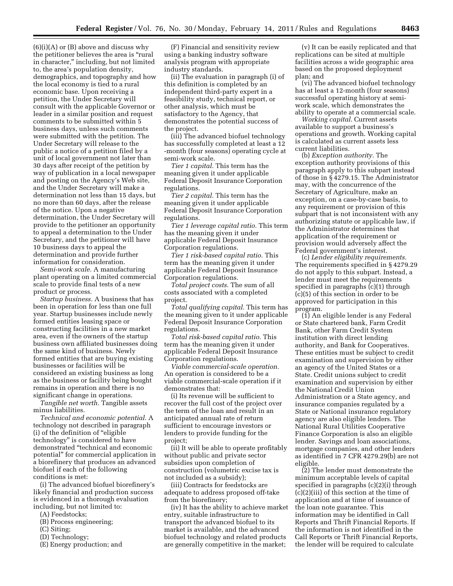$(6)(i)(A)$  or  $(B)$  above and discuss why the petitioner believes the area is "rural in character,'' including, but not limited to, the area's population density, demographics, and topography and how the local economy is tied to a rural economic base. Upon receiving a petition, the Under Secretary will consult with the applicable Governor or leader in a similar position and request comments to be submitted within 5 business days, unless such comments were submitted with the petition. The Under Secretary will release to the public a notice of a petition filed by a unit of local government not later than 30 days after receipt of the petition by way of publication in a local newspaper and posting on the Agency's Web site, and the Under Secretary will make a determination not less than 15 days, but no more than 60 days, after the release of the notice. Upon a negative determination, the Under Secretary will provide to the petitioner an opportunity to appeal a determination to the Under Secretary, and the petitioner will have 10 business days to appeal the determination and provide further information for consideration.

*Semi-work scale.* A manufacturing plant operating on a limited commercial scale to provide final tests of a new product or process.

*Startup business.* A business that has been in operation for less than one full year. Startup businesses include newly formed entities leasing space or constructing facilities in a new market area, even if the owners of the startup business own affiliated businesses doing the same kind of business. Newly formed entities that are buying existing businesses or facilities will be considered an existing business as long as the business or facility being bought remains in operation and there is no significant change in operations.

*Tangible net worth.* Tangible assets minus liabilities.

*Technical and economic potential.* A technology not described in paragraph (i) of the definition of ''eligible technology'' is considered to have demonstrated ''technical and economic potential'' for commercial application in a biorefinery that produces an advanced biofuel if each of the following conditions is met:

(i) The advanced biofuel biorefinery's likely financial and production success is evidenced in a thorough evaluation including, but not limited to:

- (A) Feedstocks;
- (B) Process engineering;
- (C) Siting;
- (D) Technology;
- (E) Energy production; and

(F) Financial and sensitivity review using a banking industry software analysis program with appropriate industry standards.

(ii) The evaluation in paragraph (i) of this definition is completed by an independent third-party expert in a feasibility study, technical report, or other analysis, which must be satisfactory to the Agency, that demonstrates the potential success of the project.

(iii) The advanced biofuel technology has successfully completed at least a 12 -month (four seasons) operating cycle at semi-work scale.

*Tier 1 capital.* This term has the meaning given it under applicable Federal Deposit Insurance Corporation regulations.

*Tier 2 capital.* This term has the meaning given it under applicable Federal Deposit Insurance Corporation regulations.

*Tier 1 leverage capital ratio.* This term has the meaning given it under applicable Federal Deposit Insurance Corporation regulations.

*Tier 1 risk-based capital ratio.* This term has the meaning given it under applicable Federal Deposit Insurance Corporation regulations.

*Total project costs.* The sum of all costs associated with a completed project.

*Total qualifying capital.* This term has the meaning given to it under applicable Federal Deposit Insurance Corporation regulations.

*Total risk-based capital ratio.* This term has the meaning given it under applicable Federal Deposit Insurance Corporation regulations.

*Viable commercial-scale operation.*  An operation is considered to be a viable commercial-scale operation if it demonstrates that:

(i) Its revenue will be sufficient to recover the full cost of the project over the term of the loan and result in an anticipated annual rate of return sufficient to encourage investors or lenders to provide funding for the project;

(ii) It will be able to operate profitably without public and private sector subsidies upon completion of construction (volumetric excise tax is not included as a subsidy);

(iii) Contracts for feedstocks are adequate to address proposed off-take from the biorefinery;

(iv) It has the ability to achieve market entry, suitable infrastructure to transport the advanced biofuel to its market is available, and the advanced biofuel technology and related products are generally competitive in the market;

(v) It can be easily replicated and that replications can be sited at multiple facilities across a wide geographic area based on the proposed deployment plan; and

(vi) The advanced biofuel technology has at least a 12-month (four seasons) successful operating history at semiwork scale, which demonstrates the ability to operate at a commercial scale.

*Working capital.* Current assets available to support a business's operations and growth. Working capital is calculated as current assets less current liabilities.

(b) *Exception authority.* The exception authority provisions of this paragraph apply to this subpart instead of those in § 4279.15. The Administrator may, with the concurrence of the Secretary of Agriculture, make an exception, on a case-by-case basis, to any requirement or provision of this subpart that is not inconsistent with any authorizing statute or applicable law, if the Administrator determines that application of the requirement or provision would adversely affect the Federal government's interest.

(c) *Lender eligibility requirements.*  The requirements specified in § 4279.29 do not apply to this subpart. Instead, a lender must meet the requirements specified in paragraphs (c)(1) through (c)(5) of this section in order to be approved for participation in this program.

(1) An eligible lender is any Federal or State chartered bank, Farm Credit Bank, other Farm Credit System institution with direct lending authority, and Bank for Cooperatives. These entities must be subject to credit examination and supervision by either an agency of the United States or a State. Credit unions subject to credit examination and supervision by either the National Credit Union Administration or a State agency, and insurance companies regulated by a State or National insurance regulatory agency are also eligible lenders. The National Rural Utilities Cooperative Finance Corporation is also an eligible lender. Savings and loan associations, mortgage companies, and other lenders as identified in 7 CFR 4279.29(b) are not eligible.

(2) The lender must demonstrate the minimum acceptable levels of capital specified in paragraphs (c)(2)(i) through (c)(2)(iii) of this section at the time of application and at time of issuance of the loan note guarantee. This information may be identified in Call Reports and Thrift Financial Reports. If the information is not identified in the Call Reports or Thrift Financial Reports, the lender will be required to calculate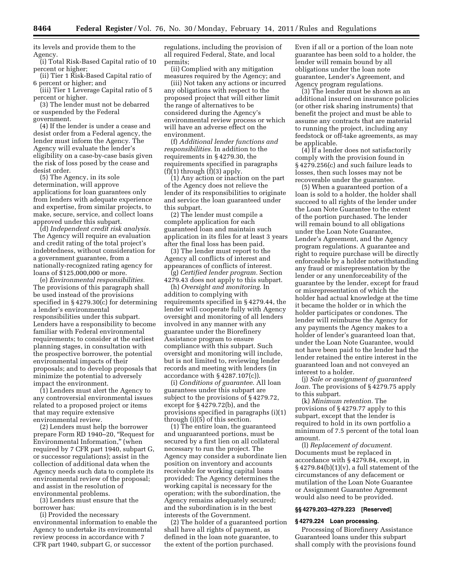its levels and provide them to the Agency.

(i) Total Risk-Based Capital ratio of 10 percent or higher;

(ii) Tier 1 Risk-Based Capital ratio of 6 percent or higher; and

(iii) Tier 1 Leverage Capital ratio of 5 percent or higher.

(3) The lender must not be debarred or suspended by the Federal government.

(4) If the lender is under a cease and desist order from a Federal agency, the lender must inform the Agency. The Agency will evaluate the lender's eligibility on a case-by-case basis given the risk of loss posed by the cease and desist order.

(5) The Agency, in its sole determination, will approve applications for loan guarantees only from lenders with adequate experience and expertise, from similar projects, to make, secure, service, and collect loans approved under this subpart.

(d) *Independent credit risk analysis.*  The Agency will require an evaluation and credit rating of the total project's indebtedness, without consideration for a government guarantee, from a nationally-recognized rating agency for loans of \$125,000,000 or more.

(e) *Environmental responsibilities.*  The provisions of this paragraph shall be used instead of the provisions specified in § 4279.30(c) for determining a lender's environmental responsibilities under this subpart. Lenders have a responsibility to become familiar with Federal environmental requirements; to consider at the earliest planning stages, in consultation with the prospective borrower, the potential environmental impacts of their proposals; and to develop proposals that minimize the potential to adversely impact the environment.

(1) Lenders must alert the Agency to any controversial environmental issues related to a proposed project or items that may require extensive environmental review.

(2) Lenders must help the borrower prepare Form RD 1940–20, ''Request for Environmental Information,'' (when required by 7 CFR part 1940, subpart G, or successor regulations); assist in the collection of additional data when the Agency needs such data to complete its environmental review of the proposal; and assist in the resolution of environmental problems.

(3) Lenders must ensure that the borrower has:

(i) Provided the necessary environmental information to enable the Agency to undertake its environmental review process in accordance with 7 CFR part 1940, subpart G, or successor

regulations, including the provision of all required Federal, State, and local permits;

(ii) Complied with any mitigation measures required by the Agency; and

(iii) Not taken any actions or incurred any obligations with respect to the proposed project that will either limit the range of alternatives to be considered during the Agency's environmental review process or which will have an adverse effect on the environment.

(f) *Additional lender functions and responsibilities.* In addition to the requirements in § 4279.30, the requirements specified in paragraphs  $(f)(1)$  through  $(f)(3)$  apply.

(1) Any action or inaction on the part of the Agency does not relieve the lender of its responsibilities to originate and service the loan guaranteed under this subpart.

(2) The lender must compile a complete application for each guaranteed loan and maintain such application in its files for at least 3 years after the final loss has been paid.

(3) The lender must report to the Agency all conflicts of interest and appearances of conflicts of interest.

(g) *Certified lender program.* Section 4279.43 does not apply to this subpart.

(h) *Oversight and monitoring.* In addition to complying with requirements specified in § 4279.44, the lender will cooperate fully with Agency oversight and monitoring of all lenders involved in any manner with any guarantee under the Biorefinery Assistance program to ensure compliance with this subpart. Such oversight and monitoring will include, but is not limited to, reviewing lender records and meeting with lenders (in accordance with § 4287.107(c)).

(i) *Conditions of guarantee.* All loan guarantees under this subpart are subject to the provisions of § 4279.72, except for § 4279.72(b), and the provisions specified in paragraphs (i)(1) through (i)(5) of this section.

(1) The entire loan, the guaranteed and unguaranteed portions, must be secured by a first lien on all collateral necessary to run the project. The Agency may consider a subordinate lien position on inventory and accounts receivable for working capital loans provided: The Agency determines the working capital is necessary for the operation; with the subordination, the Agency remains adequately secured; and the subordination is in the best interests of the Government.

(2) The holder of a guaranteed portion shall have all rights of payment, as defined in the loan note guarantee, to the extent of the portion purchased.

Even if all or a portion of the loan note guarantee has been sold to a holder, the lender will remain bound by all obligations under the loan note guarantee, Lender's Agreement, and Agency program regulations.

(3) The lender must be shown as an additional insured on insurance policies (or other risk sharing instruments) that benefit the project and must be able to assume any contracts that are material to running the project, including any feedstock or off-take agreements, as may be applicable.

(4) If a lender does not satisfactorily comply with the provision found in § 4279.256(c) and such failure leads to losses, then such losses may not be recoverable under the guarantee.

(5) When a guaranteed portion of a loan is sold to a holder, the holder shall succeed to all rights of the lender under the Loan Note Guarantee to the extent of the portion purchased. The lender will remain bound to all obligations under the Loan Note Guarantee, Lender's Agreement, and the Agency program regulations. A guarantee and right to require purchase will be directly enforceable by a holder notwithstanding any fraud or misrepresentation by the lender or any unenforceability of the guarantee by the lender, except for fraud or misrepresentation of which the holder had actual knowledge at the time it became the holder or in which the holder participates or condones. The lender will reimburse the Agency for any payments the Agency makes to a holder of lender's guaranteed loan that, under the Loan Note Guarantee, would not have been paid to the lender had the lender retained the entire interest in the guaranteed loan and not conveyed an interest to a holder.

(j) *Sale or assignment of guaranteed loan.* The provisions of § 4279.75 apply to this subpart.

(k) *Minimum retention.* The provisions of § 4279.77 apply to this subpart, except that the lender is required to hold in its own portfolio a minimum of 7.5 percent of the total loan amount.

(l) *Replacement of document.*  Documents must be replaced in accordance with § 4279.84, except, in  $§$  4279.84(b)(1)(v), a full statement of the circumstances of any defacement or mutilation of the Loan Note Guarantee or Assignment Guarantee Agreement would also need to be provided.

### **§§ 4279.203–4279.223 [Reserved]**

# **§ 4279.224 Loan processing.**

Processing of Biorefinery Assistance Guaranteed loans under this subpart shall comply with the provisions found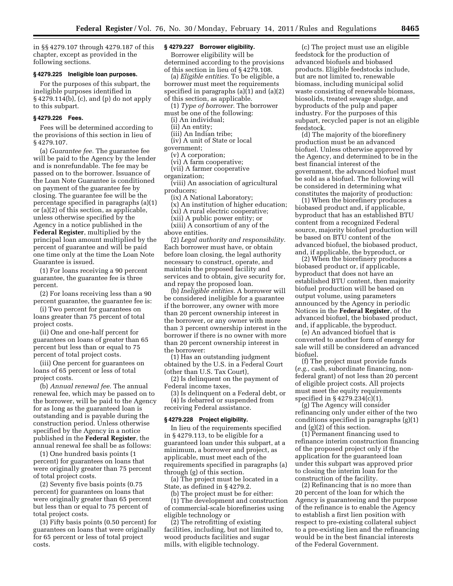in §§ 4279.107 through 4279.187 of this chapter, except as provided in the following sections.

# **§ 4279.225 Ineligible loan purposes.**

For the purposes of this subpart, the ineligible purposes identified in § 4279.114(b), (c), and (p) do not apply to this subpart.

# **§ 4279.226 Fees.**

Fees will be determined according to the provisions of this section in lieu of § 4279.107.

(a) *Guarantee fee.* The guarantee fee will be paid to the Agency by the lender and is nonrefundable. The fee may be passed on to the borrower. Issuance of the Loan Note Guarantee is conditioned on payment of the guarantee fee by closing. The guarantee fee will be the percentage specified in paragraphs (a)(1) or (a)(2) of this section, as applicable, unless otherwise specified by the Agency in a notice published in the **Federal Register**, multiplied by the principal loan amount multiplied by the percent of guarantee and will be paid one time only at the time the Loan Note Guarantee is issued.

(1) For loans receiving a 90 percent guarantee, the guarantee fee is three percent.

(2) For loans receiving less than a 90 percent guarantee, the guarantee fee is:

(i) Two percent for guarantees on loans greater than 75 percent of total project costs.

(ii) One and one-half percent for guarantees on loans of greater than 65 percent but less than or equal to 75 percent of total project costs.

(iii) One percent for guarantees on loans of 65 percent or less of total project costs.

(b) *Annual renewal fee.* The annual renewal fee, which may be passed on to the borrower, will be paid to the Agency for as long as the guaranteed loan is outstanding and is payable during the construction period. Unless otherwise specified by the Agency in a notice published in the **Federal Register**, the annual renewal fee shall be as follows:

(1) One hundred basis points (1 percent) for guarantees on loans that were originally greater than 75 percent of total project costs.

(2) Seventy five basis points (0.75 percent) for guarantees on loans that were originally greater than 65 percent but less than or equal to 75 percent of total project costs.

(3) Fifty basis points (0.50 percent) for guarantees on loans that were originally for 65 percent or less of total project costs.

# **§ 4279.227 Borrower eligibility.**

Borrower eligibility will be determined according to the provisions of this section in lieu of § 4279.108.

(a) *Eligible entities.* To be eligible, a borrower must meet the requirements specified in paragraphs (a)(1) and (a)(2) of this section, as applicable.

(1) *Type of borrower.* The borrower must be one of the following:

(i) An individual;

(ii) An entity;

(iii) An Indian tribe;

(iv) A unit of State or local

government;

(v) A corporation;

(vi) A farm cooperative;

(vii) A farmer cooperative organization;

(viii) An association of agricultural producers;

(ix) A National Laboratory; (x) An institution of higher education;

(xi) A rural electric cooperative;

(xii) A public power entity; or (xiii) A consortium of any of the

above entities.

(2) *Legal authority and responsibility.*  Each borrower must have, or obtain before loan closing, the legal authority necessary to construct, operate, and maintain the proposed facility and services and to obtain, give security for, and repay the proposed loan.

(b) *Ineligible entities.* A borrower will be considered ineligible for a guarantee if the borrower, any owner with more than 20 percent ownership interest in the borrower, or any owner with more than 3 percent ownership interest in the borrower if there is no owner with more than 20 percent ownership interest in the borrower:

(1) Has an outstanding judgment obtained by the U.S. in a Federal Court (other than U.S. Tax Court),

(2) Is delinquent on the payment of Federal income taxes,

(3) Is delinquent on a Federal debt, or (4) Is debarred or suspended from receiving Federal assistance.

#### **§ 4279.228 Project eligibility.**

In lieu of the requirements specified in § 4279.113, to be eligible for a guaranteed loan under this subpart, at a minimum, a borrower and project, as applicable, must meet each of the requirements specified in paragraphs (a) through (g) of this section.

(a) The project must be located in a State, as defined in § 4279.2.

(b) The project must be for either: (1) The development and construction of commercial-scale biorefineries using eligible technology or

(2) The retrofitting of existing facilities, including, but not limited to, wood products facilities and sugar mills, with eligible technology.

(c) The project must use an eligible feedstock for the production of advanced biofuels and biobased products. Eligible feedstocks include, but are not limited to, renewable biomass, including municipal solid waste consisting of renewable biomass, biosolids, treated sewage sludge, and byproducts of the pulp and paper industry. For the purposes of this subpart, recycled paper is not an eligible feedstock.

(d) The majority of the biorefinery production must be an advanced biofuel. Unless otherwise approved by the Agency, and determined to be in the best financial interest of the government, the advanced biofuel must be sold as a biofuel. The following will be considered in determining what constitutes the majority of production:

(1) When the biorefinery produces a biobased product and, if applicable, byproduct that has an established BTU content from a recognized Federal source, majority biofuel production will be based on BTU content of the advanced biofuel, the biobased product, and, if applicable, the byproduct, or

(2) When the biorefinery produces a biobased product or, if applicable, byproduct that does not have an established BTU content, then majority biofuel production will be based on output volume, using parameters announced by the Agency in periodic Notices in the **Federal Register**, of the advanced biofuel, the biobased product, and, if applicable, the byproduct.

(e) An advanced biofuel that is converted to another form of energy for sale will still be considered an advanced biofuel.

(f) The project must provide funds (*e.g.,* cash, subordinate financing, nonfederal grant) of not less than 20 percent of eligible project costs. All projects must meet the equity requirements specified in § 4279.234(c)(1).

(g) The Agency will consider refinancing only under either of the two conditions specified in paragraphs (g)(1) and (g)(2) of this section.

(1) Permanent financing used to refinance interim construction financing of the proposed project only if the application for the guaranteed loan under this subpart was approved prior to closing the interim loan for the construction of the facility.

(2) Refinancing that is no more than 20 percent of the loan for which the Agency is guaranteeing and the purpose of the refinance is to enable the Agency to establish a first lien position with respect to pre-existing collateral subject to a pre-existing lien and the refinancing would be in the best financial interests of the Federal Government.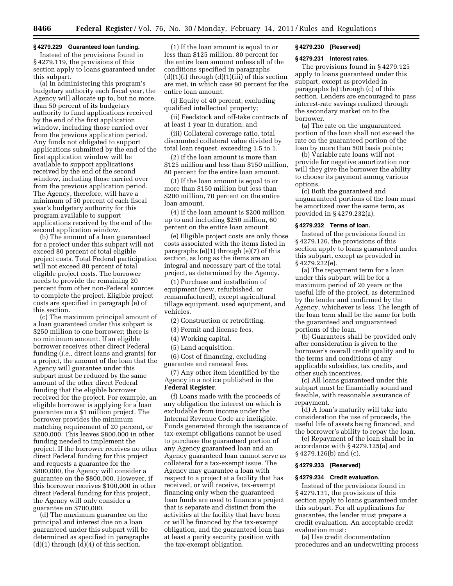#### **§ 4279.229 Guaranteed loan funding.**

Instead of the provisions found in § 4279.119, the provisions of this section apply to loans guaranteed under this subpart.

(a) In administering this program's budgetary authority each fiscal year, the Agency will allocate up to, but no more, than 50 percent of its budgetary authority to fund applications received by the end of the first application window, including those carried over from the previous application period. Any funds not obligated to support applications submitted by the end of the first application window will be available to support applications received by the end of the second window, including those carried over from the previous application period. The Agency, therefore, will have a minimum of 50 percent of each fiscal year's budgetary authority for this program available to support applications received by the end of the second application window.

(b) The amount of a loan guaranteed for a project under this subpart will not exceed 80 percent of total eligible project costs. Total Federal participation will not exceed 80 percent of total eligible project costs. The borrower needs to provide the remaining 20 percent from other non-Federal sources to complete the project. Eligible project costs are specified in paragraph (e) of this section.

(c) The maximum principal amount of a loan guaranteed under this subpart is \$250 million to one borrower; there is no minimum amount. If an eligible borrower receives other direct Federal funding (*i.e.,* direct loans and grants) for a project, the amount of the loan that the Agency will guarantee under this subpart must be reduced by the same amount of the other direct Federal funding that the eligible borrower received for the project. For example, an eligible borrower is applying for a loan guarantee on a \$1 million project. The borrower provides the minimum matching requirement of 20 percent, or \$200,000. This leaves \$800,000 in other funding needed to implement the project. If the borrower receives no other direct Federal funding for this project and requests a guarantee for the \$800,000, the Agency will consider a guarantee on the \$800,000. However, if this borrower receives \$100,000 in other direct Federal funding for this project, the Agency will only consider a guarantee on \$700,000.

(d) The maximum guarantee on the principal and interest due on a loan guaranteed under this subpart will be determined as specified in paragraphs  $(d)(1)$  through  $(d)(4)$  of this section.

(1) If the loan amount is equal to or less than \$125 million, 80 percent for the entire loan amount unless all of the conditions specified in paragraphs  $(d)(1)(i)$  through  $(d)(1)(iii)$  of this section are met, in which case 90 percent for the entire loan amount.

(i) Equity of 40 percent, excluding qualified intellectual property;

(ii) Feedstock and off-take contracts of at least 1 year in duration; and

(iii) Collateral coverage ratio, total discounted collateral value divided by total loan request, exceeding 1.5 to 1.

(2) If the loan amount is more than \$125 million and less than \$150 million, 80 percent for the entire loan amount.

(3) If the loan amount is equal to or more than \$150 million but less than \$200 million, 70 percent on the entire loan amount.

(4) If the loan amount is \$200 million up to and including \$250 million, 60 percent on the entire loan amount.

(e) Eligible project costs are only those costs associated with the items listed in paragraphs (e)(1) through (e)(7) of this section, as long as the items are an integral and necessary part of the total project, as determined by the Agency.

(1) Purchase and installation of equipment (new, refurbished, or remanufactured), except agricultural tillage equipment, used equipment, and vehicles.

(2) Construction or retrofitting.

(3) Permit and license fees.

(4) Working capital.

(5) Land acquisition.

(6) Cost of financing, excluding guarantee and renewal fees.

(7) Any other item identified by the Agency in a notice published in the **Federal Register**.

(f) Loans made with the proceeds of any obligation the interest on which is excludable from income under the Internal Revenue Code are ineligible. Funds generated through the issuance of tax-exempt obligations cannot be used to purchase the guaranteed portion of any Agency guaranteed loan and an Agency guaranteed loan cannot serve as collateral for a tax-exempt issue. The Agency may guarantee a loan with respect to a project at a facility that has received, or will receive, tax-exempt financing only when the guaranteed loan funds are used to finance a project that is separate and distinct from the activities at the facility that have been or will be financed by the tax-exempt obligation, and the guaranteed loan has at least a parity security position with the tax-exempt obligation.

#### **§ 4279.230 [Reserved]**

#### **§ 4279.231 Interest rates.**

The provisions found in § 4279.125 apply to loans guaranteed under this subpart, except as provided in paragraphs (a) through (c) of this section. Lenders are encouraged to pass interest-rate savings realized through the secondary market on to the borrower.

(a) The rate on the unguaranteed portion of the loan shall not exceed the rate on the guaranteed portion of the loan by more than 500 basis points;

(b) Variable rate loans will not provide for negative amortization nor will they give the borrower the ability to choose its payment among various options.

(c) Both the guaranteed and unguaranteed portions of the loan must be amortized over the same term, as provided in § 4279.232(a).

#### **§ 4279.232 Terms of loan.**

Instead of the provisions found in § 4279.126, the provisions of this section apply to loans guaranteed under this subpart, except as provided in § 4279.232(e).

(a) The repayment term for a loan under this subpart will be for a maximum period of 20 years or the useful life of the project, as determined by the lender and confirmed by the Agency, whichever is less. The length of the loan term shall be the same for both the guaranteed and unguaranteed portions of the loan.

(b) Guarantees shall be provided only after consideration is given to the borrower's overall credit quality and to the terms and conditions of any applicable subsidies, tax credits, and other such incentives.

(c) All loans guaranteed under this subpart must be financially sound and feasible, with reasonable assurance of repayment.

(d) A loan's maturity will take into consideration the use of proceeds, the useful life of assets being financed, and the borrower's ability to repay the loan.

(e) Repayment of the loan shall be in accordance with § 4279.125(a) and § 4279.126(b) and (c).

#### **§ 4279.233 [Reserved]**

#### **§ 4279.234 Credit evaluation.**

Instead of the provisions found in § 4279.131, the provisions of this section apply to loans guaranteed under this subpart. For all applications for guarantee, the lender must prepare a credit evaluation. An acceptable credit evaluation must:

(a) Use credit documentation procedures and an underwriting process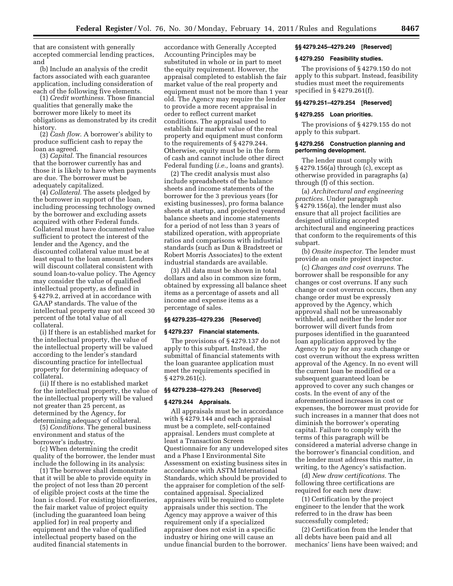that are consistent with generally accepted commercial lending practices, and

(b) Include an analysis of the credit factors associated with each guarantee application, including consideration of each of the following five elements.

(1) *Credit worthiness.* Those financial qualities that generally make the borrower more likely to meet its obligations as demonstrated by its credit history.

(2) *Cash flow.* A borrower's ability to produce sufficient cash to repay the loan as agreed.

(3) *Capital.* The financial resources that the borrower currently has and those it is likely to have when payments are due. The borrower must be adequately capitalized.

(4) *Collateral.* The assets pledged by the borrower in support of the loan, including processing technology owned by the borrower and excluding assets acquired with other Federal funds. Collateral must have documented value sufficient to protect the interest of the lender and the Agency, and the discounted collateral value must be at least equal to the loan amount. Lenders will discount collateral consistent with sound loan-to-value policy. The Agency may consider the value of qualified intellectual property, as defined in § 4279.2, arrived at in accordance with GAAP standards. The value of the intellectual property may not exceed 30 percent of the total value of all collateral.

(i) If there is an established market for the intellectual property, the value of the intellectual property will be valued according to the lender's standard discounting practice for intellectual property for determining adequacy of collateral.

(ii) If there is no established market for the intellectual property, the value of the intellectual property will be valued not greater than 25 percent, as determined by the Agency, for determining adequacy of collateral.

(5) *Conditions.* The general business environment and status of the borrower's industry.

(c) When determining the credit quality of the borrower, the lender must include the following in its analysis:

(1) The borrower shall demonstrate that it will be able to provide equity in the project of not less than 20 percent of eligible project costs at the time the loan is closed. For existing biorefineries, the fair market value of project equity (including the guaranteed loan being applied for) in real property and equipment and the value of qualified intellectual property based on the audited financial statements in

accordance with Generally Accepted Accounting Principles may be substituted in whole or in part to meet the equity requirement. However, the appraisal completed to establish the fair market value of the real property and equipment must not be more than 1 year old. The Agency may require the lender to provide a more recent appraisal in order to reflect current market conditions. The appraisal used to establish fair market value of the real property and equipment must conform to the requirements of § 4279.244. Otherwise, equity must be in the form of cash and cannot include other direct Federal funding (*i.e.,* loans and grants).

(2) The credit analysis must also include spreadsheets of the balance sheets and income statements of the borrower for the 3 previous years (for existing businesses), pro forma balance sheets at startup, and projected yearend balance sheets and income statements for a period of not less than 3 years of stabilized operation, with appropriate ratios and comparisons with industrial standards (such as Dun & Bradstreet or Robert Morris Associates) to the extent industrial standards are available.

(3) All data must be shown in total dollars and also in common size form, obtained by expressing all balance sheet items as a percentage of assets and all income and expense items as a percentage of sales.

#### **§§ 4279.235–4279.236 [Reserved]**

#### **§ 4279.237 Financial statements.**

The provisions of § 4279.137 do not apply to this subpart. Instead, the submittal of financial statements with the loan guarantee application must meet the requirements specified in § 4279.261(c).

#### **§§ 4279.238–4279.243 [Reserved]**

# **§ 4279.244 Appraisals.**

All appraisals must be in accordance with § 4279.144 and each appraisal must be a complete, self-contained appraisal. Lenders must complete at least a Transaction Screen Questionnaire for any undeveloped sites and a Phase I Environmental Site Assessment on existing business sites in accordance with ASTM International Standards, which should be provided to the appraiser for completion of the selfcontained appraisal. Specialized appraisers will be required to complete appraisals under this section. The Agency may approve a waiver of this requirement only if a specialized appraiser does not exist in a specific industry or hiring one will cause an undue financial burden to the borrower.

#### **§§ 4279.245–4279.249 [Reserved]**

#### **§ 4279.250 Feasibility studies.**

The provisions of § 4279.150 do not apply to this subpart. Instead, feasibility studies must meet the requirements specified in § 4279.261(f).

# **§§ 4279.251–4279.254 [Reserved]**

#### **§ 4279.255 Loan priorities.**

The provisions of § 4279.155 do not apply to this subpart.

#### **§ 4279.256 Construction planning and performing development.**

The lender must comply with § 4279.156(a) through (c), except as otherwise provided in paragraphs (a) through (f) of this section.

(a) *Architectural and engineering practices.* Under paragraph § 4279.156(a), the lender must also ensure that all project facilities are designed utilizing accepted architectural and engineering practices that conform to the requirements of this subpart.

(b) *Onsite inspector.* The lender must provide an onsite project inspector.

(c) *Changes and cost overruns.* The borrower shall be responsible for any changes or cost overruns. If any such change or cost overrun occurs, then any change order must be expressly approved by the Agency, which approval shall not be unreasonably withheld, and neither the lender nor borrower will divert funds from purposes identified in the guaranteed loan application approved by the Agency to pay for any such change or cost overrun without the express written approval of the Agency. In no event will the current loan be modified or a subsequent guaranteed loan be approved to cover any such changes or costs. In the event of any of the aforementioned increases in cost or expenses, the borrower must provide for such increases in a manner that does not diminish the borrower's operating capital. Failure to comply with the terms of this paragraph will be considered a material adverse change in the borrower's financial condition, and the lender must address this matter, in writing, to the Agency's satisfaction.

(d) *New draw certifications.* The following three certifications are required for each new draw:

(1) Certification by the project engineer to the lender that the work referred to in the draw has been successfully completed;

(2) Certification from the lender that all debts have been paid and all mechanics' liens have been waived; and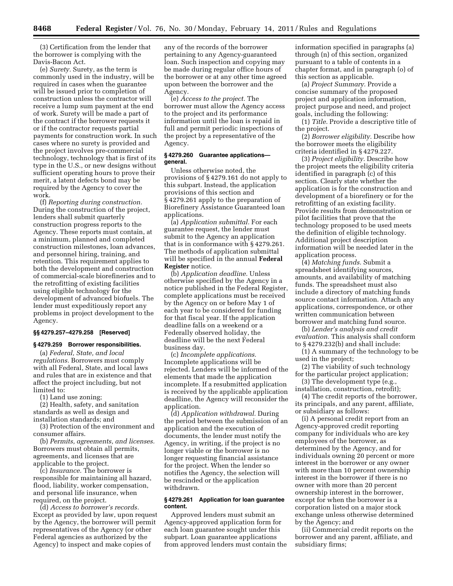(3) Certification from the lender that the borrower is complying with the Davis-Bacon Act.

(e) *Surety.* Surety, as the term is commonly used in the industry, will be required in cases when the guarantee will be issued prior to completion of construction unless the contractor will receive a lump sum payment at the end of work. Surety will be made a part of the contract if the borrower requests it or if the contractor requests partial payments for construction work. In such cases where no surety is provided and the project involves pre-commercial technology, technology that is first of its type in the U.S., or new designs without sufficient operating hours to prove their merit, a latent defects bond may be required by the Agency to cover the work.

(f) *Reporting during construction.*  During the construction of the project, lenders shall submit quarterly construction progress reports to the Agency. These reports must contain, at a minimum, planned and completed construction milestones, loan advances, and personnel hiring, training, and retention. This requirement applies to both the development and construction of commercial-scale biorefineries and to the retrofitting of existing facilities using eligible technology for the development of advanced biofuels. The lender must expeditiously report any problems in project development to the Agency.

#### **§§ 4279.257–4279.258 [Reserved]**

#### **§ 4279.259 Borrower responsibilities.**

(a) *Federal, State, and local regulations.* Borrowers must comply with all Federal, State, and local laws and rules that are in existence and that affect the project including, but not limited to:

(1) Land use zoning;

(2) Health, safety, and sanitation standards as well as design and installation standards; and

(3) Protection of the environment and consumer affairs.

(b) *Permits, agreements, and licenses.*  Borrowers must obtain all permits, agreements, and licenses that are applicable to the project.

(c) *Insurance.* The borrower is responsible for maintaining all hazard, flood, liability, worker compensation, and personal life insurance, when required, on the project.

(d) *Access to borrower's records.*  Except as provided by law, upon request by the Agency, the borrower will permit representatives of the Agency (or other Federal agencies as authorized by the Agency) to inspect and make copies of

any of the records of the borrower pertaining to any Agency-guaranteed loan. Such inspection and copying may be made during regular office hours of the borrower or at any other time agreed upon between the borrower and the Agency.

(e) *Access to the project.* The borrower must allow the Agency access to the project and its performance information until the loan is repaid in full and permit periodic inspections of the project by a representative of the Agency.

## **§ 4279.260 Guarantee applications general.**

Unless otherwise noted, the provisions of § 4279.161 do not apply to this subpart. Instead, the application provisions of this section and § 4279.261 apply to the preparation of Biorefinery Assistance Guaranteed loan applications.

(a) *Application submittal.* For each guarantee request, the lender must submit to the Agency an application that is in conformance with § 4279.261. The methods of application submittal will be specified in the annual **Federal Register** notice.

(b) *Application deadline.* Unless otherwise specified by the Agency in a notice published in the Federal Register, complete applications must be received by the Agency on or before May 1 of each year to be considered for funding for that fiscal year. If the application deadline falls on a weekend or a Federally observed holiday, the deadline will be the next Federal business day.

(c) *Incomplete applications.*  Incomplete applications will be rejected. Lenders will be informed of the elements that made the application incomplete. If a resubmitted application is received by the applicable application deadline, the Agency will reconsider the application.

(d) *Application withdrawal.* During the period between the submission of an application and the execution of documents, the lender must notify the Agency, in writing, if the project is no longer viable or the borrower is no longer requesting financial assistance for the project. When the lender so notifies the Agency, the selection will be rescinded or the application withdrawn.

#### **§ 4279.261 Application for loan guarantee content.**

Approved lenders must submit an Agency-approved application form for each loan guarantee sought under this subpart. Loan guarantee applications from approved lenders must contain the information specified in paragraphs (a) through (n) of this section, organized pursuant to a table of contents in a chapter format, and in paragraph (o) of this section as applicable.

(a) *Project Summary.* Provide a concise summary of the proposed project and application information, project purpose and need, and project goals, including the following:

(1) *Title.* Provide a descriptive title of the project.

(2) *Borrower eligibility.* Describe how the borrower meets the eligibility criteria identified in § 4279.227.

(3) *Project eligibility.* Describe how the project meets the eligibility criteria identified in paragraph (c) of this section. Clearly state whether the application is for the construction and development of a biorefinery or for the retrofitting of an existing facility. Provide results from demonstration or pilot facilities that prove that the technology proposed to be used meets the definition of eligible technology. Additional project description information will be needed later in the application process.

(4) *Matching funds.* Submit a spreadsheet identifying sources, amounts, and availability of matching funds. The spreadsheet must also include a directory of matching funds source contact information. Attach any applications, correspondence, or other written communication between borrower and matching fund source.

(b) *Lender's analysis and credit evaluation.* This analysis shall conform to § 4279.232(b) and shall include:

(1) A summary of the technology to be used in the project;

(2) The viability of such technology for the particular project application;

(3) The development type (e.g., installation, construction, retrofit);

(4) The credit reports of the borrower, its principals, and any parent, affiliate, or subsidiary as follows:

(i) A personal credit report from an Agency-approved credit reporting company for individuals who are key employees of the borrower, as determined by the Agency, and for individuals owning 20 percent or more interest in the borrower or any owner with more than 10 percent ownership interest in the borrower if there is no owner with more than 20 percent ownership interest in the borrower, except for when the borrower is a corporation listed on a major stock exchange unless otherwise determined by the Agency; and

(ii) Commercial credit reports on the borrower and any parent, affiliate, and subsidiary firms;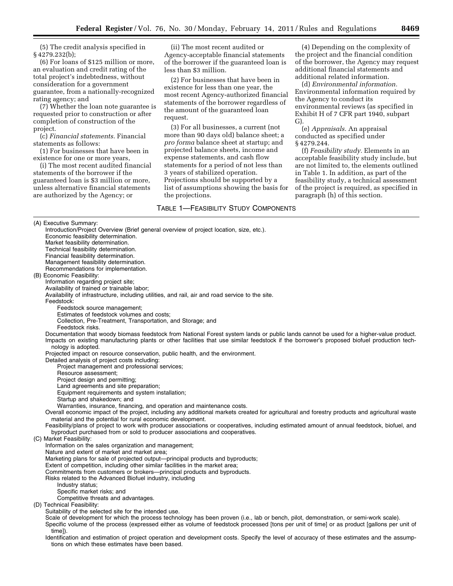(5) The credit analysis specified in § 4279.232(b);

(6) For loans of \$125 million or more, an evaluation and credit rating of the total project's indebtedness, without consideration for a government guarantee, from a nationally-recognized rating agency; and

(7) Whether the loan note guarantee is requested prior to construction or after completion of construction of the project.

(c) *Financial statements.* Financial statements as follows:

(1) For businesses that have been in existence for one or more years,

(i) The most recent audited financial statements of the borrower if the guaranteed loan is \$3 million or more, unless alternative financial statements are authorized by the Agency; or

(ii) The most recent audited or Agency-acceptable financial statements of the borrower if the guaranteed loan is less than \$3 million.

(2) For businesses that have been in existence for less than one year, the most recent Agency-authorized financial statements of the borrower regardless of the amount of the guaranteed loan request.

(3) For all businesses, a current (not more than 90 days old) balance sheet; a *pro forma* balance sheet at startup; and projected balance sheets, income and expense statements, and cash flow statements for a period of not less than 3 years of stabilized operation. Projections should be supported by a list of assumptions showing the basis for the projections.

TABLE 1—FEASIBILITY STUDY COMPONENTS

(4) Depending on the complexity of the project and the financial condition of the borrower, the Agency may request additional financial statements and additional related information.

(d) *Environmental information.*  Environmental information required by the Agency to conduct its environmental reviews (as specified in Exhibit H of 7 CFR part 1940, subpart G).

(e) *Appraisals.* An appraisal conducted as specified under § 4279.244.

(f) *Feasibility study.* Elements in an acceptable feasibility study include, but are not limited to, the elements outlined in Table 1. In addition, as part of the feasibility study, a technical assessment of the project is required, as specified in paragraph (h) of this section.

(A) Executive Summary:

Introduction/Project Overview (Brief general overview of project location, size, etc.). Economic feasibility determination. Market feasibility determination. Technical feasibility determination. Financial feasibility determination. Management feasibility determination. Recommendations for implementation. (B) Economic Feasibility: Information regarding project site; Availability of trained or trainable labor; Availability of infrastructure, including utilities, and rail, air and road service to the site. Feedstock: Feedstock source management; Estimates of feedstock volumes and costs; Collection, Pre-Treatment, Transportation, and Storage; and Feedstock risks. Documentation that woody biomass feedstock from National Forest system lands or public lands cannot be used for a higher-value product. Impacts on existing manufacturing plants or other facilities that use similar feedstock if the borrower's proposed biofuel production technology is adopted. Projected impact on resource conservation, public health, and the environment. Detailed analysis of project costs including: Project management and professional services; Resource assessment; Project design and permitting; Land agreements and site preparation; Equipment requirements and system installation; Startup and shakedown; and Warranties, insurance, financing, and operation and maintenance costs. Overall economic impact of the project, including any additional markets created for agricultural and forestry products and agricultural waste material and the potential for rural economic development. Feasibility/plans of project to work with producer associations or cooperatives, including estimated amount of annual feedstock, biofuel, and byproduct purchased from or sold to producer associations and cooperatives. (C) Market Feasibility: Information on the sales organization and management; Nature and extent of market and market area; Marketing plans for sale of projected output—principal products and byproducts; Extent of competition, including other similar facilities in the market area; Commitments from customers or brokers—principal products and byproducts. Risks related to the Advanced Biofuel industry, including Industry status; Specific market risks; and Competitive threats and advantages. (D) Technical Feasibility: Suitability of the selected site for the intended use. Scale of development for which the process technology has been proven (i.e., lab or bench, pilot, demonstration, or semi-work scale). Specific volume of the process (expressed either as volume of feedstock processed [tons per unit of time] or as product [gallons per unit of

time]). Identification and estimation of project operation and development costs. Specify the level of accuracy of these estimates and the assumptions on which these estimates have been based.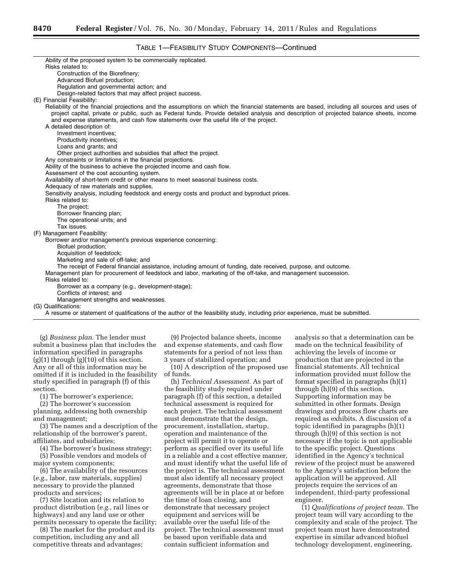# TABLE 1—FEASIBILITY STUDY COMPONENTS—Continued

| Ability of the proposed system to be commercially replicated.                                                                               |
|---------------------------------------------------------------------------------------------------------------------------------------------|
| Risks related to:                                                                                                                           |
| Construction of the Biorefinery;                                                                                                            |
| Advanced Biofuel production;                                                                                                                |
| Regulation and governmental action; and                                                                                                     |
| Design-related factors that may affect project success.                                                                                     |
| (E) Financial Feasibility:                                                                                                                  |
| Reliability of the financial projections and the assumptions on which the financial statements are based, including all sources and uses of |
| project capital, private or public, such as Federal funds. Provide detailed analysis and description of projected balance sheets, income    |
| and expense statements, and cash flow statements over the useful life of the project.                                                       |
| A detailed description of:                                                                                                                  |
| Investment incentives;                                                                                                                      |
| Productivity incentives;                                                                                                                    |
| Loans and grants; and                                                                                                                       |
| Other project authorities and subsidies that affect the project.                                                                            |
| Any constraints or limitations in the financial projections.                                                                                |
| Ability of the business to achieve the projected income and cash flow.                                                                      |
| Assessment of the cost accounting system.                                                                                                   |
| Availability of short-term credit or other means to meet seasonal business costs.                                                           |
| Adequacy of raw materials and supplies.                                                                                                     |
| Sensitivity analysis, including feedstock and energy costs and product and byproduct prices.                                                |
| Risks related to:                                                                                                                           |
| The project;                                                                                                                                |
| Borrower financing plan;                                                                                                                    |
| The operational units; and                                                                                                                  |
| Tax issues.                                                                                                                                 |
| (F) Management Feasibility:                                                                                                                 |
| Borrower and/or management's previous experience concerning:                                                                                |
| Biofuel production;                                                                                                                         |
| Acquisition of feedstock;                                                                                                                   |
| Marketing and sale of off-take; and                                                                                                         |
| The receipt of Federal financial assistance, including amount of funding, date received, purpose, and outcome.                              |
| Management plan for procurement of feedstock and labor, marketing of the off-take, and management succession.                               |
| Risks related to:                                                                                                                           |
| Borrower as a company (e.g., development-stage);                                                                                            |
| Conflicts of interest: and                                                                                                                  |
| Management strengths and weaknesses.                                                                                                        |
| (G) Qualifications:                                                                                                                         |
| A resume or statement of qualifications of the author of the feasibility study, including prior experience, must be submitted.              |

(g) *Business plan.* The lender must submit a business plan that includes the information specified in paragraphs  $(g)(1)$  through  $(g)(10)$  of this section. Any or all of this information may be omitted if it is included in the feasibility study specified in paragraph (f) of this section.

(1) The borrower's experience;

(2) The borrower's succession planning, addressing both ownership and management;

(3) The names and a description of the relationship of the borrower's parent, affiliates, and subsidiaries;

(4) The borrower's business strategy;

(5) Possible vendors and models of major system components;

(6) The availability of the resources (*e.g.,* labor, raw materials, supplies) necessary to provide the planned products and services;

(7) Site location and its relation to product distribution (*e.g.,* rail lines or highways) and any land use or other permits necessary to operate the facility;

(8) The market for the product and its competition, including any and all competitive threats and advantages;

(9) Projected balance sheets, income and expense statements, and cash flow statements for a period of not less than 3 years of stabilized operation; and

(10) A description of the proposed use of funds.

(h) *Technical Assessment.* As part of the feasibility study required under paragraph (f) of this section, a detailed technical assessment is required for each project. The technical assessment must demonstrate that the design, procurement, installation, startup, operation and maintenance of the project will permit it to operate or perform as specified over its useful life in a reliable and a cost effective manner, and must identify what the useful life of the project is. The technical assessment must also identify all necessary project agreements, demonstrate that those agreements will be in place at or before the time of loan closing, and demonstrate that necessary project equipment and services will be available over the useful life of the project. The technical assessment must be based upon verifiable data and contain sufficient information and

analysis so that a determination can be made on the technical feasibility of achieving the levels of income or production that are projected in the financial statements. All technical information provided must follow the format specified in paragraphs (h)(1) through (h)(9) of this section. Supporting information may be submitted in other formats. Design drawings and process flow charts are required as exhibits. A discussion of a topic identified in paragraphs (h)(1) through (h)(9) of this section is not necessary if the topic is not applicable to the specific project. Questions identified in the Agency's technical review of the project must be answered to the Agency's satisfaction before the application will be approved. All projects require the services of an independent, third-party professional engineer.

(1) *Qualifications of project team.* The project team will vary according to the complexity and scale of the project. The project team must have demonstrated expertise in similar advanced biofuel technology development, engineering,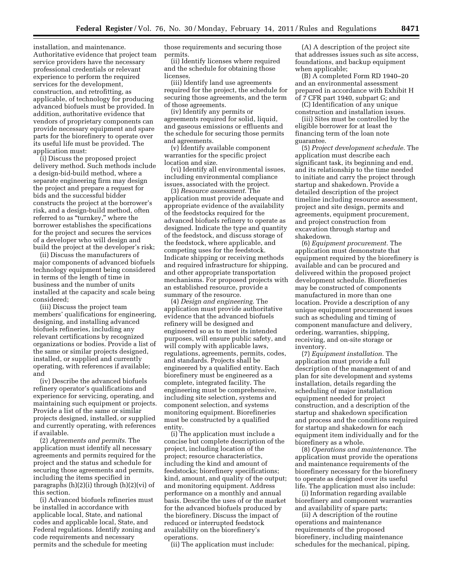installation, and maintenance. Authoritative evidence that project team service providers have the necessary professional credentials or relevant experience to perform the required services for the development, construction, and retrofitting, as applicable, of technology for producing advanced biofuels must be provided. In addition, authoritative evidence that vendors of proprietary components can provide necessary equipment and spare parts for the biorefinery to operate over its useful life must be provided. The application must:

(i) Discuss the proposed project delivery method. Such methods include a design-bid-build method, where a separate engineering firm may design the project and prepare a request for bids and the successful bidder constructs the project at the borrower's risk, and a design-build method, often referred to as "turnkey," where the borrower establishes the specifications for the project and secures the services of a developer who will design and build the project at the developer's risk;

(ii) Discuss the manufacturers of major components of advanced biofuels technology equipment being considered in terms of the length of time in business and the number of units installed at the capacity and scale being considered;

(iii) Discuss the project team members' qualifications for engineering, designing, and installing advanced biofuels refineries, including any relevant certifications by recognized organizations or bodies. Provide a list of the same or similar projects designed, installed, or supplied and currently operating, with references if available; and

(iv) Describe the advanced biofuels refinery operator's qualifications and experience for servicing, operating, and maintaining such equipment or projects. Provide a list of the same or similar projects designed, installed, or supplied and currently operating, with references if available.

(2) *Agreements and permits.* The application must identify all necessary agreements and permits required for the project and the status and schedule for securing those agreements and permits, including the items specified in paragraphs (h)(2)(i) through (h)(2)(vi) of this section.

(i) Advanced biofuels refineries must be installed in accordance with applicable local, State, and national codes and applicable local, State, and Federal regulations. Identify zoning and code requirements and necessary permits and the schedule for meeting

those requirements and securing those permits.

(ii) Identify licenses where required and the schedule for obtaining those licenses.

(iii) Identify land use agreements required for the project, the schedule for securing those agreements, and the term of those agreements.

(iv) Identify any permits or agreements required for solid, liquid, and gaseous emissions or effluents and the schedule for securing those permits and agreements.

(v) Identify available component warranties for the specific project location and size.

(vi) Identify all environmental issues, including environmental compliance issues, associated with the project.

(3) *Resource assessment.* The application must provide adequate and appropriate evidence of the availability of the feedstocks required for the advanced biofuels refinery to operate as designed. Indicate the type and quantity of the feedstock, and discuss storage of the feedstock, where applicable, and competing uses for the feedstock. Indicate shipping or receiving methods and required infrastructure for shipping, and other appropriate transportation mechanisms. For proposed projects with an established resource, provide a summary of the resource.

(4) *Design and engineering.* The application must provide authoritative evidence that the advanced biofuels refinery will be designed and engineered so as to meet its intended purposes, will ensure public safety, and will comply with applicable laws, regulations, agreements, permits, codes, and standards. Projects shall be engineered by a qualified entity. Each biorefinery must be engineered as a complete, integrated facility. The engineering must be comprehensive, including site selection, systems and component selection, and systems monitoring equipment. Biorefineries must be constructed by a qualified entity.

(i) The application must include a concise but complete description of the project, including location of the project; resource characteristics, including the kind and amount of feedstocks; biorefinery specifications; kind, amount, and quality of the output; and monitoring equipment. Address performance on a monthly and annual basis. Describe the uses of or the market for the advanced biofuels produced by the biorefinery. Discuss the impact of reduced or interrupted feedstock availability on the biorefinery's operations.

(ii) The application must include:

(A) A description of the project site that addresses issues such as site access, foundations, and backup equipment when applicable;

(B) A completed Form RD 1940–20 and an environmental assessment prepared in accordance with Exhibit H of 7 CFR part 1940, subpart G; and

(C) Identification of any unique construction and installation issues.

(iii) Sites must be controlled by the eligible borrower for at least the financing term of the loan note guarantee.

(5) *Project development schedule.* The application must describe each significant task, its beginning and end, and its relationship to the time needed to initiate and carry the project through startup and shakedown. Provide a detailed description of the project timeline including resource assessment, project and site design, permits and agreements, equipment procurement, and project construction from excavation through startup and shakedown.

(6) *Equipment procurement.* The application must demonstrate that equipment required by the biorefinery is available and can be procured and delivered within the proposed project development schedule. Biorefineries may be constructed of components manufactured in more than one location. Provide a description of any unique equipment procurement issues such as scheduling and timing of component manufacture and delivery, ordering, warranties, shipping, receiving, and on-site storage or inventory.

(7) *Equipment installation.* The application must provide a full description of the management of and plan for site development and systems installation, details regarding the scheduling of major installation equipment needed for project construction, and a description of the startup and shakedown specification and process and the conditions required for startup and shakedown for each equipment item individually and for the biorefinery as a whole.

(8) *Operations and maintenance.* The application must provide the operations and maintenance requirements of the biorefinery necessary for the biorefinery to operate as designed over its useful life. The application must also include:

(i) Information regarding available biorefinery and component warranties and availability of spare parts;

(ii) A description of the routine operations and maintenance requirements of the proposed biorefinery, including maintenance schedules for the mechanical, piping,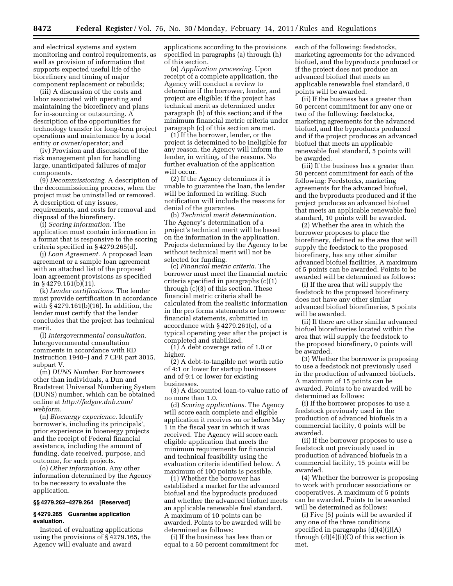and electrical systems and system monitoring and control requirements, as well as provision of information that supports expected useful life of the biorefinery and timing of major component replacement or rebuilds;

(iii) A discussion of the costs and labor associated with operating and maintaining the biorefinery and plans for in-sourcing or outsourcing. A description of the opportunities for technology transfer for long-term project operations and maintenance by a local entity or owner/operator; and

(iv) Provision and discussion of the risk management plan for handling large, unanticipated failures of major components.

(9) *Decommissioning.* A description of the decommissioning process, when the project must be uninstalled or removed. A description of any issues, requirements, and costs for removal and disposal of the biorefinery.

(i) *Scoring information.* The application must contain information in a format that is responsive to the scoring criteria specified in § 4279.265(d).

(j) *Loan Agreement.* A proposed loan agreement or a sample loan agreement with an attached list of the proposed loan agreement provisions as specified in § 4279.161(b) $(11)$ .

(k) *Lender certifications.* The lender must provide certification in accordance with § 4279.161(b)(16). In addition, the lender must certify that the lender concludes that the project has technical merit.

(l) *Intergovernmental consultation.*  Intergovernmental consultation comments in accordance with RD Instruction 1940–J and 7 CFR part 3015, subpart V.

(m) *DUNS Number.* For borrowers other than individuals, a Dun and Bradstreet Universal Numbering System (DUNS) number, which can be obtained online at *[http://fedgov.dnb.com/](http://fedgov.dnb.com/webform)  [webform.](http://fedgov.dnb.com/webform)* 

(n) *Bioenergy experience.* Identify borrower's, including its principals', prior experience in bioenergy projects and the receipt of Federal financial assistance, including the amount of funding, date received, purpose, and outcome, for such projects.

(o) *Other information.* Any other information determined by the Agency to be necessary to evaluate the application.

# **§§ 4279.262–4279.264 [Reserved]**

# **§ 4279.265 Guarantee application evaluation.**

Instead of evaluating applications using the provisions of § 4279.165, the Agency will evaluate and award

applications according to the provisions specified in paragraphs (a) through (h) of this section.

(a) *Application processing.* Upon receipt of a complete application, the Agency will conduct a review to determine if the borrower, lender, and project are eligible; if the project has technical merit as determined under paragraph (b) of this section; and if the minimum financial metric criteria under paragraph (c) of this section are met.

(1) If the borrower, lender, or the project is determined to be ineligible for any reason, the Agency will inform the lender, in writing, of the reasons. No further evaluation of the application will occur.

(2) If the Agency determines it is unable to guarantee the loan, the lender will be informed in writing. Such notification will include the reasons for denial of the guarantee.

(b) *Technical merit determination.*  The Agency's determination of a project's technical merit will be based on the information in the application. Projects determined by the Agency to be without technical merit will not be selected for funding.

(c) *Financial metric criteria.* The borrower must meet the financial metric criteria specified in paragraphs (c)(1) through (c)(3) of this section. These financial metric criteria shall be calculated from the realistic information in the pro forma statements or borrower financial statements, submitted in accordance with § 4279.261(c), of a typical operating year after the project is completed and stabilized.

(1) A debt coverage ratio of 1.0 or higher.

(2) A debt-to-tangible net worth ratio of 4:1 or lower for startup businesses and of 9:1 or lower for existing businesses.

(3) A discounted loan-to-value ratio of no more than 1.0.

(d) *Scoring applications.* The Agency will score each complete and eligible application it receives on or before May 1 in the fiscal year in which it was received. The Agency will score each eligible application that meets the minimum requirements for financial and technical feasibility using the evaluation criteria identified below. A maximum of 100 points is possible.

(1) Whether the borrower has established a market for the advanced biofuel and the byproducts produced and whether the advanced biofuel meets an applicable renewable fuel standard. A maximum of 10 points can be awarded. Points to be awarded will be determined as follows:

(i) If the business has less than or equal to a 50 percent commitment for each of the following: feedstocks, marketing agreements for the advanced biofuel, and the byproducts produced or if the project does not produce an advanced biofuel that meets an applicable renewable fuel standard, 0 points will be awarded.

(ii) If the business has a greater than 50 percent commitment for any one or two of the following: feedstocks, marketing agreements for the advanced biofuel, and the byproducts produced and if the project produces an advanced biofuel that meets an applicable renewable fuel standard, 5 points will be awarded.

(iii) If the business has a greater than 50 percent commitment for each of the following: Feedstocks, marketing agreements for the advanced biofuel, and the byproducts produced and if the project produces an advanced biofuel that meets an applicable renewable fuel standard, 10 points will be awarded.

(2) Whether the area in which the borrower proposes to place the biorefinery, defined as the area that will supply the feedstock to the proposed biorefinery, has any other similar advanced biofuel facilities. A maximum of 5 points can be awarded. Points to be awarded will be determined as follows:

(i) If the area that will supply the feedstock to the proposed biorefinery does not have any other similar advanced biofuel biorefineries, 5 points will be awarded.

(ii) If there are other similar advanced biofuel biorefineries located within the area that will supply the feedstock to the proposed biorefinery, 0 points will be awarded.

(3) Whether the borrower is proposing to use a feedstock not previously used in the production of advanced biofuels. A maximum of 15 points can be awarded. Points to be awarded will be determined as follows:

(i) If the borrower proposes to use a feedstock previously used in the production of advanced biofuels in a commercial facility, 0 points will be awarded.

(ii) If the borrower proposes to use a feedstock not previously used in production of advanced biofuels in a commercial facility, 15 points will be awarded.

(4) Whether the borrower is proposing to work with producer associations or cooperatives. A maximum of 5 points can be awarded. Points to be awarded will be determined as follows:

(i) Five (5) points will be awarded if any one of the three conditions specified in paragraphs  $(d)(4)(i)(A)$ through  $(d)(4)(i)(C)$  of this section is met.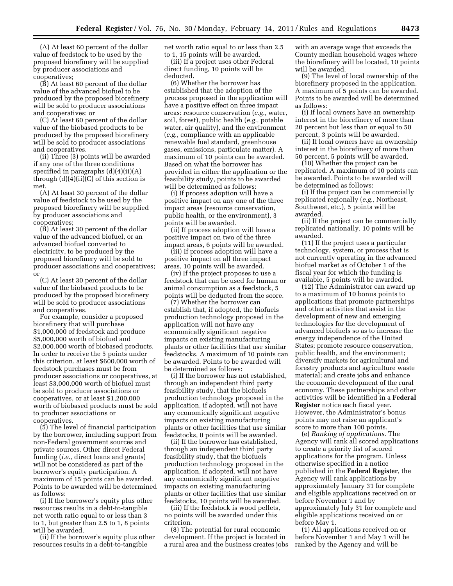(A) At least 60 percent of the dollar value of feedstock to be used by the proposed biorefinery will be supplied by producer associations and cooperatives;

(B) At least 60 percent of the dollar value of the advanced biofuel to be produced by the proposed biorefinery will be sold to producer associations and cooperatives; or

(C) At least 60 percent of the dollar value of the biobased products to be produced by the proposed biorefinery will be sold to producer associations and cooperatives.

(ii) Three (3) points will be awarded if any one of the three conditions specified in paragraphs  $(d)(4)(ii)(A)$ through  $(d)(4)(ii)(C)$  of this section is met.

(A) At least 30 percent of the dollar value of feedstock to be used by the proposed biorefinery will be supplied by producer associations and cooperatives;

(B) At least 30 percent of the dollar value of the advanced biofuel, or an advanced biofuel converted to electricity, to be produced by the proposed biorefinery will be sold to producer associations and cooperatives; or

(C) At least 30 percent of the dollar value of the biobased products to be produced by the proposed biorefinery will be sold to producer associations and cooperatives.

For example, consider a proposed biorefinery that will purchase \$1,000,000 of feedstock and produce \$5,000,000 worth of biofuel and \$2,000,000 worth of biobased products. In order to receive the 5 points under this criterion, at least \$600,000 worth of feedstock purchases must be from producer associations or cooperatives, at least \$3,000,000 worth of biofuel must be sold to producer associations or cooperatives, or at least \$1,200,000 worth of biobased products must be sold to producer associations or cooperatives.

(5) The level of financial participation by the borrower, including support from non-Federal government sources and private sources. Other direct Federal funding (*i.e.,* direct loans and grants) will not be considered as part of the borrower's equity participation. A maximum of 15 points can be awarded. Points to be awarded will be determined as follows:

(i) If the borrower's equity plus other resources results in a debt-to-tangible net worth ratio equal to or less than 3 to 1, but greater than 2.5 to 1, 8 points will be awarded.

(ii) If the borrower's equity plus other resources results in a debt-to-tangible

net worth ratio equal to or less than 2.5 to 1, 15 points will be awarded.

(iii) If a project uses other Federal direct funding, 10 points will be deducted.

(6) Whether the borrower has established that the adoption of the process proposed in the application will have a positive effect on three impact areas: resource conservation (*e.g.,* water, soil, forest), public health (*e.g.,* potable water, air quality), and the environment (*e.g.,* compliance with an applicable renewable fuel standard, greenhouse gases, emissions, particulate matter). A maximum of 10 points can be awarded. Based on what the borrower has provided in either the application or the feasibility study, points to be awarded will be determined as follows:

(i) If process adoption will have a positive impact on any one of the three impact areas (resource conservation, public health, or the environment), 3 points will be awarded.

(ii) If process adoption will have a positive impact on two of the three impact areas, 6 points will be awarded.

(iii) If process adoption will have a positive impact on all three impact areas, 10 points will be awarded.

(iv) If the project proposes to use a feedstock that can be used for human or animal consumption as a feedstock, 5 points will be deducted from the score.

(7) Whether the borrower can establish that, if adopted, the biofuels production technology proposed in the application will not have any economically significant negative impacts on existing manufacturing plants or other facilities that use similar feedstocks. A maximum of 10 points can be awarded. Points to be awarded will be determined as follows:

(i) If the borrower has not established, through an independent third party feasibility study, that the biofuels production technology proposed in the application, if adopted, will not have any economically significant negative impacts on existing manufacturing plants or other facilities that use similar feedstocks, 0 points will be awarded.

(ii) If the borrower has established, through an independent third party feasibility study, that the biofuels production technology proposed in the application, if adopted, will not have any economically significant negative impacts on existing manufacturing plants or other facilities that use similar feedstocks, 10 points will be awarded.

(iii) If the feedstock is wood pellets, no points will be awarded under this criterion.

(8) The potential for rural economic development. If the project is located in a rural area and the business creates jobs

with an average wage that exceeds the County median household wages where the biorefinery will be located, 10 points will be awarded.

(9) The level of local ownership of the biorefinery proposed in the application. A maximum of 5 points can be awarded. Points to be awarded will be determined as follows:

(i) If local owners have an ownership interest in the biorefinery of more than 20 percent but less than or equal to 50 percent, 3 points will be awarded.

(ii) If local owners have an ownership interest in the biorefinery of more than 50 percent, 5 points will be awarded.

(10) Whether the project can be replicated. A maximum of 10 points can be awarded. Points to be awarded will be determined as follows:

(i) If the project can be commercially replicated regionally (*e.g.,* Northeast, Southwest, etc.), 5 points will be awarded.

(ii) If the project can be commercially replicated nationally, 10 points will be awarded.

(11) If the project uses a particular technology, system, or process that is not currently operating in the advanced biofuel market as of October 1 of the fiscal year for which the funding is available, 5 points will be awarded.

(12) The Administrator can award up to a maximum of 10 bonus points to applications that promote partnerships and other activities that assist in the development of new and emerging technologies for the development of advanced biofuels so as to increase the energy independence of the United States; promote resource conservation, public health, and the environment; diversify markets for agricultural and forestry products and agriculture waste material; and create jobs and enhance the economic development of the rural economy. These partnerships and other activities will be identified in a **Federal Register** notice each fiscal year. However, the Administrator's bonus points may not raise an applicant's score to more than 100 points.

(e) *Ranking of applications.* The Agency will rank all scored applications to create a priority list of scored applications for the program. Unless otherwise specified in a notice published in the **Federal Register**, the Agency will rank applications by approximately January 31 for complete and eligible applications received on or before November 1 and by approximately July 31 for complete and eligible applications received on or before May 1.

(1) All applications received on or before November 1 and May 1 will be ranked by the Agency and will be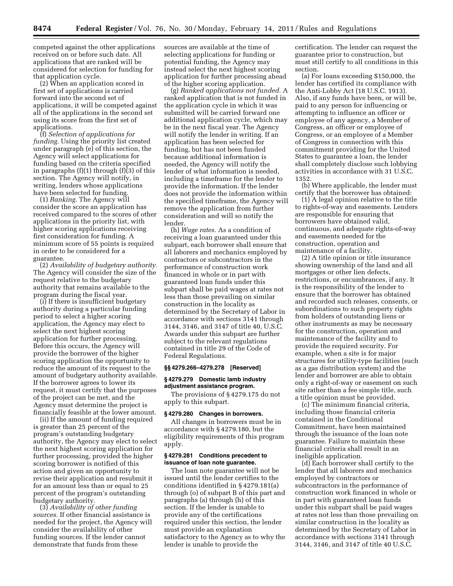competed against the other applications received on or before such date. All applications that are ranked will be considered for selection for funding for that application cycle.

(2) When an application scored in first set of applications is carried forward into the second set of applications, it will be competed against all of the applications in the second set using its score from the first set of applications.

(f) *Selection of applications for funding.* Using the priority list created under paragraph (e) of this section, the Agency will select applications for funding based on the criteria specified in paragraphs (f)(1) through (f)(3) of this section. The Agency will notify, in writing, lenders whose applications have been selected for funding.

(1) *Ranking.* The Agency will consider the score an application has received compared to the scores of other applications in the priority list, with higher scoring applications receiving first consideration for funding. A minimum score of 55 points is required in order to be considered for a guarantee.

(2) *Availability of budgetary authority.*  The Agency will consider the size of the request relative to the budgetary authority that remains available to the program during the fiscal year.

(i) If there is insufficient budgetary authority during a particular funding period to select a higher scoring application, the Agency may elect to select the next highest scoring application for further processing. Before this occurs, the Agency will provide the borrower of the higher scoring application the opportunity to reduce the amount of its request to the amount of budgetary authority available. If the borrower agrees to lower its request, it must certify that the purposes of the project can be met, and the Agency must determine the project is financially feasible at the lower amount.

(ii) If the amount of funding required is greater than 25 percent of the program's outstanding budgetary authority, the Agency may elect to select the next highest scoring application for further processing, provided the higher scoring borrower is notified of this action and given an opportunity to revise their application and resubmit it for an amount less than or equal to 25 percent of the program's outstanding budgetary authority.

(3) *Availability of other funding sources.* If other financial assistance is needed for the project, the Agency will consider the availability of other funding sources. If the lender cannot demonstrate that funds from these

sources are available at the time of selecting applications for funding or potential funding, the Agency may instead select the next highest scoring application for further processing ahead of the higher scoring application.

(g) *Ranked applications not funded.* A ranked application that is not funded in the application cycle in which it was submitted will be carried forward one additional application cycle, which may be in the next fiscal year. The Agency will notify the lender in writing. If an application has been selected for funding, but has not been funded because additional information is needed, the Agency will notify the lender of what information is needed, including a timeframe for the lender to provide the information. If the lender does not provide the information within the specified timeframe, the Agency will remove the application from further consideration and will so notify the lender.

(h) *Wage rates.* As a condition of receiving a loan guaranteed under this subpart, each borrower shall ensure that all laborers and mechanics employed by contractors or subcontractors in the performance of construction work financed in whole or in part with guaranteed loan funds under this subpart shall be paid wages at rates not less than those prevailing on similar construction in the locality as determined by the Secretary of Labor in accordance with sections 3141 through 3144, 3146, and 3147 of title 40, U.S.C. Awards under this subpart are further subject to the relevant regulations contained in title 29 of the Code of Federal Regulations.

#### **§§ 4279.266–4279.278 [Reserved]**

#### **§ 4279.279 Domestic lamb industry adjustment assistance program.**

The provisions of § 4279.175 do not apply to this subpart.

#### **§ 4279.280 Changes in borrowers.**

All changes in borrowers must be in accordance with § 4279.180, but the eligibility requirements of this program apply.

# **§ 4279.281 Conditions precedent to issuance of loan note guarantee.**

The loan note guarantee will not be issued until the lender certifies to the conditions identified in § 4279.181(a) through (o) of subpart B of this part and paragraphs (a) through (h) of this section. If the lender is unable to provide any of the certifications required under this section, the lender must provide an explanation satisfactory to the Agency as to why the lender is unable to provide the

certification. The lender can request the guarantee prior to construction, but must still certify to all conditions in this section.

(a) For loans exceeding \$150,000, the lender has certified its compliance with the Anti-Lobby Act (18 U.S.C. 1913). Also, if any funds have been, or will be, paid to any person for influencing or attempting to influence an officer or employee of any agency, a Member of Congress, an officer or employee of Congress, or an employee of a Member of Congress in connection with this commitment providing for the United States to guarantee a loan, the lender shall completely disclose such lobbying activities in accordance with 31 U.S.C. 1352.

(b) Where applicable, the lender must certify that the borrower has obtained:

(1) A legal opinion relative to the title to rights-of-way and easements. Lenders are responsible for ensuring that borrowers have obtained valid, continuous, and adequate rights-of-way and easements needed for the construction, operation and maintenance of a facility.

(2) A title opinion or title insurance showing ownership of the land and all mortgages or other lien defects, restrictions, or encumbrances, if any. It is the responsibility of the lender to ensure that the borrower has obtained and recorded such releases, consents, or subordinations to such property rights from holders of outstanding liens or other instruments as may be necessary for the construction, operation and maintenance of the facility and to provide the required security. For example, when a site is for major structures for utility-type facilities (such as a gas distribution system) and the lender and borrower are able to obtain only a right-of-way or easement on such site rather than a fee simple title, such a title opinion must be provided.

(c) The minimum financial criteria, including those financial criteria contained in the Conditional Commitment, have been maintained through the issuance of the loan note guarantee. Failure to maintain these financial criteria shall result in an ineligible application.

(d) Each borrower shall certify to the lender that all laborers and mechanics employed by contractors or subcontractors in the performance of construction work financed in whole or in part with guaranteed loan funds under this subpart shall be paid wages at rates not less than those prevailing on similar construction in the locality as determined by the Secretary of Labor in accordance with sections 3141 through 3144, 3146, and 3147 of title 40 U.S.C.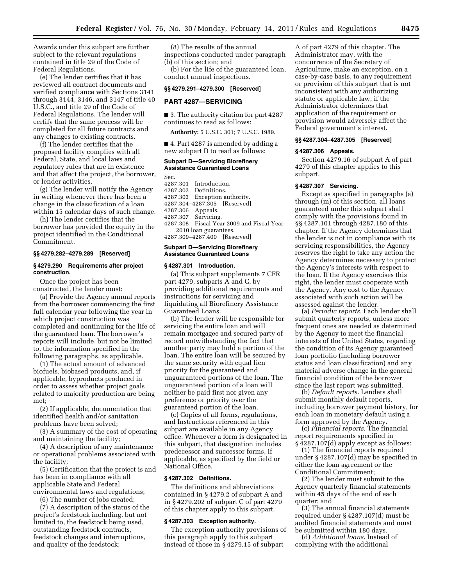Awards under this subpart are further subject to the relevant regulations contained in title 29 of the Code of Federal Regulations.

(e) The lender certifies that it has reviewed all contract documents and verified compliance with Sections 3141 through 3144, 3146, and 3147 of title 40 U.S.C., and title 29 of the Code of Federal Regulations. The lender will certify that the same process will be completed for all future contracts and any changes to existing contracts.

(f) The lender certifies that the proposed facility complies with all Federal, State, and local laws and regulatory rules that are in existence and that affect the project, the borrower, or lender activities.

(g) The lender will notify the Agency in writing whenever there has been a change in the classification of a loan within 15 calendar days of such change.

(h) The lender certifies that the borrower has provided the equity in the project identified in the Conditional Commitment.

## **§§ 4279.282–4279.289 [Reserved]**

## **§ 4279.290 Requirements after project construction.**

Once the project has been constructed, the lender must:

(a) Provide the Agency annual reports from the borrower commencing the first full calendar year following the year in which project construction was completed and continuing for the life of the guaranteed loan. The borrower's reports will include, but not be limited to, the information specified in the following paragraphs, as applicable.

(1) The actual amount of advanced biofuels, biobased products, and, if applicable, byproducts produced in order to assess whether project goals related to majority production are being met;

(2) If applicable, documentation that identified health and/or sanitation problems have been solved;

(3) A summary of the cost of operating and maintaining the facility;

(4) A description of any maintenance or operational problems associated with the facility;

(5) Certification that the project is and has been in compliance with all applicable State and Federal environmental laws and regulations;

(6) The number of jobs created;

(7) A description of the status of the project's feedstock including, but not limited to, the feedstock being used, outstanding feedstock contracts, feedstock changes and interruptions, and quality of the feedstock;

(8) The results of the annual inspections conducted under paragraph (b) of this section; and

(b) For the life of the guaranteed loan, conduct annual inspections.

# **§§ 4279.291–4279.300 [Reserved]**

### **PART 4287—SERVICING**

■ 3. The authority citation for part 4287 continues to read as follows:

**Authority:** 5 U.S.C. 301; 7 U.S.C. 1989.

■ 4. Part 4287 is amended by adding a new subpart D to read as follows:

#### **Subpart D—Servicing Biorefinery Assistance Guaranteed Loans**

Sec.

4287.301 Introduction. 4287.302 Definitions. 4287.303 Exception authority. 4287.304–4287.305 [Reserved] 4287.306 Appeals.<br>4287.307 Servicing Servicing. 4287.308 Fiscal Year 2009 and Fiscal Year 2010 loan guarantees. 4287.309–4287.400 [Reserved] **Subpart D—Servicing Biorefinery** 

# **Assistance Guaranteed Loans**

#### **§ 4287.301 Introduction.**

(a) This subpart supplements 7 CFR part 4279, subparts A and C, by providing additional requirements and instructions for servicing and liquidating all Biorefinery Assistance Guaranteed Loans.

(b) The lender will be responsible for servicing the entire loan and will remain mortgagee and secured party of record notwithstanding the fact that another party may hold a portion of the loan. The entire loan will be secured by the same security with equal lien priority for the guaranteed and unguaranteed portions of the loan. The unguaranteed portion of a loan will neither be paid first nor given any preference or priority over the guaranteed portion of the loan.

(c) Copies of all forms, regulations, and Instructions referenced in this subpart are available in any Agency office. Whenever a form is designated in this subpart, that designation includes predecessor and successor forms, if applicable, as specified by the field or National Office.

## **§ 4287.302 Definitions.**

The definitions and abbreviations contained in § 4279.2 of subpart A and in § 4279.202 of subpart C of part 4279 of this chapter apply to this subpart.

## **§ 4287.303 Exception authority.**

The exception authority provisions of this paragraph apply to this subpart instead of those in § 4279.15 of subpart

A of part 4279 of this chapter. The Administrator may, with the concurrence of the Secretary of Agriculture, make an exception, on a case-by-case basis, to any requirement or provision of this subpart that is not inconsistent with any authorizing statute or applicable law, if the Administrator determines that application of the requirement or provision would adversely affect the Federal government's interest.

#### **§§ 4287.304–4287.305 [Reserved]**

#### **§ 4287.306 Appeals.**

Section 4279.16 of subpart A of part 4279 of this chapter applies to this subpart.

## **§ 4287.307 Servicing.**

Except as specified in paragraphs (a) through (m) of this section, all loans guaranteed under this subpart shall comply with the provisions found in §§ 4287.101 through 4287.180 of this chapter. If the Agency determines that the lender is not in compliance with its servicing responsibilities, the Agency reserves the right to take any action the Agency determines necessary to protect the Agency's interests with respect to the loan. If the Agency exercises this right, the lender must cooperate with the Agency. Any cost to the Agency associated with such action will be assessed against the lender.

(a) *Periodic reports.* Each lender shall submit quarterly reports, unless more frequent ones are needed as determined by the Agency to meet the financial interests of the United States, regarding the condition of its Agency guaranteed loan portfolio (including borrower status and loan classification) and any material adverse change in the general financial condition of the borrower since the last report was submitted.

(b) *Default reports.* Lenders shall submit monthly default reports, including borrower payment history, for each loan in monetary default using a form approved by the Agency.

(c) *Financial reports.* The financial report requirements specified in § 4287.107(d) apply except as follows:

(1) The financial reports required under § 4287.107(d) may be specified in either the loan agreement or the Conditional Commitment;

(2) The lender must submit to the Agency quarterly financial statements within 45 days of the end of each quarter; and

(3) The annual financial statements required under § 4287.107(d) must be audited financial statements and must be submitted within 180 days.

(d) *Additional loans.* Instead of complying with the additional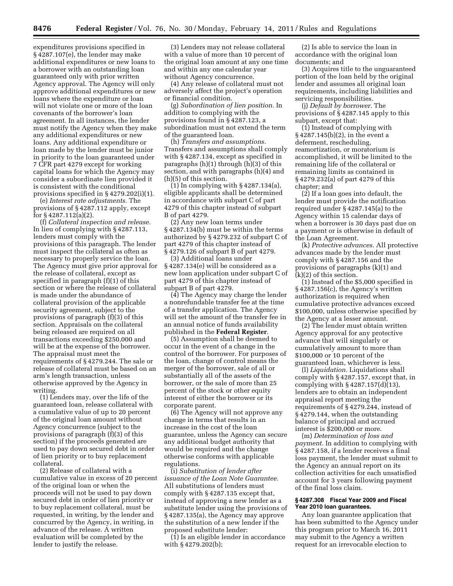expenditures provisions specified in § 4287.107(e), the lender may make additional expenditures or new loans to a borrower with an outstanding loan guaranteed only with prior written Agency approval. The Agency will only approve additional expenditures or new loans where the expenditure or loan will not violate one or more of the loan covenants of the borrower's loan agreement. In all instances, the lender must notify the Agency when they make any additional expenditures or new loans. Any additional expenditure or loan made by the lender must be junior in priority to the loan guaranteed under 7 CFR part 4279 except for working capital loans for which the Agency may consider a subordinate lien provided it is consistent with the conditional provisions specified in § 4279.202(i)(1).

(e) *Interest rate adjustments.* The provisions of § 4287.112 apply, except for § 4287.112(a)(2).

(f) *Collateral inspection and release.*  In lieu of complying with § 4287.113, lenders must comply with the provisions of this paragraph. The lender must inspect the collateral as often as necessary to properly service the loan. The Agency must give prior approval for the release of collateral, except as specified in paragraph (f)(1) of this section or where the release of collateral is made under the abundance of collateral provision of the applicable security agreement, subject to the provisions of paragraph (f)(3) of this section. Appraisals on the collateral being released are required on all transactions exceeding \$250,000 and will be at the expense of the borrower. The appraisal must meet the requirements of § 4279.244. The sale or release of collateral must be based on an arm's length transaction, unless otherwise approved by the Agency in writing.

(1) Lenders may, over the life of the guaranteed loan, release collateral with a cumulative value of up to 20 percent of the original loan amount without Agency concurrence (subject to the provisions of paragraph (f)(3) of this section) if the proceeds generated are used to pay down secured debt in order of lien priority or to buy replacement collateral.

(2) Release of collateral with a cumulative value in excess of 20 percent of the original loan or when the proceeds will not be used to pay down secured debt in order of lien priority or to buy replacement collateral, must be requested, in writing, by the lender and concurred by the Agency, in writing, in advance of the release. A written evaluation will be completed by the lender to justify the release.

(3) Lenders may not release collateral with a value of more than 10 percent of the original loan amount at any one time and within any one calendar year without Agency concurrence.

(4) Any release of collateral must not adversely affect the project's operation or financial condition.

(g) *Subordination of lien position.* In addition to complying with the provisions found in § 4287.123, a subordination must not extend the term of the guaranteed loan.

(h) *Transfers and assumptions.*  Transfers and assumptions shall comply with § 4287.134, except as specified in paragraphs (h)(1) through (h)(3) of this section, and with paragraphs (h)(4) and (h)(5) of this section.

(1) In complying with § 4287.134(a), eligible applicants shall be determined in accordance with subpart C of part 4279 of this chapter instead of subpart B of part 4279.

(2) Any new loan terms under § 4287.134(b) must be within the terms authorized by § 4279.232 of subpart C of part 4279 of this chapter instead of § 4279.126 of subpart B of part 4279.

(3) Additional loans under § 4287.134(e) will be considered as a new loan application under subpart C of part 4279 of this chapter instead of subpart B of part 4279.

(4) The Agency may charge the lender a nonrefundable transfer fee at the time of a transfer application. The Agency will set the amount of the transfer fee in an annual notice of funds availability published in the **Federal Register**.

(5) Assumption shall be deemed to occur in the event of a change in the control of the borrower. For purposes of the loan, change of control means the merger of the borrower, sale of all or substantially all of the assets of the borrower, or the sale of more than 25 percent of the stock or other equity interest of either the borrower or its corporate parent.

(6) The Agency will not approve any change in terms that results in an increase in the cost of the loan guarantee, unless the Agency can secure any additional budget authority that would be required and the change otherwise conforms with applicable regulations.

(i) *Substitution of lender after issuance of the Loan Note Guarantee.*  All substitutions of lenders must comply with § 4287.135 except that, instead of approving a new lender as a substitute lender using the provisions of § 4287.135(a), the Agency may approve the substitution of a new lender if the proposed substitute lender:

(1) Is an eligible lender in accordance with § 4279.202(b);

(2) Is able to service the loan in accordance with the original loan documents; and

(3) Acquires title to the unguaranteed portion of the loan held by the original lender and assumes all original loan requirements, including liabilities and servicing responsibilities.

(j) *Default by borrower.* The provisions of § 4287.145 apply to this subpart, except that:

(1) Instead of complying with § 4287.145(b)(2), in the event a deferment, rescheduling, reamortization, or moratorium is accomplished, it will be limited to the remaining life of the collateral or remaining limits as contained in § 4279.232(a) of part 4279 of this chapter; and

(2) If a loan goes into default, the lender must provide the notification required under § 4287.145(a) to the Agency within 15 calendar days of when a borrower is 30 days past due on a payment or is otherwise in default of the Loan Agreement.

(k) *Protective advances.* All protective advances made by the lender must comply with § 4287.156 and the provisions of paragraphs (k)(1) and (k)(2) of this section.

(1) Instead of the \$5,000 specified in § 4287.156(c), the Agency's written authorization is required when cumulative protective advances exceed \$100,000, unless otherwise specified by the Agency at a lesser amount.

(2) The lender must obtain written Agency approval for any protective advance that will singularly or cumulatively amount to more than \$100,000 or 10 percent of the guaranteed loan, whichever is less.

(l) *Liquidation.* Liquidations shall comply with § 4287.157, except that, in complying with § 4287.157(d)(13), lenders are to obtain an independent appraisal report meeting the requirements of § 4279.244, instead of § 4279.144, when the outstanding balance of principal and accrued interest is \$200,000 or more.

(m) *Determination of loss and payment.* In addition to complying with § 4287.158, if a lender receives a final loss payment, the lender must submit to the Agency an annual report on its collection activities for each unsatisfied account for 3 years following payment of the final loss claim.

### **§ 4287.308 Fiscal Year 2009 and Fiscal Year 2010 loan guarantees.**

Any loan guarantee application that has been submitted to the Agency under this program prior to March 16, 2011 may submit to the Agency a written request for an irrevocable election to